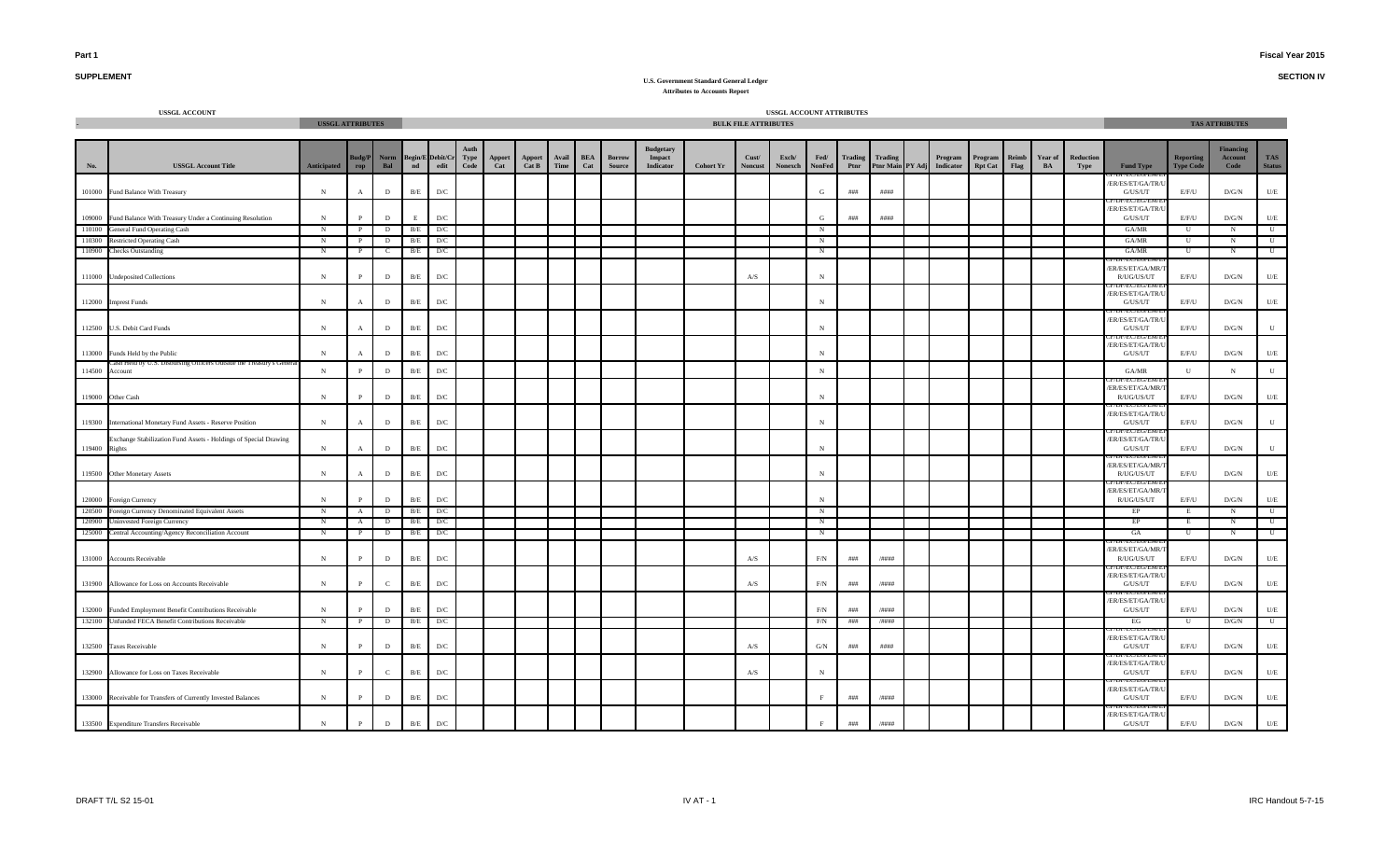**SECTION IV**

# **SUPPLEMENT**

|                  | <b>USSGL ACCOUNT</b>                                                                               |                         |                      |                     |               |                                          |              |               |                 |               |                   |                                |                                                |                  |                             | USSGL ACCOUNT ATTRIBUTES |                       |            |                                     |                      |                           |               |               |                   |                                                     |                                      |                                     |                             |
|------------------|----------------------------------------------------------------------------------------------------|-------------------------|----------------------|---------------------|---------------|------------------------------------------|--------------|---------------|-----------------|---------------|-------------------|--------------------------------|------------------------------------------------|------------------|-----------------------------|--------------------------|-----------------------|------------|-------------------------------------|----------------------|---------------------------|---------------|---------------|-------------------|-----------------------------------------------------|--------------------------------------|-------------------------------------|-----------------------------|
|                  |                                                                                                    | <b>USSGL ATTRIBUTES</b> |                      |                     |               |                                          |              |               |                 |               |                   |                                |                                                |                  | <b>BULK FILE ATTRIBUTES</b> |                          |                       |            |                                     |                      |                           |               |               |                   |                                                     |                                      | <b>TAS ATTRIBUTES</b>               |                             |
| No.              | <b>USSGL Account Title</b>                                                                         | <b>Anticipated</b>      | <b>Budg/P</b><br>rop | Norm<br>Bal         | $\mathbf{nd}$ | <b>Begin/E</b> Debit/Cr<br>$_{\rm edit}$ | Type<br>Code | Apport<br>Cat | Apport<br>Cat B | Avail<br>Time | <b>BEA</b><br>Cat | <b>Borrow</b><br><b>Source</b> | <b>Budgetary</b><br>Impact<br><b>Indicator</b> | <b>Cohort Yr</b> | Cust/<br><b>Noncust</b>     | Exch/<br>Nonexch         | Fed/<br><b>NonFed</b> | Ptnr       | Trading Trading<br>Ptnr Main PY Adj | Program<br>Indicator | Program<br><b>Rpt Cat</b> | Reimb<br>Flag | Year of<br>BA | Reduction<br>Type | <b>Fund Type</b>                                    | <b>Reporting</b><br><b>Type Code</b> | <b>Financing</b><br>Account<br>Code | <b>TAS</b><br><b>Status</b> |
|                  | 101000 Fund Balance With Treasury                                                                  | N                       | $\mathbf{A}$         | D                   | $\rm B/E$     | $\mathbf{D}/\mathbf{C}$                  |              |               |                 |               |                   |                                |                                                |                  |                             |                          | G                     | $\# \# \#$ | ####                                |                      |                           |               |               |                   | <b>MUP/EC/EU/EM</b><br>ER/ES/ET/GA/TR/U<br>G/US/UT  | E/F/U                                | D/G/N                               | $\mathbf{U}/\mathbf{E}$     |
|                  | 109000 Fund Balance With Treasury Under a Continuing Resolution                                    | N                       | P                    | D                   | E             | D/C                                      |              |               |                 |               |                   |                                |                                                |                  |                             |                          | G                     | ###        | ####                                |                      |                           |               |               |                   | ER/ES/ET/GA/TR/<br>G/US/UT                          | E/F/U                                | D/G/N                               | $U/E$                       |
| 110100           | General Fund Operating Cash                                                                        | N                       |                      | $\overline{D}$      | B/E           | D/C                                      |              |               |                 |               |                   |                                |                                                |                  |                             |                          | N                     |            |                                     |                      |                           |               |               |                   | GA/MR                                               | -U                                   | N                                   | $\mathbf{U}$                |
| 110300           | <b>Restricted Operating Cash</b>                                                                   | $\mathbb{N}$            |                      | $\mathbf{D}$        | B/E           | D/C                                      |              |               |                 |               |                   |                                |                                                |                  |                             |                          | $_{\rm N}$            |            |                                     |                      |                           |               |               |                   | GA/MR                                               | U                                    | $_{\rm N}$                          | $\mathbf U$                 |
| 110900           | <b>Checks Outstanding</b>                                                                          | N                       | - P                  | $\mathbf{C}$        | B/E           | D/C                                      |              |               |                 |               |                   |                                |                                                |                  |                             |                          | N                     |            |                                     |                      |                           |               |               |                   | GA/MR                                               | U                                    | N                                   | U                           |
|                  | 111000 Undeposited Collections                                                                     | ${\bf N}$               | $\mathbf{P}$         | $\mathbf{D}$        | $\rm\,B/E$    | D/C                                      |              |               |                 |               |                   |                                |                                                |                  | $\mathbf{A} / \mathbf{S}$   |                          | $_{\rm N}$            |            |                                     |                      |                           |               |               |                   | EU EU !<br>ER/ES/ET/GA/MR/<br>R/UG/US/UT            | E/F/U                                | D/G/N                               | $U/E$                       |
|                  | 112000 Imprest Funds                                                                               | ${\bf N}$               | $\mathbf{A}$         | $\mathbf{D}$        | B/E           | D/C                                      |              |               |                 |               |                   |                                |                                                |                  |                             |                          | $_{\rm N}$            |            |                                     |                      |                           |               |               |                   | ER/ES/ET/GA/TR/<br>G/US/UT                          | E/F/U                                | D/G/N                               | $U/E$                       |
|                  | 112500 U.S. Debit Card Funds                                                                       | ${\bf N}$               | $\mathbf{A}$         | $\mathbf{D}$        | $\rm B/E$     | D/C                                      |              |               |                 |               |                   |                                |                                                |                  |                             |                          | $_{\rm N}$            |            |                                     |                      |                           |               |               |                   | ER/ES/ET/GA/TR/<br>${\rm G/US/UT}$<br>DF/EC/EU/EM   | E/F/U                                | $\rm{D/G/N}$                        | ${\bf U}$                   |
|                  | 113000 Funds Held by the Public<br>Casn Heid by U.S. Disbursing Officers Outside the Treasury's Ge | ${\bf N}$               |                      | $\mathbf{D}$        | $\rm B/E$     | D/C                                      |              |               |                 |               |                   |                                |                                                |                  |                             |                          | $_{\rm N}$            |            |                                     |                      |                           |               |               |                   | ER/ES/ET/GA/TR/U<br>G/US/UT                         | E/F/U                                | D/G/N                               | U/E                         |
| 114500           | Account                                                                                            | $\,$ N                  |                      | D                   | $\rm B/E$     | D/C                                      |              |               |                 |               |                   |                                |                                                |                  |                             |                          | $_{\rm N}$            |            |                                     |                      |                           |               |               |                   | GA/MR                                               | $\mathbf{U}$                         | $\,$ N                              | ${\bf U}$                   |
|                  | 119000 Other Cash                                                                                  | ${\bf N}$               |                      | $\mathbf{D}$        | $\rm\,B/E$    | D/C                                      |              |               |                 |               |                   |                                |                                                |                  |                             |                          | $_{\rm N}$            |            |                                     |                      |                           |               |               |                   | ER/ES/ET/GA/MR/<br>R/UG/US/UT                       | E/F/U                                | D/G/N                               | $U/E$                       |
|                  | 119300 International Monetary Fund Assets - Reserve Position                                       | N                       | $\mathbf{A}$         | $\mathbf{D}$        | $\rm B/E$     | D/C                                      |              |               |                 |               |                   |                                |                                                |                  |                             |                          | $_{\rm N}$            |            |                                     |                      |                           |               |               |                   | ER/ES/ET/GA/TR/<br>G/US/UT                          | E/F/U                                | D/G/N                               | U                           |
| 119400 Rights    | Exchange Stabilization Fund Assets - Holdings of Special Drawing                                   | ${\bf N}$               | $\mathbf{A}$         | $\mathbf{D}$        | $\rm B/E$     | D/C                                      |              |               |                 |               |                   |                                |                                                |                  |                             |                          | $_{\rm N}$            |            |                                     |                      |                           |               |               |                   | <b>PAPA-APA MEAN</b><br>ER/ES/ET/GA/TR/U<br>G/US/UT | E/F/U                                | D/G/N                               | $\mathbf U$                 |
|                  | 119500 Other Monetary Assets                                                                       | $\,$ N                  | $\mathbf{A}$         | D                   | B/E           | D/C                                      |              |               |                 |               |                   |                                |                                                |                  |                             |                          | $_{\rm N}$            |            |                                     |                      |                           |               |               |                   | ER/ES/ET/GA/MR/<br>R/UG/US/UT                       | E/F/U                                | D/G/N                               | U/E                         |
|                  | 120000 Foreign Currency                                                                            | $\,$ N                  | $\mathbf{P}$         | $\mathbf{D}$        | $\rm\,B/E$    | $\mathbf{D}/\mathbf{C}$                  |              |               |                 |               |                   |                                |                                                |                  |                             |                          | $_{\rm N}$            |            |                                     |                      |                           |               |               |                   | ER/ES/ET/GA/MR/<br>R/UG/US/UT                       | E/F/U                                | D/G/N                               | $\mathbf{U}/\mathbf{E}$     |
| 120500<br>120900 | Foreign Currency Denominated Equivalent Assets                                                     | $_{\rm N}$              | $\mathbf{A}$         | $\mathbf{D}$        | B/E           | D/C                                      |              |               |                 |               |                   |                                |                                                |                  |                             |                          | N                     |            |                                     |                      |                           |               |               |                   | EP                                                  | E                                    | $\mathbf N$                         | $\mathbf{U}$                |
| 125000           | <b>Uninvested Foreign Currency</b><br>Central Accounting/Agency Reconciliation Account             | N<br>$\mathbb{N}$       | A<br>$\mathbf{P}$    | D<br>$\overline{D}$ | B/E           | D/C<br>$B/E$ D/C                         |              |               |                 |               |                   |                                |                                                |                  |                             |                          | N<br>$\mathbb{N}$     |            |                                     |                      |                           |               |               |                   | EP<br>GA                                            | E<br>$\overline{\mathbf{u}}$         | $\mathbf N$<br>$\mathbb{N}$         | U<br>$\mathbb{U}$           |
|                  | 131000 Accounts Receivable                                                                         | ${\bf N}$               | $\mathbf{P}$         | $\mathbf{D}$        | $\rm B/E$     | D/C                                      |              |               |                 |               |                   |                                |                                                |                  | A/S                         |                          | $\rm F/N$             | $\# \# \#$ | /####                               |                      |                           |               |               |                   | ER/ES/ET/GA/MR<br>R/UG/US/UT                        | E/F/U                                | D/G/N                               | U/E                         |
|                  | 131900 Allowance for Loss on Accounts Receivable                                                   | ${\bf N}$               | $\mathbf{p}$         | $\mathbf{C}$        | $\rm B/E$     | $\mathbf{D}/\mathbf{C}$                  |              |               |                 |               |                   |                                |                                                |                  | $\mathbf{A} / \mathbf{S}$   |                          | $\rm F/N$             | $\# \# \#$ | $/$ ####                            |                      |                           |               |               |                   | ER/ES/ET/GA/TR/U<br>G/US/UT                         | E/F/U                                | D/G/N                               | U/E                         |
|                  | 132000 Funded Employment Benefit Contributions Receivable                                          | N                       | P                    | D                   | $\rm B/E$     | $\mathbf{D}/\mathbf{C}$                  |              |               |                 |               |                   |                                |                                                |                  |                             |                          | F/N                   | ###        | /####                               |                      |                           |               |               |                   | ER/ES/ET/GA/TR/U<br>G/US/UT                         | E/F/U                                | D/G/N                               | U/E                         |
|                  | 132100 Unfunded FECA Benefit Contributions Receivable                                              | N                       | $\mathbf{P}$         | $\mathbf{D}$        | B/E           | D/C                                      |              |               |                 |               |                   |                                |                                                |                  |                             |                          | F/N                   | ###        | /####                               |                      |                           |               |               |                   | EG                                                  | U                                    | D/G/N                               | $\mathbf{U}$                |
|                  | 132500 Taxes Receivable                                                                            | ${\bf N}$               | P                    | D                   | $\rm B/E$     | $\mathbf{D}/\mathbf{C}$                  |              |               |                 |               |                   |                                |                                                |                  | $\mathbf{A} / \mathbf{S}$   |                          | G/N                   | ###        | ####                                |                      |                           |               |               |                   | ER/ES/ET/GA/TR/U<br>G/US/UT                         | E/F/U                                | D/G/N                               | U/E                         |
|                  | 132900 Allowance for Loss on Taxes Receivable                                                      | $\,$ N                  | $\mathbf{P}$         | $\mathbf{C}$        | $\rm\,B/E$    | D/C                                      |              |               |                 |               |                   |                                |                                                |                  | $\mathbf{A} / \mathbf{S}$   |                          | N                     |            |                                     |                      |                           |               |               |                   | ER/ES/ET/GA/TR/<br>G/US/UT                          | E/F/U                                | D/G/N                               | U/E                         |
|                  | 133000 Receivable for Transfers of Currently Invested Balances                                     | ${\bf N}$               | $\mathbf{p}$         | $\mathbf{D}$        | $\rm\,B/E$    | D/C                                      |              |               |                 |               |                   |                                |                                                |                  |                             |                          | F                     | ###        | /####                               |                      |                           |               |               |                   | ER/ES/ET/GA/TR/<br>G/US/UT                          | E/F/U                                | D/G/N                               | U/E                         |
|                  | 133500 Expenditure Transfers Receivable                                                            | ${\bf N}$               | $\, {\bf P} \,$      | $\mathbf{D}$        | $\rm\,B/E$    | D/C                                      |              |               |                 |               |                   |                                |                                                |                  |                             |                          | F                     | ###        | /####                               |                      |                           |               |               |                   | /ER/ES/ET/GA/TR/U<br>G/US/UT                        | E/F/U                                | D/G/N                               | U/E                         |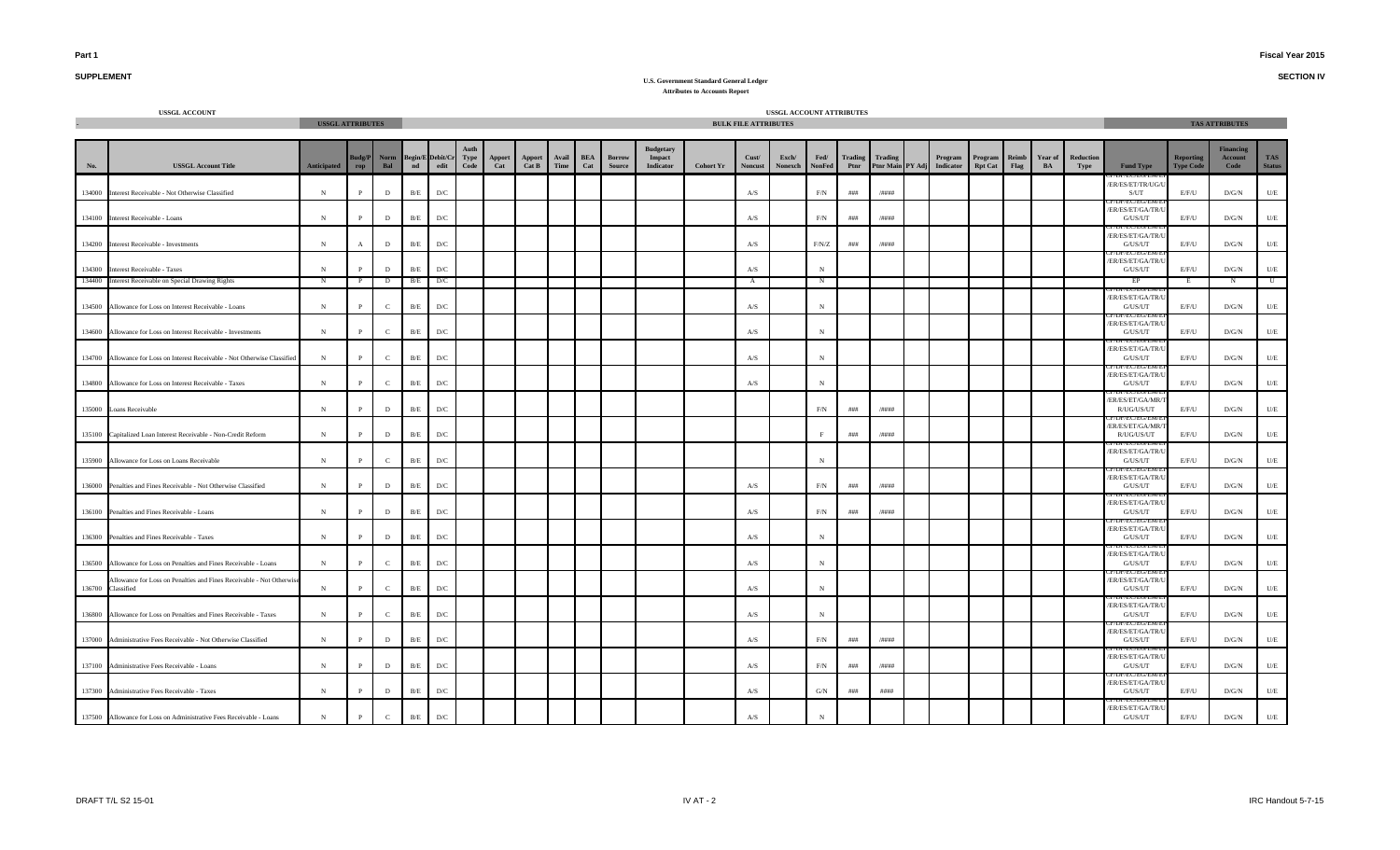**SECTION IV**

## **SUPPLEMENT**

|        | USSGL ACCOUNT                                                                      | <b>USSGL ATTRIBUTES</b> |               |              |               |                          |                     |               |                 |               |                   |                  |                                                |                  | <b>BULK FILE ATTRIBUTES</b> | USSGL ACCOUNT ATTRIBUTES |                       |                 |                             |                      |                           |               |                      |                   |                                                |                                      | <b>TAS ATTRIBUTES</b>               |                             |
|--------|------------------------------------------------------------------------------------|-------------------------|---------------|--------------|---------------|--------------------------|---------------------|---------------|-----------------|---------------|-------------------|------------------|------------------------------------------------|------------------|-----------------------------|--------------------------|-----------------------|-----------------|-----------------------------|----------------------|---------------------------|---------------|----------------------|-------------------|------------------------------------------------|--------------------------------------|-------------------------------------|-----------------------------|
|        |                                                                                    |                         |               |              |               |                          |                     |               |                 |               |                   |                  |                                                |                  |                             |                          |                       |                 |                             |                      |                           |               |                      |                   |                                                |                                      |                                     |                             |
| No.    | <b>USSGL Account Title</b>                                                         | Anticipated             | Budg/P<br>rop | Norm<br>Bal  | $\mathbf{nd}$ | Begin/E Debit/Cr<br>edit | <b>Type</b><br>Code | Apport<br>Cat | Apport<br>Cat B | Avail<br>Time | <b>BEA</b><br>Cat | Borrow<br>Source | <b>Budgetary</b><br>Impact<br><b>Indicator</b> | <b>Cohort Yr</b> | Cust/<br><b>Noncust</b>     | Exch/<br>Nonexch         | Fed/<br><b>NonFed</b> | Trading<br>Ptnr | Trading<br>Ptnr Main PY Adj | Program<br>Indicator | Program<br><b>Rpt Cat</b> | Reimb<br>Flag | <b>Year of</b><br>BA | Reduction<br>Type | <b>Fund Type</b>                               | <b>Reporting</b><br><b>Type Code</b> | <b>Financing</b><br>Account<br>Code | <b>TAS</b><br><b>Status</b> |
| 134000 | Interest Receivable - Not Otherwise Classified                                     | ${\bf N}$               | $\mathbf{P}$  | $\mathbf{D}$ | B/E           | $\mathbf{D}/\mathbf{C}$  |                     |               |                 |               |                   |                  |                                                |                  | A/S                         |                          | $\rm F/N$             | $\# \# \#$      | /####                       |                      |                           |               |                      |                   | ER/ES/ET/TR/UG/U<br>S/UT                       | E/F/U                                | D/G/N                               | $U\!/\!E$                   |
| 134100 | Interest Receivable - Loans                                                        | $_{\rm N}$              | $\mathbf{p}$  | D            | B/E           | D/C                      |                     |               |                 |               |                   |                  |                                                |                  | A/S                         |                          | F/N                   | $\# \# \#$      | /####                       |                      |                           |               |                      |                   | ER/ES/ET/GA/TR/<br>G/US/UT                     | E/F/U                                | D/G/N                               | U/E                         |
| 134200 | <b>Interest Receivable - Investments</b>                                           | $\,$ N                  | $\mathbf{A}$  | D            | B/E           | D/C                      |                     |               |                 |               |                   |                  |                                                |                  | A/S                         |                          | F/N/Z                 | ###             | /####                       |                      |                           |               |                      |                   | ER/ES/ET/GA/TR/U<br>G/US/UT                    | E/F/U                                | D/G/N                               | U/E                         |
|        | 134300 Interest Receivable - Taxes                                                 | $_{\rm N}$              |               | D            | B/E           | D/C                      |                     |               |                 |               |                   |                  |                                                |                  | A/S                         |                          | $_{\rm N}$            |                 |                             |                      |                           |               |                      |                   | /ER/ES/ET/GA/TR/U<br>G/US/UT                   | E/F/U                                | D/G/N                               | $U\!/\!E$                   |
| 134400 | <b>Interest Receivable on Special Drawing Rights</b>                               | $\mathbf N$             | $\mathbf{P}$  | D            | B/E           | D/C                      |                     |               |                 |               |                   |                  |                                                |                  | $\mathbf{A}$                |                          | N                     |                 |                             |                      |                           |               |                      |                   | EP                                             | E                                    | $\mathbf N$                         | $\mathbf U$                 |
|        | 134500 Allowance for Loss on Interest Receivable - Loans                           | N                       | $\mathbf{P}$  | $\mathbf{C}$ | B/E           | D/C                      |                     |               |                 |               |                   |                  |                                                |                  | A/S                         |                          | $_{\rm N}$            |                 |                             |                      |                           |               |                      |                   | /ER/ES/ET/GA/TR/U<br>G/US/UT                   | E/F/U                                | D/G/N                               | U/E                         |
|        | 134600 Allowance for Loss on Interest Receivable - Investments                     | ${\bf N}$               | $\mathbf{P}$  | $\mathbf{C}$ | B/E           | D/C                      |                     |               |                 |               |                   |                  |                                                |                  | A/S                         |                          | $_{\rm N}$            |                 |                             |                      |                           |               |                      |                   | ER/ES/ET/GA/TR/U<br>G/US/UT                    | E/F/U                                | D/G/N                               | $U\!/\!E$                   |
|        | 134700 Allowance for Loss on Interest Receivable - Not Otherwise Classified        | $_{\rm N}$              | $\mathbf{P}$  | $\mathbf{C}$ | $\rm\,B/E$    | $\mathbf{D}/\mathbf{C}$  |                     |               |                 |               |                   |                  |                                                |                  | A/S                         |                          | $_{\rm N}$            |                 |                             |                      |                           |               |                      |                   | /ER/ES/ET/GA/TR/<br>G/US/UT<br>DIVEC/EU/EI     | E/F/U                                | D/G/N                               | U/E                         |
|        | 134800 Allowance for Loss on Interest Receivable - Taxes                           | $\mathbf N$             | $\mathbf{p}$  | $\mathbf{C}$ | B/E           | D/C                      |                     |               |                 |               |                   |                  |                                                |                  | $\mathbf{A} / \mathbf{S}$   |                          | $_{\rm N}$            |                 |                             |                      |                           |               |                      |                   | /ER/ES/ET/GA/TR/U<br>G/US/UT                   | E/F/U                                | D/G/N                               | U/E                         |
|        | 135000 Loans Receivable                                                            | $\,$ N                  | P             | D            | B/E           | D/C                      |                     |               |                 |               |                   |                  |                                                |                  |                             |                          | F/N                   | ###             | /####                       |                      |                           |               |                      |                   | /ER/ES/ET/GA/MR/<br>R/UG/US/UT                 | E/F/U                                | D/G/N                               | $U\!/\!E$                   |
|        | 135100 Capitalized Loan Interest Receivable - Non-Credit Reform                    | ${\bf N}$               | $\mathbf{P}$  | D            | B/E           | D/C                      |                     |               |                 |               |                   |                  |                                                |                  |                             |                          |                       | $\# \# \#$      | /####                       |                      |                           |               |                      |                   | ER/ES/ET/GA/MR/<br>R/UG/US/UT                  | E/F/U                                | D/G/N                               | $U\!/\!E$                   |
|        | 135900 Allowance for Loss on Loans Receivable                                      | $_{\rm N}$              | P             | $\mathbf{C}$ | $\rm B/E$     | D/C                      |                     |               |                 |               |                   |                  |                                                |                  |                             |                          | $_{\rm N}$            |                 |                             |                      |                           |               |                      |                   | /ER/ES/ET/GA/TR/I<br>G/US/UT                   | E/F/U                                | D/G/N                               | $U/E$                       |
|        | 136000 Penalties and Fines Receivable - Not Otherwise Classified                   | N                       | P             | D            | B/E           | D/C                      |                     |               |                 |               |                   |                  |                                                |                  | A/S                         |                          | F/N                   | ###             | /####                       |                      |                           |               |                      |                   | /ER/ES/ET/GA/TR/U<br>G/US/UT                   | E/F/U                                | D/G/N                               | U/E                         |
|        | 136100 Penalties and Fines Receivable - Loans                                      | N                       | $\mathbf{P}$  | D            | B/E           | D/C                      |                     |               |                 |               |                   |                  |                                                |                  | A/S                         |                          | F/N                   | $\# \# \#$      | /####                       |                      |                           |               |                      |                   | /ER/ES/ET/GA/TR/U<br>G/US/UT<br>DP/EU/EU/EI    | E/F/U                                | D/G/N                               | U/E                         |
|        | 136300 Penalties and Fines Receivable - Taxes                                      | $\,$ N                  | $\mathbf{P}$  | $\mathbf{D}$ | B/E           | D/C                      |                     |               |                 |               |                   |                  |                                                |                  | $\mathbf{A} / \mathbf{S}$   |                          | $_{\rm N}$            |                 |                             |                      |                           |               |                      |                   | ER/ES/ET/GA/TR/U<br>G/US/UT                    | E/F/U                                | D/G/N                               | $U\!/\!E$                   |
| 136500 | Allowance for Loss on Penalties and Fines Receivable - Loans                       | $_{\rm N}$              | $\mathbf{p}$  | $\mathbf{C}$ | B/E           | D/C                      |                     |               |                 |               |                   |                  |                                                |                  | A/S                         |                          | $_{\rm N}$            |                 |                             |                      |                           |               |                      |                   | ER/ES/ET/GA/TR/<br>G/US/UT                     | E/F/U                                | D/G/N                               | U/E                         |
| 136700 | Allowance for Loss on Penalties and Fines Receivable - Not Otherwise<br>Classified | $_{\rm N}$              | $\mathbf{P}$  | $\mathbf{C}$ | B/E           | D/C                      |                     |               |                 |               |                   |                  |                                                |                  | A/S                         |                          | N                     |                 |                             |                      |                           |               |                      |                   | /ER/ES/ET/GA/TR/U<br>G/US/UT                   | E/F/U                                | D/G/N                               | U/E                         |
|        | 136800 Allowance for Loss on Penalties and Fines Receivable - Taxes                | $\mathbf N$             | P             | $\mathbb{C}$ | B/E           | $\mathbf{D}/\mathbf{C}$  |                     |               |                 |               |                   |                  |                                                |                  | A/S                         |                          | $_{\rm N}$            |                 |                             |                      |                           |               |                      |                   | /ER/ES/ET/GA/TR/U<br>G/US/UT                   | E/F/U                                | D/G/N                               | U/E                         |
|        | 137000 Administrative Fees Receivable - Not Otherwise Classified                   | ${\bf N}$               | $\mathbf{P}$  | $\mathbf{D}$ | B/E           | $\mathbf{D}/\mathbf{C}$  |                     |               |                 |               |                   |                  |                                                |                  | $\mathbf{A} / \mathbf{S}$   |                          | F/N                   | ###             | /####                       |                      |                           |               |                      |                   | <b>TEC/EG/E</b><br>ER/ES/ET/GA/TR/U<br>G/US/UT | E/F/U                                | $\rm{D/G/N}$                        | $\mathbf{U}/\mathbf{E}$     |
|        | 137100 Administrative Fees Receivable - Loans                                      | $_{\rm N}$              |               | D            | B/E           | D/C                      |                     |               |                 |               |                   |                  |                                                |                  | A/S                         |                          | $\rm F/N$             | ###             | /####                       |                      |                           |               |                      |                   | /ER/ES/ET/GA/TR/<br>G/US/UT                    | E/F/U                                | $\rm{D/G/N}$                        | U/E                         |
|        | 137300 Administrative Fees Receivable - Taxes                                      | $\mathbf N$             | $\mathbf{P}$  | D            | B/E           | D/C                      |                     |               |                 |               |                   |                  |                                                |                  | A/S                         |                          | G/N                   | ###             | ####                        |                      |                           |               |                      |                   | ER/ES/ET/GA/TR/U<br>G/US/UT                    | E/F/U                                | D/G/N                               | U/E                         |
|        | 137500 Allowance for Loss on Administrative Fees Receivable - Loans                | $\,$ N                  | $\mathbf{P}$  | $\mathbf C$  | B/E           | $\mathbf{D}/\mathbf{C}$  |                     |               |                 |               |                   |                  |                                                |                  | A/S                         |                          | $_{\rm N}$            |                 |                             |                      |                           |               |                      |                   | ER/ES/ET/GA/TR/L<br>G/US/UT                    | E/F/U                                | D/G/N                               | U/E                         |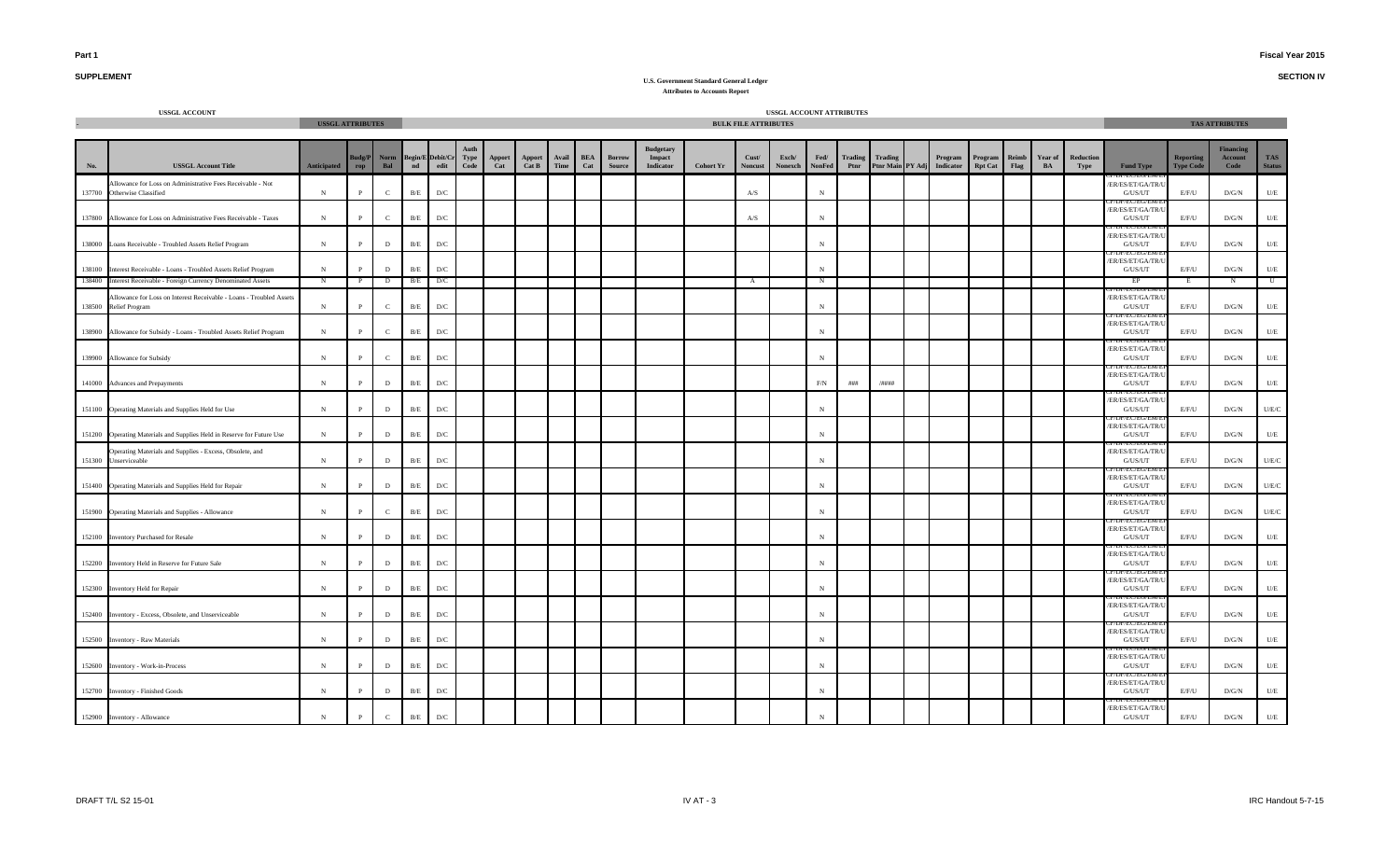**SECTION IV**

# **SUPPLEMENT**

|                  | <b>USSGL ACCOUNT</b>                                                                                                      |                           |               |              |                         |                                                                                                                                                                                           |              |               |                 |               |                   |                         |                                                |                  |                             | USSGL ACCOUNT ATTRIBUTES |                       |                 |                             |                      |                           |               |               |                   |                                      |                                      |                              |                             |
|------------------|---------------------------------------------------------------------------------------------------------------------------|---------------------------|---------------|--------------|-------------------------|-------------------------------------------------------------------------------------------------------------------------------------------------------------------------------------------|--------------|---------------|-----------------|---------------|-------------------|-------------------------|------------------------------------------------|------------------|-----------------------------|--------------------------|-----------------------|-----------------|-----------------------------|----------------------|---------------------------|---------------|---------------|-------------------|--------------------------------------|--------------------------------------|------------------------------|-----------------------------|
|                  |                                                                                                                           | <b>USSGL ATTRIBUTES</b>   |               |              |                         |                                                                                                                                                                                           |              |               |                 |               |                   |                         |                                                |                  | <b>BULK FILE ATTRIBUTES</b> |                          |                       |                 |                             |                      |                           |               |               |                   |                                      |                                      | <b>TAS ATTRIBUTES</b>        |                             |
| No.              | <b>USSGL Account Title</b>                                                                                                | <b>Anticipated</b>        | Budg/P<br>rop | Norm<br>Bal  |                         | $\begin{tabular}{c} Begin/E \end{tabular} \begin{tabular}{l} \multicolumn{2}{c}{\textbf{Begin/E} } \end{tabular} \begin{tabular}{l} \multicolumn{2}{c}{\textbf{Debit/Cr} } \end{tabular}$ | Type<br>Code | Apport<br>Cat | Apport<br>Cat B | Avail<br>Time | <b>BEA</b><br>Cat | Borrow<br><b>Source</b> | <b>Budgetary</b><br>Impact<br><b>Indicator</b> | <b>Cohort Yr</b> | Cust/<br>Noncust            | Exch/<br>Nonexch         | Fed/<br><b>NonFed</b> | Trading<br>Ptnr | Trading<br>Ptnr Main PY Adj | Program<br>Indicator | Program<br><b>Rpt Cat</b> | Reimb<br>Flag | Year of<br>BA | Reduction<br>Type | <b>Fund Type</b>                     | <b>Reporting</b><br><b>Type Code</b> | Financins<br>Account<br>Code | <b>TAS</b><br><b>Status</b> |
| 137700           | Allowance for Loss on Administrative Fees Receivable - Not<br>Otherwise Classified                                        | N                         | $\mathbf{P}$  | $\mathbf{C}$ | B/E                     | D/C                                                                                                                                                                                       |              |               |                 |               |                   |                         |                                                |                  | A/S                         |                          | $\mathbf N$           |                 |                             |                      |                           |               |               |                   | ER/ES/ET/GA/TR/U<br>G/US/UT          | E/F/U                                | D/G/N                        | $U/E$                       |
| 137800           | Allowance for Loss on Administrative Fees Receivable - Taxes                                                              | ${\bf N}$                 | $\mathbf{P}$  | $\mathbf{C}$ | B/E                     | D/C                                                                                                                                                                                       |              |               |                 |               |                   |                         |                                                |                  | A/S                         |                          | $\mathbf N$           |                 |                             |                      |                           |               |               |                   | ER/ES/ET/GA/TR/L<br>G/US/UT          | E/F/U                                | D/G/N                        | U/E                         |
| 138000           | .oans Receivable - Troubled Assets Relief Program                                                                         | N                         | P             | $\,$ D       | $\rm B/E$               | $\mathbf{D}/\mathbf{C}$                                                                                                                                                                   |              |               |                 |               |                   |                         |                                                |                  |                             |                          | $\mathbf N$           |                 |                             |                      |                           |               |               |                   | ER/ES/ET/GA/TR/U<br>G/US/UT          | E/F/U                                | D/G/N                        | $U\!/\!E$                   |
| 138100<br>138400 | Interest Receivable - Loans - Troubled Assets Relief Program<br>Interest Receivable - Foreign Currency Denominated Assets | ${\bf N}$<br>$\mathbb{N}$ | $\mathbf{P}$  | $\,$ D<br>D  | $\rm B/E$<br>B/E        | $\mathbf{D}/\mathbf{C}$<br>D/C                                                                                                                                                            |              |               |                 |               |                   |                         |                                                |                  | $\mathbf{A}$                |                          | $_{\rm N}$<br>N       |                 |                             |                      |                           |               |               |                   | ER/ES/ET/GA/TR/L<br>G/US/UT<br>EP    | $\rm E/F/U$<br>E                     | D/G/N<br>N                   | $U\!/\!E$<br>$\overline{U}$ |
|                  | Allowance for Loss on Interest Receivable - Loans - Troubled Assets<br>138500 Relief Program                              | N                         | $\mathbf{P}$  | $\mathbf{C}$ | $\rm\,B/E}$             | D/C                                                                                                                                                                                       |              |               |                 |               |                   |                         |                                                |                  |                             |                          | $\mathbf N$           |                 |                             |                      |                           |               |               |                   | ER/ES/ET/GA/TR/U<br>G/US/UT          | E/F/U                                | D/G/N                        | U/E                         |
|                  | 138900 Allowance for Subsidy - Loans - Troubled Assets Relief Program                                                     | ${\bf N}$                 | $\mathbf{p}$  | $\mathbf{C}$ | $\rm B/E$               | D/C                                                                                                                                                                                       |              |               |                 |               |                   |                         |                                                |                  |                             |                          | $\mathbf N$           |                 |                             |                      |                           |               |               |                   | ER/ES/ET/GA/TR/U<br>G/US/UT          | E/F/U                                | D/G/N                        | $U/E$                       |
|                  | 139900 Allowance for Subsidy                                                                                              | $\,$ N                    | $\mathbf{P}$  | $\mathbf{C}$ | B/E                     | D/C                                                                                                                                                                                       |              |               |                 |               |                   |                         |                                                |                  |                             |                          | $\mathbf N$           |                 |                             |                      |                           |               |               |                   | ER/ES/ET/GA/TR/U<br>G/US/UT          | E/F/U                                | D/G/N                        | U/E                         |
|                  | 141000 Advances and Prepayments                                                                                           | ${\bf N}$                 | Þ             | $\,$ D       | $\rm B/E$               | $\mathbf{D}/\mathbf{C}$                                                                                                                                                                   |              |               |                 |               |                   |                         |                                                |                  |                             |                          | $\rm F/N$             | ###             | $/$ ####                    |                      |                           |               |               |                   | ER/ES/ET/GA/TR/U<br>G/US/UT          | $\rm E/F/U$                          | D/G/N                        | $U\!/\!E$                   |
|                  | 151100 Operating Materials and Supplies Held for Use                                                                      | $\,$ N                    | P             | $\,$ D       | $\rm B/E$               | $\mathbf{D}/\mathbf{C}$                                                                                                                                                                   |              |               |                 |               |                   |                         |                                                |                  |                             |                          | $_{\rm N}$            |                 |                             |                      |                           |               |               |                   | ER/ES/ET/GA/TR/L<br>G/US/UT          | $\rm E/F/U$                          | D/G/N                        | $U/E/C$                     |
|                  | 151200 Operating Materials and Supplies Held in Reserve for Future Use                                                    | $\,$ N                    | P             | $\,$ D       | $\rm B/E$               | $\mathbf{D}/\mathbf{C}$                                                                                                                                                                   |              |               |                 |               |                   |                         |                                                |                  |                             |                          | $_{\rm N}$            |                 |                             |                      |                           |               |               |                   | /ER/ES/ET/GA/TR/L<br>G/US/UT         | E/F/U                                | $\rm{D/G/N}$                 | U/E                         |
| 151300           | Operating Materials and Supplies - Excess, Obsolete, and<br>Unserviceable                                                 | $\,$ N                    | P             | $\,$ D       | $\rm B/E$               | $\mathbf{D}/\mathbf{C}$                                                                                                                                                                   |              |               |                 |               |                   |                         |                                                |                  |                             |                          | $\mathbf N$           |                 |                             |                      |                           |               |               |                   | ER/ES/ET/GA/TR/U<br>G/US/UT          | E/F/U                                | D/G/N                        | U/E/C                       |
| 151400           | Operating Materials and Supplies Held for Repair                                                                          | ${\bf N}$                 | P             | $\,$ D       | $\rm B/E$               | $\mathbf{D}/\mathbf{C}$                                                                                                                                                                   |              |               |                 |               |                   |                         |                                                |                  |                             |                          | $\mathbf N$           |                 |                             |                      |                           |               |               |                   | ER/ES/ET/GA/TR/U<br>G/US/UT          | E/F/U                                | D/G/N                        | $U/E/C$                     |
|                  | 151900 Operating Materials and Supplies - Allowance                                                                       | N                         | $\mathbf{P}$  | $\mathbf{C}$ | $\rm B/E$               | D/C                                                                                                                                                                                       |              |               |                 |               |                   |                         |                                                |                  |                             |                          | $\mathbf N$           |                 |                             |                      |                           |               |               |                   | ER/ES/ET/GA/TR/L<br>G/US/UT          | E/F/U                                | D/G/N                        | U/E/C                       |
| 152100           | <b>Inventory Purchased for Resale</b>                                                                                     | $\,$ N                    | $\mathbf{P}$  | $\,$ D       | $\mathbf{B}/\mathbf{E}$ | $\mathbf{D}/\mathbf{C}$                                                                                                                                                                   |              |               |                 |               |                   |                         |                                                |                  |                             |                          | $_{\rm N}$            |                 |                             |                      |                           |               |               |                   | /ER/ES/ET/GA/TR/U<br>G/US/UT         | E/F/U                                | $\rm{D/G/N}$                 | U/E                         |
| 152200           | Inventory Held in Reserve for Future Sale                                                                                 | $\,$ N                    | $\mathbf{p}$  | $\,$ D       | $\rm B/E$               | $\mathbf{D}/\mathbf{C}$                                                                                                                                                                   |              |               |                 |               |                   |                         |                                                |                  |                             |                          | $\mathbf N$           |                 |                             |                      |                           |               |               |                   | ER/ES/ET/GA/TR/U<br>G/US/UT          | E/F/U                                | $\rm{D/G/N}$                 | $U\!/\!E$                   |
|                  | 152300 Inventory Held for Repair                                                                                          | $\,$ N                    |               | $\mathbf D$  | $\rm B/E$               | $\mathbf{D}/\mathbf{C}$                                                                                                                                                                   |              |               |                 |               |                   |                         |                                                |                  |                             |                          | $\mathbf N$           |                 |                             |                      |                           |               |               |                   | ER/ES/ET/GA/TR/L<br>G/US/UT          | $\rm E/F/U$                          | D/G/N                        | U/E                         |
|                  | 152400 Inventory - Excess, Obsolete, and Unserviceable                                                                    | $\,$ N                    |               | D            | $\rm B/E$               | $\mathbf{D}/\mathbf{C}$                                                                                                                                                                   |              |               |                 |               |                   |                         |                                                |                  |                             |                          | $_{\rm N}$            |                 |                             |                      |                           |               |               |                   | /ER/ES/ET/GA/TR/L<br>${\rm G/US/UT}$ | E/F/U                                | $\rm{D/G/N}$                 | $U\!/\!E$                   |
|                  | 152500 Inventory - Raw Materials                                                                                          | N                         | P             | $\,$ D       | $\rm B/E$               | D/C                                                                                                                                                                                       |              |               |                 |               |                   |                         |                                                |                  |                             |                          | $_{\rm N}$            |                 |                             |                      |                           |               |               |                   | ER/ES/ET/GA/TR/L<br>G/US/UT          | E/F/U                                | D/G/N                        | U/E                         |
| 152600           | <b>Inventory - Work-in-Process</b>                                                                                        | N                         | P             | $\,$ D       | $\rm\,B/E}$             | $\mathbf{D}/\mathbf{C}$                                                                                                                                                                   |              |               |                 |               |                   |                         |                                                |                  |                             |                          | N                     |                 |                             |                      |                           |               |               |                   | ER/ES/ET/GA/TR/U<br>G/US/UT          | E/F/U                                | D/G/N                        | U/E                         |
|                  | 152700 Inventory - Finished Goods                                                                                         | N                         | $\mathbf{P}$  | $\,$ D       | B/E                     | D/C                                                                                                                                                                                       |              |               |                 |               |                   |                         |                                                |                  |                             |                          | N                     |                 |                             |                      |                           |               |               |                   | ER/ES/ET/GA/TR/U<br>G/US/UT          | E/F/U                                | D/G/N                        | U/E                         |
|                  | 152900 Inventory - Allowance                                                                                              | $\,$ N                    | $\mathbf P$   | $\mathbf{C}$ | B/E                     | D/C                                                                                                                                                                                       |              |               |                 |               |                   |                         |                                                |                  |                             |                          | $_{\rm N}$            |                 |                             |                      |                           |               |               |                   | ER/ES/ET/GA/TR/L<br>G/US/UT          | E/F/U                                | $\rm{D/G/N}$                 | $U/E$                       |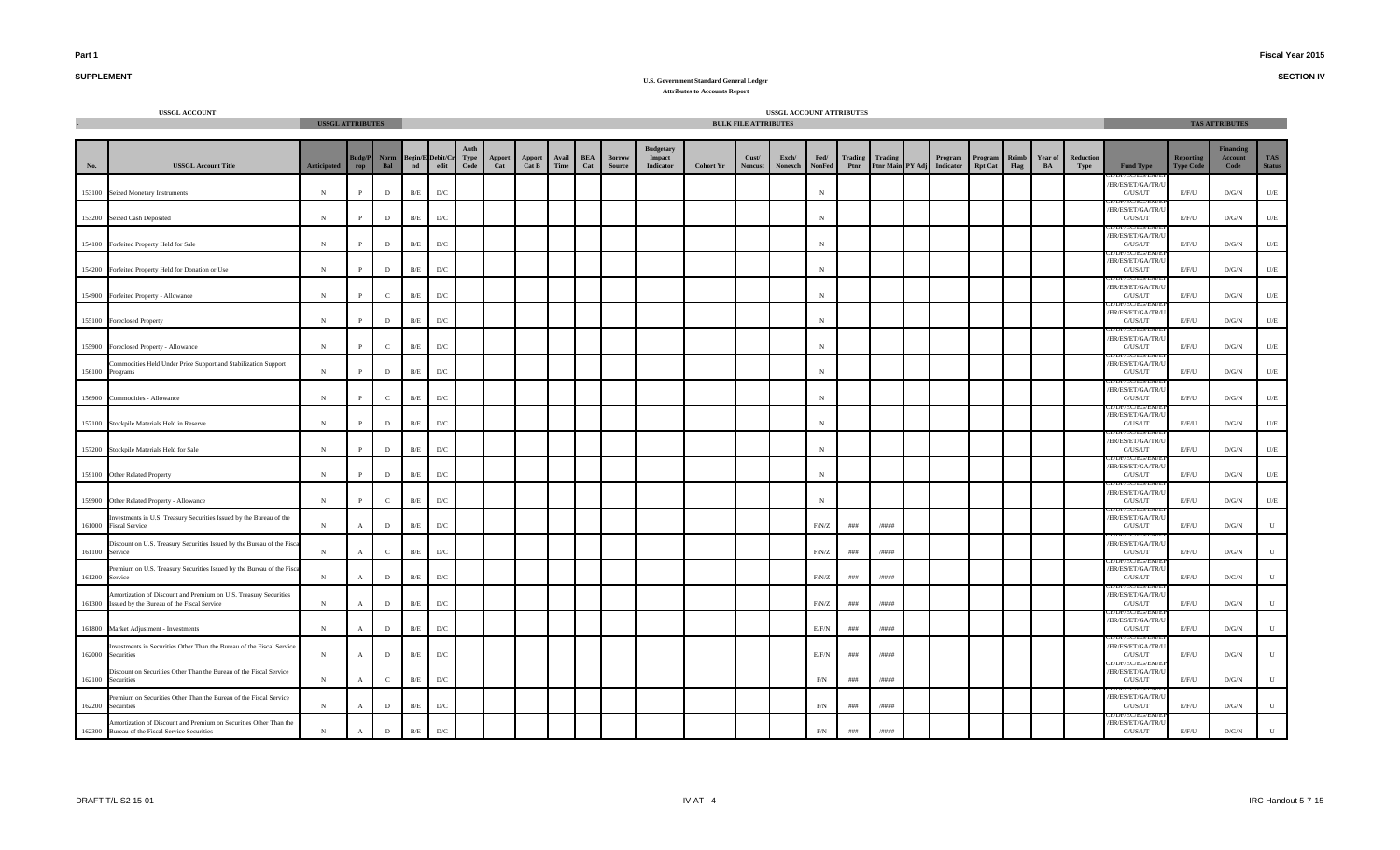**SECTION IV**

# **SUPPLEMENT**

|                | <b>USSGL ACCOUNT</b>                                                                                                  | <b>USSGL ATTRIBUTES</b> |                  |                    |             |                                          |              |                                                                |                                  |               |                   |                                |                                                |                  | <b>BULK FILE ATTRIBUTES</b> | USSGL ACCOUNT ATTRIBUTES |                       |                        |                                    |                      |                           |               |               |                   |                                                     |                                      | <b>TAS ATTRIBUTES</b>               |                             |
|----------------|-----------------------------------------------------------------------------------------------------------------------|-------------------------|------------------|--------------------|-------------|------------------------------------------|--------------|----------------------------------------------------------------|----------------------------------|---------------|-------------------|--------------------------------|------------------------------------------------|------------------|-----------------------------|--------------------------|-----------------------|------------------------|------------------------------------|----------------------|---------------------------|---------------|---------------|-------------------|-----------------------------------------------------|--------------------------------------|-------------------------------------|-----------------------------|
| No.            | <b>USSGL Account Title</b>                                                                                            | <b>Anticipated</b>      | Judg/P<br>rop    | <b>Norm</b><br>Bal | $^{nd}$     | <b>Begin/E Debit/Cr</b><br>$_{\rm edit}$ | Type<br>Code | $\begin{array}{c} \textbf{Apport} \\ \textbf{Cat} \end{array}$ | Apport<br>$\hat{\mathrm{Cat}}$ B | Avail<br>Time | <b>BEA</b><br>Cat | <b>Borrow</b><br><b>Source</b> | <b>Budgetary</b><br>Impact<br><b>Indicator</b> | <b>Cohort Yr</b> | Cust/<br><b>Noncust</b>     | Exch/<br>Nonexch         | Fed/<br><b>NonFed</b> | <b>Trading</b><br>Ptnr | <b>Trading</b><br>Ptnr Main PY Adj | Program<br>Indicator | Program<br><b>Rpt Cat</b> | Reimb<br>Flag | Year of<br>BA | Reduction<br>Type | <b>Fund Type</b>                                    | <b>Reporting</b><br><b>Type Code</b> | <b>Financing</b><br>Account<br>Code | <b>TAS</b><br><b>Status</b> |
|                | 153100 Seized Monetary Instruments                                                                                    | ${\bf N}$               | P                | D                  | $\rm B/E$   | $\mathbf{D}/\mathbf{C}$                  |              |                                                                |                                  |               |                   |                                |                                                |                  |                             |                          | $\,$ N $\,$           |                        |                                    |                      |                           |               |               |                   | ER/ES/ET/GA/TR/U<br>G/US/UT                         | E/F/U                                | D/G/N                               | $U\!/\!E$                   |
|                | 153200 Seized Cash Deposited                                                                                          | ${\bf N}$               | $\mathbf{P}$     | $\mathbf{D}$       | $\rm\,B/E}$ | D/C                                      |              |                                                                |                                  |               |                   |                                |                                                |                  |                             |                          | $_{\rm N}$            |                        |                                    |                      |                           |               |               |                   | ER/ES/ET/GA/TR/<br>G/US/UT                          | E/F/U                                | D/G/N                               | U/E                         |
|                | 154100 Forfeited Property Held for Sale                                                                               | $_{\rm N}$              | P                | D                  | B/E         | D/C                                      |              |                                                                |                                  |               |                   |                                |                                                |                  |                             |                          | $_{\rm N}$            |                        |                                    |                      |                           |               |               |                   | ER/ES/ET/GA/TR/<br>G/US/UT                          | E/F/U                                | D/G/N                               | U/E                         |
|                | 154200 Forfeited Property Held for Donation or Use                                                                    | $_{\rm N}$              | P                | $\mathbf{D}$       | B/E         | D/C                                      |              |                                                                |                                  |               |                   |                                |                                                |                  |                             |                          | $_{\rm N}$            |                        |                                    |                      |                           |               |               |                   | ER/ES/ET/GA/TR/<br>G/US/UT                          | E/F/U                                | D/G/N                               | U/E                         |
|                | 154900 Forfeited Property - Allowance                                                                                 | N                       |                  | $\mathcal{C}$      | B/E         | D/C                                      |              |                                                                |                                  |               |                   |                                |                                                |                  |                             |                          | $_{\rm N}$            |                        |                                    |                      |                           |               |               |                   | ER/ES/ET/GA/TR/U<br>G/US/UT                         | E/F/U                                | D/G/N                               | $U\!/\!\!E$                 |
|                | 155100 Foreclosed Property                                                                                            | ${\bf N}$               | $\mathbf{P}$     | $\,$ D             | $\rm B/E$   | $\mathbf{D}/\mathbf{C}$                  |              |                                                                |                                  |               |                   |                                |                                                |                  |                             |                          | $_{\rm N}$            |                        |                                    |                      |                           |               |               |                   | JP/EU/EU/EI<br>ER/ES/ET/GA/TR/L<br>G/US/UT          | E/F/U                                | D/G/N                               | U/E                         |
|                | 155900 Foreclosed Property - Allowance                                                                                | ${\bf N}$               | $\mathbf{P}$     | $\mathbf{C}$       | $\rm B/E$   | D/C                                      |              |                                                                |                                  |               |                   |                                |                                                |                  |                             |                          | $_{\rm N}$            |                        |                                    |                      |                           |               |               |                   | ER/ES/ET/GA/TR/U<br>G/US/UT                         | E/F/U                                | D/G/N                               | U/E                         |
|                | Commodities Held Under Price Support and Stabilization Support<br>156100 Programs                                     | ${\bf N}$               | $\mathbf{P}$     | $\mathbf{D}$       | $\rm\,B/E$  | D/C                                      |              |                                                                |                                  |               |                   |                                |                                                |                  |                             |                          | $_{\rm N}$            |                        |                                    |                      |                           |               |               |                   | ER/ES/ET/GA/TR/U<br>G/US/UT                         | E/F/U                                | D/G/N                               | U/E                         |
|                | 156900 Commodities - Allowance                                                                                        | ${\bf N}$               | $\mathbf{P}$     | $\mathbf{C}$       | $\rm B/E$   | $\mathbf{D}/\mathbf{C}$                  |              |                                                                |                                  |               |                   |                                |                                                |                  |                             |                          | $_{\rm N}$            |                        |                                    |                      |                           |               |               |                   | ER/ES/ET/GA/TR/U<br>G/US/UT                         | E/F/U                                | D/G/N                               | $U\!/\!E$                   |
|                | 157100 Stockpile Materials Held in Reserve                                                                            | $\, {\bf N}$            | $\mathbf{P}$     | $\,$ D             | $\rm B/E$   | D/C                                      |              |                                                                |                                  |               |                   |                                |                                                |                  |                             |                          | $_{\rm N}$            |                        |                                    |                      |                           |               |               |                   | ER/ES/ET/GA/TR/U<br>${\rm G/US/UT}$                 | $E/F/U$                              | $\rm{D/G/N}$                        | $U\!/\!E$                   |
|                | 157200 Stockpile Materials Held for Sale                                                                              | ${\bf N}$               | $\mathbf{P}$     | $\,$ D             | $\rm B/E$   | D/C                                      |              |                                                                |                                  |               |                   |                                |                                                |                  |                             |                          | $_{\rm N}$            |                        |                                    |                      |                           |               |               |                   | ER/ES/ET/GA/TR/U<br>G/US/UT                         | E/F/U                                | D/G/N                               | $U\!/\!E$                   |
|                | 159100 Other Related Property                                                                                         | ${\bf N}$               | $\mathbf{P}$     | $\mathbf{D}$       | $\rm\,B/E}$ | D/C                                      |              |                                                                |                                  |               |                   |                                |                                                |                  |                             |                          | $_{\rm N}$            |                        |                                    |                      |                           |               |               |                   | ER/ES/ET/GA/TR/U<br>G/US/UT                         | E/F/U                                | D/G/N                               | $U\!/\!\!E$                 |
|                | 159900 Other Related Property - Allowance                                                                             | $_{\rm N}$              | P                | $\mathbf{C}$       | $\rm B/E$   | D/C                                      |              |                                                                |                                  |               |                   |                                |                                                |                  |                             |                          | $_{\rm N}$            |                        |                                    |                      |                           |               |               |                   | <b>DITECTEU</b><br>ER/ES/ET/GA/TR/<br>G/US/UT       | E/F/U                                | D/G/N                               | $U\!/\!\!E$                 |
| 161000         | Investments in U.S. Treasury Securities Issued by the Bureau of the<br><b>Fiscal Service</b>                          | N                       | $\overline{A}$   | $\,$ D             | B/E         | D/C                                      |              |                                                                |                                  |               |                   |                                |                                                |                  |                             |                          | F/N/Z                 | ###                    | $/$ ####                           |                      |                           |               |               |                   | /ER/ES/ET/GA/TR/<br>G/US/UT                         | E/F/U                                | D/G/N                               | $\mathbf{U}$                |
| 161100         | Discount on U.S. Treasury Securities Issued by the Bureau of the Fisca<br>Service                                     | ${\bf N}$               | $\boldsymbol{A}$ | $\mathbf C$        | $\rm B/E$   | $\mathbf{D}/\mathbf{C}$                  |              |                                                                |                                  |               |                   |                                |                                                |                  |                             |                          | $\rm F/N/Z$           | $\# \# \#$             | $/$ ####                           |                      |                           |               |               |                   | ER/ES/ET/GA/TR/U<br>G/US/UT                         | E/F/U                                | $\rm{D/G/N}$                        | U                           |
| 161200 Service | Premium on U.S. Treasury Securities Issued by the Bureau of the Fisca                                                 | ${\bf N}$               | $\mathbf{A}$     | $\mathbf{D}$       | $\rm B/E$   | $\mathbf{D}/\mathbf{C}$                  |              |                                                                |                                  |               |                   |                                |                                                |                  |                             |                          | F/N/Z                 | ###                    | /####                              |                      |                           |               |               |                   | <b>MULLECTE AND</b><br>/ER/ES/ET/GA/TR/U<br>G/US/UT | E/F/U                                | D/G/N                               | $\mathbf{U}$                |
|                | Amortization of Discount and Premium on U.S. Treasury Securities<br>161300 Issued by the Bureau of the Fiscal Service | $_{\rm N}$              | $\mathbf{A}$     | $\mathbf{D}$       | $\rm B/E$   | D/C                                      |              |                                                                |                                  |               |                   |                                |                                                |                  |                             |                          | F/N/Z                 | ###                    | /####                              |                      |                           |               |               |                   | /ER/ES/ET/GA/TR/U<br>G/US/UT                        | E/F/U                                | D/G/N                               | $\mathbf{U}$                |
|                | 161800 Market Adjustment - Investments                                                                                | N                       | $\mathbf{A}$     | D                  | $\rm B/E$   | D/C                                      |              |                                                                |                                  |               |                   |                                |                                                |                  |                             |                          | E/F/N                 | # ##                   | /####                              |                      |                           |               |               |                   | ER/ES/ET/GA/TR/L<br>G/US/UT                         | E/F/U                                | D/G/N                               | $\mathbf{U}$                |
|                | Investments in Securities Other Than the Bureau of the Fiscal Service<br>162000 Securities                            | N                       | $\mathbf{A}$     | D                  | $\rm B/E$   | D/C                                      |              |                                                                |                                  |               |                   |                                |                                                |                  |                             |                          | E/F/N                 | ###                    | $/$ ####                           |                      |                           |               |               |                   | /ER/ES/ET/GA/TR/U<br>G/US/UT                        | E/F/U                                | D/G/N                               | $\mathbf{U}$                |
| 162100         | Discount on Securities Other Than the Bureau of the Fiscal Service<br>Securities                                      | ${\bf N}$               |                  | $\mathcal{C}$      | $\rm B/E$   | $\mathbf{D}/\mathbf{C}$                  |              |                                                                |                                  |               |                   |                                |                                                |                  |                             |                          | $\rm F/N$             | ###                    | /####                              |                      |                           |               |               |                   | ER/ES/ET/GA/TR/U<br>G/US/UT                         | E/F/U                                | $\rm{D/G/N}$                        | $\mathbf U$                 |
| 162200         | Premium on Securities Other Than the Bureau of the Fiscal Service<br>Securities                                       | N                       | $\mathbf{A}$     | $\mathbf{D}$       | $\rm\,B/E}$ | D/C                                      |              |                                                                |                                  |               |                   |                                |                                                |                  |                             |                          | $\rm F/N$             | ###                    | /####                              |                      |                           |               |               |                   | ER/ES/ET/GA/TR/<br>G/US/UT                          | E/F/U                                | D/G/N                               | $\mathbf{U}$                |
|                | Amortization of Discount and Premium on Securities Other Than the<br>162300 Bureau of the Fiscal Service Securities   | $\mathbf N$             | $\mathbf{A}$     | $\,$ D             | $\rm\,B/E$  | D/C                                      |              |                                                                |                                  |               |                   |                                |                                                |                  |                             |                          | $\rm F/N$             | $\# \# \#$             | $/$ ####                           |                      |                           |               |               |                   | ER/ES/ET/GA/TR/U<br>G/US/UT                         | $E/F/U$                              | D/G/N                               |                             |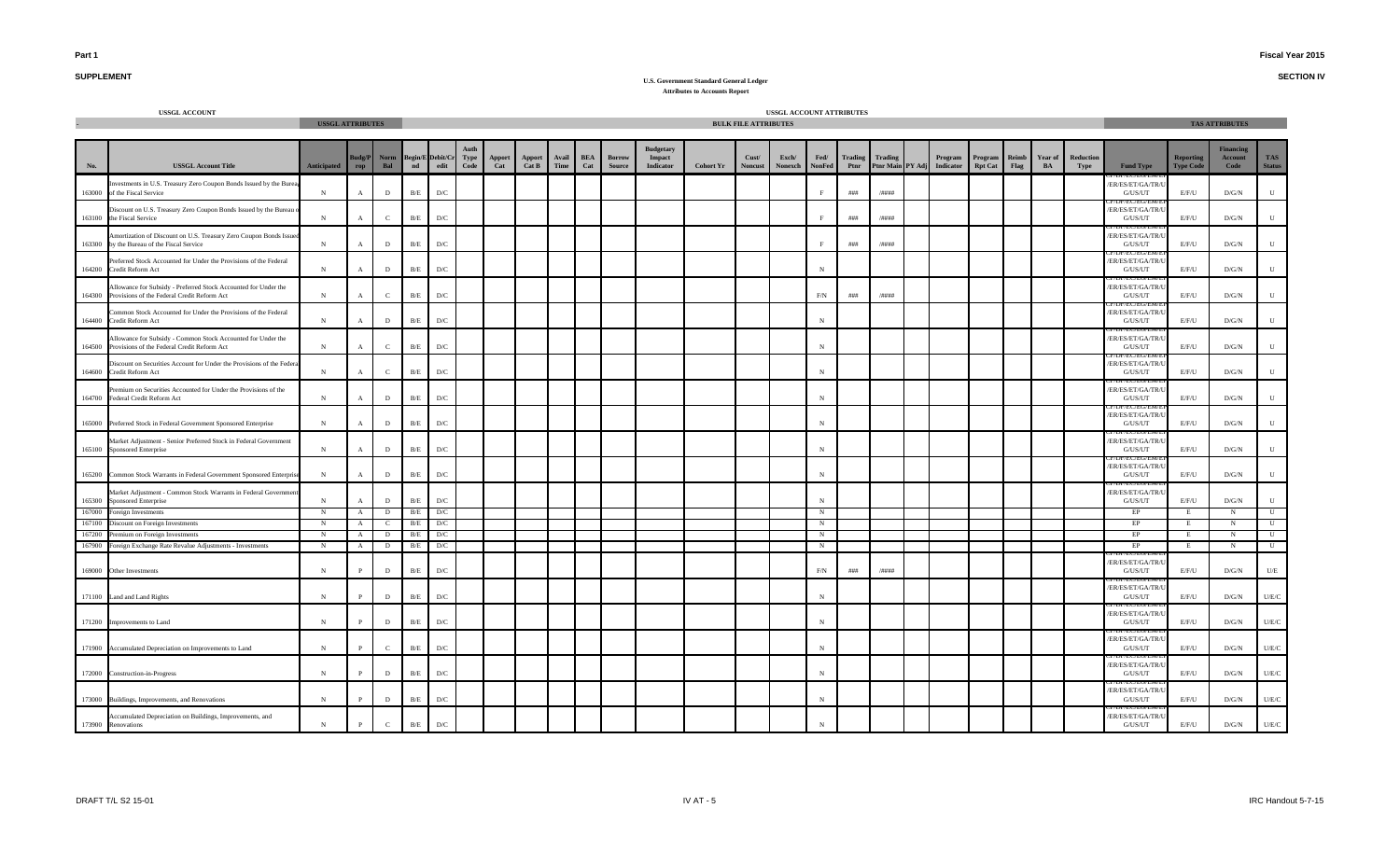**SECTION IV**

## **SUPPLEMENT**

|                  | <b>USSGL ACCOUNT</b>                                                                                               | <b>USSGL ATTRIBUTES</b> |                            |               |             |                                 |              |               |                        |               |                   |                                |                                                |                  | <b>BULK FILE ATTRIBUTES</b> | USSGL ACCOUNT ATTRIBUTES |                       |       |                 |                                       |                         |       |                      |                   |                                           |                                      | <b>TAS ATTRIBUTES</b>               |                             |
|------------------|--------------------------------------------------------------------------------------------------------------------|-------------------------|----------------------------|---------------|-------------|---------------------------------|--------------|---------------|------------------------|---------------|-------------------|--------------------------------|------------------------------------------------|------------------|-----------------------------|--------------------------|-----------------------|-------|-----------------|---------------------------------------|-------------------------|-------|----------------------|-------------------|-------------------------------------------|--------------------------------------|-------------------------------------|-----------------------------|
| No.              | <b>USSGL Account Title</b>                                                                                         | <b>Anticipated</b>      | <b>Budg/P</b><br>$\bf rep$ | Norm<br>Bal   | nd          | <b>Begin/E</b> Debit/Cr<br>edit | Type<br>Code | Apport<br>Cat | <b>Apport</b><br>Cat B | Avail<br>Time | <b>BEA</b><br>Cat | <b>Borrow</b><br><b>Source</b> | <b>Budgetary</b><br>Impact<br><b>Indicator</b> | <b>Cohort Yr</b> | Cust/<br><b>Noncust</b>     | Exch/<br><b>Nonexch</b>  | Fed/<br><b>NonFed</b> | Ptnr  | Trading Trading | Program<br>Ptnr Main PY Adj Indicator | Program<br>Rpt Cat Flag | Reimb | <b>Year of</b><br>BA | Reduction<br>Type | <b>Fund Type</b>                          | <b>Reporting</b><br><b>Type Code</b> | <b>Financing</b><br>Account<br>Code | <b>TAS</b><br><b>Status</b> |
|                  | nvestments in U.S. Treasury Zero Coupon Bonds Issued by the Burez<br>163000 of the Fiscal Service                  | $_{\rm N}$              |                            | $\mathbf{D}$  | $\rm\,B/E$  | D/C                             |              |               |                        |               |                   |                                |                                                |                  |                             |                          | F                     | # # # | /####           |                                       |                         |       |                      |                   | ER/ES/ET/GA/TR/<br>G/US/UT                | E/F/U                                | D/G/N                               | U                           |
|                  | Discount on U.S. Treasury Zero Coupon Bonds Issued by the Bureau<br>163100 the Fiscal Service                      | $\,$ N                  | $\mathbf{A}$               | $\mathbf{C}$  | $\rm\,B/E$  | D/C                             |              |               |                        |               |                   |                                |                                                |                  |                             |                          |                       | # # # | /####           |                                       |                         |       |                      |                   | ER/ES/ET/GA/TR/<br>G/US/UT                | E/F/U                                | D/G/N                               | ${\bf U}$                   |
|                  | Amortization of Discount on U.S. Treasury Zero Coupon Bonds Issued<br>163300 by the Bureau of the Fiscal Service   | $_{\rm N}$              |                            | $\mathbf{D}$  | B/E         | D/C                             |              |               |                        |               |                   |                                |                                                |                  |                             |                          | F                     | ###   | /####           |                                       |                         |       |                      |                   | /ER/ES/ET/GA/TR/I<br>G/US/UT              | E/F/U                                | D/G/N                               | U                           |
| 164200           | Preferred Stock Accounted for Under the Provisions of the Federal<br>Credit Reform Act                             | $_{\rm N}$              | $\mathbf{A}$               | $\mathbf{D}$  | $\rm\,B/E$  | D/C                             |              |               |                        |               |                   |                                |                                                |                  |                             |                          | N                     |       |                 |                                       |                         |       |                      |                   | ER/ES/ET/GA/TR/<br>${\rm G/US/UT}$        | E/F/U                                | $\rm{D/G/N}$                        | ${\bf U}$                   |
| 164300           | Allowance for Subsidy - Preferred Stock Accounted for Under the<br>Provisions of the Federal Credit Reform Act     | $_{\rm N}$              | $\mathbf{A}$               | $\mathbf{C}$  | $\rm\,B/E}$ | D/C                             |              |               |                        |               |                   |                                |                                                |                  |                             |                          | F/N                   | ###   | /####           |                                       |                         |       |                      |                   | ER/ES/ET/GA/TR/<br>G/US/UT                | E/F/U                                | D/G/N                               | ${\bf U}$                   |
| 164400           | ommon Stock Accounted for Under the Provisions of the Federal<br>Credit Reform Act                                 | $\,$ N                  | $\mathbf{A}$               | D             | $\rm B/E$   | D/C                             |              |               |                        |               |                   |                                |                                                |                  |                             |                          | N                     |       |                 |                                       |                         |       |                      |                   | ER/ES/ET/GA/TR/<br>G/US/UT                | E/F/U                                | D/G/N                               | U                           |
|                  | Allowance for Subsidy - Common Stock Accounted for Under the<br>164500 Provisions of the Federal Credit Reform Act | N                       |                            | $\mathcal{C}$ | B/E         | D/C                             |              |               |                        |               |                   |                                |                                                |                  |                             |                          | N                     |       |                 |                                       |                         |       |                      |                   | ER/ES/ET/GA/TR/U<br>G/US/UT               | E/F/U                                | D/G/N                               | U                           |
|                  | Discount on Securities Account for Under the Provisions of the Federa<br>164600 Credit Reform Act                  | N                       |                            | $\mathcal{C}$ | $\rm B/E$   | D/C                             |              |               |                        |               |                   |                                |                                                |                  |                             |                          | $_{\rm N}$            |       |                 |                                       |                         |       |                      |                   | ER/ES/ET/GA/TR/<br>G/US/UT                | E/F/U                                | D/G/N                               | ${\bf U}$                   |
| 164700           | Premium on Securities Accounted for Under the Provisions of the<br>Federal Credit Reform Act                       | $_{\rm N}$              |                            | D             | $\rm\,B/E$  | D/C                             |              |               |                        |               |                   |                                |                                                |                  |                             |                          | $_{\rm N}$            |       |                 |                                       |                         |       |                      |                   | /ER/ES/ET/GA/TR/<br>G/US/UT               | E/F/U                                | D/G/N                               | U                           |
|                  | 165000 Preferred Stock in Federal Government Sponsored Enterprise                                                  | $_{\rm N}$              |                            | D             | $\rm B/E$   | $\mathbf{D}/\mathbf{C}$         |              |               |                        |               |                   |                                |                                                |                  |                             |                          | N                     |       |                 |                                       |                         |       |                      |                   | ER/ES/ET/GA/TR/<br>G/US/UT                | E/F/U                                | D/G/N                               | U                           |
|                  | Market Adjustment - Senior Preferred Stock in Federal Government<br>165100 Sponsored Enterprise                    | ${\bf N}$               | $\mathbf{A}$               | D             | $\rm B/E$   | D/C                             |              |               |                        |               |                   |                                |                                                |                  |                             |                          | $_{\rm N}$            |       |                 |                                       |                         |       |                      |                   | ER/ES/ET/GA/TR/<br>G/US/UT                | E/F/U                                | D/G/N                               | ${\bf U}$                   |
|                  | 165200 Common Stock Warrants in Federal Government Sponsored Enterpri                                              | $_{\rm N}$              | $\mathbf{A}$               | D             | B/E         | D/C                             |              |               |                        |               |                   |                                |                                                |                  |                             |                          | $_{\rm N}$            |       |                 |                                       |                         |       |                      |                   | IEU EU/EI<br>/ER/ES/ET/GA/TR/U<br>G/US/UT | E/F/U                                | $\rm{D/G/N}$                        | U                           |
| 165300           | Market Adjustment - Common Stock Warrants in Federal Governmen<br>Sponsored Enterprise                             | $_{\rm N}$              | $\mathbf{A}$               | $\mathbf{D}$  | $\rm\,B/E$  | D/C                             |              |               |                        |               |                   |                                |                                                |                  |                             |                          | $_{\rm N}$            |       |                 |                                       |                         |       |                      |                   | ER/ES/ET/GA/TR/<br>G/US/UT                | E/F/U                                | D/G/N                               | U                           |
| 167000           | Foreign Investments                                                                                                | N                       | $\mathbf{A}$               | D             | B/E         | D/C                             |              |               |                        |               |                   |                                |                                                |                  |                             |                          | $_{\rm N}$            |       |                 |                                       |                         |       |                      |                   | EP                                        |                                      | N                                   | $\mathbf{U}$                |
| 167100           | Discount on Foreign Investments                                                                                    | N                       | $\mathbf{A}$               | $\mathbf{C}$  | B/E         | D/C                             |              |               |                        |               |                   |                                |                                                |                  |                             |                          | N                     |       |                 |                                       |                         |       |                      |                   | EP                                        | E                                    | N                                   | $\mathbf U$                 |
| 167200<br>167900 | Premium on Foreign Investments<br>Foreign Exchange Rate Revalue Adjustments - Investments                          | N<br>N                  | $\mathbf{A}$               | D<br>D        | B/E<br>B/E  | D/C<br>D/C                      |              |               |                        |               |                   |                                |                                                |                  |                             |                          | N                     |       |                 |                                       |                         |       |                      |                   | EP<br>EP                                  | Е                                    | N<br>N                              | U<br>$\mathbf{U}$           |
|                  | 169000 Other Investments                                                                                           | $_{\rm N}$              |                            | $\mathbf{D}$  | $\rm\,B/E$  | D/C                             |              |               |                        |               |                   |                                |                                                |                  |                             |                          | F/N                   | ###   | /####           |                                       |                         |       |                      |                   | EU/EU/<br>ER/ES/ET/GA/TR/<br>G/US/UT      | E/F/U                                | D/G/N                               | $U/E$                       |
|                  | 171100 Land and Land Rights                                                                                        | $_{\rm N}$              |                            | D             | $\rm B/E$   | D/C                             |              |               |                        |               |                   |                                |                                                |                  |                             |                          | $_{\rm N}$            |       |                 |                                       |                         |       |                      |                   | ER/ES/ET/GA/TR/<br>G/US/UT                | E/F/U                                | D/G/N                               | U/E/C                       |
|                  | 171200 Improvements to Land                                                                                        | N                       |                            | D             | $\rm B/E$   | D/C                             |              |               |                        |               |                   |                                |                                                |                  |                             |                          | N                     |       |                 |                                       |                         |       |                      |                   | ER/ES/ET/GA/TR/<br>G/US/UT                | E/F/U                                | D/G/N                               | U/E/C                       |
|                  | 171900 Accumulated Depreciation on Improvements to Land                                                            | ${\bf N}$               |                            | $\mathbf{C}$  | $\rm B/E$   | D/C                             |              |               |                        |               |                   |                                |                                                |                  |                             |                          | $_{\rm N}$            |       |                 |                                       |                         |       |                      |                   | ER/ES/ET/GA/TR/<br>G/US/UT                | E/F/U                                | D/G/N                               | U/E/C                       |
|                  | 172000 Construction-in-Progress                                                                                    | $_{\rm N}$              | $\mathbf{P}$               | $\mathbf{D}$  | $\rm\,B/E$  | D/C                             |              |               |                        |               |                   |                                |                                                |                  |                             |                          | $_{\rm N}$            |       |                 |                                       |                         |       |                      |                   | ER/ES/ET/GA/TR/<br>G/US/UT                | E/F/U                                | D/G/N                               | U/E/C                       |
|                  | 173000 Buildings, Improvements, and Renovations                                                                    | $_{\rm N}$              |                            | D             | $\rm\,B/E$  | D/C                             |              |               |                        |               |                   |                                |                                                |                  |                             |                          | $_{\rm N}$            |       |                 |                                       |                         |       |                      |                   | ER/ES/ET/GA/TR/<br>G/US/UT                | E/F/U                                | D/G/N                               | U/E/C                       |
|                  | Accumulated Depreciation on Buildings, Improvements, and<br>173900 Renovations                                     | $_{\rm N}$              | P                          | $\mathbf{C}$  | $\rm B/E$   | D/C                             |              |               |                        |               |                   |                                |                                                |                  |                             |                          |                       |       |                 |                                       |                         |       |                      |                   | ER/ES/ET/GA/TR/U<br>G/US/UT               | E/F/U                                | D/G/N                               | U/E/C                       |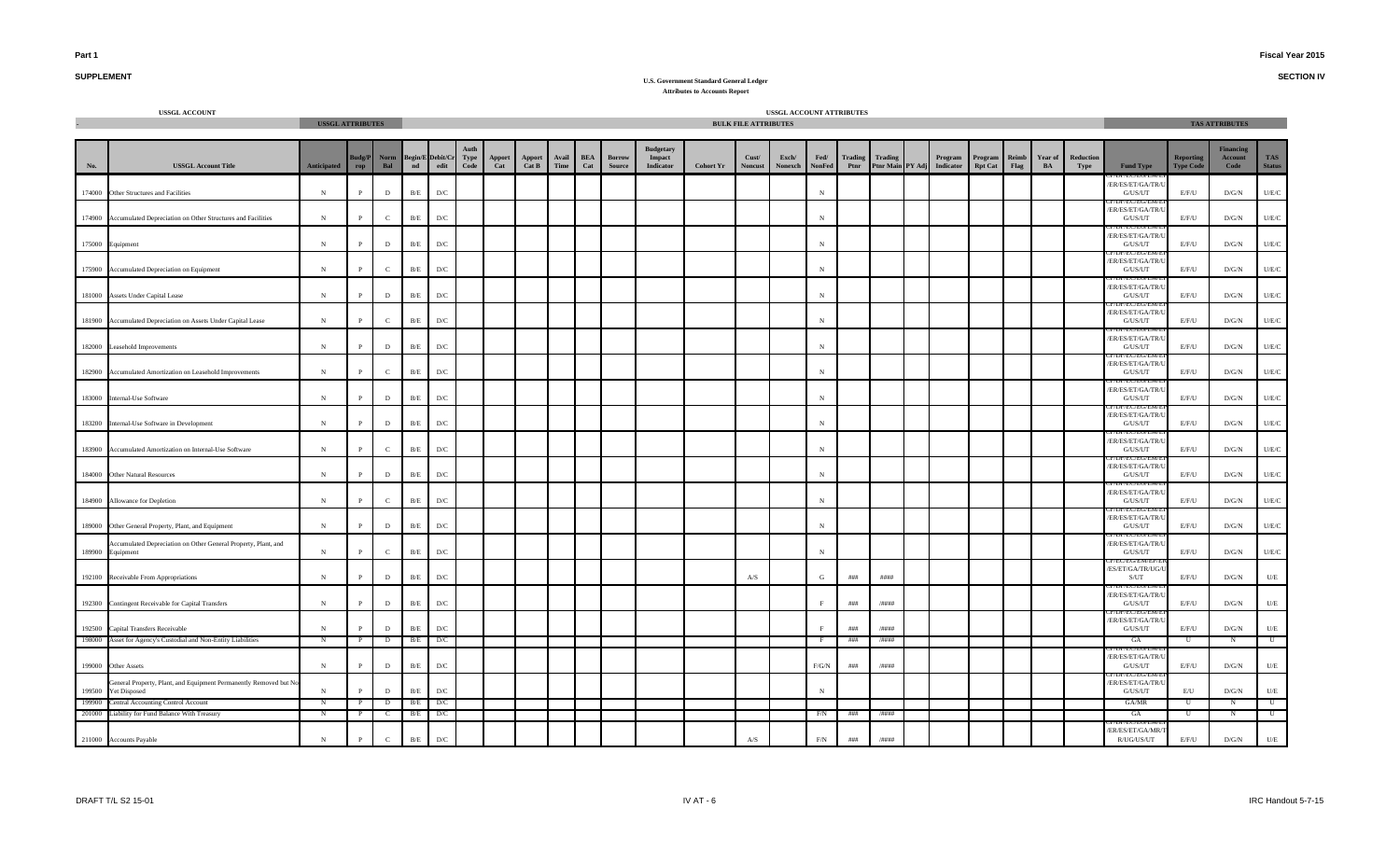**SECTION IV**

# **SUPPLEMENT**

|                         | <b>USSGL ACCOUNT</b>                                                              | <b>USSGL ATTRIBUTES</b> |              |              |                                                     |                         |                      |               |                        |               |                   |                                |                            |                  | <b>BULK FILE ATTRIBUTES</b> | USSGL ACCOUNT ATTRIBUTES |                       |                        |                             |                      |                           |               |               |                          |                                                 |                                      | <b>TAS ATTRIBUTES</b>  |                                    |
|-------------------------|-----------------------------------------------------------------------------------|-------------------------|--------------|--------------|-----------------------------------------------------|-------------------------|----------------------|---------------|------------------------|---------------|-------------------|--------------------------------|----------------------------|------------------|-----------------------------|--------------------------|-----------------------|------------------------|-----------------------------|----------------------|---------------------------|---------------|---------------|--------------------------|-------------------------------------------------|--------------------------------------|------------------------|------------------------------------|
|                         |                                                                                   |                         |              |              |                                                     |                         |                      |               |                        |               |                   |                                | <b>Budgetary</b>           |                  |                             |                          |                       |                        |                             |                      |                           |               |               |                          |                                                 |                                      | <b>Financing</b>       |                                    |
|                         | <b>USSGL Account Title</b>                                                        | Anticipated             | udg/P<br>rop | Norm<br>Bal  | <b>Begin/E Debit/C</b><br>$\overline{\mathbf{n}}$ d | $_{\rm edit}$           | <b>Type<br/>Code</b> | Apport<br>Cat | <b>Apport</b><br>Cat B | Avail<br>Time | <b>BEA</b><br>Cat | <b>Borrow</b><br><b>Source</b> | Impact<br><b>Indicator</b> | <b>Cohort Yr</b> | Cust/<br>Noncus             | Exch/<br>Nonexch         | Fed/<br><b>NonFed</b> | <b>Trading</b><br>Ptnr | Trading<br>Ptnr Main PY Adj | Program<br>Indicator | Program<br><b>Rpt Cat</b> | Reimb<br>Flag | Year of<br>BA | <b>Reduction</b><br>Type | <b>Fund Type</b>                                | <b>Reporting</b><br><b>Type Code</b> | <b>Account</b><br>Code | <b>TAS</b><br><b>Status</b>        |
| 174000                  | Other Structures and Facilities                                                   | $\,$ N                  | $\mathbf{P}$ | $\,$ D       | B/E                                                 | $\mathbf{D}/\mathbf{C}$ |                      |               |                        |               |                   |                                |                            |                  |                             |                          | $_{\rm N}$            |                        |                             |                      |                           |               |               |                          | ER/ES/ET/GA/TR/U<br>G/US/UT                     | E/F/U                                | $\rm{D/G/N}$           | U/E/C                              |
|                         | 174900 Accumulated Depreciation on Other Structures and Facilities                | ${\bf N}$               | $\mathbf{P}$ | $\mathbf{C}$ | B/E                                                 | $\mathbf{D}/\mathbf{C}$ |                      |               |                        |               |                   |                                |                            |                  |                             |                          | $_{\rm N}$            |                        |                             |                      |                           |               |               |                          | /ER/ES/ET/GA/TR/L<br>G/US/UT                    | E/F/U                                | $\rm{D/G/N}$           | $U/E/C$                            |
|                         |                                                                                   |                         |              |              |                                                     |                         |                      |               |                        |               |                   |                                |                            |                  |                             |                          |                       |                        |                             |                      |                           |               |               |                          | /ER/ES/ET/GA/TR/U                               |                                      |                        |                                    |
| 175000 Equipment        |                                                                                   | $\,$ N                  | $\mathbf{P}$ | $\mathbf D$  | B/E                                                 | $\mathbf{D}/\mathbf{C}$ |                      |               |                        |               |                   |                                |                            |                  |                             |                          | $_{\rm N}$            |                        |                             |                      |                           |               |               |                          | ${\rm G/US/UT}$<br>/ER/ES/ET/GA/TR/U            | E/F/U                                | $\rm{D/G/N}$           | $U/E/C$                            |
| 175900                  | Accumulated Depreciation on Equipment                                             | ${\bf N}$               | $\mathbf{P}$ | $\mathbf{C}$ | B/E                                                 | $\mathbf{D}/\mathbf{C}$ |                      |               |                        |               |                   |                                |                            |                  |                             |                          | $_{\rm N}$            |                        |                             |                      |                           |               |               |                          | ${\rm G/US/UT}$<br>/EU/EU/EN                    | $\rm E/F/U$                          | $\rm{D/G/N}$           | $U/E/C$                            |
|                         | 181000 Assets Under Capital Lease                                                 | $\,$ N                  | $\mathbf{P}$ | $\mathbf D$  | B/E                                                 | $\mathbf{D}/\mathbf{C}$ |                      |               |                        |               |                   |                                |                            |                  |                             |                          | $_{\rm N}$            |                        |                             |                      |                           |               |               |                          | /ER/ES/ET/GA/TR/L<br>G/US/UT<br><b>EC/EU/EP</b> | $\rm E/F/U$                          | $\rm{D/G/N}$           | $U\!/\!E\!/\!C$                    |
|                         | 181900 Accumulated Depreciation on Assets Under Capital Lease                     | ${\bf N}$               | $\mathbf{P}$ | $\mathbf{C}$ | $\rm\,B/E$                                          | $\mathbf{D}/\mathbf{C}$ |                      |               |                        |               |                   |                                |                            |                  |                             |                          | $_{\rm N}$            |                        |                             |                      |                           |               |               |                          | /ER/ES/ET/GA/TR/U<br>${\rm G/US/UT}$            | $\rm E/F/U$                          | $\rm{D/G/N}$           | $U\!/\!E\!/\!C$                    |
|                         | 182000 Leasehold Improvements                                                     | $\,$ N                  | $\mathbf{p}$ | $\mathbf D$  | $\rm\,B/E}$                                         | $\mathbf{D}/\mathbf{C}$ |                      |               |                        |               |                   |                                |                            |                  |                             |                          | $_{\rm N}$            |                        |                             |                      |                           |               |               |                          | /ER/ES/ET/GA/TR/U<br>${\rm G/US/UT}$            | $\rm E/F/U$                          | $\rm{D/G/N}$           | $U\!/\!E\!/\!C$                    |
|                         | 182900 Accumulated Amortization on Leasehold Improvements                         | ${\bf N}$               | $\mathbf{P}$ | $\mathbf{C}$ | B/E                                                 | $\mathbf{D}/\mathbf{C}$ |                      |               |                        |               |                   |                                |                            |                  |                             |                          | $_{\rm N}$            |                        |                             |                      |                           |               |               |                          | /ER/ES/ET/GA/TR/U<br>${\rm G/US/UT}$            | $\rm E/F/U$                          | $\rm{D/G/N}$           | $\mathbf{U}/\mathbf{E}/\mathbf{C}$ |
| 183000                  | Internal-Use Software                                                             | $\,$ N                  | $\mathbf{P}$ | $\mathbf{D}$ | B/E                                                 | $\mathbf{D}/\mathbf{C}$ |                      |               |                        |               |                   |                                |                            |                  |                             |                          | $_{\rm N}$            |                        |                             |                      |                           |               |               |                          | /ER/ES/ET/GA/TR/L<br>G/US/UT                    | E/F/U                                | D/G/N                  | $\mathbf{U}/\mathbf{E}/\mathbf{C}$ |
|                         | 183200 Internal-Use Software in Development                                       | $\,$ N                  | $\mathbf{P}$ | $\mathbf{D}$ | B/E                                                 | $\mathbf{D}/\mathbf{C}$ |                      |               |                        |               |                   |                                |                            |                  |                             |                          | $_{\rm N}$            |                        |                             |                      |                           |               |               |                          | /ER/ES/ET/GA/TR/U<br>G/US/UT                    | E/F/U                                | D/G/N                  | $U/E/C$                            |
|                         |                                                                                   |                         |              |              |                                                     |                         |                      |               |                        |               |                   |                                |                            |                  |                             |                          |                       |                        |                             |                      |                           |               |               |                          | /ER/ES/ET/GA/TR/U                               |                                      |                        |                                    |
| 183900                  | Accumulated Amortization on Internal-Use Software                                 | ${\bf N}$               | $\mathbf{p}$ | $\mathbf{C}$ | B/E                                                 | $\mathbf{D}/\mathbf{C}$ |                      |               |                        |               |                   |                                |                            |                  |                             |                          | $_{\rm N}$            |                        |                             |                      |                           |               |               |                          | G/US/UT<br>/ER/ES/ET/GA/TR/I                    | E/F/U                                | D/G/N                  | $U/E/C$                            |
|                         | 184000 Other Natural Resources                                                    | $\,$ N                  | $\mathbf{P}$ | $\mathbf{D}$ | B/E                                                 | $\mathbf{D}/\mathbf{C}$ |                      |               |                        |               |                   |                                |                            |                  |                             |                          | $_{\rm N}$            |                        |                             |                      |                           |               |               |                          | G/US/UT                                         | E/F/U                                | D/G/N                  | $U/E/C$                            |
|                         | 184900 Allowance for Depletion                                                    | ${\bf N}$               | P            | $\mathbf{C}$ | B/E                                                 | $\mathbf{D}/\mathbf{C}$ |                      |               |                        |               |                   |                                |                            |                  |                             |                          | $_{\rm N}$            |                        |                             |                      |                           |               |               |                          | ER/ES/ET/GA/TR/U<br>G/US/UT                     | E/F/U                                | D/G/N                  | U/E/C                              |
|                         | 189000 Other General Property, Plant, and Equipment                               | ${\bf N}$               | $\mathbf{P}$ | $\mathbf{D}$ | B/E                                                 | $\mathbf{D}/\mathbf{C}$ |                      |               |                        |               |                   |                                |                            |                  |                             |                          | $_{\rm N}$            |                        |                             |                      |                           |               |               |                          | /ER/ES/ET/GA/TR/<br>G/US/UT                     | E/F/U                                | D/G/N                  | U/E/C                              |
| 189900                  | Accumulated Depreciation on Other General Property, Plant, and<br>Equipment       | ${\bf N}$               | $\mathbf{P}$ | $\mathbf{C}$ | B/E                                                 | $\mathbf{D}/\mathbf{C}$ |                      |               |                        |               |                   |                                |                            |                  |                             |                          | N                     |                        |                             |                      |                           |               |               |                          | /ER/ES/ET/GA/TR/I<br>G/US/UT                    | E/F/U                                | D/G/N                  | U/E/C                              |
|                         | 192100 Receivable From Appropriations                                             | ${\bf N}$               | $\mathbf{P}$ | $\mathbf D$  | $\rm B/E$                                           | $\mathbf{D}/\mathbf{C}$ |                      |               |                        |               |                   |                                |                            |                  | A/S                         |                          | G                     | ###                    | $\#$ ###                    |                      |                           |               |               |                          | /ES/ET/GA/TR/UG/U<br>S/UT                       | E/F/U                                | $\rm{D/G/N}$           | $U\!/\!E$                          |
| 192300                  | Contingent Receivable for Capital Transfers                                       | $\mathbf N$             | $\mathbf{P}$ | $\mathbf D$  | $\rm B/E$                                           | $\mathbf{D}/\mathbf{C}$ |                      |               |                        |               |                   |                                |                            |                  |                             |                          |                       | ###                    | $/$ ####                    |                      |                           |               |               |                          | ER/ES/ET/GA/TR/U<br>G/US/UT                     | E/F/U                                | $\rm{D/G/N}$           | $U\!/\!E$                          |
| 192500                  | Capital Transfers Receivable                                                      | ${\bf N}$               |              | D            | $\rm B/E$                                           | $\mathbf{D}/\mathbf{C}$ |                      |               |                        |               |                   |                                |                            |                  |                             |                          |                       | ###                    | /####                       |                      |                           |               |               |                          | ER/ES/ET/GA/TR/U<br>G/US/UT                     | E/F/U                                | D/G/N                  | U/E                                |
| 198000                  | Asset for Agency's Custodial and Non-Entity Liabilities                           | $\,$ N                  | $\mathbf{P}$ | $\mathbf{D}$ | B/E                                                 | D/C                     |                      |               |                        |               |                   |                                |                            |                  |                             |                          | F                     | $\# \# \#$             | /####                       |                      |                           |               |               |                          | GA                                              | $\mathbf{U}$                         | $_{\rm N}$             | U                                  |
| 199000                  | Other Assets                                                                      | $\,$ N                  | $\mathbf{P}$ | $\,$ D       | $\rm B/E$                                           | $\mathbf{D}/\mathbf{C}$ |                      |               |                        |               |                   |                                |                            |                  |                             |                          | $\rm F/G/N$           | $\# \# \#$             | $/$ ####                    |                      |                           |               |               |                          | ER/ES/ET/GA/TR/L<br>G/US/UT                     | $\rm E/F/U$                          | D/G/N                  | $U\!/\!E$                          |
| 199500                  | ieneral Property, Plant, and Equipment Permanently Removed but No<br>Yet Disposed | $\,$ N                  | $\mathbf{P}$ | $\mathbf D$  | B/E                                                 | $\mathbf{D}/\mathbf{C}$ |                      |               |                        |               |                   |                                |                            |                  |                             |                          | N                     |                        |                             |                      |                           |               |               |                          | ER/ES/ET/GA/TR/L<br>G/US/UT                     | $\mathrm{E}/\mathrm{U}$              | D/G/N                  | U/E                                |
| 199900                  | Central Accounting Control Account                                                | $\mathbf N$             | $\mathbf{P}$ | D            | B/E                                                 | D/C                     |                      |               |                        |               |                   |                                |                            |                  |                             |                          |                       |                        |                             |                      |                           |               |               |                          | GA/MR                                           | U                                    | $\mathbf N$            | U                                  |
| 201000                  | Liability for Fund Balance With Treasury                                          | N                       |              | <sub>c</sub> | B/E                                                 | D/C                     |                      |               |                        |               |                   |                                |                            |                  |                             |                          | F/N                   | ###                    | /####                       |                      |                           |               |               |                          | GA                                              | U                                    | N                      | U                                  |
| 211000 Accounts Payable |                                                                                   | ${\bf N}$               | $\mathbf{P}$ | $\mathbf{C}$ | $\rm B/E$                                           | $\mathbf{D}/\mathbf{C}$ |                      |               |                        |               |                   |                                |                            |                  | $\mathbf{A} / \mathbf{S}$   |                          | $\rm F/N$             | $\# \# \#$             | $/$ ####                    |                      |                           |               |               |                          | ER/ES/ET/GA/MR/<br>R/UG/US/UT                   | E/F/U                                | $\rm{D/G/N}$           | $U\!/\!E$                          |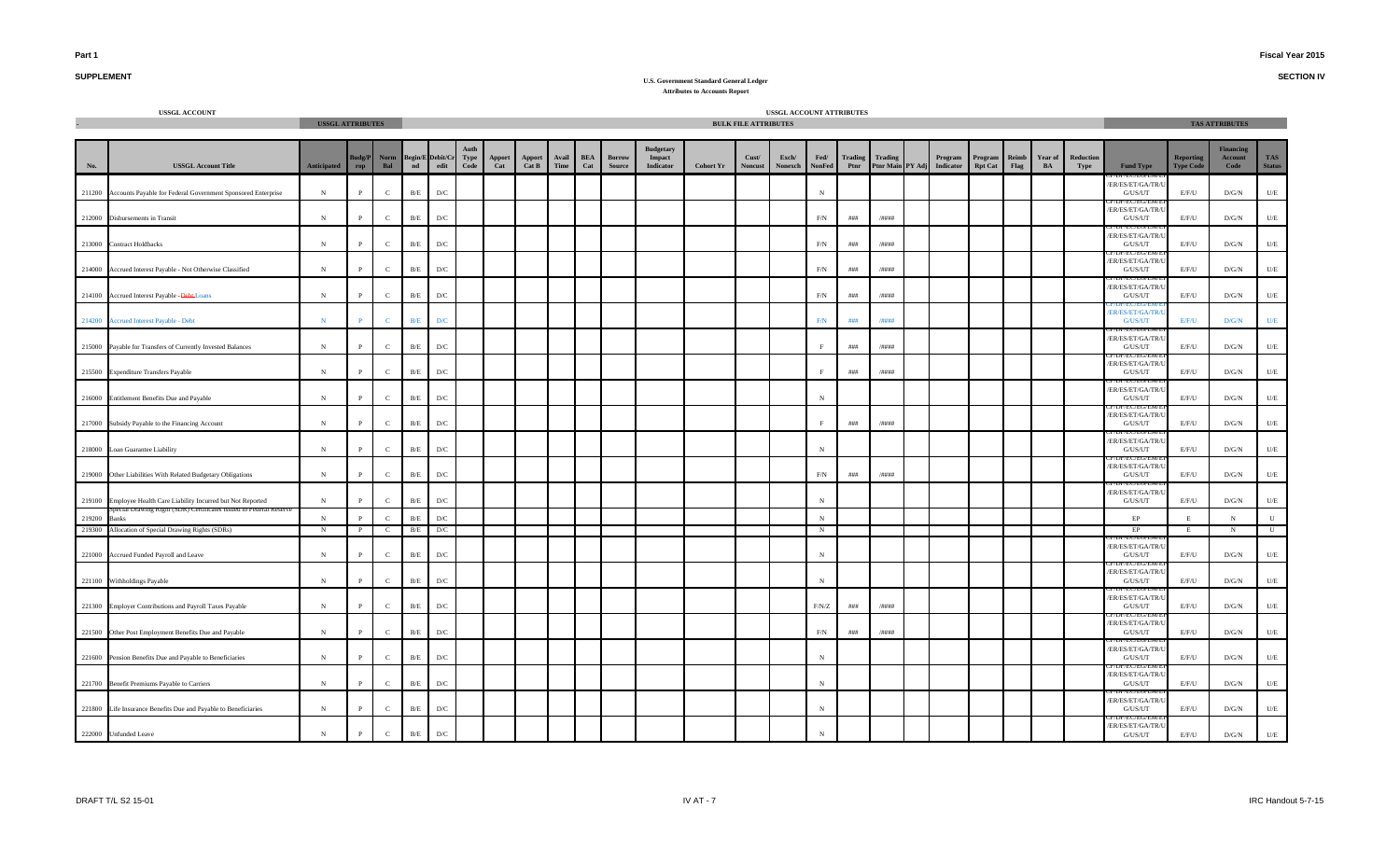**SECTION IV**

# **SUPPLEMENT**

|        | <b>USSGL ACCOUNT</b>                                            | <b>USSGL ATTRIBUTES</b> |              |              |                         |                          |              |               |                        |               |                   |                         |                                                |                  | <b>BULK FILE ATTRIBUTES</b> | USSGL ACCOUNT ATTRIBUTES |                |                        |                 |                                       |                           |                      |                      |                   |                                                         |                                      | <b>TAS ATTRIBUTES</b>               |                             |
|--------|-----------------------------------------------------------------|-------------------------|--------------|--------------|-------------------------|--------------------------|--------------|---------------|------------------------|---------------|-------------------|-------------------------|------------------------------------------------|------------------|-----------------------------|--------------------------|----------------|------------------------|-----------------|---------------------------------------|---------------------------|----------------------|----------------------|-------------------|---------------------------------------------------------|--------------------------------------|-------------------------------------|-----------------------------|
|        |                                                                 |                         |              |              |                         |                          |              |               |                        |               |                   |                         |                                                |                  |                             |                          |                |                        |                 |                                       |                           |                      |                      |                   |                                                         |                                      |                                     |                             |
| No.    | <b>USSGL Account Title</b>                                      | <b>Anticipated</b>      | udg/P<br>rop | Norm<br>Bal  | $\mathbf{nd}$           | Begin/E Debit/Cr<br>edit | Type<br>Code | Apport<br>Cat | <b>Apport</b><br>Cat B | Avail<br>Time | <b>BEA</b><br>Cat | Borrow<br><b>Source</b> | <b>Budgetary</b><br>Impact<br><b>Indicator</b> | <b>Cohort Yr</b> | Cust/<br><b>Noncust</b>     | Exch/<br>Nonexch         | Fed/<br>NonFed | <b>Trading</b><br>Ptnr | Trading         | Program<br>Ptnr Main PY Adj Indicator | Program<br><b>Rpt Cat</b> | Reimb<br><b>Flag</b> | <b>Year of</b><br>BA | Reduction<br>Type | <b>Fund Type</b>                                        | <b>Reporting</b><br><b>Type Code</b> | <b>Financing</b><br>Account<br>Code | <b>TAS</b><br><b>Status</b> |
| 211200 | Accounts Payable for Federal Government Sponsored Enterprise    | N                       | $\mathbf{P}$ | $\mathbf{C}$ | B/E                     | D/C                      |              |               |                        |               |                   |                         |                                                |                  |                             |                          | $\,$ N         |                        |                 |                                       |                           |                      |                      |                   | ER/ES/ET/GA/TR/<br>G/US/UT                              | E/F/U                                | D/G/N                               | $U/E$                       |
|        | 212000 Disbursements in Transit                                 | $_{\rm N}$              | P            | $\mathbf{C}$ | $\rm B/E$               | D/C                      |              |               |                        |               |                   |                         |                                                |                  |                             |                          | F/N            | ###                    | /####           |                                       |                           |                      |                      |                   | TECTEUTEI<br>ER/ES/ET/GA/TR/<br>G/US/UT                 | E/F/U                                | D/G/N                               | $U\!/\!E$                   |
| 213000 | <b>Contract Holdbacks</b>                                       | $_{\rm N}$              | P            | $\mathbf{C}$ | B/E                     | D/C                      |              |               |                        |               |                   |                         |                                                |                  |                             |                          | F/N            | $\# \# \#$             | /####           |                                       |                           |                      |                      |                   | ER/ES/ET/GA/TR/<br>G/US/UT                              | E/F/U                                | D/G/N                               | $U\!/\!E$                   |
| 214000 | Accrued Interest Payable - Not Otherwise Classified             | $\,$ N                  | $\, {\bf P}$ | $\mathbf{C}$ | $\rm B/E$               | $\mathbf{D}/\mathbf{C}$  |              |               |                        |               |                   |                         |                                                |                  |                             |                          | F/N            | ###                    | /####           |                                       |                           |                      |                      |                   | ER/ES/ET/GA/TR/<br>$\mathrm{G}/\mathrm{US}/\mathrm{UT}$ | $E/F/U$                              | $\rm{D/G/N}$                        | $U\!/\!E$                   |
| 214100 | Accrued Interest Payable - Debt-Loans                           | $_{\rm N}$              | P            | $\mathbf{C}$ | B/E                     | D/C                      |              |               |                        |               |                   |                         |                                                |                  |                             |                          | F/N            | ###                    | /####           |                                       |                           |                      |                      |                   | ER/ES/ET/GA/TR/U<br>G/US/UT                             | E/F/U                                | D/G/N                               | U/E                         |
|        | 214200 Accrued Interest Payable - Debt                          | $\mathbf N$             |              | $\mathbf{C}$ | $\mathbf{B}/\mathbf{E}$ | D/C                      |              |               |                        |               |                   |                         |                                                |                  |                             |                          | $\mbox{F/N}$   | $\# \# \#$             | /####           |                                       |                           |                      |                      |                   | ER/ES/ET/GA/TR/<br>G/US/UT                              | E/F/U                                | $\mathbf{D}/\mathbf{G}/\mathbf{N}$  | U/E                         |
|        | 215000 Payable for Transfers of Currently Invested Balances     | $_{\rm N}$              | P            | $\mathbf{C}$ | B/E                     | D/C                      |              |               |                        |               |                   |                         |                                                |                  |                             |                          |                | $\# \# \#$             | /####           |                                       |                           |                      |                      |                   | ER/ES/ET/GA/TR/<br>G/US/UT                              | E/F/U                                | D/G/N                               | U/E                         |
|        | 215500 Expenditure Transfers Payable                            | $_{\rm N}$              | $\mathbf{P}$ | $\mathbf{C}$ | B/E                     | $\mathbf{D}/\mathbf{C}$  |              |               |                        |               |                   |                         |                                                |                  |                             |                          | $\mathbf{F}$   | ###                    | /####           |                                       |                           |                      |                      |                   | ER/ES/ET/GA/TR/<br>$\mathrm{G}/\mathrm{US}/\mathrm{UT}$ | E/F/U                                | $\rm{D/G/N}$                        | $U\!/\!E$                   |
|        | 216000 Entitlement Benefits Due and Payable                     | ${\bf N}$               | $\mathbf{P}$ | $\mathbf{C}$ | B/E                     | D/C                      |              |               |                        |               |                   |                         |                                                |                  |                             |                          | $\,$ N         |                        |                 |                                       |                           |                      |                      |                   | ER/ES/ET/GA/TR/<br>G/US/UT                              | E/F/U                                | D/G/N                               | $U/E$                       |
| 217000 | Subsidy Payable to the Financing Account                        | $\,$ N                  | $\mathbf{P}$ | $\mathbf{C}$ | $\rm B/E$               | $\mathbf{D}/\mathbf{C}$  |              |               |                        |               |                   |                         |                                                |                  |                             |                          | $\,$ F         | $\# \# \#$             | $/$ ####        |                                       |                           |                      |                      |                   | ER/ES/ET/GA/TR/<br>${\rm G/US/UT}$                      | E/F/U                                | $\rm{D/G/N}$                        | $U/E$                       |
| 218000 | Loan Guarantee Liability                                        | N                       | P            | $\mathbf{C}$ | B/E                     | D/C                      |              |               |                        |               |                   |                         |                                                |                  |                             |                          | $_{\rm N}$     |                        |                 |                                       |                           |                      |                      |                   | /ER/ES/ET/GA/TR/<br>G/US/UT                             | E/F/U                                | D/G/N                               | $U/E$                       |
| 219000 | Other Liabilities With Related Budgetary Obligations            | ${\bf N}$               | $\mathbf{P}$ | $\mathbf C$  | $\rm B/E$               | D/C                      |              |               |                        |               |                   |                         |                                                |                  |                             |                          | $\rm F/N$      | $\# \# \#$             | $/ \# \# \# \#$ |                                       |                           |                      |                      |                   | ER/ES/ET/GA/TR/<br>G/US/UT                              | E/F/U                                | D/G/N                               | $U\!/\!E$                   |
| 219100 | Employee Health Care Liability Incurred but Not Reported        | $\mathbf N$             | $\mathbf{P}$ | $\mathbf{C}$ | B/E                     | D/C                      |              |               |                        |               |                   |                         |                                                |                  |                             |                          | $\,$ N         |                        |                 |                                       |                           |                      |                      |                   | ER/ES/ET/GA/TR/<br>G/US/UT                              | E/F/U                                | $\rm{D/G/N}$                        | $U/E$                       |
| 219200 | <b>Banks</b>                                                    | N                       | $\mathbf{p}$ | $\mathbf{C}$ | B/E                     | D/C                      |              |               |                        |               |                   |                         |                                                |                  |                             |                          | $\,$ N         |                        |                 |                                       |                           |                      |                      |                   | $\rm EP$                                                | E                                    | N                                   | ${\bf U}$                   |
| 219300 | Allocation of Special Drawing Rights (SDRs)                     | N                       |              | $\mathbf{C}$ | B/E                     | D/C                      |              |               |                        |               |                   |                         |                                                |                  |                             |                          | N              |                        |                 |                                       |                           |                      |                      |                   | EP                                                      | E                                    | N                                   | $\mathbf{U}$                |
| 221000 | Accrued Funded Payroll and Leave                                | $_{\rm N}$              | P            | $\mathbf{C}$ | $\rm B/E$               | D/C                      |              |               |                        |               |                   |                         |                                                |                  |                             |                          | $_{\rm N}$     |                        |                 |                                       |                           |                      |                      |                   | ER/ES/ET/GA/TR/<br>G/US/UT                              | E/F/U                                | D/G/N                               | $U/E$                       |
|        | 221100 Withholdings Payable                                     | $_{\rm N}$              | $\mathbf{P}$ | $\mathbf C$  | $\rm B/E$               | D/C                      |              |               |                        |               |                   |                         |                                                |                  |                             |                          | N              |                        |                 |                                       |                           |                      |                      |                   | ER/ES/ET/GA/TR/<br>${\rm G/US/UT}$                      | E/F/U                                | $\rm{D/G/N}$                        | $U\!/\!E$                   |
|        | 221300 Employer Contributions and Payroll Taxes Payable         | $\mathbf N$             | $\mathbf{P}$ | $\mathbf{C}$ | B/E                     | D/C                      |              |               |                        |               |                   |                         |                                                |                  |                             |                          | F/N/Z          | $\# \# \#$             | /####           |                                       |                           |                      |                      |                   | ER/ES/ET/GA/TR/<br>G/US/UT                              | E/F/U                                | D/G/N                               | $U/E$                       |
|        | 221500 Other Post Employment Benefits Due and Payable           | ${\bf N}$               | $\mathbf{P}$ | $\mathbf{C}$ | $\rm B/E$               | D/C                      |              |               |                        |               |                   |                         |                                                |                  |                             |                          | $\rm F/N$      | $\# \# \#$             | /####           |                                       |                           |                      |                      |                   | /EU/EU/E<br>ER/ES/ET/GA/TR/<br>G/US/UT                  | $E/F/U$                              | D/G/N                               | $U\!/\!E$                   |
|        | 221600 Pension Benefits Due and Payable to Beneficiaries        | $\mathbf N$             | P            | $\mathbf{C}$ | B/E                     | D/C                      |              |               |                        |               |                   |                         |                                                |                  |                             |                          | $_{\rm N}$     |                        |                 |                                       |                           |                      |                      |                   | ER/ES/ET/GA/TR/<br>G/US/UT                              | E/F/U                                | D/G/N                               | U/E                         |
|        | 221700 Benefit Premiums Payable to Carriers                     | $_{\rm N}$              | $\mathbf{P}$ | $\mathbf{C}$ | B/E                     | D/C                      |              |               |                        |               |                   |                         |                                                |                  |                             |                          | $_{\rm N}$     |                        |                 |                                       |                           |                      |                      |                   | ER/ES/ET/GA/TR/<br>G/US/UT                              | E/F/U                                | D/G/N                               | U/E                         |
|        | 221800 Life Insurance Benefits Due and Payable to Beneficiaries | $_{\rm N}$              | $\mathbf{P}$ | $\mathbf{C}$ | B/E                     | D/C                      |              |               |                        |               |                   |                         |                                                |                  |                             |                          | $\mathbf N$    |                        |                 |                                       |                           |                      |                      |                   | ER/ES/ET/GA/TR/<br>G/US/UT                              | E/F/U                                | D/G/N                               | U/E                         |
|        | 222000 Unfunded Leave                                           | $\,$ N $\,$             | P            | $\mathbf{C}$ | B/E                     | $\mathbf{D}/\mathbf{C}$  |              |               |                        |               |                   |                         |                                                |                  |                             |                          | $_{\rm N}$     |                        |                 |                                       |                           |                      |                      |                   | ER/ES/ET/GA/TR/<br>${\rm G/US/UT}$                      | E/F/U                                | $\rm{D/G/N}$                        | $\mathbf{U}/\mathbf{E}$     |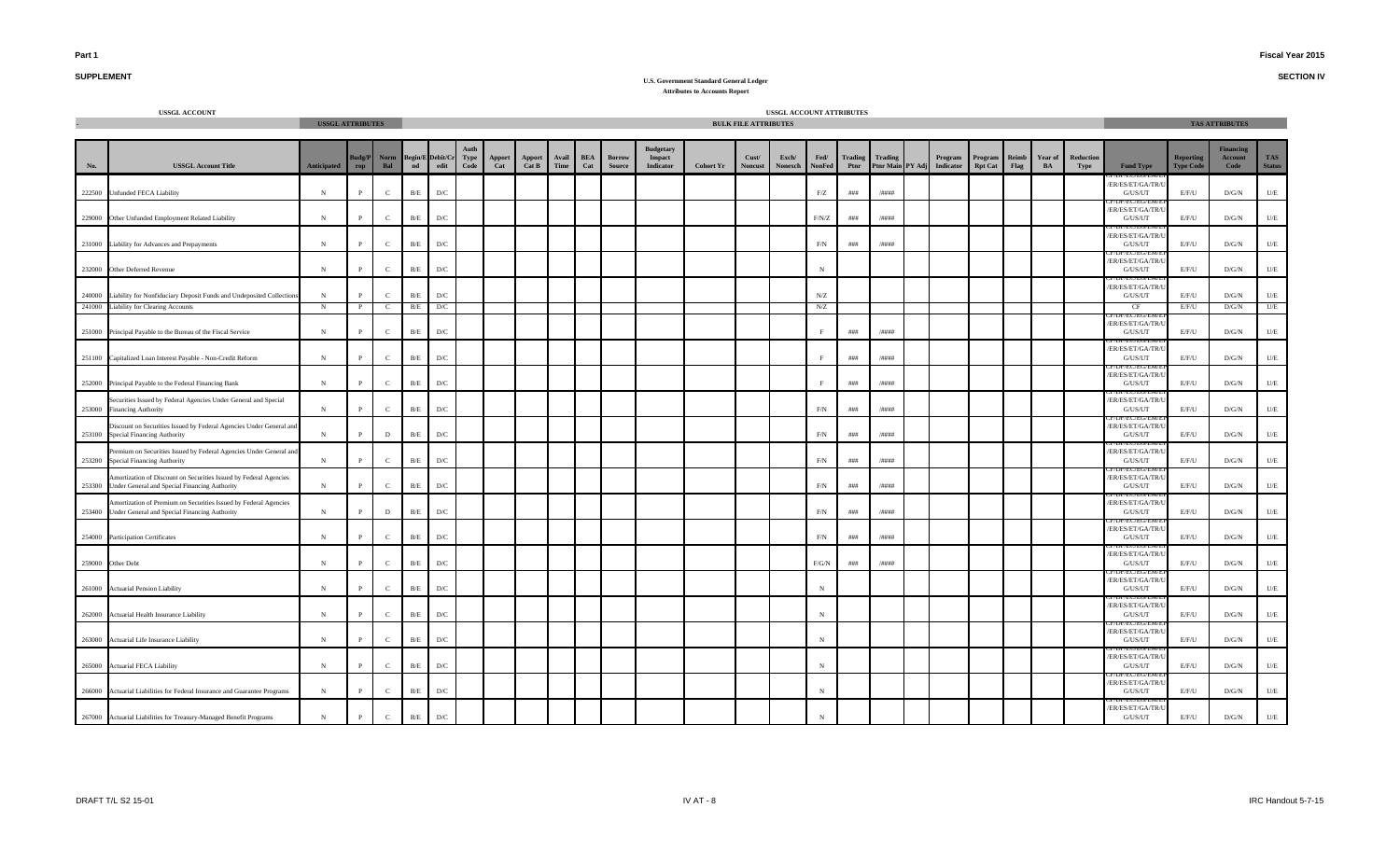**SECTION IV**

## **SUPPLEMENT**

|        | <b>USSGL ACCOUNT</b>                                                                                                     | <b>USSGL ATTRIBUTES</b> |                   |                                |               |                          |                     |               |                 |               |                   |                  |                                                |                  | <b>BULK FILE ATTRIBUTES</b> | USSGL ACCOUNT ATTRIBUTES |                       |                 |                             |        |                             |                                   |               |               |                   |                                                 |                                      | <b>TAS ATTRIBUTES</b>               |                             |
|--------|--------------------------------------------------------------------------------------------------------------------------|-------------------------|-------------------|--------------------------------|---------------|--------------------------|---------------------|---------------|-----------------|---------------|-------------------|------------------|------------------------------------------------|------------------|-----------------------------|--------------------------|-----------------------|-----------------|-----------------------------|--------|-----------------------------|-----------------------------------|---------------|---------------|-------------------|-------------------------------------------------|--------------------------------------|-------------------------------------|-----------------------------|
|        |                                                                                                                          |                         |                   |                                |               |                          |                     |               |                 |               |                   |                  |                                                |                  |                             |                          |                       |                 |                             |        |                             |                                   |               |               |                   |                                                 |                                      |                                     |                             |
| No.    | <b>USSGL Account Title</b>                                                                                               | Anticipated             | Budg/P<br>rop     | Norm<br>Bal                    | $\mathbf{nd}$ | Begin/E Debit/Cr<br>edit | <b>Type</b><br>Code | Apport<br>Cat | Apport<br>Cat B | Avail<br>Time | <b>BEA</b><br>Cat | Borrow<br>Source | <b>Budgetary</b><br>Impact<br><b>Indicator</b> | <b>Cohort Yr</b> | Cust/<br><b>Noncust</b>     | Exch/<br>Nonexch         | Fed/<br><b>NonFed</b> | Trading<br>Ptnr | Trading<br><b>Ptnr Main</b> | PY Adj | Program<br><b>Indicator</b> | ${\bf Program}$<br><b>Rpt Cat</b> | Reimb<br>Flag | Year of<br>BA | Reduction<br>Type | <b>Fund Type</b>                                | <b>Reporting</b><br><b>Type Code</b> | <b>Financing</b><br>Account<br>Code | <b>TAS</b><br><b>Status</b> |
|        | 222500 Unfunded FECA Liability                                                                                           | $_{\rm N}$              | $\mathbf{P}$      | $\mathbf{C}$                   | B/E           | D/C                      |                     |               |                 |               |                   |                  |                                                |                  |                             |                          | ${\rm F}/{\rm Z}$     | # # #           | /####                       |        |                             |                                   |               |               |                   | ER/ES/ET/GA/TR/<br>G/US/UT                      | E/F/U                                | $\rm{D/G/N}$                        | U/E                         |
|        | 229000 Other Unfunded Employment Related Liability                                                                       | ${\bf N}$               | $\mathbf{P}$      | $\mathbf{C}$                   | B/E           | $\mathbf{D}/\mathbf{C}$  |                     |               |                 |               |                   |                  |                                                |                  |                             |                          | F/N/Z                 | # # #           | /####                       |        |                             |                                   |               |               |                   | ER/ES/ET/GA/TR/<br>G/US/UT                      | E/F/U                                | D/G/N                               | $U\!/\!E$                   |
| 231000 | Liability for Advances and Prepayments                                                                                   | $\,$ N                  | $\mathbf{P}$      | $\mathbf{C}$                   | B/E           | D/C                      |                     |               |                 |               |                   |                  |                                                |                  |                             |                          | $\rm F/N$             | ###             | $/$ ####                    |        |                             |                                   |               |               |                   | ER/ES/ET/GA/TR/<br>G/US/UT                      | E/F/U                                | D/G/N                               | $U\hspace{-0.1cm}/E$        |
|        | 232000 Other Deferred Revenue                                                                                            | $_{\rm N}$              | $\mathbf{P}$      | $\mathbf{C}$                   | $\rm B/E$     | $\mathbf{D}/\mathbf{C}$  |                     |               |                 |               |                   |                  |                                                |                  |                             |                          | $_{\rm N}$            |                 |                             |        |                             |                                   |               |               |                   | ER/ES/ET/GA/TR/U<br>G/US/UT                     | E/F/U                                | D/G/N                               | U/E                         |
|        | 240000 Liability for Nonfiduciary Deposit Funds and Undeposited Collection<br>241000 Liability for Clearing Accounts     | ${\bf N}$<br>$_{\rm N}$ | P<br>$\mathbf{P}$ | $\mathbf{C}$<br><sup>-</sup> C | B/E<br>B/E    | D/C<br>D/C               |                     |               |                 |               |                   |                  |                                                |                  |                             |                          | ${\rm N/Z}$<br>N/Z    |                 |                             |        |                             |                                   |               |               |                   | ER/ES/ET/GA/TR/U<br>G/US/UT<br>CF               | E/F/U<br>E/F/U                       | $\rm{D/G/N}$<br>D/G/N               | $U\!/\!E$<br>U/E            |
|        | 251000 Principal Payable to the Bureau of the Fiscal Service                                                             | $_{\rm N}$              | $\mathbf{P}$      | $\mathbf{C}$                   | B/E           | D/C                      |                     |               |                 |               |                   |                  |                                                |                  |                             |                          | F                     | ###             | /####                       |        |                             |                                   |               |               |                   | /ER/ES/ET/GA/TR/U<br>G/US/UT                    | E/F/U                                | D/G/N                               | U/E                         |
| 251100 | Capitalized Loan Interest Payable - Non-Credit Reform                                                                    | $\, {\rm N}$            | $\mathbf{P}$      | $\mathbf{C}$                   | B/E           | $\mathbf{D}/\mathbf{C}$  |                     |               |                 |               |                   |                  |                                                |                  |                             |                          | F                     | ###             | /####                       |        |                             |                                   |               |               |                   | JI / EU/EU/E<br>ER/ES/ET/GA/TR/<br>G/US/UT      | E/F/U                                | D/G/N                               | $U\!/\!E$                   |
| 252000 | Principal Payable to the Federal Financing Bank                                                                          | $\, {\rm N}$            | $\mathbf{P}$      | $\mathbf{C}$                   | $\rm B/E$     | $\mathbf{D}/\mathbf{C}$  |                     |               |                 |               |                   |                  |                                                |                  |                             |                          | E.                    | $\# \# \#$      | /####                       |        |                             |                                   |               |               |                   | ER/ES/ET/GA/TR/<br>G/US/UT                      | E/F/U                                | $\rm{D/G/N}$                        | $U\!/\!E$                   |
|        | Securities Issued by Federal Agencies Under General and Special<br>253000 Financing Authority                            | $\,$ N                  | $\mathbf{P}$      | $\mathbf{C}$                   | B/E           | $\mathbf{D}/\mathbf{C}$  |                     |               |                 |               |                   |                  |                                                |                  |                             |                          | $\rm F/N$             | ###             | /####                       |        |                             |                                   |               |               |                   | ER/ES/ET/GA/TR/U<br>G/US/UT                     | E/F/U                                | D/G/N                               | $U\hspace{-0.1cm}/E$        |
|        | Discount on Securities Issued by Federal Agencies Under General and<br>253100 Special Financing Authority                | $_{\rm N}$              | $\mathbf{p}$      | D                              | B/E           | D/C                      |                     |               |                 |               |                   |                  |                                                |                  |                             |                          | F/N                   | ###             | /####                       |        |                             |                                   |               |               |                   | /ER/ES/ET/GA/TR/U<br>G/US/UT<br>EU EU/EI        | E/F/U                                | D/G/N                               | $U\!/\!E$                   |
| 253200 | Premium on Securities Issued by Federal Agencies Under General and<br>Special Financing Authority                        | $_{\rm N}$              | $\mathbf{p}$      | $\mathbf{C}$                   | $\rm\,B/E}$   | $\mathbf{D}/\mathbf{C}$  |                     |               |                 |               |                   |                  |                                                |                  |                             |                          | $\rm F/N$             | ###             | /####                       |        |                             |                                   |               |               |                   | ER/ES/ET/GA/TR/<br>G/US/UT                      | E/F/U                                | $\rm{D/G/N}$                        | $U/E$                       |
| 253300 | Amortization of Discount on Securities Issued by Federal Agencies<br>Under General and Special Financing Authority       | $_{\rm N}$              | P                 | $\mathbf{C}$                   | $\rm B/E$     | $\mathbf{D}/\mathbf{C}$  |                     |               |                 |               |                   |                  |                                                |                  |                             |                          | $\rm F/N$             | ###             | /####                       |        |                             |                                   |               |               |                   | ER/ES/ET/GA/TR/<br>G/US/UT                      | E/F/U                                | $\rm{D/G/N}$                        | $U\!/\!E$                   |
|        | Amortization of Premium on Securities Issued by Federal Agencies<br>253400 Under General and Special Financing Authority | $_{\rm N}$              | $\mathbf{P}$      | $\mathbf D$                    | B/E           | D/C                      |                     |               |                 |               |                   |                  |                                                |                  |                             |                          | F/N                   | $\# \# \#$      | /####                       |        |                             |                                   |               |               |                   | /ER/ES/ET/GA/TR/U<br>G/US/UT<br><b>EU/EU/EI</b> | E/F/U                                | $\rm{D/G/N}$                        | U/E                         |
|        | 254000 Participation Certificates                                                                                        | ${\bf N}$               | $\mathbf{P}$      | $\mathbf{C}$                   | B/E           | $\mathbf{D}/\mathbf{C}$  |                     |               |                 |               |                   |                  |                                                |                  |                             |                          | $\rm F/N$             | ###             | /####                       |        |                             |                                   |               |               |                   | ER/ES/ET/GA/TR/U<br>G/US/UT                     | E/F/U                                | $\rm{D/G/N}$                        | $U\hspace{-0.1cm}/E$        |
|        | 259000 Other Debt                                                                                                        | $_{\rm N}$              | $\mathbf{p}$      | $\mathbf{C}$                   | B/E           | D/C                      |                     |               |                 |               |                   |                  |                                                |                  |                             |                          | $F/G/N$               | ###             | /####                       |        |                             |                                   |               |               |                   | ER/ES/ET/GA/TR/<br>G/US/UT                      | E/F/U                                | D/G/N                               | U/E                         |
| 261000 | <b>Actuarial Pension Liability</b>                                                                                       | $\,$ N                  | $\mathbf{P}$      | $\mathbf{C}$                   | B/E           | $\mathbf{D}/\mathbf{C}$  |                     |               |                 |               |                   |                  |                                                |                  |                             |                          | $_{\rm N}$            |                 |                             |        |                             |                                   |               |               |                   | ER/ES/ET/GA/TR/<br>G/US/UT                      | E/F/U                                | $\rm{D/G/N}$                        | $U\!/\!E$                   |
|        | 262000 Actuarial Health Insurance Liability                                                                              | ${\bf N}$               | P                 | $\mathbf{C}$                   | B/E           | D/C                      |                     |               |                 |               |                   |                  |                                                |                  |                             |                          | $_{\rm N}$            |                 |                             |        |                             |                                   |               |               |                   | ER/ES/ET/GA/TR/U<br>G/US/UT                     | E/F/U                                | $\rm{D/G/N}$                        | $U\hspace{-0.1cm}/E$        |
|        | 263000 Actuarial Life Insurance Liability                                                                                | ${\bf N}$               | $\mathbf{P}$      | $\mathbf{C}$                   | B/E           | $\mathbf{D}/\mathbf{C}$  |                     |               |                 |               |                   |                  |                                                |                  |                             |                          | $_{\rm N}$            |                 |                             |        |                             |                                   |               |               |                   | ER/ES/ET/GA/TR/<br>G/US/UT                      | E/F/U                                | $\rm{D/G/N}$                        | $U\!/\!E$                   |
|        | 265000 Actuarial FECA Liability                                                                                          | $_{\rm N}$              | P                 | $\mathbf{C}$                   | $\rm B/E$     | $\mathbf{D}/\mathbf{C}$  |                     |               |                 |               |                   |                  |                                                |                  |                             |                          | $_{\rm N}$            |                 |                             |        |                             |                                   |               |               |                   | ER/ES/ET/GA/TR/<br>G/US/UT                      | E/F/U                                | $\rm{D/G/N}$                        | $U/E$                       |
|        | 266000 Actuarial Liabilities for Federal Insurance and Guarantee Programs                                                | $\mathbf N$             | $\mathbf{P}$      | $\mathbf{C}$                   | B/E           | D/C                      |                     |               |                 |               |                   |                  |                                                |                  |                             |                          | $_{\rm N}$            |                 |                             |        |                             |                                   |               |               |                   | ER/ES/ET/GA/TR/<br>G/US/UT                      | E/F/U                                | D/G/N                               | U/E                         |
|        | 267000 Actuarial Liabilities for Treasury-Managed Benefit Programs                                                       | ${\bf N}$               | $\mathbf{P}$      | $\mathbf C$                    | B/E           | $\mathbf{D}/\mathbf{C}$  |                     |               |                 |               |                   |                  |                                                |                  |                             |                          | $_{\rm N}$            |                 |                             |        |                             |                                   |               |               |                   | /ER/ES/ET/GA/TR/U<br>G/US/UT                    | E/F/U                                | $\rm{D/G/N}$                        | $U\!/\!E$                   |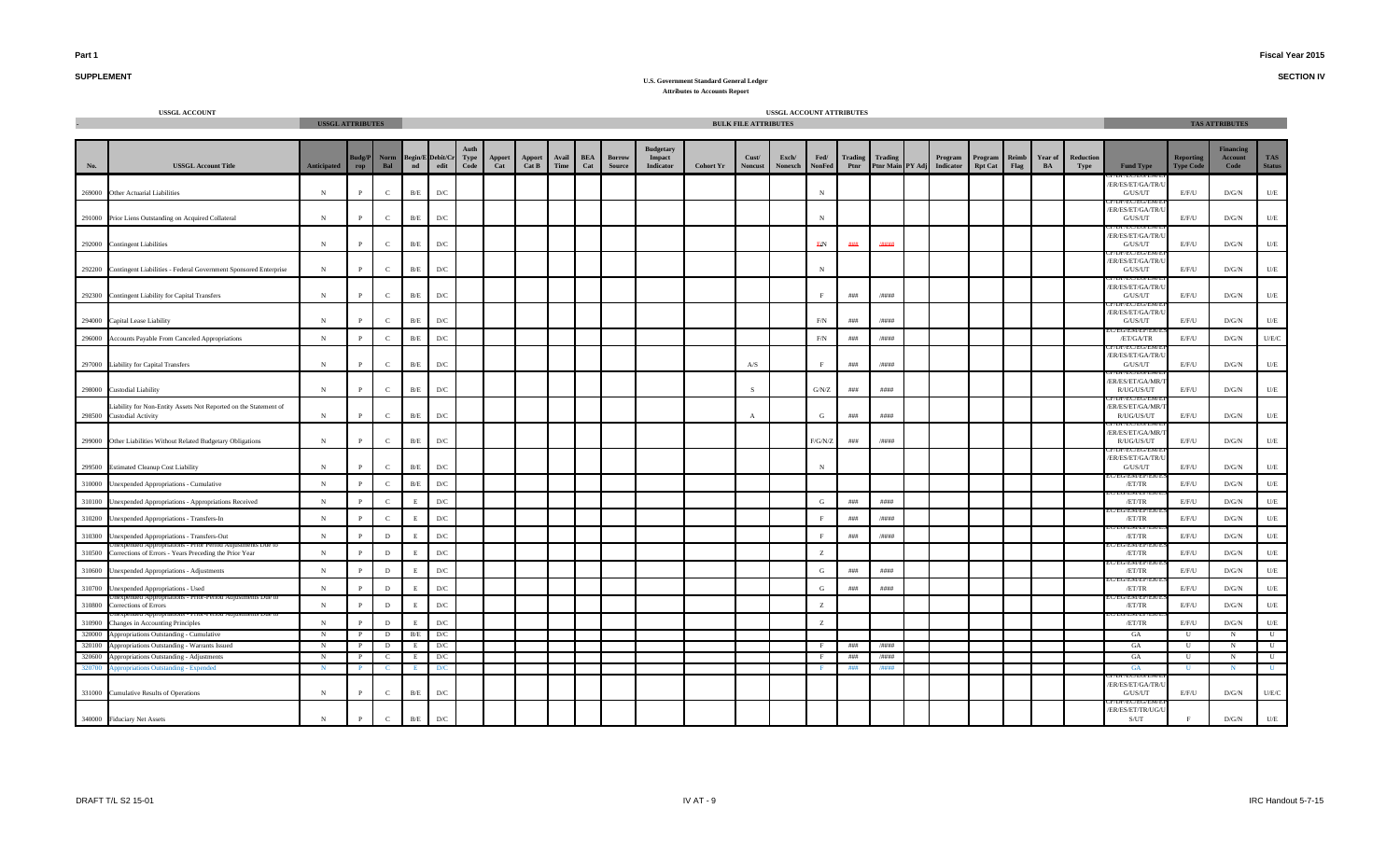**SECTION IV**

## **SUPPLEMENT**

|                  | <b>USSGL ACCOUNT</b>                                                                          | <b>USSGL ATTRIBUTES</b> |                              |                   |                         |                                 |                         |               |                 |                                                                                                        |                   |                                |                                                |                  | <b>BULK FILE ATTRIBUTES</b> | USSGL ACCOUNT ATTRIBUTES |                  |            |                 |                                       |                           |               |    |                           |                                                       |                                      | <b>TAS ATTRIBUTES</b>               |                              |
|------------------|-----------------------------------------------------------------------------------------------|-------------------------|------------------------------|-------------------|-------------------------|---------------------------------|-------------------------|---------------|-----------------|--------------------------------------------------------------------------------------------------------|-------------------|--------------------------------|------------------------------------------------|------------------|-----------------------------|--------------------------|------------------|------------|-----------------|---------------------------------------|---------------------------|---------------|----|---------------------------|-------------------------------------------------------|--------------------------------------|-------------------------------------|------------------------------|
| No.              | <b>USSGL Account Title</b>                                                                    | <b>Anticipated</b>      | Budg/P<br>rop                | Norm<br>Bal       | $\mathbf{nd}$           | <b>Begin/E Debit/Cr</b><br>edit | Type<br>$\mathbf{Code}$ | Apport<br>Cat | Apport<br>Cat B | $\begin{array}{c}\textbf{A}\textbf{v}\textbf{a}\textbf{i}\\\textbf{T}\textbf{im}\textbf{e}\end{array}$ | <b>BEA</b><br>Cat | <b>Borrow</b><br><b>Source</b> | <b>Budgetary</b><br>Impact<br><b>Indicator</b> | <b>Cohort Yr</b> | Cust/<br><b>Noncust</b>     | Exch/<br>Nonexch         | Fed/<br>NonFed   | Ptnr       | Trading Trading | Program<br>Ptnr Main PY Adj Indicator | Program<br><b>Rpt Cat</b> | Reimb<br>Flag | BA | Year of Reduction<br>Type | <b>Fund Type</b>                                      | <b>Reporting</b><br><b>Type Code</b> | <b>Financing</b><br>Account<br>Code | <b>TAS</b><br><b>Status</b>  |
|                  | 269000 Other Actuarial Liabilities                                                            | ${\bf N}$               | $\mathbf{P}$                 | $\mathbf{C}$      | $\rm B/E$               | $\mathbf{D}/\mathbf{C}$         |                         |               |                 |                                                                                                        |                   |                                |                                                |                  |                             |                          | $_{\rm N}$       |            |                 |                                       |                           |               |    |                           | ER/ES/ET/GA/TR/U<br>G/US/UT                           | E/F/U                                | D/G/N                               | $U\!/\!E$                    |
|                  | 291000 Prior Liens Outstanding on Acquired Collateral                                         | $_{\rm N}$              | P                            | $\mathbf{C}$      | B/E                     | D/C                             |                         |               |                 |                                                                                                        |                   |                                |                                                |                  |                             |                          | $_{\rm N}$       |            |                 |                                       |                           |               |    |                           | ER/ES/ET/GA/TR/<br>G/US/UT                            | E/F/U                                | D/G/N                               | $U/E$                        |
|                  | 292000 Contingent Liabilities                                                                 | $\,$ N                  | $\, {\bf P}$                 | $\mathbf{C}$      | $\rm B/E$               | $\mathbf{D}/\mathbf{C}$         |                         |               |                 |                                                                                                        |                   |                                |                                                |                  |                             |                          | F/N              | ###        | 78888           |                                       |                           |               |    |                           | ER/ES/ET/GA/TR/U<br>G/US/UT                           | E/F/U                                | D/G/N                               | $U\!/\!E$                    |
| 292200           | Contingent Liabilities - Federal Government Sponsored Enterprise                              | N                       | P                            | $\mathbf{C}$      | B/E                     | D/C                             |                         |               |                 |                                                                                                        |                   |                                |                                                |                  |                             |                          | $_{\rm N}$       |            |                 |                                       |                           |               |    |                           | ER/ES/ET/GA/TR/<br>G/US/UT                            | E/F/U                                | D/G/N                               | $U\!/\!\!E$                  |
|                  | 292300 Contingent Liability for Capital Transfers                                             | N                       | P                            | $\mathbf{C}$      | $\rm B/E$               | D/C                             |                         |               |                 |                                                                                                        |                   |                                |                                                |                  |                             |                          | $\Gamma$         | ###        | /####           |                                       |                           |               |    |                           | ER/ES/ET/GA/TR/U<br>G/US/UT                           | E/F/U                                | D/G/N                               | $U/E$                        |
|                  | 294000 Capital Lease Liability                                                                | $_{\rm N}$              | P                            | $\mathbf{C}$      | $\rm B/E$               | D/C                             |                         |               |                 |                                                                                                        |                   |                                |                                                |                  |                             |                          | F/N              | ###        | /####           |                                       |                           |               |    |                           | <b>L\DL\CC\CO\C\</b><br>/ER/ES/ET/GA/TR/U<br>G/US/UT  | E/F/U                                | D/G/N                               | $U/E$                        |
| 296000           | Accounts Payable From Canceled Appropriations                                                 | $\,$ N                  | $\, {\bf P}$                 | $\mathbf{C}$      | $\rm B/E$               | ${\rm D/C}$                     |                         |               |                 |                                                                                                        |                   |                                |                                                |                  |                             |                          | $\rm F/N$        | # # #      | $/$ ####        |                                       |                           |               |    |                           | U/ENI/EP/E<br>/ET/GA/TR                               | E/F/U                                | $\rm{D/G/N}$                        | U/E/C                        |
|                  | 297000 Liability for Capital Transfers                                                        | ${\bf N}$               | P                            | $\mathbf C$       | B/E                     | D/C                             |                         |               |                 |                                                                                                        |                   |                                |                                                |                  | $A/S$                       |                          | $\mathbf{F}$     | $\# \# \#$ | /####           |                                       |                           |               |    |                           | ER/ES/ET/GA/TR/<br>G/US/UT<br>JP/EU/EU/EIV            | E/F/U                                | D/G/N                               | U/E                          |
|                  | 298000 Custodial Liability                                                                    | $_{\rm N}$              | $\mathbf{P}$                 | $\mathbf{C}$      | B/E                     | D/C                             |                         |               |                 |                                                                                                        |                   |                                |                                                |                  | $\mathbf{S}$                |                          | $\mathrm{G/N/Z}$ | # # #      | ####            |                                       |                           |               |    |                           | ER/ES/ET/GA/MR/<br>R/UG/US/UT                         | E/F/U                                | D/G/N                               | U/E                          |
|                  | Liability for Non-Entity Assets Not Reported on the Statement of<br>298500 Custodial Activity | N                       | P                            | $\mathbf{C}$      | B/E                     | D/C                             |                         |               |                 |                                                                                                        |                   |                                |                                                |                  |                             |                          | G                | ###        | ####            |                                       |                           |               |    |                           | ER/ES/ET/GA/MR/<br>R/UG/US/UT                         | E/F/U                                | D/G/N                               | $U/E$                        |
|                  | 299000 Other Liabilities Without Related Budgetary Obligations                                | $\,$ N                  | $\, {\bf P}$                 | $\mathbf{C}$      | $\rm B/E$               | $\mathbf{D}/\mathbf{C}$         |                         |               |                 |                                                                                                        |                   |                                |                                                |                  |                             |                          | F/G/N/Z          | ###        | /####           |                                       |                           |               |    |                           | ER/ES/ET/GA/MR/<br>R/UG/US/UT                         | E/F/U                                | $\rm{D/G/N}$                        | $U\!/\!E$                    |
|                  | 299500 Estimated Cleanup Cost Liability                                                       | $_{\rm N}$              | P                            | $\mathbf{C}$      | $\rm B/E$               | D/C                             |                         |               |                 |                                                                                                        |                   |                                |                                                |                  |                             |                          | $_{\rm N}$       |            |                 |                                       |                           |               |    |                           | <b>IDE/BU/EU/BIVI/</b><br>/ER/ES/ET/GA/TR/<br>G/US/UT | E/F/U                                | D/G/N                               | $U/E$                        |
|                  | 310000 Unexpended Appropriations - Cumulative                                                 | ${\bf N}$               | P                            | $\mathcal{C}$     | $\rm B/E$               | $\mathbf{D}/\mathbf{C}$         |                         |               |                 |                                                                                                        |                   |                                |                                                |                  |                             |                          |                  |            |                 |                                       |                           |               |    |                           | EU/EM/EP/E<br>/ET/TR                                  | E/F/U                                | D/G/N                               | $U\!/\mathrm{E}$             |
|                  | 310100 Unexpended Appropriations - Appropriations Received                                    | ${\bf N}$               | P                            | $\mathcal{C}$     | $\mathbf E$             | $D/C$                           |                         |               |                 |                                                                                                        |                   |                                |                                                |                  |                             |                          | G                | ###        | ####            |                                       |                           |               |    |                           | 'EIVI/EF/<br>/ET/TR                                   | E/F/U                                | D/G/N                               | $U/E$                        |
|                  | 310200 Unexpended Appropriations - Transfers-In                                               | $\,$ N                  | $\mathbf{p}$                 | $\mathbf C$       | E                       | ${\rm D/C}$                     |                         |               |                 |                                                                                                        |                   |                                |                                                |                  |                             |                          | F                | # # #      | $/$ ####        |                                       |                           |               |    |                           | CIVI/ E.P<br>/ET/TR                                   | E/F/U                                | $\rm{D/G/N}$                        | $\mathbf{U}/\mathbf{E}$      |
|                  | 310300 Unexpended Appropriations - Transfers-Out                                              | N                       | $\mathbf{P}$                 | $\mathbf{D}$      | E.                      | $D/C$                           |                         |               |                 |                                                                                                        |                   |                                |                                                |                  |                             |                          |                  | ###        | /####           |                                       |                           |               |    |                           | EU/EN/EP/E<br>/ET/TR                                  | E/F/U                                | D/G/N                               | $U\hspace{-0.1cm}/E$         |
| 310500           | Corrections of Errors - Years Preceding the Prior Year                                        | $\,$ N                  | $\mathbf{P}$                 | $\,$ D            | E                       | $\mathbf{D}/\mathbf{C}$         |                         |               |                 |                                                                                                        |                   |                                |                                                |                  |                             |                          | z                |            |                 |                                       |                           |               |    |                           | 'EIVI/EI'<br>/ET/TR                                   | E/F/U                                | $\rm{D/G/N}$                        | $U/E$                        |
| 310600           | <b>Unexpended Appropriations - Adjustments</b>                                                | ${\bf N}$               | P                            | D                 | E                       | D/C                             |                         |               |                 |                                                                                                        |                   |                                |                                                |                  |                             |                          | G                | ###        | ####            |                                       |                           |               |    |                           | EIVI/ EI<br>/ET/TR                                    | E/F/U                                | D/G/N                               | $U/E$                        |
|                  | 310700 Unexpended Appropriations - Used                                                       | $\,$ N                  | $\mathbf{P}$                 | D                 | E                       | D/C                             |                         |               |                 |                                                                                                        |                   |                                |                                                |                  |                             |                          | G                | $\# \# \#$ | # # ##          |                                       |                           |               |    |                           | /ET/TR                                                | E/F/U                                | D/G/N                               | $U\hspace{-0.1cm}/E$         |
| 310800           | ns - Prior-Period Adjusiments Due i<br>Corrections of Errors                                  | ${\bf N}$               | $\mathbf{P}$                 | $\,$ D            | E                       | $D/C$                           |                         |               |                 |                                                                                                        |                   |                                |                                                |                  |                             |                          | z                |            |                 |                                       |                           |               |    |                           | :G/ENI/EP/E<br>/ET/TR                                 | E/F/U                                | D/G/N                               | $U/E$                        |
| 310900           | Changes in Accounting Principles                                                              | $\,$ N                  | P                            | $\mathbf{D}$      | E.                      | $D/C$                           |                         |               |                 |                                                                                                        |                   |                                |                                                |                  |                             |                          | z                |            |                 |                                       |                           |               |    |                           | <b>EWLER</b><br>/ET/TR                                | E/F/U                                | D/G/N                               | $U\hspace{-0.1cm}/E$         |
| 320000           | Appropriations Outstanding - Cumulative                                                       | N                       | $\mathbf{P}$                 | D                 | B/E                     | D/C                             |                         |               |                 |                                                                                                        |                   |                                |                                                |                  |                             |                          |                  |            |                 |                                       |                           |               |    |                           | GA                                                    | U                                    | N                                   | $\overline{\mathbf{u}}$      |
| 320100<br>320600 | Appropriations Outstanding - Warrants Issued                                                  | N                       | $\mathbf{P}$<br>$\mathbf{P}$ | D<br>$\mathbf{C}$ | E<br>E                  | D/C                             |                         |               |                 |                                                                                                        |                   |                                |                                                |                  |                             |                          | – F              | ###<br>### | /####<br>/####  |                                       |                           |               |    |                           | GA<br>GA                                              | U                                    | $_{\rm N}$                          | $\overline{U}$               |
| 320700           | Appropriations Outstanding - Adjustments<br><b>Appropriations Outstanding - Expended</b>      | N<br>N                  | P.                           | - C               |                         | D/C<br>D/C                      |                         |               |                 |                                                                                                        |                   |                                |                                                |                  |                             |                          |                  | ###        | /####           |                                       |                           |               |    |                           | GA                                                    | $\mathbf{U}$<br>U                    | N<br>N.                             | $\mathbf{U}$<br>$\mathbf{U}$ |
|                  |                                                                                               |                         |                              |                   |                         |                                 |                         |               |                 |                                                                                                        |                   |                                |                                                |                  |                             |                          |                  |            |                 |                                       |                           |               |    |                           | ER/ES/ET/GA/TR/                                       |                                      |                                     |                              |
|                  | 331000 Cumulative Results of Operations                                                       | $_{\rm N}$              | P                            | $\mathbf{C}$      | B/E                     | D/C                             |                         |               |                 |                                                                                                        |                   |                                |                                                |                  |                             |                          |                  |            |                 |                                       |                           |               |    |                           | G/US/UT                                               | E/F/U                                | D/G/N                               | U/E/C                        |
|                  | 340000 Fiduciary Net Assets                                                                   | N                       | $\mathbf P$                  | $\mathbf{C}$      | $\mathbf{B}/\mathbf{E}$ | $\mathbf{D}/\mathbf{C}$         |                         |               |                 |                                                                                                        |                   |                                |                                                |                  |                             |                          |                  |            |                 |                                       |                           |               |    |                           | ER/ES/ET/TR/UG/L<br>S/UT                              | $\mathbf{F}$                         | D/G/N                               | $U/E$                        |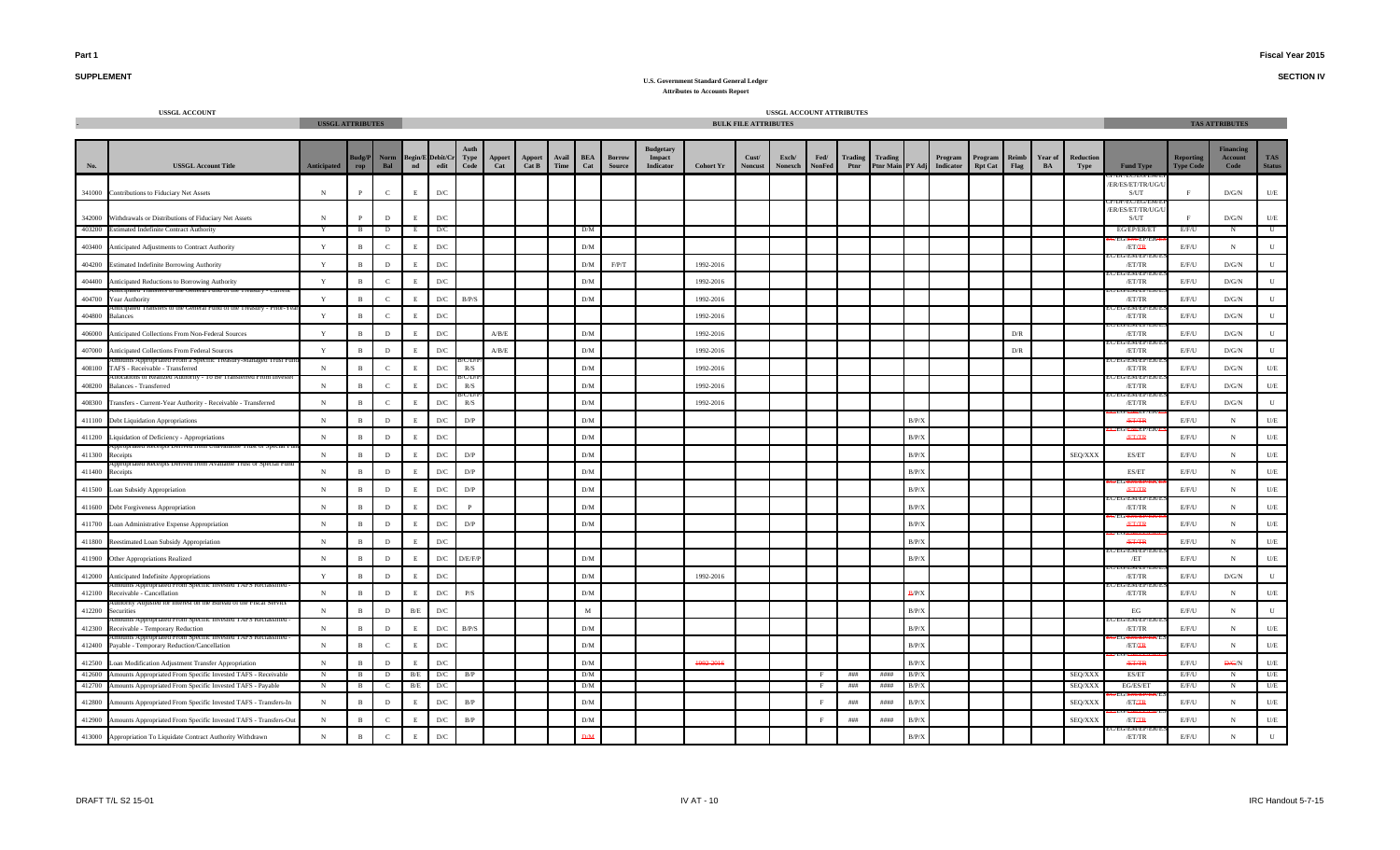**SECTION IV**

## **SUPPLEMENT**

|        | <b>USSGL ACCOUNT</b>                                               | <b>USSGL ATTRIBUTES</b> |                 |               |               |                         |              |               |                        |               |                   |                                |                                                |                  | <b>BULK FILE ATTRIBUTES</b> | USSGL ACCOUNT ATTRIBUTES |                       |                 |                                    |       |                             |                           |                      |               |                   |                              |                                      | <b>TAS ATTRIBUTES</b>               |                             |
|--------|--------------------------------------------------------------------|-------------------------|-----------------|---------------|---------------|-------------------------|--------------|---------------|------------------------|---------------|-------------------|--------------------------------|------------------------------------------------|------------------|-----------------------------|--------------------------|-----------------------|-----------------|------------------------------------|-------|-----------------------------|---------------------------|----------------------|---------------|-------------------|------------------------------|--------------------------------------|-------------------------------------|-----------------------------|
| No.    | <b>USSGL Account Title</b>                                         | <b>Anticipated</b>      | udg/P<br>rop    | Norm<br>Bal   | Begin/E<br>nd | Debit/Cı<br>edit        | Type<br>Code | Apport<br>Cat | <b>Apport</b><br>Cat B | Avail<br>Time | <b>BEA</b><br>Cat | <b>Borrow</b><br><b>Source</b> | <b>Budgetary</b><br>Impact<br><b>Indicator</b> | <b>Cohort Yr</b> | Cust/<br><b>Noncust</b>     | Exch/<br>Nonexch         | Fed/<br><b>NonFed</b> | Trading<br>Ptnr | <b>Trading</b><br>Ptnr Main PY Adj |       | Program<br><b>Indicator</b> | Program<br><b>Rpt Cat</b> | <b>Reimb</b><br>Flag | Year of<br>BA | Reduction<br>Type | <b>Fund Type</b>             | <b>Reporting</b><br><b>Type Code</b> | <b>Financing</b><br>Account<br>Code | <b>TAS</b><br><b>Status</b> |
|        | 341000 Contributions to Fiduciary Net Assets                       | N                       |                 | $\mathcal{C}$ | E             | $\mathbf{D}/\mathbf{C}$ |              |               |                        |               |                   |                                |                                                |                  |                             |                          |                       |                 |                                    |       |                             |                           |                      |               |                   | ER/ES/ET/TR/UG/U<br>S/UT     |                                      | D/G/N                               | U/E                         |
|        | 342000 Withdrawals or Distributions of Fiduciary Net Assets        | N                       |                 | $\mathbf{D}$  | E             | $\mathbf{D}/\mathbf{C}$ |              |               |                        |               |                   |                                |                                                |                  |                             |                          |                       |                 |                                    |       |                             |                           |                      |               |                   | ER/ES/ET/TR/UG/U<br>S/UT     |                                      | D/G/N                               | U/E                         |
| 403200 | <b>Estimated Indefinite Contract Authority</b>                     | Y                       | $\mathbf{B}$    | D             |               | D/C                     |              |               |                        |               | D/M               |                                |                                                |                  |                             |                          |                       |                 |                                    |       |                             |                           |                      |               |                   | EG/EP/ER/ET                  | E/F/U                                | N                                   | U                           |
| 403400 | Anticipated Adjustments to Contract Authority                      | $\mathbf Y$             | $\mathbf{R}$    | $\mathcal{C}$ |               | D/C                     |              |               |                        |               | D/M               |                                |                                                |                  |                             |                          |                       |                 |                                    |       |                             |                           |                      |               |                   | /ET/FR<br>/EM/EI             | E/F/U                                | $_{\rm N}$                          | ${\bf U}$                   |
|        | 404200 Estimated Indefinite Borrowing Authority                    | Y                       | $\mathbf{B}$    | D             | E.            | $\mathbf{D}/\mathbf{C}$ |              |               |                        |               | D/M               | F/P/T                          |                                                | 1992-2016        |                             |                          |                       |                 |                                    |       |                             |                           |                      |               |                   | /ET/TR                       | E/F/U                                | $\rm{D/G/N}$                        | $\mathbf{U}$                |
| 404400 | Anticipated Reductions to Borrowing Authority                      | Y                       | $\mathbf{B}$    | $\mathcal{C}$ | E.            | $\mathbf{D}/\mathbf{C}$ |              |               |                        |               | D/M               |                                |                                                | 1992-2016        |                             |                          |                       |                 |                                    |       |                             |                           |                      |               |                   | /ET/TR                       | E/F/U                                | $\rm{D/G/N}$                        | ${\bf U}$                   |
| 404700 | Year Authority                                                     | $\mathbf Y$             | $\mathbf B$     | $\mathbf{C}$  | E             | D/C                     | B/P/S        |               |                        |               | D/M               |                                |                                                | 1992-2016        |                             |                          |                       |                 |                                    |       |                             |                           |                      |               |                   | /ET/TR                       | E/F/U                                | $\rm{D/G/N}$                        | $\mathbf U$                 |
| 404800 | ransters to the General Fund of the Treasury - Prior-1<br>Balances | $\mathbf Y$             | $\mathbf{B}$    | $\mathcal{C}$ | E             | D/C                     |              |               |                        |               |                   |                                |                                                | 1992-2016        |                             |                          |                       |                 |                                    |       |                             |                           |                      |               |                   | /EM/EP/I<br>/ET/TR           | E/F/U                                | D/G/N                               | $\mathbf U$                 |
| 406000 | Anticipated Collections From Non-Federal Sources                   | $\mathbf Y$             | $\mathbf{B}$    | $\,$ D        | $\mathbf{E}$  | D/C                     |              | A/B/E         |                        |               | D/M               |                                |                                                | 1992-2016        |                             |                          |                       |                 |                                    |       |                             |                           | D/R                  |               |                   | /EM/EP/<br>/ET/TR            | E/F/U                                | $\rm{D/G/N}$                        | ${\bf U}$                   |
| 407000 | Anticipated Collections From Federal Sources                       | $\mathbf Y$             | $\, {\bf B} \,$ | $\,$ D        | $\mathbf{E}$  | D/C                     |              | A/B/E         |                        |               | D/M               |                                |                                                | 1992-2016        |                             |                          |                       |                 |                                    |       |                             |                           | D/R                  |               |                   | /ET/TR                       | E/F/U                                | D/G/N                               | $\mathbf U$                 |
| 408100 | TAFS - Receivable - Transferred                                    | N                       | $\mathbf{B}$    | $\mathbf C$   | E             | ${\rm D/C}$             | R/S          |               |                        |               | D/M               |                                |                                                | 1992-2016        |                             |                          |                       |                 |                                    |       |                             |                           |                      |               |                   | <b>CIVILLE</b><br>/ET/TR     | E/F/U                                | D/G/N                               | $U\!/\!E$                   |
| 408200 | <b>Balances - Transferred</b>                                      | ${\bf N}$               | $\mathbf{B}$    | $\mathcal{C}$ | E.            | D/C                     | R/S          |               |                        |               | D/M               |                                |                                                | 1992-2016        |                             |                          |                       |                 |                                    |       |                             |                           |                      |               |                   | 7/E.M/EP/I<br>/ET/TR         | E/F/U                                | D/G/N                               | $U\!/\!E$                   |
| 408300 | Fransfers - Current-Year Authority - Receivable - Transferred      | ${\bf N}$               | $\mathbf{B}$    | $\mathcal{C}$ | E             | $\mathbf{D}/\mathbf{C}$ | R/S          |               |                        |               | D/M               |                                |                                                | 1992-2016        |                             |                          |                       |                 |                                    |       |                             |                           |                      |               |                   | EWI/EF<br>/ET/TR             | E/F/U                                | D/G/N                               | ${\bf U}$                   |
|        | 411100 Debt Liquidation Appropriations                             | N                       | $\mathbf{R}$    | D             |               | $\mathbf{D}/\mathbf{C}$ | D/P          |               |                        |               | D/M               |                                |                                                |                  |                             |                          |                       |                 |                                    | B/P/X |                             |                           |                      |               |                   | <b>ÆT/TR</b>                 | E/F/U                                | $_{\rm N}$                          | $U\!/\!E$                   |
| 411200 | Liquidation of Deficiency - Appropriations                         | $\,$ N                  | $\mathbf{R}$    | $\,$ D        |               | $\mathbf{D}/\mathbf{C}$ |              |               |                        |               | D/M               |                                |                                                |                  |                             |                          |                       |                 |                                    | B/P/X |                             |                           |                      |               |                   | <b>ÆT/TR</b>                 | E/F/U                                | $\,$ N                              | $U\!/\!E$                   |
| 411300 | Receipts                                                           | ${\bf N}$               | $\mathbf{B}$    | D             | E.            | $\mathbf{D}/\mathbf{C}$ | D/P          |               |                        |               | D/M               |                                |                                                |                  |                             |                          |                       |                 |                                    | B/P/X |                             |                           |                      |               | SEQ/XXX           | ES/ET                        | E/F/U                                | $_{\rm N}$                          | $U/E$                       |
| 411400 | Receipts                                                           | N                       | $\mathbf{B}$    | D             | E.            | $\mathbf{D}/\mathbf{C}$ | D/P          |               |                        |               | D/M               |                                |                                                |                  |                             |                          |                       |                 |                                    | B/P/X |                             |                           |                      |               |                   | ES/ET                        | E/F/U                                | $_{\rm N}$                          | $U\!/\!E$                   |
|        | 411500 Loan Subsidy Appropriation                                  | ${\bf N}$               | $\mathbf B$     | $\,$ D        | $\mathbf E$   | D/C                     | D/P          |               |                        |               | D/M               |                                |                                                |                  |                             |                          |                       |                 |                                    | B/P/X |                             |                           |                      |               |                   | <b>ÆT/TR</b>                 | E/F/U                                | $\,$ N                              | $U/E$                       |
|        | 411600 Debt Forgiveness Appropriation                              | ${\bf N}$               | $\mathbf{B}$    | D             | $\mathbf F$   | D/C                     | $\mathbf{p}$ |               |                        |               | D/M               |                                |                                                |                  |                             |                          |                       |                 |                                    | B/P/X |                             |                           |                      |               |                   | /EM/EP/I<br>/ET/TR           | E/F/U                                | $_{\rm N}$                          | $U/E$                       |
|        | 411700 Loan Administrative Expense Appropriation                   | $\,$ N                  | $\, {\bf B} \,$ | $\,$ D        | $\mathbf{E}$  | ${\rm D/C}$             | D/P          |               |                        |               | D/M               |                                |                                                |                  |                             |                          |                       |                 |                                    | B/P/X |                             |                           |                      |               |                   | <b>ÆT/TR</b>                 | E/F/U                                | $_{\rm N}$                          | $U\!/\!E$                   |
|        | 411800 Reestimated Loan Subsidy Appropriation                      | ${\bf N}$               | $\, {\bf B} \,$ | $\,$ D        | $\mathbf{E}$  | D/C                     |              |               |                        |               |                   |                                |                                                |                  |                             |                          |                       |                 |                                    | B/P/X |                             |                           |                      |               |                   | <b>ÆT/TR</b>                 | E/F/U                                | $_{\rm N}$                          | $U\!/\!E$                   |
|        | 411900 Other Appropriations Realized                               | ${\bf N}$               | $\, {\bf B} \,$ | $\,$ D        | E             | ${\rm D/C}$             | D/E/F/       |               |                        |               | D/M               |                                |                                                |                  |                             |                          |                       |                 |                                    | B/P/X |                             |                           |                      |               |                   | EIVI/ EF<br>/ET              | E/F/U                                | $_{\rm N}$                          | $U\!/\!E$                   |
| 412000 | Anticipated Indefinite Appropriations                              | $\mathbf{Y}$            | $\mathbf{B}$    | D             | E.            | D/C                     |              |               |                        |               | D/M               |                                |                                                | 1992-2016        |                             |                          |                       |                 |                                    |       |                             |                           |                      |               |                   | /EM/EP/I<br>/ET/TR<br>ENLEP. | E/F/U                                | D/G/N                               | ${\bf U}$                   |
| 412100 | Receivable - Cancellation                                          | $_{\rm N}$              | $\mathbf{B}$    | $\mathbf{D}$  | E             | $\mathbf{D}/\mathbf{C}$ | P/S          |               |                        |               | D/M               |                                |                                                |                  |                             |                          |                       |                 |                                    | B/P/X |                             |                           |                      |               |                   | /ET/TR                       | E/F/U                                | $_{\rm N}$                          | $U/E$                       |
| 412200 | Securities                                                         | ${\bf N}$               | $\mathbf{R}$    | D             | $\rm B/E$     | D/C                     |              |               |                        |               | M                 |                                |                                                |                  |                             |                          |                       |                 |                                    | B/P/X |                             |                           |                      |               |                   | EG                           | E/F/U                                | $_{\rm N}$                          | ${\bf U}$                   |
| 412300 | Receivable - Temporary Reduction                                   | ${\bf N}$               | $\mathbf{B}$    | $\,$ D        | E             | D/C                     | B/P/S        |               |                        |               | D/M               |                                |                                                |                  |                             |                          |                       |                 |                                    | B/P/X |                             |                           |                      |               |                   | /EM/Er<br>/ET/TR             | E/F/U                                | N                                   | $U\!/\!E$                   |
|        | 412400 Payable - Temporary Reduction/Cancellation                  | ${\bf N}$               | $\mathbf{B}$    | $\mathbf{C}$  | E             | D/C                     |              |               |                        |               | D/M               |                                |                                                |                  |                             |                          |                       |                 |                                    | B/P/X |                             |                           |                      |               |                   | /ET/FR                       | E/F/U                                | $_{\rm N}$                          | $U/E$                       |
| 412500 | Loan Modification Adjustment Transfer Appropriation                | $_{\rm N}$              | $\mathbf{B}$    | D             | E.            | $\mathbf{D}/\mathbf{C}$ |              |               |                        |               | D/M               |                                |                                                | 1992-2016        |                             |                          |                       |                 |                                    | B/P/X |                             |                           |                      |               |                   | <b>ÆT/TR</b>                 | E/F/U                                | D/G/N                               | U/E                         |
| 412600 | Amounts Appropriated From Specific Invested TAFS - Receivable      | N                       | B               | D             | B/E           | D/C                     | B/P          |               |                        |               | D/M               |                                |                                                |                  |                             |                          | F                     | ###             | ####                               | B/P/X |                             |                           |                      |               | SEQ/XXX           | ES/ET                        | E/F/U                                | N                                   | U/E                         |
| 412700 | Amounts Appropriated From Specific Invested TAFS - Payable         | N                       | $\mathbf{B}$    | C             | B/E           | D/C                     |              |               |                        |               | D/M               |                                |                                                |                  |                             |                          | F                     | ###             | ####                               | B/P/X |                             |                           |                      |               | SEQ/XXX           | EG/ES/ET                     | E/F/U                                | N                                   | U/E                         |
| 412800 | Amounts Appropriated From Specific Invested TAFS - Transfers-In    | N                       | $\, {\bf B} \,$ | D             | E             | D/C                     | B/P          |               |                        |               | D/M               |                                |                                                |                  |                             |                          | E                     | ###             | ####                               | B/P/X |                             |                           |                      |               | SEQ/XXX           | /ETAR                        | E/F/U                                | $_{\rm N}$                          | $U\!/\!E$                   |
| 412900 | Amounts Appropriated From Specific Invested TAFS - Transfers-Ou    | N                       | $\mathbf{B}$    | $\mathcal{C}$ | E             | D/C                     | B/P          |               |                        |               | D/M               |                                |                                                |                  |                             |                          |                       | ###             | ####                               | B/P/X |                             |                           |                      |               | SEQ/XXX           | /ETAR<br>/EM/EP/E            | E/F/U                                | $_{\rm N}$                          | $U\!/\!E$                   |
|        | 413000 Appropriation To Liquidate Contract Authority Withdrawn     | ${\bf N}$               | $\, {\bf B} \,$ | $\mathcal{C}$ | $\mathbf E$   | $\mathbf{D}/\mathbf{C}$ |              |               |                        |               | <b>DA</b>         |                                |                                                |                  |                             |                          |                       |                 |                                    | B/P/X |                             |                           |                      |               |                   | /ET/TR                       | E/F/U                                | N                                   | ${\bf U}$                   |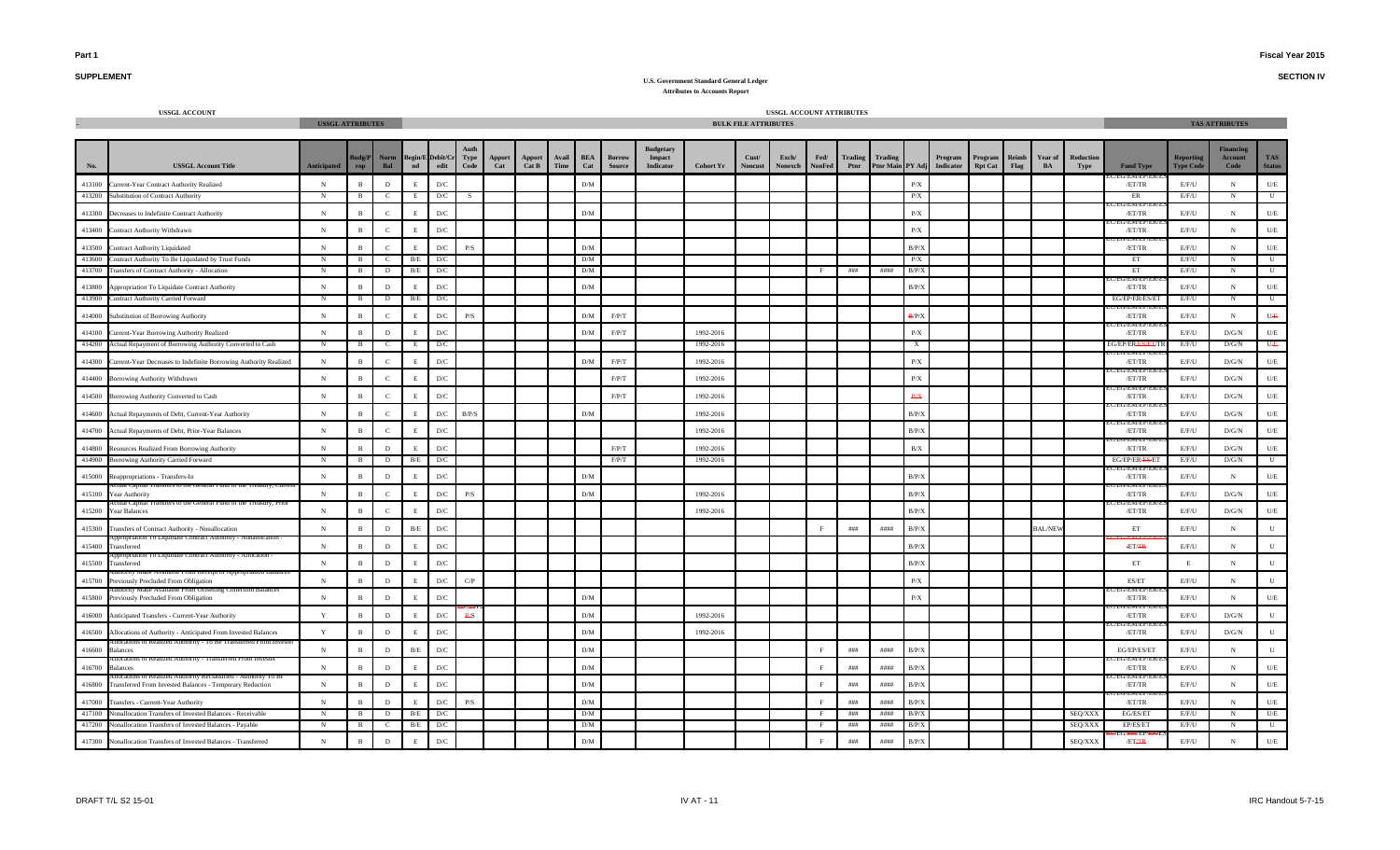**SECTION IV**

## **SUPPLEMENT**

| <b>USSGL ACCOUNT</b>                                                        | <b>USSGL ATTRIBUTES</b> |                |               |               |                                 |                         |               |                 |               |                   |                                |                                         |                  | <b>BULK FILE ATTRIBUTES</b> | USSGL ACCOUNT ATTRIBUTES |                |                        |                             |                         |                      |                           |               |                |                          |                                      |                                      | <b>TAS ATTRIBUTES</b>                    |                             |
|-----------------------------------------------------------------------------|-------------------------|----------------|---------------|---------------|---------------------------------|-------------------------|---------------|-----------------|---------------|-------------------|--------------------------------|-----------------------------------------|------------------|-----------------------------|--------------------------|----------------|------------------------|-----------------------------|-------------------------|----------------------|---------------------------|---------------|----------------|--------------------------|--------------------------------------|--------------------------------------|------------------------------------------|-----------------------------|
|                                                                             |                         |                |               |               |                                 |                         |               |                 |               |                   |                                |                                         |                  |                             |                          |                |                        |                             |                         |                      |                           |               |                |                          |                                      |                                      |                                          |                             |
| <b>USSGL Account Title</b>                                                  | <b>Anticipated</b>      | udg/P<br>rop   | Norm<br>Bal   | $\mathbf{nd}$ | <b>Begin/E</b> Debit/Cr<br>edit | <b>Type</b><br>Code     | Apport<br>Cat | Apport<br>Cat B | Avail<br>Time | <b>BEA</b><br>Cat | <b>Borrow</b><br><b>Source</b> | Budgetary<br>Impact<br><b>Indicator</b> | <b>Cohort Yr</b> | Cust/<br><b>Noncust</b>     | Exch/<br>Nonexch         | Fed/<br>NonFed | <b>Trading</b><br>Ptnr | Trading<br>Ptnr Main PY Adj |                         | Program<br>Indicator | Program<br><b>Rpt Cat</b> | Reimb<br>Flag | Year of<br>BA  | <b>Reduction</b><br>Type | <b>Fund Type</b>                     | <b>Reporting</b><br><b>Type Code</b> | <b>inancin</b><br><b>Account</b><br>Code | <b>TAS</b><br><b>Status</b> |
| 413100<br>Current-Year Contract Authority Realized                          | $\mathbf N$             | $\overline{B}$ | $\,$ D        |               | D/C                             |                         |               |                 |               | D/M               |                                |                                         |                  |                             |                          |                |                        |                             | P/X                     |                      |                           |               |                |                          | /ET/TR                               | E/F/U                                | N                                        | $U\!/\!E$                   |
| 413200<br><b>Substitution of Contract Authority</b>                         | $\mathbf N$             | $\mathbf{B}$   | $\mathbf{C}$  | E             | D/C                             | -S                      |               |                 |               |                   |                                |                                         |                  |                             |                          |                |                        |                             | P/X                     |                      |                           |               |                |                          | ER                                   | E/F/U                                | N                                        | U                           |
| 413300<br>Decreases to Indefinite Contract Authority                        | N                       | $\overline{B}$ | $\,c\,$       |               | D/C                             |                         |               |                 |               | ${\rm D/M}$       |                                |                                         |                  |                             |                          |                |                        |                             | $\mathbf{P}/\mathbf{X}$ |                      |                           |               |                |                          | /ET/TR                               | E/F/U                                | N                                        | $U/E$                       |
| 413400<br>Contract Authority Withdrawn                                      | N                       | $\overline{B}$ | $\mathbf{C}$  |               | $\mathcal{D}/\mathcal{C}$       |                         |               |                 |               |                   |                                |                                         |                  |                             |                          |                |                        |                             | $\rm P/X$               |                      |                           |               |                |                          | /ET/TR                               | E/F/U                                | N                                        | $U\!/\!\!E$                 |
| 413500<br><b>Contract Authority Liquidated</b>                              | N                       | $\overline{B}$ | $\mathcal{C}$ |               | D/C                             | P/S                     |               |                 |               | ${\rm D/M}$       |                                |                                         |                  |                             |                          |                |                        |                             | B/P/X                   |                      |                           |               |                |                          | J/EM/EP/<br>/ET/TR                   | E/F/U                                | $_{\rm N}$                               | U/F                         |
| 413600<br>Contract Authority To Be Liquidated by Trust Funds                | N                       | B              | C.            | B/E           | D/C                             |                         |               |                 |               | D/M               |                                |                                         |                  |                             |                          |                |                        |                             | P/X                     |                      |                           |               |                |                          | ET                                   | E/F/U                                | N                                        | U                           |
| 413700<br>Transfers of Contract Authority - Allocation                      | N                       | B              | $\mathbf{D}$  | B/E           | D/C                             |                         |               |                 |               | D/M               |                                |                                         |                  |                             |                          |                | ###                    | ####                        | B/P/X                   |                      |                           |               |                |                          | ET<br>EM/EP                          | E/F/U                                | $_{\rm N}$                               | U                           |
| 413800<br>Appropriation To Liquidate Contract Authority                     | $\mathbf N$             | $\mathbf{R}$   | $\,$ D        |               | D/C                             |                         |               |                 |               | D/M               |                                |                                         |                  |                             |                          |                |                        |                             | B/P/X                   |                      |                           |               |                |                          | /ET/TR                               | $\rm E/F/U$                          | $_{\rm N}$                               | $U/E$                       |
| 413900<br>Contract Authority Carried Forward                                | N                       | - B            | D             | B/E           | D/C                             |                         |               |                 |               |                   |                                |                                         |                  |                             |                          |                |                        |                             |                         |                      |                           |               |                |                          | EG/EP/ER/ES/ET<br>/ F.I. T/ F.M/ F.I | E/F/U                                | N                                        | U                           |
| 414000<br>Substitution of Borrowing Authority                               | $\mathbf N$             | $\overline{B}$ | $\,c\,$       |               | $\mathbf{D}/\mathbf{C}$         | P/S                     |               |                 |               | ${\rm D/M}$       | F/P/T                          |                                         |                  |                             |                          |                |                        |                             | B/P/X                   |                      |                           |               |                |                          | /ET/TR                               | E/F/U                                | $\,$ N                                   | UÆ                          |
| 414100<br>Current-Year Borrowing Authority Realized                         | $\mathbf N$             | $\overline{R}$ | D             |               | D/C                             |                         |               |                 |               | D/M               | F/P/T                          |                                         | 1992-2016        |                             |                          |                |                        |                             | P/X                     |                      |                           |               |                |                          | /EG/EN/EP/<br>/ET/TR                 | E/F/U                                | D/G/N                                    | <b>II/E</b>                 |
| 414200<br>Actual Repayment of Borrowing Authority Converted to Cash         | N                       | B              | $\mathbf{C}$  | -Е            | D/C                             |                         |               |                 |               |                   |                                |                                         | 1992-2016        |                             |                          |                |                        |                             | X                       |                      |                           |               |                |                          | EG/EP/ERASAET/T<br>EG/EM/EP/E        | E/F/U                                | D/G/N                                    | $U \oplus$                  |
| 414300<br>Current-Year Decreases to Indefinite Borrowing Authority Realized | ${\bf N}$               | $\overline{B}$ | $\mathbf{C}$  |               | $\mathbf{D}/\mathbf{C}$         |                         |               |                 |               | ${\rm D/M}$       | $\rm F/P/T$                    |                                         | 1992-2016        |                             |                          |                |                        |                             | $\mathbf{P}/\mathbf{X}$ |                      |                           |               |                |                          | /ET/TR<br>:G/EN/EP/E                 | $\rm E/F/U$                          | $\rm{D/G/N}$                             | $U\!/\!E$                   |
| 414400<br>Borrowing Authority Withdrawn                                     | $\mathbf N$             | $\mathbf{R}$   | $\mathcal{C}$ |               | D/C                             |                         |               |                 |               |                   | F/P/T                          |                                         | 1992-2016        |                             |                          |                |                        |                             | P/X                     |                      |                           |               |                |                          | /ET/TR                               | E/F/U                                | D/G/N                                    | $U\!/\!\!E$                 |
| 414500<br>Borrowing Authority Converted to Cash                             | $\mathbf N$             | $\overline{B}$ | $\mathcal{C}$ |               | D/C                             |                         |               |                 |               |                   | $\rm F/P/T$                    |                                         | 1992-2016        |                             |                          |                |                        |                             | <b>B/X</b>              |                      |                           |               |                |                          | /ET/TR                               | E/F/U                                | D/G/N                                    | $U/E$                       |
| 414600<br>Actual Repayments of Debt, Current-Year Authority                 | $\mathbf N$             | $\overline{B}$ | $\mathbf C$   |               | $\mathbf{D}/\mathbf{C}$         | B/P/S                   |               |                 |               | ${\rm D/M}$       |                                |                                         | 1992-2016        |                             |                          |                |                        |                             | B/P/X                   |                      |                           |               |                |                          | ENI/EI<br>/ET/TR<br>J/ENI/EP         | $\rm E/F/U$                          | D/G/N                                    | $U\!/\!E$                   |
| 414700<br>Actual Repayments of Debt, Prior-Year Balances                    | N                       | $\overline{B}$ | $\mathbf{C}$  |               | D/C                             |                         |               |                 |               |                   |                                |                                         | 1992-2016        |                             |                          |                |                        |                             | B/P/X                   |                      |                           |               |                |                          | /ET/TR<br><b>CIVIL CE</b>            | E/F/U                                | D/G/N                                    | $U\!/\!E$                   |
| 414800<br>Resources Realized From Borrowing Authority                       | $\mathbf N$             | $\overline{R}$ | D             |               | D/C                             |                         |               |                 |               |                   | F/P/T                          |                                         | 1992-2016        |                             |                          |                |                        |                             | B/X                     |                      |                           |               |                |                          | /ET/TR                               | E/F/U                                | D/G/N                                    | U/E                         |
| 414900<br>Borrowing Authority Carried Forward                               | N                       | B              | D             | B/E           | D/C                             |                         |               |                 |               |                   | F/P/T                          |                                         | 1992-2016        |                             |                          |                |                        |                             |                         |                      |                           |               |                |                          | EG/EP/ER/ES/ET<br>J/EM/EP            | E/F/U                                | D/G/N                                    | U                           |
| 415000<br>Reappropriations - Transfers-In                                   | N                       | $\overline{B}$ | $\,$ D        |               | D/C                             |                         |               |                 |               | ${\rm D/M}$       |                                |                                         |                  |                             |                          |                |                        |                             | B/P/3                   |                      |                           |               |                |                          | /ET/TR                               | E/F/U                                | N                                        | $U/E$                       |
| 415100<br>Year Authority                                                    | $\mathbf N$             | $\mathbf{R}$   | $\mathbf{C}$  |               | $\mathbf{D}/\mathbf{C}$         | $\mathbf{P}/\mathbf{S}$ |               |                 |               | D/M               |                                |                                         | 1992-2016        |                             |                          |                |                        |                             | B/P/X                   |                      |                           |               |                |                          | /ET/TR                               | $\rm E/F/U$                          | $\rm{D/G/N}$                             | U/E                         |
| 415200<br>Year Balances                                                     | $\mathbf N$             | $\overline{B}$ | $\mathbf{C}$  |               | D/C                             |                         |               |                 |               |                   |                                |                                         | 1992-2016        |                             |                          |                |                        |                             | B/P/X                   |                      |                           |               |                |                          | /ET/TR                               | E/F/U                                | D/G/N                                    | U/E                         |
| 415300<br>Transfers of Contract Authority - Nonallocation                   | $\mathbf N$             | $\overline{B}$ | $\mathbf D$   | B/E           | $\mathbf{D}/\mathbf{C}$         |                         |               |                 |               |                   |                                |                                         |                  |                             |                          |                | ###                    | ####                        | B/P/X                   |                      |                           |               | <b>BAL/NEV</b> |                          | ET                                   | E/F/U                                | N                                        |                             |
| nation 10 Liquidate Contract Authority<br>415400<br>Transferred             | $\mathbf N$             | $\overline{B}$ | $\,$ D        |               | D/C                             |                         |               |                 |               |                   |                                |                                         |                  |                             |                          |                |                        |                             | B/P/X                   |                      |                           |               |                |                          | <b>ÆT/FR</b>                         | E/F/U                                | N                                        |                             |
| 10 Liquidate Contract Autho<br>415500<br>Transferred                        | $\mathbf N$             | $\overline{B}$ | $\,$ D        |               | D/C                             |                         |               |                 |               |                   |                                |                                         |                  |                             |                          |                |                        |                             | B/P/X                   |                      |                           |               |                |                          | ET                                   | E                                    | $_{\rm N}$                               |                             |
| ог дрргорнаноп ваг<br>415700<br>Previously Precluded From Obligation        | $\mathbf N$             | $\overline{B}$ | $\,$ D        |               | $\mathbf{D}/\mathbf{C}$         | C/P                     |               |                 |               |                   |                                |                                         |                  |                             |                          |                |                        |                             | P/X                     |                      |                           |               |                |                          | ES/ET                                | E/F/U                                | N                                        |                             |
| Collection Balance<br>415800<br>Previously Precluded From Obligation        | $\mathbf N$             | $\overline{B}$ | $\,$ D        | F             | D/C                             |                         |               |                 |               | D/M               |                                |                                         |                  |                             |                          |                |                        |                             | P/X                     |                      |                           |               |                |                          | EM/EF<br>/ET/TR                      | E/F/U                                | N                                        | $U/E$                       |
| 416000<br>Anticipated Transfers - Current-Year Authority                    | Y                       | $\overline{B}$ | $\,$ D        | F             | $\mathbf{D}/\mathbf{C}$         | <b>R/S</b>              |               |                 |               | D/M               |                                |                                         | 1992-2016        |                             |                          |                |                        |                             |                         |                      |                           |               |                |                          | /ET/TR                               | E/F/U                                | $\rm{D/G/N}$                             | $\mathbf{U}$                |
| 416500<br>Allocations of Authority - Anticipated From Invested Balances     | $\mathbf Y$             | $\overline{B}$ | $\,$ D        |               | $\mathbf{D}/\mathbf{C}$         |                         |               |                 |               | ${\rm D/M}$       |                                |                                         | 1992-2016        |                             |                          |                |                        |                             |                         |                      |                           |               |                |                          | /ET/TR                               | E/F/U                                | $\rm{D/G/N}$                             | $\mathbf{U}$                |
| 416600<br>alances                                                           | $\,$ N                  | $\overline{B}$ | $\,$ D        | B/E           | D/C                             |                         |               |                 |               | ${\rm D/M}$       |                                |                                         |                  |                             |                          | F              | # # #                  | ####                        | B/P/X                   |                      |                           |               |                |                          | EG/EP/ES/ET                          | E/F/U                                | $_{\rm N}$                               | $\mathbf{H}$                |
| ations of Realized Authority - Transfei<br>416700<br>alances                | $\mathbf N$             | $\overline{B}$ | $\,$ D        | E             | D/C                             |                         |               |                 |               | ${\rm D/M}$       |                                |                                         |                  |                             |                          | F              | # # #                  | ####                        | B/P/X                   |                      |                           |               |                |                          | /EN/EP<br>/ET/TR                     | E/F/U                                | $_{\rm N}$                               | $U\!/\!E$                   |
| 416800<br>Transferred From Invested Balances - Temporary Reduction          | $\mathbf N$             | $\mathbf{B}$   | D             |               | D/C                             |                         |               |                 |               | ${\rm D/M}$       |                                |                                         |                  |                             |                          | $_{\rm F}$     | # # #                  | ####                        | B/P/X                   |                      |                           |               |                |                          | /ET/TR                               | E/F/U                                | $_{\rm N}$                               | $U/E$                       |
| 417000<br><b>Transfers - Current-Year Authority</b>                         | N                       | $\overline{B}$ | $\,$ D        |               | D/C                             | P/S                     |               |                 |               | ${\rm D/M}$       |                                |                                         |                  |                             |                          |                | # # #                  | ####                        | B/P/X                   |                      |                           |               |                |                          | /ET/TR                               | E/F/U                                | ${\bf N}$                                | U/E                         |
| 417100<br><b>Nonallocation Transfers of Invested Balances - Receivable</b>  | $\mathbf N$             | B              | D             | B/E           | D/C                             |                         |               |                 |               | D/M               |                                |                                         |                  |                             |                          |                | ###                    | ####                        | B/P/X                   |                      |                           |               |                | SEQ/XXX                  | EG/ES/ET                             | E/F/U                                | $_{\rm N}$                               | U/E                         |
| 417200<br><b>Ionallocation Transfers of Invested Balances - Payable</b>     | $\mathbf N$             | $\overline{B}$ | <sub>c</sub>  | B/E           | D/C                             |                         |               |                 |               | D/M               |                                |                                         |                  |                             |                          |                | ###                    | ####                        | B/P/X                   |                      |                           |               |                | SEQ/XXX                  | EP/ES/ET                             | E/F/U                                | N                                        | U                           |
| 417300<br>Nonallocation Transfers of Invested Balances - Transferred        | N                       | $\, {\bf B}$   | $\,$ D        |               | $\mathbf{D}/\mathbf{C}$         |                         |               |                 |               | ${\rm D/M}$       |                                |                                         |                  |                             |                          |                | ###                    | ####                        | B/P/X                   |                      |                           |               |                | SEQ/XXX                  | /ETAR                                | E/F/U                                | $\mathbf N$                              | U/E                         |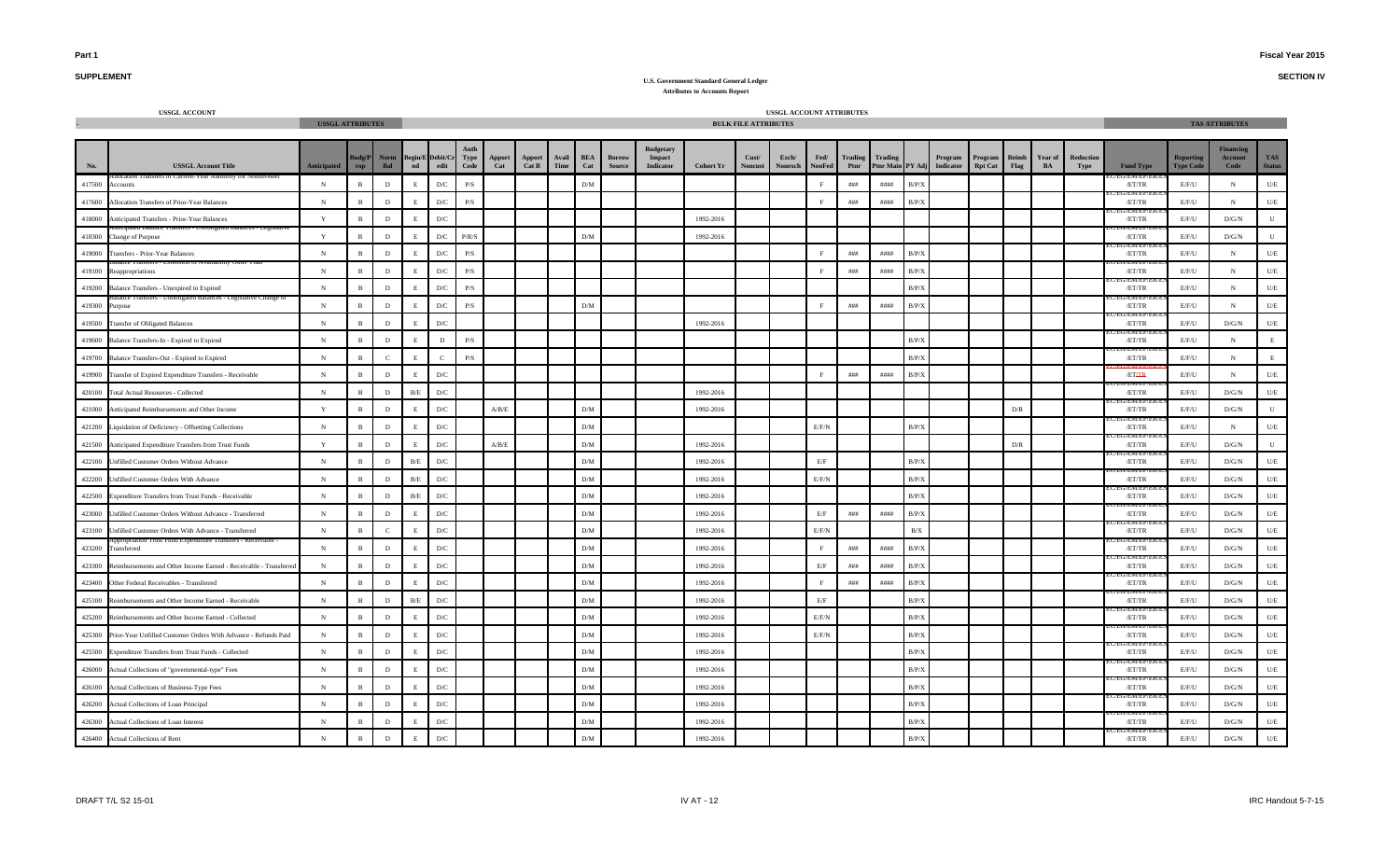**SECTION IV**

### **SUPPLEMENT**

|        | <b>USSGL ACCOUNT</b>                                              | <b>USSGL ATTRIBUTES</b> |                    |              |               |                         |                         |                           |                 |               |                   |                         |                                         |                  | <b>BULK FILE ATTRIBUTES</b> | USSGL ACCOUNT ATTRIBUTES |                       |                        |                                    |        |                      |                           |                      |               |                   |                      |                               | <b>TAS ATTRIBUTES</b>               |                      |
|--------|-------------------------------------------------------------------|-------------------------|--------------------|--------------|---------------|-------------------------|-------------------------|---------------------------|-----------------|---------------|-------------------|-------------------------|-----------------------------------------|------------------|-----------------------------|--------------------------|-----------------------|------------------------|------------------------------------|--------|----------------------|---------------------------|----------------------|---------------|-------------------|----------------------|-------------------------------|-------------------------------------|----------------------|
| No.    | <b>USSGL Account Title</b>                                        | <b>Anticipated</b>      | udg/P<br>$\bf rep$ | Norm<br>Bal  | $\mathbf{nd}$ | Begin/E Debit/C<br>edit | Type<br>Code            | Apport<br>Cat             | Apport<br>Cat B | Avail<br>Time | <b>BEA</b><br>Cat | Borrov<br><b>Source</b> | Budgetary<br>Impact<br><b>Indicator</b> | <b>Cohort Yr</b> | Cust/<br><b>Noncust</b>     | Exch/<br>Nonexch         | Fed/<br><b>NonFed</b> | <b>Trading</b><br>Ptnr | <b>Trading</b><br><b>Ptnr Main</b> | PY Adj | Program<br>Indicator | Program<br><b>Rpt Cat</b> | <b>Reimb</b><br>Flag | Year of<br>BA | Reduction<br>Type | <b>Fund Type</b>     | Reporting<br><b>Type Code</b> | <b>Financing</b><br>Account<br>Code | TAS<br><b>Status</b> |
| 417500 | <b>Accounts</b>                                                   | $_{\rm N}$              | $\,$ B             | $\,$ D       |               | $\mathbf{D}/\mathbf{C}$ | $\mathbf{P}/\mathbf{S}$ |                           |                 |               | ${\rm D/M}$       |                         |                                         |                  |                             |                          |                       | # # #                  | ####                               | B/P/X  |                      |                           |                      |               |                   | /ET/TR               | E/F/U                         | ${\bf N}$                           | $U\hspace{-0.1cm}/E$ |
| 417600 | Allocation Transfers of Prior-Year Balances                       | ${\bf N}$               | $\overline{B}$     | $\,$ D       |               | $\mathbf{D}/\mathbf{C}$ | $\mathbf{P}/\mathbf{S}$ |                           |                 |               |                   |                         |                                         |                  |                             |                          |                       | # # #                  | ####                               | B/P/X  |                      |                           |                      |               |                   | r/EM/EP/E<br>/ET/TR  | E/F/U                         | $_{\rm N}$                          | $U/E$                |
| 418000 | Anticipated Transfers - Prior-Year Balances                       | Y                       | $\overline{B}$     | $\,$ D       |               | $\mathbf{D}/\mathbf{C}$ |                         |                           |                 |               |                   |                         |                                         | 1992-2016        |                             |                          |                       |                        |                                    |        |                      |                           |                      |               |                   | /ET/TR               | E/F/U                         | D/G/N                               | ${\bf U}$            |
| 418300 | hange of Purpose                                                  | $\mathbf Y$             | $\overline{B}$     | $\,$ D       |               | ${\rm D/C}$             | P/R/S                   |                           |                 |               | ${\rm D/M}$       |                         |                                         | 1992-2016        |                             |                          |                       |                        |                                    |        |                      |                           |                      |               |                   | /ET/TR               | E/F/U                         | $\rm{D/G/N}$                        | ${\bf U}$            |
| 419000 | `ransfers - Prior-Year Balances                                   | $_{\rm N}$              | $\mathbf{B}$       | $\,$ D       |               | $\mathbf{D}/\mathbf{C}$ | P/S                     |                           |                 |               |                   |                         |                                         |                  |                             |                          |                       | # # #                  | ####                               | B/P/X  |                      |                           |                      |               |                   | 'EM/EP<br>/ET/TR     | E/F/U                         | $_{\rm N}$                          | $U/E$                |
| 419100 | ion of Availability Other<br>eappropriations                      | $_{\rm N}$              | $\overline{B}$     | D            |               | D/C                     | P/S                     |                           |                 |               |                   |                         |                                         |                  |                             |                          |                       | # # #                  | ####                               | B/P/X  |                      |                           |                      |               |                   | /EM/EP/<br>/ET/TR    | E/F/U                         | N                                   | U/E                  |
| 419200 | <b>Balance Transfers - Unexpired to Expired</b>                   | $\,$ N                  | $\mathbf{B}$       | $\,$ D       |               | $\mathbf{D}/\mathbf{C}$ | P/S                     |                           |                 |               |                   |                         |                                         |                  |                             |                          |                       |                        |                                    | B/P/X  |                      |                           |                      |               |                   | /ET/TR               | E/F/U                         | N                                   | $U\!/\!E$            |
| 419300 | urpose                                                            | $_{\rm N}$              | $\mathbf{B}$       | D            |               | D/C                     | P/S                     |                           |                 |               | D/M               |                         |                                         |                  |                             |                          |                       | ###                    | ####                               | B/P/X  |                      |                           |                      |               |                   | /ET/TR               | E/F/U                         | N                                   | U/E                  |
| 419500 | Transfer of Obligated Balances                                    | $_{\rm N}$              | $\mathbf{B}$       | $\,$ D       |               | $\mathbf{D}/\mathbf{C}$ |                         |                           |                 |               |                   |                         |                                         | 1992-2016        |                             |                          |                       |                        |                                    |        |                      |                           |                      |               |                   | /EM/EP/<br>/ET/TR    | E/F/U                         | D/G/N                               | U/E                  |
| 419600 | Balance Transfers-In - Expired to Expired                         | $\,$ N                  | $\mathbf{B}$       | $\,$ D       |               | $\,$ D                  | $\mathbf{P}/\mathbf{S}$ |                           |                 |               |                   |                         |                                         |                  |                             |                          |                       |                        |                                    | B/P/X  |                      |                           |                      |               |                   | /ET/TR               | $E/F/U$                       | ${\bf N}$                           | $\mathbf E$          |
| 419700 | Balance Transfers-Out - Expired to Expired                        | $_{\rm N}$              | $\mathbf{B}$       | $\mathbf{C}$ | F             | $\mathbf{C}$            | $\mathbf{P}/\mathbf{S}$ |                           |                 |               |                   |                         |                                         |                  |                             |                          |                       |                        |                                    | B/P/X  |                      |                           |                      |               |                   | /ET/TR               | E/F/U                         | $_{\rm N}$                          | $\mathbf E$          |
| 419900 | Transfer of Expired Expenditure Transfers - Receivable            | $\mathbf N$             | $\,$ B             | D            |               | $\mathbf{D}/\mathbf{C}$ |                         |                           |                 |               |                   |                         |                                         |                  |                             |                          |                       | $\# \# \#$             | ####                               | B/P/X  |                      |                           |                      |               |                   | /ETAR                | E/F/U                         | $_{\rm N}$                          | $U/E$                |
| 420100 | <b>Total Actual Resources - Collected</b>                         | ${\bf N}$               | $\overline{B}$     | $\,$ D       | B/E           | $\mathbf{D}/\mathbf{C}$ |                         |                           |                 |               |                   |                         |                                         | 1992-2016        |                             |                          |                       |                        |                                    |        |                      |                           |                      |               |                   | J/ENVEP/<br>/ET/TR   | E/F/U                         | $\mathbf{D}/\mathbf{G}/\mathbf{N}$  | $U/E$                |
| 421000 | Anticipated Reimbursements and Other Income                       | Y                       | $\overline{B}$     | D            |               | D/C                     |                         | A/B/E                     |                 |               | D/M               |                         |                                         | 1992-2016        |                             |                          |                       |                        |                                    |        |                      |                           | D/R                  |               |                   | /ET/TR               | E/F/U                         | $\rm{D/G/N}$                        | U                    |
| 421200 | Liquidation of Deficiency - Offsetting Collections                | ${\bf N}$               | $\mathbf{B}$       | $\,$ D       |               | $\mathbf{D}/\mathbf{C}$ |                         |                           |                 |               | ${\rm D/M}$       |                         |                                         |                  |                             |                          | E/F/N                 |                        |                                    | B/P/X  |                      |                           |                      |               |                   | /ET/TR               | E/F/U                         | $_{\rm N}$                          | $U\!/\!E$            |
| 421500 | Anticipated Expenditure Transfers from Trust Funds                | $\mathbf Y$             | $\mathbf{B}$       | $\mathbf{D}$ | E.            | ${\rm D/C}$             |                         | $\mathbf{A/B}/\mathbf{E}$ |                 |               | D/M               |                         |                                         | 1992-2016        |                             |                          |                       |                        |                                    |        |                      |                           | D/R                  |               |                   | /EM/EP/<br>/ET/TR    | E/F/U                         | D/G/N                               | ${\bf U}$            |
| 422100 | Unfilled Customer Orders Without Advance                          | $_{\rm N}$              | $\,$ B             | $\,$ D       | B/E           | $\mathbf{D}/\mathbf{C}$ |                         |                           |                 |               | D/M               |                         |                                         | 1992-2016        |                             |                          | E/F                   |                        |                                    | B/P/X  |                      |                           |                      |               |                   | /ET/TR               | E/F/U                         | D/G/N                               | $U/E$                |
| 422200 | Unfilled Customer Orders With Advance                             | $_{\rm N}$              | $\,$ B             | D            | B/E           | $\mathbf{D}/\mathbf{C}$ |                         |                           |                 |               | D/M               |                         |                                         | 1992-2016        |                             |                          | $E/F/N$               |                        |                                    | B/P/X  |                      |                           |                      |               |                   | /ET/TR               | E/F/U                         | D/G/N                               | U/E                  |
| 422500 | Expenditure Transfers from Trust Funds - Receivable               | $_{\rm N}$              | $\mathbf{B}$       | D            | B/E           | $\mathbf{D}/\mathbf{C}$ |                         |                           |                 |               | D/M               |                         |                                         | 1992-2016        |                             |                          |                       |                        |                                    | B/P/X  |                      |                           |                      |               |                   | /ET/TR               | E/F/U                         | D/G/N                               | U/E                  |
| 423000 | Infilled Customer Orders Without Advance - Transferred            | $_{\rm N}$              | $\mathbf{B}$       | D            |               | D/C                     |                         |                           |                 |               | D/M               |                         |                                         | 1992-2016        |                             |                          | E/F                   | ###                    | $\#$ ###                           | B/P/X  |                      |                           |                      |               |                   | VENVEP<br>/ET/TR     | E/F/U                         | D/G/N                               | U/E                  |
| 423100 | Infilled Customer Orders With Advance - Transferred               | N                       | $\mathbf{B}$       | $\mathbf{C}$ |               | D/C                     |                         |                           |                 |               | D/M               |                         |                                         | 1992-2016        |                             |                          | E/F/N                 |                        |                                    | B/X    |                      |                           |                      |               |                   | /ET/TR               | E/F/U                         | D/G/N                               | U/E                  |
| 423200 | ust pung experimur<br>ransferred                                  | $_{\rm N}$              | $\mathbf{B}$       | D            |               | $\mathbf{D}/\mathbf{C}$ |                         |                           |                 |               | ${\rm D/M}$       |                         |                                         | 1992-2016        |                             |                          | F                     | ###                    | ####                               | B/P/X  |                      |                           |                      |               |                   | /ET/TR               | E/F/U                         | D/G/N                               | $U/E$                |
| 423300 | Reimbursements and Other Income Earned - Receivable - Transferred | ${\bf N}$               | $\overline{R}$     | D            |               | $\mathbf{D}/\mathbf{C}$ |                         |                           |                 |               | ${\rm D/M}$       |                         |                                         | 1992-2016        |                             |                          | $\rm E/F$             | ###                    | ####                               | B/P/X  |                      |                           |                      |               |                   | G/ENI/EP/I<br>/ET/TR | E/F/U                         | $\rm{D/G/N}$                        | $U\!/\!E$            |
| 423400 | Other Federal Receivables - Transferred                           | $_{\rm N}$              | $\overline{B}$     | D            |               | $\mathbf{D}/\mathbf{C}$ |                         |                           |                 |               | ${\rm D/M}$       |                         |                                         | 1992-2016        |                             |                          |                       | ###                    | ####                               | B/P/X  |                      |                           |                      |               |                   | G/ENI/EP/E<br>/ET/TR | E/F/U                         | D/G/N                               | $U/E$                |
| 425100 | Reimbursements and Other Income Earned - Receivable               | $\mathbf N$             | $\overline{B}$     | D            | B/E           | $\mathbf{D}/\mathbf{C}$ |                         |                           |                 |               | ${\rm D/M}$       |                         |                                         | 1992-2016        |                             |                          | $\rm E/F$             |                        |                                    | B/P/X  |                      |                           |                      |               |                   | /ET/TR               | E/F/U                         | D/G/N                               | $U/E$                |
| 425200 | Reimbursements and Other Income Earned - Collected                | ${\bf N}$               | $\overline{B}$     | $\,$ D       |               | $\mathbf{D}/\mathbf{C}$ |                         |                           |                 |               | ${\rm D/M}$       |                         |                                         | 1992-2016        |                             |                          | E/F/N                 |                        |                                    | B/P/X  |                      |                           |                      |               |                   | /ET/TR               | E/F/U                         | D/G/N                               | $U\!/\!E$            |
| 425300 | Prior-Year Unfilled Customer Orders With Advance - Refunds Paid   | N                       | $\overline{B}$     | D            |               | $\mathbf{D}/\mathbf{C}$ |                         |                           |                 |               | D/M               |                         |                                         | 1992-2016        |                             |                          | E/F/N                 |                        |                                    | B/P/X  |                      |                           |                      |               |                   | /EM/EP<br>/ET/TR     | E/F/U                         | D/G/N                               | $U/E$                |
| 425500 | Expenditure Transfers from Trust Funds - Collected                | ${\bf N}$               | $\mathbf{B}$       | D            |               | $\mathbf{D}/\mathbf{C}$ |                         |                           |                 |               | D/M               |                         |                                         | 1992-2016        |                             |                          |                       |                        |                                    | B/P/X  |                      |                           |                      |               |                   | /ET/TR               | E/F/U                         | D/G/N                               | $U/E$                |
| 426000 | Actual Collections of "governmental-type" Fees                    | ${\bf N}$               | $\,$ B             | $\,$ D       |               | ${\rm D/C}$             |                         |                           |                 |               | ${\rm D/M}$       |                         |                                         | 1992-2016        |                             |                          |                       |                        |                                    | B/P/X  |                      |                           |                      |               |                   | /ET/TR               | E/F/U                         | $\rm{D/G/N}$                        | $U\!/\!E$            |
| 426100 | <b>Actual Collections of Business-Type Fees</b>                   | $_{\rm N}$              | $\overline{B}$     | $\,$ D       |               | $\mathbf{D}/\mathbf{C}$ |                         |                           |                 |               | D/M               |                         |                                         | 1992-2016        |                             |                          |                       |                        |                                    | B/P/X  |                      |                           |                      |               |                   | /EM/EP<br>/ET/TR     | E/F/U                         | $\rm{D/G/N}$                        | $U/E$                |
| 426200 | Actual Collections of Loan Principal                              | $_{\rm N}$              | $\overline{B}$     | $\,$ D       | E             | $\mathbf{D}/\mathbf{C}$ |                         |                           |                 |               | D/M               |                         |                                         | 1992-2016        |                             |                          |                       |                        |                                    | B/P/X  |                      |                           |                      |               |                   | /EM/EP<br>/ET/TR     | E/F/U                         | D/G/N                               | $U/E$                |
| 426300 | <b>Actual Collections of Loan Interest</b>                        | $_{\rm N}$              | $\overline{B}$     | $\,$ D       | E             | $\mathbf{D}/\mathbf{C}$ |                         |                           |                 |               | ${\rm D/M}$       |                         |                                         | 1992-2016        |                             |                          |                       |                        |                                    | B/P/X  |                      |                           |                      |               |                   | /ET/TR               | E/F/U                         | $\rm{D/G/N}$                        | $U/E$                |
| 426400 | <b>Actual Collections of Rent</b>                                 | $_{\rm N}$              | $\,$ B             | $\,$ D       | E             | $\mathbf{D}/\mathbf{C}$ |                         |                           |                 |               | ${\rm D/M}$       |                         |                                         | 1992-2016        |                             |                          |                       |                        |                                    | B/P/X  |                      |                           |                      |               |                   | /ET/TR               | E/F/U                         | $\mathbf{D}/\mathbf{G}/\mathbf{N}$  | U/E                  |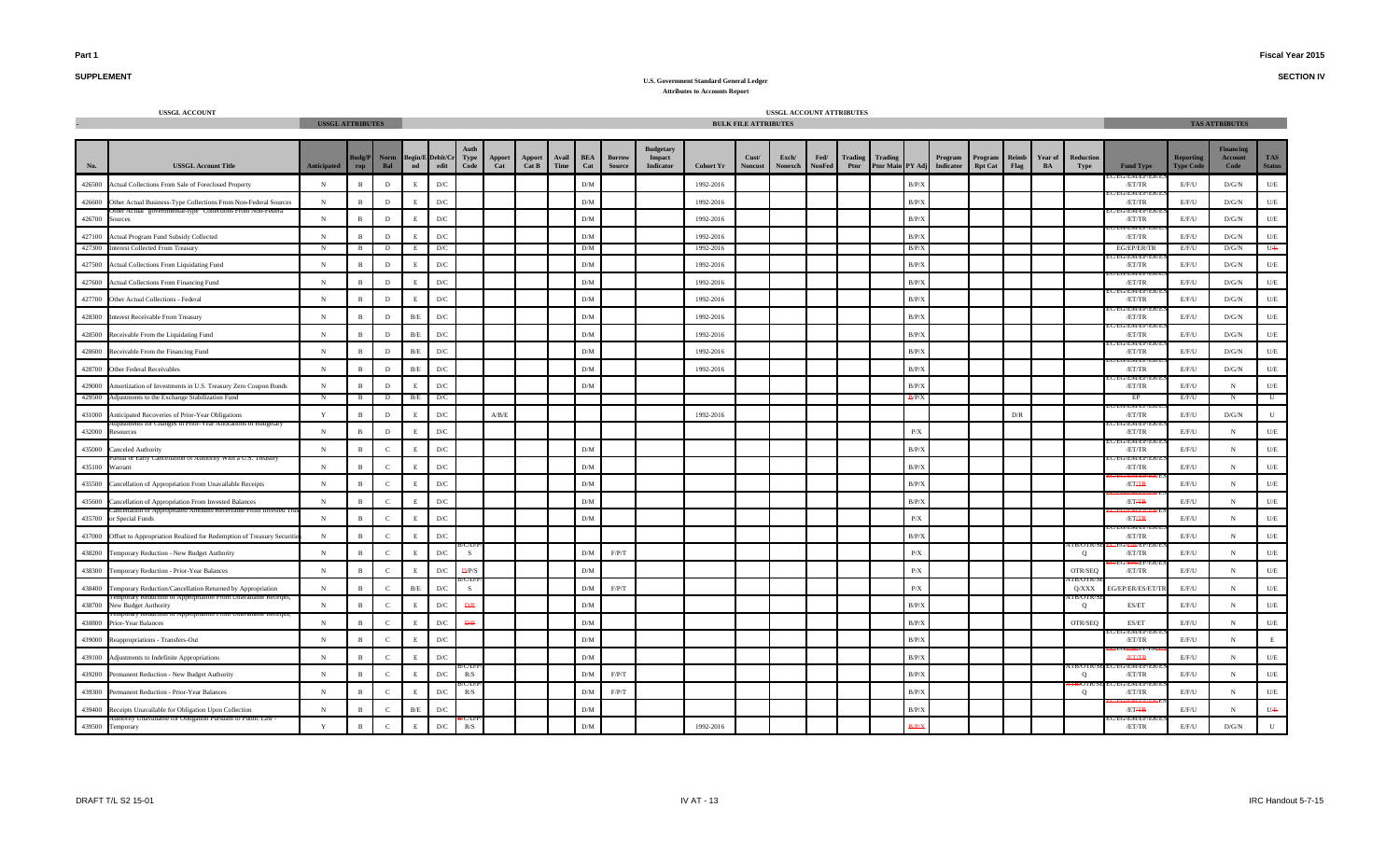**SECTION IV**

## **SUPPLEMENT**

|        | <b>USSGL ACCOUNT</b>                                                 | <b>USSGL ATTRIBUTES</b> |                    |               |              |                                       |                         |                           |                 |               |                   |                                |                                                |                  | <b>BULK FILE ATTRIBUTES</b> | USSGL ACCOUNT ATTRIBUTES |                       |                 |         |                         |                                       |                           |                         |                      |                   |                            |                                      | <b>TAS ATTRIBUTES</b>               |                             |
|--------|----------------------------------------------------------------------|-------------------------|--------------------|---------------|--------------|---------------------------------------|-------------------------|---------------------------|-----------------|---------------|-------------------|--------------------------------|------------------------------------------------|------------------|-----------------------------|--------------------------|-----------------------|-----------------|---------|-------------------------|---------------------------------------|---------------------------|-------------------------|----------------------|-------------------|----------------------------|--------------------------------------|-------------------------------------|-----------------------------|
| No.    | <b>USSGL Account Title</b>                                           | Anticipated             | udg/P<br>$\bf rep$ | Norm<br>Bal   |              | Begin/E Debit/Cr Type<br>nd edit Code |                         | Apport<br>Cat             | Apport<br>Cat B | Avail<br>Time | <b>BEA</b><br>Cat | <b>Borrow</b><br><b>Source</b> | <b>Budgetary</b><br>Impact<br><b>Indicator</b> | <b>Cohort Yr</b> | Cust/<br><b>Noncust</b>     | Exch/<br>Nonexch         | Fed/<br><b>NonFed</b> | Trading<br>Ptnr | Trading |                         | Program<br>Ptnr Main PY Adj Indicator | Program<br><b>Rpt Cat</b> | Reimb<br>Flag           | <b>Year of</b><br>BA | Reduction<br>Type | <b>Fund Type</b>           | <b>Reporting</b><br><b>Type Code</b> | <b>Financins</b><br>Account<br>Code | <b>TAS</b><br><b>Status</b> |
| 426500 | Actual Collections From Sale of Foreclosed Property                  | $_{\rm N}$              | $\,$ B             | $\,$ D        | E            | D/C                                   |                         |                           |                 |               | ${\rm D/M}$       |                                |                                                | 1992-2016        |                             |                          |                       |                 |         | B/P/X                   |                                       |                           |                         |                      |                   | <b>U/EN/EP/I</b><br>/ET/TR | E/F/U                                | $\rm{D/G/N}$                        | $U/E$                       |
| 426600 | Other Actual Business-Type Collections From Non-Federal Sources      | $_{\rm N}$              | $\overline{B}$     | $\,$ D        |              | $\mathbf{D}/\mathbf{C}$               |                         |                           |                 |               | ${\rm D/M}$       |                                |                                                | 1992-2016        |                             |                          |                       |                 |         | B/P/X                   |                                       |                           |                         |                      |                   | J/EM/EP/E<br>/ET/TR        | E/F/U                                | $\rm{D/G/N}$                        | $U\!/\!E$                   |
| 426700 | Actual governmental-type Conections ri<br>Sources                    | $_{\rm N}$              | $\overline{B}$     | D             |              | D/C                                   |                         |                           |                 |               | ${\rm D/M}$       |                                |                                                | 1992-2016        |                             |                          |                       |                 |         | B/P/X                   |                                       |                           |                         |                      |                   | /ET/TR                     | E/F/U                                | $\rm{D/G/N}$                        | $U/E$                       |
| 427100 | Actual Program Fund Subsidy Collected                                | $_{\rm N}$              | $\overline{B}$     | D             |              | D/C                                   |                         |                           |                 |               | ${\rm D/M}$       |                                |                                                | 1992-2016        |                             |                          |                       |                 |         | B/P/X                   |                                       |                           |                         |                      |                   | /ET/TR                     | E/F/U                                | D/G/N                               | $U\!/\!E$                   |
| 427300 | <b>Interest Collected From Treasury</b>                              | $\mathbf N$             | B                  | D             |              | D/C                                   |                         |                           |                 |               | D/M               |                                |                                                | 1992-2016        |                             |                          |                       |                 |         | B/P/X                   |                                       |                           |                         |                      |                   | EG/EP/ER/TR                | E/F/U                                | D/G/N                               | UÆ                          |
| 427500 | Actual Collections From Liquidating Fund                             | N                       | $\mathbf{R}$       | D             |              | D/C                                   |                         |                           |                 |               | D/M               |                                |                                                | 1992-2016        |                             |                          |                       |                 |         | B/P/X                   |                                       |                           |                         |                      |                   | /ET/TR                     | E/F/U                                | D/G/N                               | $U\hspace{-0.1cm}/E$        |
| 427600 | Actual Collections From Financing Fund                               | $\,$ N                  | $\overline{B}$     | D             |              | $\mathbf{D}/\mathbf{C}$               |                         |                           |                 |               | D/M               |                                |                                                | 1992-2016        |                             |                          |                       |                 |         | B/P/X                   |                                       |                           |                         |                      |                   | <b>INDIVIDE</b><br>/ET/TR  | E/F/U                                | $\rm{D/G/N}$                        | $U\!/\!E$                   |
| 427700 | Other Actual Collections - Federal                                   | $\,$ N                  | $\,$ B             | $\,$ D        |              | D/C                                   |                         |                           |                 |               | D/M               |                                |                                                | 1992-2016        |                             |                          |                       |                 |         | B/P/X                   |                                       |                           |                         |                      |                   | /ET/TR                     | E/F/U                                | D/G/N                               | $U/E$                       |
| 428300 | <b>Interest Receivable From Treasury</b>                             | $_{\rm N}$              | $\mathbf{B}$       | $\,$ D        | B/E          | D/C                                   |                         |                           |                 |               | ${\rm D/M}$       |                                |                                                | 1992-2016        |                             |                          |                       |                 |         | B/P/X                   |                                       |                           |                         |                      |                   | J/ENVEP/<br>/ET/TR         | E/F/U                                | $\rm{D/G/N}$                        | $U\!/\!E$                   |
| 428500 | Receivable From the Liquidating Fund                                 | ${\bf N}$               | $\mathbf{B}$       | D             | $\rm B/E$    | $\mathbf{D}/\mathbf{C}$               |                         |                           |                 |               | ${\rm D/M}$       |                                |                                                | 1992-2016        |                             |                          |                       |                 |         | B/P/X                   |                                       |                           |                         |                      |                   | /ET/TR                     | E/F/U                                | $\rm{D/G/N}$                        | U/E                         |
|        | 428600 Receivable From the Financing Fund                            | $_{\rm N}$              | $\overline{B}$     | D             | B/E          | $\mathbf{D}/\mathbf{C}$               |                         |                           |                 |               | DM                |                                |                                                | 1992-2016        |                             |                          |                       |                 |         | B/P/X                   |                                       |                           |                         |                      |                   | /ET/TR                     | E/F/U                                | $\rm{D/G/N}$                        | $U/E$                       |
| 428700 | Other Federal Receivables                                            | $_{\rm N}$              | $\overline{B}$     | D             | B/E          | D/C                                   |                         |                           |                 |               | ${\rm D/M}$       |                                |                                                | 1992-2016        |                             |                          |                       |                 |         | B/P/X                   |                                       |                           |                         |                      |                   | J/EM/EP<br>/ET/TR          | E/F/U                                | $\rm{D/G/N}$                        | $U\!/\!E$                   |
| 429000 | Amortization of Investments in U.S. Treasury Zero Coupon Bonds       | $_{\rm N}$              | $\, {\bf B}$       | $\,$ D        | E            | $\mathbf{D}/\mathbf{C}$               |                         |                           |                 |               | D/M               |                                |                                                |                  |                             |                          |                       |                 |         | B/P/X                   |                                       |                           |                         |                      |                   | /ET/TR                     | E/F/U                                | $_{\rm N}$                          | $U\!/\!E$                   |
| 429500 | Adjustments to the Exchange Stabilization Fund                       | N                       | B                  | D             | B/E          | D/C                                   |                         |                           |                 |               |                   |                                |                                                |                  |                             |                          |                       |                 |         | B/P/X                   |                                       |                           |                         |                      |                   | EP<br>/EM/EP               | E/F/U                                | N                                   | $\mathbb{U}$                |
| 431000 | Anticipated Recoveries of Prior-Year Obligations                     | $\mathbf Y$             | $\overline{B}$     | D             |              | $\mathbf{D}/\mathbf{C}$               |                         | $\mathbf{A/B}/\mathbf{E}$ |                 |               |                   |                                |                                                | 1992-2016        |                             |                          |                       |                 |         |                         |                                       |                           | $\mathbf{D}/\mathbf{R}$ |                      |                   | /ET/TR                     | E/F/U                                | $\rm{D/G/N}$                        | ${\bf U}$                   |
| 432000 | Resources                                                            | $_{\rm N}$              | $\mathbf{B}$       | D             |              | D/C                                   |                         |                           |                 |               |                   |                                |                                                |                  |                             |                          |                       |                 |         | $\mathbf{P}/\mathbf{X}$ |                                       |                           |                         |                      |                   | /ET/TR                     | E/F/U                                | N                                   | $U\!/\!E$                   |
| 435000 | anceled Authority                                                    | $_{\rm N}$              | $\overline{B}$     | $\mathbf{C}$  |              | D/C                                   |                         |                           |                 |               | ${\rm D/M}$       |                                |                                                |                  |                             |                          |                       |                 |         | B/P/X                   |                                       |                           |                         |                      |                   | /ET/TR                     | E/F/U                                | N                                   | $U\!/\!E$                   |
| 435100 | Warrant                                                              | $_{\rm N}$              | $\overline{B}$     | $\mathcal{C}$ |              | D/C                                   |                         |                           |                 |               | ${\rm D/M}$       |                                |                                                |                  |                             |                          |                       |                 |         | B/P/X                   |                                       |                           |                         |                      |                   | /ET/TR                     | E/F/U                                | $_{\rm N}$                          | $U/E$                       |
| 435500 | Cancellation of Appropriation From Unavailable Receipts              | $_{\rm N}$              | $\overline{B}$     | $\mathbf{C}$  |              | D/C                                   |                         |                           |                 |               | ${\rm D/M}$       |                                |                                                |                  |                             |                          |                       |                 |         | B/P/X                   |                                       |                           |                         |                      |                   | /ETAR                      | E/F/U                                | N                                   | $U\!/\!E$                   |
| 435600 | Cancellation of Appropriation From Invested Balances                 | ${\bf N}$               | $\overline{B}$     | $\epsilon$    | $_{\rm F}$   | $\mathbf{D}/\mathbf{C}$               |                         |                           |                 |               | D/M               |                                |                                                |                  |                             |                          |                       |                 |         | B/P/X                   |                                       |                           |                         |                      |                   | /ETAR                      | E/F/U                                | $\,$ N                              | U/E                         |
| 435700 | r Special Funds                                                      | $\,$ N                  | $\, {\bf B}$       | $\mathbf{C}$  | E            | $\mathbf{D}/\mathbf{C}$               |                         |                           |                 |               | D/M               |                                |                                                |                  |                             |                          |                       |                 |         | P/X                     |                                       |                           |                         |                      |                   | /ETAR                      | E/F/U                                | $_{\rm N}$                          | $U\!/\!E$                   |
| 437000 | Offset to Appropriation Realized for Redemption of Treasury Securiti | $_{\rm N}$              | $\mathbf{B}$       | $\mathbf{C}$  | $\mathbf{F}$ | $\mathbf{D}/\mathbf{C}$               |                         |                           |                 |               |                   |                                |                                                |                  |                             |                          |                       |                 |         | B/P/X                   |                                       |                           |                         |                      |                   | J/EN/EP/I<br>/ET/TR        | E/F/U                                | N                                   | $U\hspace{-0.1cm}/E$        |
| 438200 | Temporary Reduction - New Budget Authority                           | $\,$ N                  | $\mathbf{B}$       | $\mathbf{C}$  |              | $\mathbf{D}/\mathbf{C}$               | S                       |                           |                 |               | ${\rm D/M}$       | F/P/T                          |                                                |                  |                             |                          |                       |                 |         | $\mathbf{P}/\mathbf{X}$ |                                       |                           |                         |                      | Q                 | /ET/TR                     | E/F/U                                | $\,$ N                              | $U\!/\!E$                   |
| 438300 | Temporary Reduction - Prior-Year Balances                            | $_{\rm N}$              | $\, {\bf B}$       | $\mathbf{C}$  |              | $\mathbf{D}/\mathbf{C}$               | $\frac{D}{P/S}$         |                           |                 |               | ${\rm D/M}$       |                                |                                                |                  |                             |                          |                       |                 |         | $\mathbf{P}/\mathbf{X}$ |                                       |                           |                         |                      | OTR/SEQ           | /ET/TR                     | E/F/U                                | N                                   | $U\hspace{-0.1cm}/E$        |
| 438400 | Temporary Reduction/Cancellation Returned by Appropriation           | N                       | $\mathbf{B}$       | $\mathbf{C}$  | B/E          | D/C                                   | S.                      |                           |                 |               | D/M               | F/P/T                          |                                                |                  |                             |                          |                       |                 |         | P/X                     |                                       |                           |                         |                      | Q/XXX             | EG/EP/ER/ES/ET/1           | E/F/U                                | N                                   | $U\!/\!E$                   |
| 438700 | non or Appropriation From Unavailable<br>New Budget Authority        | $_{\rm N}$              | $\mathbf{B}$       | $\mathbf{C}$  |              | $\mathbf{D}/\mathbf{C}$               | Đ.P                     |                           |                 |               | D/M               |                                |                                                |                  |                             |                          |                       |                 |         | B/P/X                   |                                       |                           |                         |                      | . B/U I<br>Q      | ES/ET                      | E/F/U                                | N                                   | $U\!/\!E$                   |
| 438800 | Prior-Year Balances                                                  | N                       | $\overline{B}$     | $\mathcal{C}$ |              | $\mathbf{D}/\mathbf{C}$               | $\mathbf{D} \mathbf{P}$ |                           |                 |               | ${\rm D/M}$       |                                |                                                |                  |                             |                          |                       |                 |         | B/P/X                   |                                       |                           |                         |                      | OTR/SEQ           | ES/ET                      | E/F/U                                | N                                   | $U\!/\!E$                   |
| 439000 | Reappropriations - Transfers-Out                                     | $_{\rm N}$              | $\overline{B}$     | $\mathbf{C}$  |              | $\mathbf{D}/\mathbf{C}$               |                         |                           |                 |               | ${\rm D/M}$       |                                |                                                |                  |                             |                          |                       |                 |         | B/P/X                   |                                       |                           |                         |                      |                   | <b>EWL'EF</b><br>/ET/TR    | E/F/U                                | N                                   | $\mathbf E$                 |
| 439100 | Adjustments to Indefinite Appropriations                             | $_{\rm N}$              | $\overline{B}$     | $\mathbf{C}$  |              | $\mathbf{D}/\mathbf{C}$               |                         |                           |                 |               | D/M               |                                |                                                |                  |                             |                          |                       |                 |         | B/P/X                   |                                       |                           |                         |                      |                   | <b>ÆTÆR</b>                | E/F/U                                | N                                   | $U/E$                       |
| 439200 | Permanent Reduction - New Budget Authority                           | $_{\rm N}$              | $\overline{B}$     | $\mathbf{C}$  |              | $\mathbf{D}/\mathbf{C}$               | R/S                     |                           |                 |               | ${\rm D/M}$       | F/P/T                          |                                                |                  |                             |                          |                       |                 |         | B/P/X                   |                                       |                           |                         |                      | Q                 | J/ENVEP/<br>/ET/TR         | E/F/U                                | N                                   | $U\hspace{-0.1cm}/E$        |
| 439300 | Permanent Reduction - Prior-Year Balances                            | $_{\rm N}$              | $\overline{B}$     | $\epsilon$    |              | $\mathbf{D}/\mathbf{C}$               | R/S                     |                           |                 |               | ${\rm D/M}$       | F/P/T                          |                                                |                  |                             |                          |                       |                 |         | B/P/X                   |                                       |                           |                         |                      | Q                 | /ET/TR                     | E/F/U                                | $\,$ N                              | $U/E$                       |
| 439400 | Receipts Unavailable for Obligation Upon Collection                  | ${\bf N}$               | $\,$ B             | $\mathbf{C}$  | B/E          | $\mathbf{D}/\mathbf{C}$               |                         |                           |                 |               | ${\rm D/M}$       |                                |                                                |                  |                             |                          |                       |                 |         | B/P/X                   |                                       |                           |                         |                      |                   | /ETAR                      | E/F/U                                | $_{\rm N}$                          | UÆ                          |
| 439500 | nority Unavailable for Oblis<br>Temporary                            | Y                       | $\, {\bf B}$       | $\mathbf C$   | E            | D/C                                   | R/S                     |                           |                 |               | ${\rm D/M}$       |                                |                                                | 1992-2016        |                             |                          |                       |                 |         |                         |                                       |                           |                         |                      |                   | /ET/TR                     | E/F/U                                | $\rm{D/G/N}$                        | ${\bf U}$                   |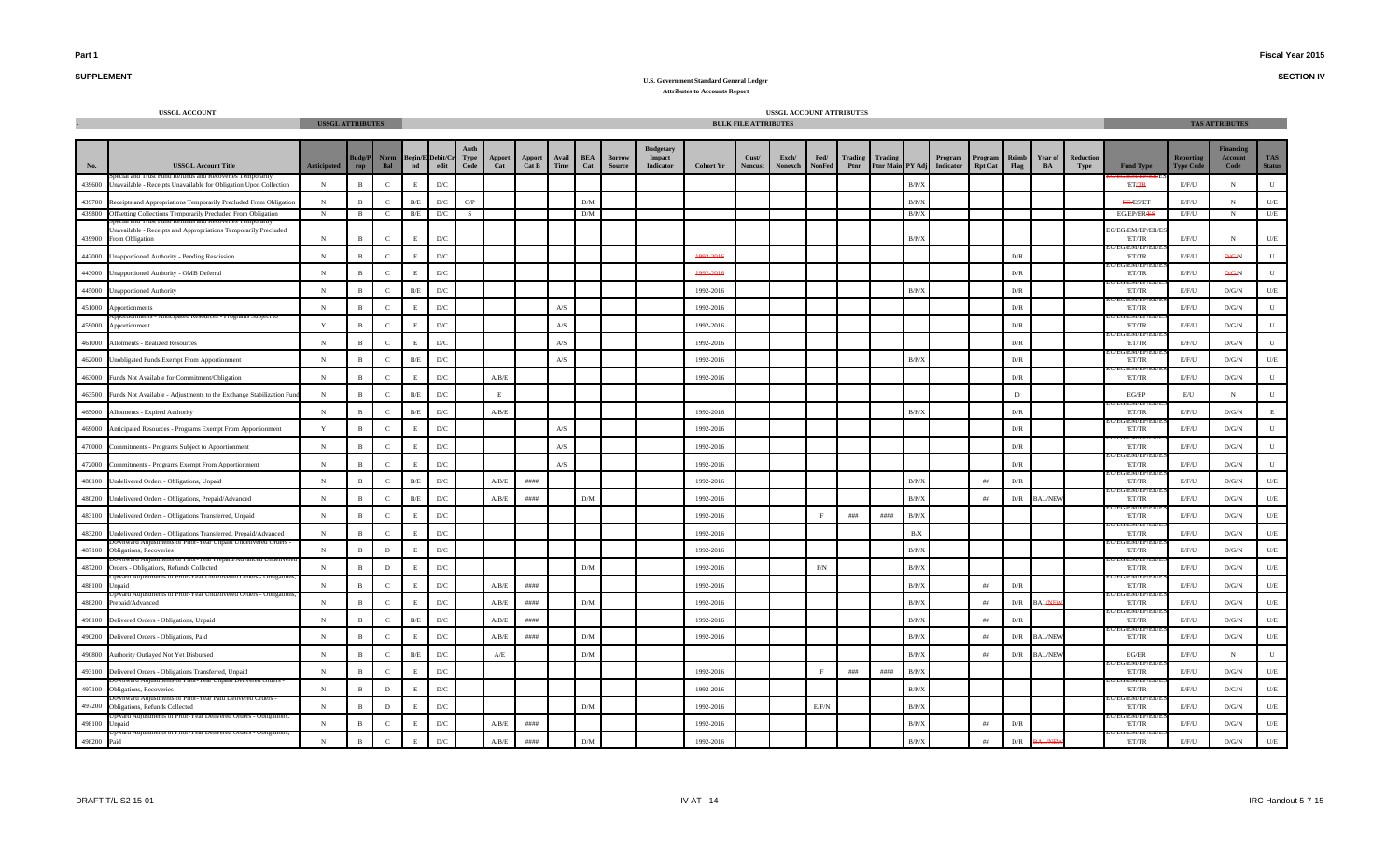**SECTION IV**

## **SUPPLEMENT**

|        | <b>USSGL ACCOUNT</b>                                                                      | <b>USSGL ATTRIBUTES</b> |                     |                |              |                                   |              |                                                                                                |                 |                           |                   |                                |                                                |                  | <b>BULK FILE ATTRIBUTES</b> | USSGL ACCOUNT ATTRIBUTES |                       |            |                 |            |                                       |                           |                         |                |                   |                             |                                      | <b>TAS ATTRIBUTES</b>              |                            |
|--------|-------------------------------------------------------------------------------------------|-------------------------|---------------------|----------------|--------------|-----------------------------------|--------------|------------------------------------------------------------------------------------------------|-----------------|---------------------------|-------------------|--------------------------------|------------------------------------------------|------------------|-----------------------------|--------------------------|-----------------------|------------|-----------------|------------|---------------------------------------|---------------------------|-------------------------|----------------|-------------------|-----------------------------|--------------------------------------|------------------------------------|----------------------------|
| No.    | <b>USSGL Account Title</b>                                                                | <b>Anticipated</b>      | Judg/P<br>$\bf rep$ | Norm<br>Bal    | nd           | Begin/E Debit/Cr<br>$_{\rm edit}$ | Type<br>Code | $\begin{array}{c} \textbf{Apport} \\ \textbf{Cat} \end{array}$                                 | Apport<br>Cat B | Avail<br>Time             | <b>BEA</b><br>Cat | <b>Borrow</b><br><b>Source</b> | <b>Budgetary</b><br>Impact<br><b>Indicator</b> | <b>Cohort Yr</b> | Cust/<br><b>Noncust</b>     | Exch/<br>Nonexch         | Fed/<br><b>NonFed</b> | Ptnr       | Trading Trading |            | Program<br>Ptnr Main PY Adj Indicator | Program<br><b>Rpt Cat</b> | Reimb<br>Flag           | Year of<br>BA  | Reduction<br>Type | <b>Fund Type</b>            | <b>Reporting</b><br><b>Type Code</b> | <i>inancing</i><br>Account<br>Code | <b>TAS</b><br><b>Statu</b> |
|        | 439600 Unavailable - Receipts Unavailable for Obligation Upon Collection                  | ${\bf N}$               | $\mathbf{B}$        | $\mathbf{C}$   | $\,$ E       | $\mathbf{D}/\mathbf{C}$           |              |                                                                                                |                 |                           |                   |                                |                                                |                  |                             |                          |                       |            |                 | B/P/X      |                                       |                           |                         |                |                   | /ETAR                       | E/F/U                                | ${\bf N}$                          | $\mathbf{U}$               |
| 439700 | Receipts and Appropriations Temporarily Precluded From Obligation                         | N                       | $\mathbf{B}$        | $\mathcal{C}$  | B/E          | D/C                               | C/P          |                                                                                                |                 |                           | D/M               |                                |                                                |                  |                             |                          |                       |            |                 | B/P/X      |                                       |                           |                         |                |                   | EG/ES/ET                    | E/F/U                                | ${\bf N}$                          | U/E                        |
|        | 439800 Offsetting Collections Temporarily Precluded From Obligation                       | $_{\rm N}$              | B                   | C              | B/E          | D/C                               | - S          |                                                                                                |                 |                           | D/M               |                                |                                                |                  |                             |                          |                       |            |                 | B/P/2      |                                       |                           |                         |                |                   | EG/EP/ERAES                 | E/F/U                                | N                                  | U/E                        |
|        | Unavailable - Receipts and Appropriations Temporarily Precluded<br>439900 From Obligation | $_{\rm N}$              | B                   | $\mathbf{C}$   | E            | D/C                               |              |                                                                                                |                 |                           |                   |                                |                                                |                  |                             |                          |                       |            |                 | B/P/X      |                                       |                           |                         |                |                   | C/EG/EM/EP/ER/E<br>/ET/TR   | E/F/U                                | $_{\rm N}$                         | U/E                        |
| 442000 | Unapportioned Authority - Pending Rescission                                              | ${\bf N}$               | $\mathbf{B}$        | $\mathbf{C}$   | $\,$ E       | D/C                               |              |                                                                                                |                 |                           |                   |                                |                                                | 1992-2016        |                             |                          |                       |            |                 |            |                                       |                           | $\mathbf{D}/\mathbf{R}$ |                |                   | <b>EUT/ENVER</b><br>/ET/TR  | E/F/U                                | <b>D/G/N</b>                       |                            |
|        | 443000 Unapportioned Authority - OMB Deferral                                             | ${\bf N}$               | $\mathbf{B}$        | $\mathcal{C}$  | E            | D/C                               |              |                                                                                                |                 |                           |                   |                                |                                                | 1992-2016        |                             |                          |                       |            |                 |            |                                       |                           | D/R                     |                |                   | /ET/TR                      | E/F/U                                | <b>D/G/N</b>                       |                            |
|        | 445000 Unapportioned Authority                                                            | ${\bf N}$               | $\mathbf{B}$        | $\mathcal{C}$  | B/E          | D/C                               |              |                                                                                                |                 |                           |                   |                                |                                                | 1992-2016        |                             |                          |                       |            |                 | B/P/X      |                                       |                           | D/R                     |                |                   | <b>CIVI/ CI</b><br>/ET/TR   | E/F/U                                | D/G/N                              | U/E                        |
|        | 451000 Apportionments                                                                     | ${\bf N}$               | $\mathbf{B}$        | $\mathbf{C}$   | E            | ${\rm D/C}$                       |              |                                                                                                |                 | $\mathbf{A} / \mathbf{S}$ |                   |                                |                                                | 1992-2016        |                             |                          |                       |            |                 |            |                                       |                           | $\mathbf{D}/\mathbf{R}$ |                |                   | /ET/TR                      | $E/F/U$                              | $\mathbf{D}/\mathbf{G}/\mathbf{N}$ | $\mathbf{U}$               |
| 459000 | ipated Resources - Prog<br>Apportionment                                                  | Y                       | $\mathbf{B}$        | $\mathcal{C}$  | E            | D/C                               |              |                                                                                                |                 | $\mathbf{A} / \mathbf{S}$ |                   |                                |                                                | 1992-2016        |                             |                          |                       |            |                 |            |                                       |                           | D/R                     |                |                   | /ET/TR                      | E/F/U                                | D/G/N                              | $\mathbf{U}$               |
| 461000 | Allotments - Realized Resources                                                           | ${\bf N}$               | $\mathbf{B}$        | $\mathbf C$    | E            | D/C                               |              |                                                                                                |                 | A/S                       |                   |                                |                                                | 1992-2016        |                             |                          |                       |            |                 |            |                                       |                           | D/R                     |                |                   | /ET/TR                      | E/F/U                                | D/G/N                              | $\mathbf{U}$               |
| 462000 | Unobligated Funds Exempt From Apportionment                                               | $_{\rm N}$              | $\mathbf{B}$        | $\mathbf C$    | B/E          | $\mathbf{D}/\mathbf{C}$           |              |                                                                                                |                 | $\mathbf{A} / \mathbf{S}$ |                   |                                |                                                | 1992-2016        |                             |                          |                       |            |                 | B/P/X      |                                       |                           | D/R                     |                |                   | /ET/TR                      | E/F/U                                | D/G/N                              | $U\!/\!\!E$                |
| 463000 | Funds Not Available for Commitment/Obligation                                             | ${\bf N}$               | $\mathbf{B}$        | $\overline{c}$ | $\mathbf E$  | D/C                               |              | A/B/E                                                                                          |                 |                           |                   |                                |                                                | 1992-2016        |                             |                          |                       |            |                 |            |                                       |                           | D/R                     |                |                   | /EM/EP<br>/ET/TR            | E/F/U                                | $\mathbf{D}/\mathbf{G}/\mathbf{N}$ | $\mathbf{U}$               |
| 463500 | Funds Not Available - Adjustments to the Exchange Stabilization Fu                        | ${\bf N}$               | $\mathbf{B}$        | $\mathcal{C}$  | B/E          | D/C                               |              | E                                                                                              |                 |                           |                   |                                |                                                |                  |                             |                          |                       |            |                 |            |                                       |                           | D                       |                |                   | EG/EP                       | E/U                                  | N                                  | $\mathbf{U}$               |
| 465000 | Allotments - Expired Authority                                                            | $\,$ N                  | $\mathbf{B}$        | $\mathcal{C}$  | B/E          | D/C                               |              | A/B/E                                                                                          |                 |                           |                   |                                |                                                | 1992-2016        |                             |                          |                       |            |                 | B/P/X      |                                       |                           | D/R                     |                |                   | EIVI/IEIT<br>/ET/TR         | E/F/U                                | D/G/N                              | E                          |
| 469000 | Anticipated Resources - Programs Exempt From Apportionment                                | $\mathbf Y$             | $\mathbf{B}$        | $\mathbf{C}$   | E            | D/C                               |              |                                                                                                |                 | $\mathbf{A} / \mathbf{S}$ |                   |                                |                                                | 1992-2016        |                             |                          |                       |            |                 |            |                                       |                           | ${\rm D/R}$             |                |                   | <b>INDIVIDENT</b><br>/ET/TR | E/F/U                                | D/G/N                              | $\mathbf{U}$               |
| 470000 | Commitments - Programs Subject to Apportionment                                           | $\,$ N                  | $\mathbf{B}$        | $\mathcal{C}$  | $\mathbf{F}$ | D/C                               |              |                                                                                                |                 | $\mathbf{A} / \mathbf{S}$ |                   |                                |                                                | 1992-2016        |                             |                          |                       |            |                 |            |                                       |                           | $\mathbf{D}/\mathbf{R}$ |                |                   | :G/EM/EP/<br>/ET/TR         | E/F/U                                | $\mathbf{D}/\mathbf{G}/\mathbf{N}$ | $\mathbf{H}$               |
| 472000 | Commitments - Programs Exempt From Apportionment                                          | ${\bf N}$               | $\mathbf{B}$        | $\mathbf{C}$   | E            | D/C                               |              |                                                                                                |                 | $\mathbf{A} / \mathbf{S}$ |                   |                                |                                                | 1992-2016        |                             |                          |                       |            |                 |            |                                       |                           | $\mathbf{D}/\mathbf{R}$ |                |                   | <b>EMPLE</b><br>/ET/TR      | E/F/U                                | D/G/N                              | $\mathbf{U}$               |
| 480100 | Undelivered Orders - Obligations, Unpaid                                                  | $_{\rm N}$              | B                   | $\mathbf{C}$   | B/E          | ${\rm D/C}$                       |              | A/B/E                                                                                          | ####            |                           |                   |                                |                                                | 1992-2016        |                             |                          |                       |            |                 | B/P/X      |                                       | ##                        | $\mathbf{D}/\mathbf{R}$ |                |                   | <b>EIVI/JEF</b><br>/ET/TR   | E/F/U                                | D/G/N                              | $U/E$                      |
|        | 480200 Undelivered Orders - Obligations, Prepaid/Advanced                                 | N                       | $\mathbf{R}$        | $\mathcal{C}$  | B/E          | D/C                               |              | A/B/E                                                                                          | ####            |                           | DM                |                                |                                                | 1992-2016        |                             |                          |                       |            |                 | B/P/X      |                                       | ##                        | D/R                     | <b>BAL/NEV</b> |                   | EU/EM/EP/<br>/ET/TR         | E/F/U                                | D/G/N                              | U/E                        |
|        | 483100 Undelivered Orders - Obligations Transferred, Unpaid                               | N                       | $\mathbf{B}$        | $\mathbf{C}$   | E            | D/C                               |              |                                                                                                |                 |                           |                   |                                |                                                | 1992-2016        |                             |                          | F                     | ###        | $\#$ ###        | B/P/X      |                                       |                           |                         |                |                   | /ET/TR                      | E/F/U                                | D/G/N                              | U/E                        |
|        | 483200 Undelivered Orders - Obligations Transferred, Prepaid/Advanced<br>а впостеж сложны | $_{\rm N}$              | $\mathbf{B}$        | $\mathcal{C}$  | E            | D/C                               |              |                                                                                                |                 |                           |                   |                                |                                                | 1992-2016        |                             |                          |                       |            |                 | $\rm\,B/X$ |                                       |                           |                         |                |                   | /ET/TR                      | E/F/U                                | $\mathbf{D}/\mathbf{G}/\mathbf{N}$ | $U/E$                      |
|        | 487100 Obligations, Recoveries                                                            | ${\bf N}$               | $\mathbf{B}$        | $\,$ D         | $\,$ E       | ${\rm D/C}$                       |              |                                                                                                |                 |                           |                   |                                |                                                | 1992-2016        |                             |                          |                       |            |                 | B/P/X      |                                       |                           |                         |                |                   | .WEF<br>/ET/TR              | $E/F/U$                              | $\mathbf{D}/\mathbf{G}/\mathbf{N}$ | $U\hspace{-0.1cm}/E$       |
| 487200 | Orders - Obligations, Refunds Collected                                                   | ${\bf N}$               | $\mathbf{B}$        | D              | $\mathbf{F}$ | D/C                               |              |                                                                                                |                 |                           | DM                |                                |                                                | 1992-2016        |                             |                          | $\rm F/N$             |            |                 | B/P/X      |                                       |                           |                         |                |                   | EM/EP/<br>/ET/TR            | E/F/U                                | $\mathbf{D}/\mathbf{G}/\mathbf{N}$ | U/E                        |
| 488100 | Jnpaid                                                                                    | ${\bf N}$               | $\, {\bf B}$        | $\mathcal{C}$  | E            | D/C                               |              | A/B/E                                                                                          | ####            |                           |                   |                                |                                                | 1992-2016        |                             |                          |                       |            |                 | B/P/X      |                                       | ##                        | D/R                     |                |                   | /ET/TR                      | E/F/U                                | D/G/N                              | U/E                        |
| 488200 | Prepaid/Advanced                                                                          | ${\bf N}$               | $\, {\bf B}$        | $\mathbf{C}$   | E            | ${\rm D/C}$                       |              | $\ensuremath{\mathbf{A}}\xspace/\ensuremath{\mathbf{B}}\xspace/\ensuremath{\mathbf{E}}\xspace$ | $\#$ ###        |                           | D/M               |                                |                                                | 1992-2016        |                             |                          |                       |            |                 | B/P/X      |                                       | ##                        | D/R                     | <b>BALAH</b>   |                   | /ET/TR<br>EU/EM/EP/E        | E/F/U                                | $\mathbf{D}/\mathbf{G}/\mathbf{N}$ | $U/E$                      |
| 490100 | Delivered Orders - Obligations, Unpaid                                                    | N                       | $\mathbf{R}$        | $\mathcal{C}$  | B/E          | D/C                               |              | A/B/E                                                                                          | ####            |                           |                   |                                |                                                | 1992-2016        |                             |                          |                       |            |                 | B/P/X      |                                       | ##                        | D/R                     |                |                   | /ET/TR                      | E/F/U                                | D/G/N                              | U/E                        |
|        | 490200 Delivered Orders - Obligations, Paid                                               | N                       | $\mathbf{B}$        | $\mathcal{C}$  | E.           | D/C                               |              | A/B/E                                                                                          | ####            |                           | D/M               |                                |                                                | 1992-2016        |                             |                          |                       |            |                 | B/P/X      |                                       | ##                        | D/R                     | <b>BAL/NE</b>  |                   | :G/EN/EP/<br>/ET/TR         | E/F/U                                | $\mathbf{D}/\mathbf{G}/\mathbf{N}$ | $U\!/\!\!E$                |
| 490800 | Authority Outlayed Not Yet Disbursed                                                      | ${\bf N}$               | $\mathbf{B}$        | $\mathbf{C}$   | B/E          | D/C                               |              | $\mathbf{A}/\mathbf{E}$                                                                        |                 |                           | D/M               |                                |                                                |                  |                             |                          |                       |            |                 | B/P/X      |                                       | ##                        | D/R                     | <b>BAL/NE</b>  |                   | EG/ER                       | E/F/U                                | $_{\rm N}$                         | $\mathbf{U}$               |
| 493100 | Delivered Orders - Obligations Transferred, Unpaid                                        | ${\bf N}$               | $\mathbf{R}$        | $\epsilon$     | $\mathbf{E}$ | $\mathbf{D}/\mathbf{C}$           |              |                                                                                                |                 |                           |                   |                                |                                                | 1992-2016        |                             |                          | R                     | $\# \# \#$ | $\#$ ###        | B/P/X      |                                       |                           |                         |                |                   | eivi/ ei<br>/ET/TR          | E/F/U                                | D/G/N                              | $U\!/\!E$                  |
|        | ents or Prior-Year Unpaid Delivered Or<br>497100 Obligations, Recoveries                  | ${\bf N}$               | $\mathbf{B}$        | $\,$ D         |              | D/C                               |              |                                                                                                |                 |                           |                   |                                |                                                | 1992-2016        |                             |                          |                       |            |                 | B/P/X      |                                       |                           |                         |                |                   | :G/EN/EP/<br>/ET/TR         | E/F/U                                | D/G/N                              | U/E                        |
|        | 497200 Obligations, Refunds Collected                                                     | ${\bf N}$               | $\mathbf{B}$        | $\mathbf{D}$   | E            | D/C                               |              |                                                                                                |                 |                           | D/M               |                                |                                                | 1992-2016        |                             |                          | E/F/N                 |            |                 | B/P/X      |                                       |                           |                         |                |                   | /ET/TR                      | E/F/U                                | D/G/N                              | U/E                        |
| 498100 | Unpaid                                                                                    | $_{\rm N}$              | $\mathbf B$         | $\mathbf{C}$   | E            | ${\rm D/C}$                       |              | $\ensuremath{\mathbf{A}}\xspace/\ensuremath{\mathbf{B}}\xspace/\ensuremath{\mathbf{E}}\xspace$ | $\#$ ###        |                           |                   |                                |                                                | 1992-2016        |                             |                          |                       |            |                 | B/P/X      |                                       | ##                        | $\mathbf{D}/\mathbf{R}$ |                |                   | /ET/TR                      | E/F/U                                | $\rm{D/G/N}$                       | U/E                        |
| 498200 | Paid                                                                                      | N                       | $\, {\bf B}$        | $\mathbf{C}$   | $\,$ E       | D/C                               |              | $\ensuremath{\mathbf{A}}\xspace/\ensuremath{\mathbf{B}}\xspace/\ensuremath{\mathbf{E}}\xspace$ | $\#$ ####       |                           | D/M               |                                |                                                | 1992-2016        |                             |                          |                       |            |                 | B/P/X      |                                       | ##                        | D/R                     |                |                   | /FL1/F.M/F.P<br>/ET/TR      | E/F/U                                | $\rm{D/G/N}$                       | U/E                        |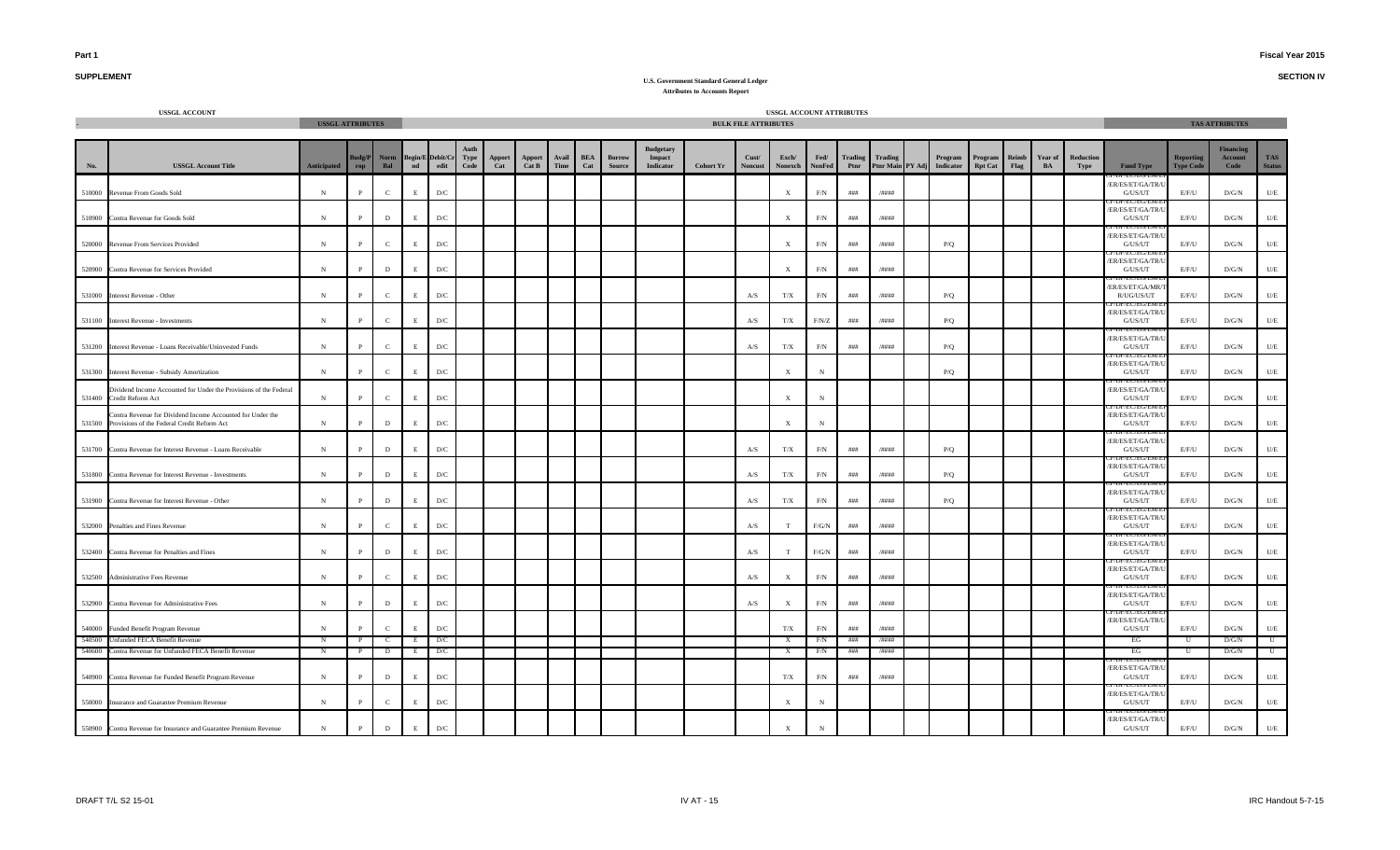**SECTION IV**

# **SUPPLEMENT**

|        | <b>USSGL ACCOUNT</b>                                                                                             | <b>USSGL ATTRIBUTES</b> |                      |                    |            |                                       |               |                 |               |                   |                  |                                                |                  | <b>BULK FILE ATTRIBUTES</b> | USSGL ACCOUNT ATTRIBUTES |                       |                 |                             |                      |                           |               |               |                   |                                             |                                      | <b>TAS ATTRIBUTES</b>                      |                         |
|--------|------------------------------------------------------------------------------------------------------------------|-------------------------|----------------------|--------------------|------------|---------------------------------------|---------------|-----------------|---------------|-------------------|------------------|------------------------------------------------|------------------|-----------------------------|--------------------------|-----------------------|-----------------|-----------------------------|----------------------|---------------------------|---------------|---------------|-------------------|---------------------------------------------|--------------------------------------|--------------------------------------------|-------------------------|
|        |                                                                                                                  |                         |                      |                    |            |                                       |               |                 |               |                   |                  |                                                |                  |                             |                          |                       |                 |                             |                      |                           |               |               |                   |                                             |                                      |                                            |                         |
| No.    | <b>USSGL Account Title</b>                                                                                       | Anticipated             | <b>Budg/P</b><br>rop | <b>Norm</b><br>Bal |            | Begin/E Debit/Cr Type<br>nd edit Code | Apport<br>Cat | Apport<br>Cat B | Avail<br>Time | <b>BEA</b><br>Cat | Borrow<br>Source | <b>Budgetary</b><br>Impact<br><b>Indicator</b> | <b>Cohort Yr</b> | Cust/<br><b>Noncust</b>     | Exch/<br>Nonexch         | Fed/<br><b>NonFed</b> | Trading<br>Ptnr | Trading<br>Ptnr Main PY Adj | Program<br>Indicator | Program<br><b>Rpt Cat</b> | Reimb<br>Flag | Year of<br>BA | Reduction<br>Type | <b>Fund Type</b>                            | <b>Reporting</b><br><b>Type Code</b> | <b>Financing</b><br><b>Account</b><br>Code | TAS<br><b>Status</b>    |
| 510000 | Revenue From Goods Sold                                                                                          | $_{\rm N}$              | $\mathbf{p}$         | $\mathbf{C}$       | E.         | $\mathbf{D}/\mathbf{C}$               |               |                 |               |                   |                  |                                                |                  |                             | $\mathbf x$              | F/N                   | $\# \# \#$      | /####                       |                      |                           |               |               |                   | ER/ES/ET/GA/TR/<br>G/US/UT                  | E/F/U                                | D/G/N                                      | U/E                     |
|        | 510900 Contra Revenue for Goods Sold                                                                             | $\,$ N                  | $\mathbf{P}$         | $\mathbf{D}$       |            | $\mathbf{D}/\mathbf{C}$               |               |                 |               |                   |                  |                                                |                  |                             | X                        | $\rm F/N$             | $\# \# \#$      | /####                       |                      |                           |               |               |                   | ER/ES/ET/GA/TR/U<br>G/US/UT                 | E/F/U                                | D/G/N                                      | U/E                     |
|        | 520000 Revenue From Services Provided                                                                            | $_{\rm N}$              | $\mathbf{P}$         | $\mathbf{C}$       |            | $\mathbf{D}/\mathbf{C}$               |               |                 |               |                   |                  |                                                |                  |                             | X                        | $\rm F/N$             | ###             | /####                       | P/Q                  |                           |               |               |                   | /ER/ES/ET/GA/TR/U<br>G/US/UT                | E/F/U                                | D/G/N                                      | U/E                     |
|        | 520900 Contra Revenue for Services Provided                                                                      | N                       | $\mathbf{P}$         | D                  |            | D/C                                   |               |                 |               |                   |                  |                                                |                  |                             | X                        | F/N                   | ###             | /####                       |                      |                           |               |               |                   | /ER/ES/ET/GA/TR/U<br>G/US/UT                | E/F/U                                | D/G/N                                      | U/E                     |
|        | 531000 Interest Revenue - Other                                                                                  | $_{\rm N}$              | $\mathbf{P}$         | $\mathbf{C}$       | E          | D/C                                   |               |                 |               |                   |                  |                                                |                  | A/S                         | T/X                      | F/N                   | ###             | /####                       | P/Q                  |                           |               |               |                   | IEU EU/E<br>ER/ES/ET/GA/MR/<br>R/UG/US/UT   | E/F/U                                | D/G/N                                      | U/E                     |
| 531100 | <b>Interest Revenue - Investments</b>                                                                            | $\,$ N                  | $\mathbf{P}$         | $\mathbf{C}$       |            | $\mathbf{D}/\mathbf{C}$               |               |                 |               |                   |                  |                                                |                  | A/S                         | T/X                      | F/N/Z                 | ###             | /####                       | P/Q                  |                           |               |               |                   | /ER/ES/ET/GA/TR/<br>G/US/UT                 | E/F/U                                | D/G/N                                      | $\mathbf{U}/\mathbf{E}$ |
| 531200 | Interest Revenue - Loans Receivable/Uninvested Funds                                                             | $_{\rm N}$              | $\mathbf{P}$         | $\mathbf{C}$       | E          | $\mathbf{D}/\mathbf{C}$               |               |                 |               |                   |                  |                                                |                  | A/S                         | T/X                      | F/N                   | ###             | /####                       | P/Q                  |                           |               |               |                   | /ER/ES/ET/GA/TR/<br>G/US/UT                 | E/F/U                                | D/G/N                                      | U/E                     |
| 531300 | Interest Revenue - Subsidy Amortization                                                                          | $_{\rm N}$              | P                    | $\mathbf{C}$       | E          | $\mathbf{D}/\mathbf{C}$               |               |                 |               |                   |                  |                                                |                  |                             | $\mathbf x$              | $_{\rm N}$            |                 |                             | P/O                  |                           |               |               |                   | ER/ES/ET/GA/TR/<br>G/US/UT                  | E/F/U                                | D/G/N                                      | $U/E$                   |
| 531400 | Dividend Income Accounted for Under the Provisions of the Federal<br>Credit Reform Act                           | $_{\rm N}$              | $\mathbf{p}$         | $\mathbf{C}$       | E.         | D/C                                   |               |                 |               |                   |                  |                                                |                  |                             | X                        | $_{\rm N}$            |                 |                             |                      |                           |               |               |                   | /ER/ES/ET/GA/TR/U<br>G/US/UT                | E/F/U                                | D/G/N                                      | $U\!/\!E$               |
|        | Contra Revenue for Dividend Income Accounted for Under the<br>531500 Provisions of the Federal Credit Reform Act | $\,$ N                  | P                    | $\mathbf D$        |            | $\mathbf{D}/\mathbf{C}$               |               |                 |               |                   |                  |                                                |                  |                             | X                        | $_{\rm N}$            |                 |                             |                      |                           |               |               |                   | ER/ES/ET/GA/TR/U<br>G/US/UT                 | E/F/U                                | $\rm{D/G/N}$                               | $U\!/\!E$               |
|        | 531700 Contra Revenue for Interest Revenue - Loans Receivable                                                    | $\mathbf N$             | P                    | D                  | E.         | $\mathbf{D}/\mathbf{C}$               |               |                 |               |                   |                  |                                                |                  | A/S                         | T/X                      | F/N                   | ###             | /####                       | P/Q                  |                           |               |               |                   | /ER/ES/ET/GA/TR/U<br>G/US/UT                | E/F/U                                | D/G/N                                      | U/E                     |
|        | 531800 Contra Revenue for Interest Revenue - Investments                                                         | $\mathbf N$             | P                    | D                  |            | D/C                                   |               |                 |               |                   |                  |                                                |                  | A/S                         | T/X                      | F/N                   | ###             | /####                       | P/Q                  |                           |               |               |                   | JP/EU/EU/EIV<br>ER/ES/ET/GA/TR/L<br>G/US/UT | E/F/U                                | D/G/N                                      | U/E                     |
|        | 531900 Contra Revenue for Interest Revenue - Other                                                               | $\,$ N                  | $\mathbf P$          | $\mathbf{D}$       |            | $\mathbf{D}/\mathbf{C}$               |               |                 |               |                   |                  |                                                |                  | A/S                         | T/X                      | F/N                   | ###             | /####                       | P/Q                  |                           |               |               |                   | ER/ES/ET/GA/TR/<br>G/US/UT                  | E/F/U                                | $\rm{D/G/N}$                               | $\mathbf{U}/\mathbf{E}$ |
|        | 532000 Penalties and Fines Revenue                                                                               | $_{\rm N}$              | P                    | $\mathbf{C}$       | F          | $\mathbf{D}/\mathbf{C}$               |               |                 |               |                   |                  |                                                |                  | A/S                         |                          | $F/G/N$               | ###             | /####                       |                      |                           |               |               |                   | ER/ES/ET/GA/TR/<br>G/US/UT                  | E/F/U                                | D/G/N                                      | $U/E$                   |
|        | 532400 Contra Revenue for Penalties and Fines                                                                    | $\,$ N                  | $\mathbf{p}$         | $\mathbf{D}$       | E          | $\mathbf{D}/\mathbf{C}$               |               |                 |               |                   |                  |                                                |                  | A/S                         | T                        | $F/G/N$               | # # #           | /####                       |                      |                           |               |               |                   | /ER/ES/ET/GA/TR/<br>G/US/UT                 | E/F/U                                | D/G/N                                      | U/E                     |
|        | 532500 Administrative Fees Revenue                                                                               | $_{\rm N}$              | $\mathbf{P}$         | $\mathbf{C}$       |            | $\mathbf{D}/\mathbf{C}$               |               |                 |               |                   |                  |                                                |                  | $\mathbf{A} / \mathbf{S}$   | X                        | $\rm F/N$             | $\# \# \#$      | /####                       |                      |                           |               |               |                   | /ER/ES/ET/GA/TR/U<br>G/US/UT                | E/F/U                                | $\rm{D/G/N}$                               | $\mathbf{U}/\mathbf{E}$ |
|        | 532900 Contra Revenue for Administrative Fees                                                                    | $_{\rm N}$              | $\mathbf{P}$         | $\mathbf{D}$       | E          | $\mathbf{D}/\mathbf{C}$               |               |                 |               |                   |                  |                                                |                  | A/S                         | X                        | F/N                   | ###             | /####                       |                      |                           |               |               |                   | /ER/ES/ET/GA/TR/U<br>G/US/UT                | E/F/U                                | D/G/N                                      | $\mathbf{U}/\mathbf{E}$ |
|        | 540000 Funded Benefit Program Revenue                                                                            | N                       | $\mathbf{P}$         | $\mathbf{C}$       |            | D/C                                   |               |                 |               |                   |                  |                                                |                  |                             | T/X                      | F/N                   | ###             | /####                       |                      |                           |               |               |                   | /ER/ES/ET/GA/TR/U<br>G/US/UT                | E/F/U                                | D/G/N                                      | U/E                     |
| 540500 | Unfunded FECA Benefit Revenue                                                                                    | N                       | $\mathbf{P}$         | $\mathbf{C}$       | E          | D/C                                   |               |                 |               |                   |                  |                                                |                  |                             | $\mathbf{x}$             | F/N                   | ###             | /####                       |                      |                           |               |               |                   | EG                                          | U                                    | D/G/N                                      | $\mathbf U$             |
| 540600 | Contra Revenue for Unfunded FECA Benefit Revenue                                                                 | N                       | $\mathbf{P}$         | $\mathbf{D}$       | E          | D/C                                   |               |                 |               |                   |                  |                                                |                  |                             | $\mathbf{X}$             | F/N                   | ###             | /####                       |                      |                           |               |               |                   | EG                                          | U                                    | D/G/N                                      | $\overline{U}$          |
|        | 540900 Contra Revenue for Funded Benefit Program Revenue                                                         | $\,$ N                  | $\mathbf{p}$         | D                  | $_{\rm E}$ | $\mathbf{D}/\mathbf{C}$               |               |                 |               |                   |                  |                                                |                  |                             | T/X                      | F/N                   | ###             | /####                       |                      |                           |               |               |                   | ER/ES/ET/GA/TR/<br>G/US/UT                  | E/F/U                                | D/G/N                                      | $U/E$                   |
|        | 550000 Insurance and Guarantee Premium Revenue                                                                   | $\,$ N                  | $\mathbf{p}$         | $\mathbf{C}$       | E          | $\mathbf{D}/\mathbf{C}$               |               |                 |               |                   |                  |                                                |                  |                             | $\mathbf{x}$             | $_{\rm N}$            |                 |                             |                      |                           |               |               |                   | TECTORES<br>ER/ES/ET/GA/TR/<br>G/US/UT      | E/F/U                                | D/G/N                                      | U/E                     |
|        | 550900 Contra Revenue for Insurance and Guarantee Premium Revenue                                                | ${\bf N}$               | $\mathbf{P}$         | $\mathbf D$        | E          | $\mathbf{D}/\mathbf{C}$               |               |                 |               |                   |                  |                                                |                  |                             | X                        |                       |                 |                             |                      |                           |               |               |                   | ER/ES/ET/GA/TR/U<br>G/US/UT                 | $\rm E/F/U$                          | D/G/N                                      | $U/E$                   |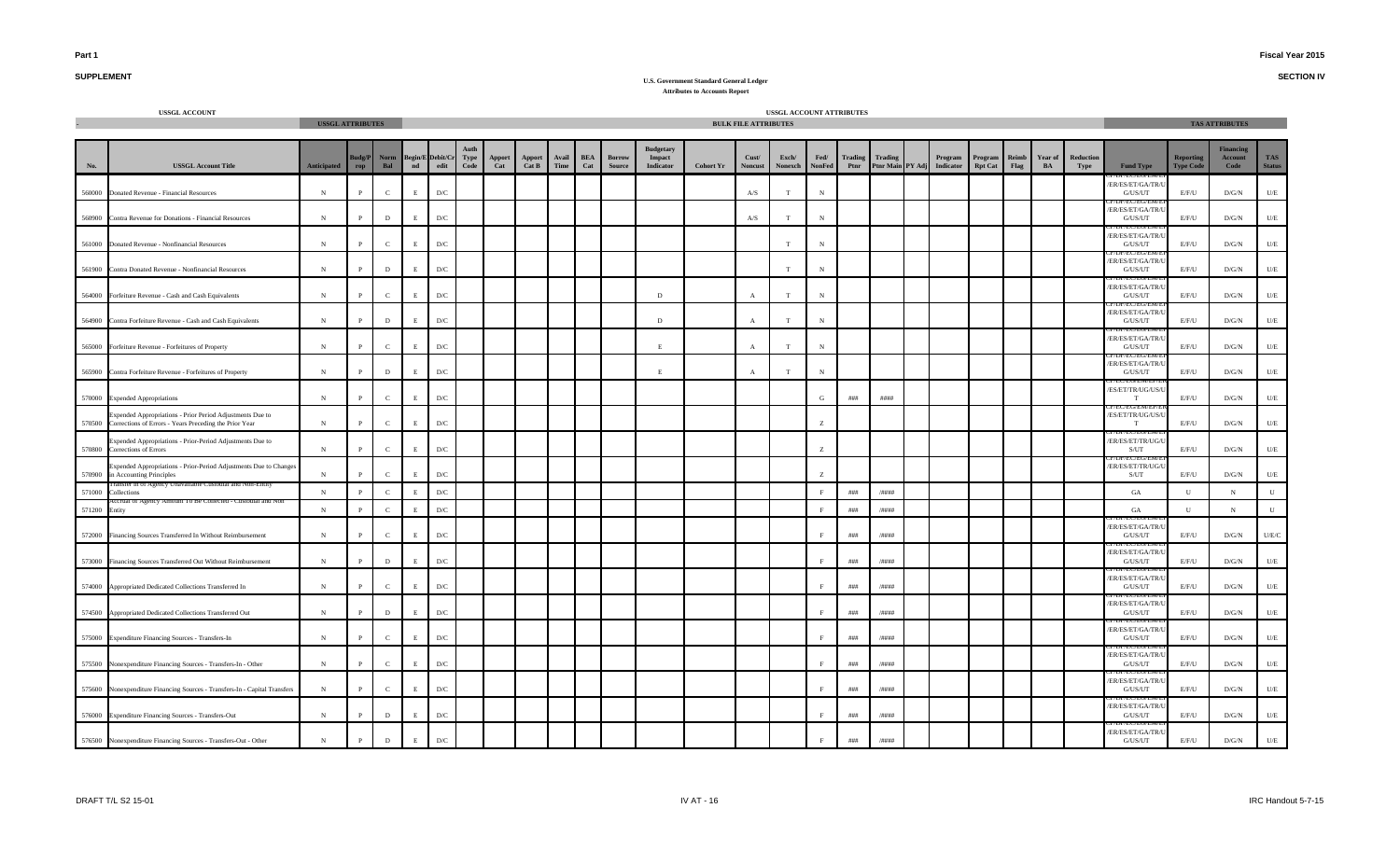**SECTION IV**

# **SUPPLEMENT**

|               | <b>USSGL ACCOUNT</b>                                                                                                | <b>USSGL ATTRIBUTES</b> |                      |                    |                    |                                 |              |               |                        |               |                   |                         |                                                |                  | <b>BULK FILE ATTRIBUTES</b> | USSGL ACCOUNT ATTRIBUTES |                       |                        |         |                                       |                           |                      |                      |                   |                                    |                                      | <b>TAS ATTRIBUTES</b>               |                             |
|---------------|---------------------------------------------------------------------------------------------------------------------|-------------------------|----------------------|--------------------|--------------------|---------------------------------|--------------|---------------|------------------------|---------------|-------------------|-------------------------|------------------------------------------------|------------------|-----------------------------|--------------------------|-----------------------|------------------------|---------|---------------------------------------|---------------------------|----------------------|----------------------|-------------------|------------------------------------|--------------------------------------|-------------------------------------|-----------------------------|
|               |                                                                                                                     |                         |                      |                    |                    |                                 |              |               |                        |               |                   |                         |                                                |                  |                             |                          |                       |                        |         |                                       |                           |                      |                      |                   |                                    |                                      |                                     |                             |
| No.           | <b>USSGL Account Title</b>                                                                                          | <b>Anticipated</b>      | <b>Budg/P</b><br>rop | <b>Norm</b><br>Bal | $\mathbf{nd}$      | <b>Begin/E Debit/Cr</b><br>edit | Type<br>Code | Apport<br>Cat | <b>Apport</b><br>Cat B | Avail<br>Time | <b>BEA</b><br>Cat | <b>Borrow</b><br>Source | <b>Budgetary</b><br>Impact<br><b>Indicator</b> | <b>Cohort Yr</b> | Cust/<br><b>Noncust</b>     | Exch/<br>Nonexch         | Fed/<br><b>NonFed</b> | <b>Trading</b><br>Ptnr | Trading | Program<br>Ptnr Main PY Adj Indicator | Program<br><b>Rpt Cat</b> | Reimb<br><b>Flag</b> | <b>Year of</b><br>BA | Reduction<br>Type | <b>Fund Type</b>                   | <b>Reporting</b><br><b>Type Code</b> | <b>Financing</b><br>Account<br>Code | <b>TAS</b><br><b>Status</b> |
|               | 560000 Donated Revenue - Financial Resources                                                                        | ${\bf N}$               |                      | $\mathbf{C}$       | E                  | $\mathbf{D}/\mathbf{C}$         |              |               |                        |               |                   |                         |                                                |                  | A/S                         | T                        | N                     |                        |         |                                       |                           |                      |                      |                   | ER/ES/ET/GA/TR/<br>${\rm G/US/UT}$ | E/F/U                                | $\rm{D/G/N}$                        | $U/E$                       |
| 560900        | Contra Revenue for Donations - Financial Resources                                                                  | $_{\rm N}$              | <sup>D</sup>         | D                  | E                  | $\mathbf{D}/\mathbf{C}$         |              |               |                        |               |                   |                         |                                                |                  | A/S                         |                          | $_{\rm N}$            |                        |         |                                       |                           |                      |                      |                   | ER/ES/ET/GA/TR<br>G/US/UT          | E/F/U                                | D/G/N                               | $U/E$                       |
|               | 561000 Donated Revenue - Nonfinancial Resources                                                                     | $_{\rm N}$              |                      | $\mathbf{C}$       | E                  | $\mathbf{D}/\mathbf{C}$         |              |               |                        |               |                   |                         |                                                |                  |                             |                          |                       |                        |         |                                       |                           |                      |                      |                   | ER/ES/ET/GA/TR<br>G/US/UT          | E/F/U                                | $\rm{D/G/N}$                        | U/E                         |
| 561900        | Contra Donated Revenue - Nonfinancial Resources                                                                     | ${\bf N}$               | $\mathbf{p}$         | $\mathbf D$        | E                  | $\mathbf{D}/\mathbf{C}$         |              |               |                        |               |                   |                         |                                                |                  |                             | T                        | $_{\rm N}$            |                        |         |                                       |                           |                      |                      |                   | ER/ES/ET/GA/TR/<br>G/US/UT         | E/F/U                                | $\rm{D/G/N}$                        | $U\!/\!E$                   |
|               | 564000 Forfeiture Revenue - Cash and Cash Equivalents                                                               | N                       |                      | $\mathbf{C}$       | E                  | $\mathbf{D}/\mathbf{C}$         |              |               |                        |               |                   |                         | D                                              |                  |                             |                          |                       |                        |         |                                       |                           |                      |                      |                   | ER/ES/ET/GA/TR/<br>G/US/UT         | E/F/U                                | D/G/N                               | U/E                         |
| 564900        | Contra Forfeiture Revenue - Cash and Cash Equivalents                                                               | N                       |                      | D                  | E                  | D/C                             |              |               |                        |               |                   |                         | D                                              |                  | $\mathbf{A}$                | T                        |                       |                        |         |                                       |                           |                      |                      |                   | ER/ES/ET/GA/TR/<br>G/US/UT         | E/F/U                                | D/G/N                               | U/E                         |
|               | 565000 Forfeiture Revenue - Forfeitures of Property                                                                 | N                       |                      | $\mathbf{C}$       | E                  | $\mathbf{D}/\mathbf{C}$         |              |               |                        |               |                   |                         | E                                              |                  | $\mathbf{A}$                | T                        |                       |                        |         |                                       |                           |                      |                      |                   | ER/ES/ET/GA/TR/<br>G/US/UT         | E/F/U                                | D/G/N                               | U/E                         |
| 565900        | Contra Forfeiture Revenue - Forfeitures of Property                                                                 | $_{\rm N}$              |                      | $\mathbf D$        | E                  | $\mathbf{D}/\mathbf{C}$         |              |               |                        |               |                   |                         | E                                              |                  | $\mathbf{A}$                | T                        | $_{\rm N}$            |                        |         |                                       |                           |                      |                      |                   | ER/ES/ET/GA/TR/<br>G/US/UT         | E/F/U                                | D/G/N                               | $U\!/\!E$                   |
|               | 570000 Expended Appropriations                                                                                      | $_{\rm N}$              |                      | $\mathbf{C}$       | E                  | $\mathbf{D}/\mathbf{C}$         |              |               |                        |               |                   |                         |                                                |                  |                             |                          | G                     | ###                    | ####    |                                       |                           |                      |                      |                   | /ES/ET/TR/UG/US/U<br>T             | E/F/U                                | D/G/N                               | $U/E$                       |
| 570500        | Expended Appropriations - Prior Period Adjustments Due to<br>Corrections of Errors - Years Preceding the Prior Year | ${\bf N}$               | D                    | $\mathbf C$        | E                  | $\mathbf{D}/\mathbf{C}$         |              |               |                        |               |                   |                         |                                                |                  |                             |                          | z                     |                        |         |                                       |                           |                      |                      |                   | /ES/ET/TR/UG/US/U<br>T             | E/F/U                                | D/G/N                               | $U\!/\!E$                   |
| 570800        | Expended Appropriations - Prior-Period Adjustments Due to<br>Corrections of Errors                                  | N                       |                      | $\mathbf{C}$       | E                  | $\mathbf{D}/\mathbf{C}$         |              |               |                        |               |                   |                         |                                                |                  |                             |                          | $Z_{\rm c}$           |                        |         |                                       |                           |                      |                      |                   | /ER/ES/ET/TR/UG/U<br>S/UT          | E/F/U                                | D/G/N                               | U/E                         |
|               | Expended Appropriations - Prior-Period Adjustments Due to Changes<br>570900 in Accounting Principles                | N                       |                      | $\mathbf{C}$       | E                  | $\mathbf{D}/\mathbf{C}$         |              |               |                        |               |                   |                         |                                                |                  |                             |                          | $Z_{\rm c}$           |                        |         |                                       |                           |                      |                      |                   | /ER/ES/ET/TR/UG/U<br>S/UT          | E/F/U                                | D/G/N                               | $U/E$                       |
| 571000        | cy Unavariable Custodial and Non-Entity<br>Collections                                                              | $\,$ N                  |                      | $\mathbf{C}$       | $\mathbf E$        | $\mathbf{D}/\mathbf{C}$         |              |               |                        |               |                   |                         |                                                |                  |                             |                          | $\mathbf F$           | $\# \# \#$             | /####   |                                       |                           |                      |                      |                   | GA                                 | $\mathbf{U}$                         | N                                   | ${\bf U}$                   |
| 571200 Entity |                                                                                                                     | N                       |                      | $\mathbf{C}$       | E                  | $\mathbf{D}/\mathbf{C}$         |              |               |                        |               |                   |                         |                                                |                  |                             |                          | $\mathbf{F}$          | $\# \# \#$             | /####   |                                       |                           |                      |                      |                   | GA                                 | $\mathbf{U}$                         | $_{\rm N}$                          | $\mathbf{U}$                |
|               | 572000 Financing Sources Transferred In Without Reimbursement                                                       | N                       |                      | $\mathbf{C}$       | E                  | D/C                             |              |               |                        |               |                   |                         |                                                |                  |                             |                          | $\mathbf{F}$          | # # #                  | /####   |                                       |                           |                      |                      |                   | ER/ES/ET/GA/TR/<br>G/US/UT         | E/F/U                                | D/G/N                               | U/E/C                       |
|               | 573000 Financing Sources Transferred Out Without Reimbursement                                                      | $\,$ N                  | P                    | $\mathbf{D}$       | E                  | $\mathbf{D}/\mathbf{C}$         |              |               |                        |               |                   |                         |                                                |                  |                             |                          |                       | ###                    | /####   |                                       |                           |                      |                      |                   | ER/ES/ET/GA/TR/<br>G/US/UT         | E/F/U                                | $\rm{D/G/N}$                        | U/E                         |
| 574000        | Appropriated Dedicated Collections Transferred In                                                                   | $\,$ N                  | $\mathbf{p}$         | $\mathbf C$        | $\mathbf E$        | $\mathbf{D}/\mathbf{C}$         |              |               |                        |               |                   |                         |                                                |                  |                             |                          | $\mathbf{F}$          | # # #                  | /####   |                                       |                           |                      |                      |                   | ER/ES/ET/GA/TR<br>G/US/UT          | E/F/U                                | $\rm{D/G/N}$                        | $U/E$                       |
| 574500        | Appropriated Dedicated Collections Transferred Out                                                                  | ${\bf N}$               | D                    | $\mathbf D$        | $\mathbf E$        | $\mathbf{D}/\mathbf{C}$         |              |               |                        |               |                   |                         |                                                |                  |                             |                          |                       | # # #                  | /####   |                                       |                           |                      |                      |                   | ER/ES/ET/GA/TR<br>G/US/UT          | E/F/U                                | D/G/N                               | $U/E$                       |
|               | 575000 Expenditure Financing Sources - Transfers-In                                                                 | ${\bf N}$               |                      | $\mathbf{C}$       | E                  | D/C                             |              |               |                        |               |                   |                         |                                                |                  |                             |                          |                       | # # #                  | /####   |                                       |                           |                      |                      |                   | ER/ES/ET/GA/TR<br>G/US/UT          | E/F/U                                | D/G/N                               | $U\!/\!E$                   |
|               | 575500 Nonexpenditure Financing Sources - Transfers-In - Other                                                      | ${\bf N}$               |                      | $\mathbf{C}$       | E                  | $\mathbf{D}/\mathbf{C}$         |              |               |                        |               |                   |                         |                                                |                  |                             |                          |                       | # # #                  | /####   |                                       |                           |                      |                      |                   | ER/ES/ET/GA/TR/<br>G/US/UT         | E/F/U                                | D/G/N                               | $U/E$                       |
|               | 575600 Nonexpenditure Financing Sources - Transfers-In - Capital Transfers                                          | $_{\rm N}$              |                      | $\mathbf{C}$       | E                  | D/C                             |              |               |                        |               |                   |                         |                                                |                  |                             |                          |                       | # # #                  | /####   |                                       |                           |                      |                      |                   | ER/ES/ET/GA/TR<br>G/US/UT          | E/F/U                                | D/G/N                               | $U\!/\!E$                   |
|               | 576000 Expenditure Financing Sources - Transfers-Out                                                                | ${\bf N}$               |                      | $\,$ D             | E.                 | $\mathbf{D}/\mathbf{C}$         |              |               |                        |               |                   |                         |                                                |                  |                             |                          |                       | $\# \# \#$             | /####   |                                       |                           |                      |                      |                   | ER/ES/ET/GA/TR/<br>${\rm G/US/UT}$ | E/F/U                                | D/G/N                               | $U\!/\!E$                   |
|               | 576500 Nonexpenditure Financing Sources - Transfers-Out - Other                                                     | $_{\rm N}$              |                      | D                  | $\mathbf{E}% _{0}$ | D/C                             |              |               |                        |               |                   |                         |                                                |                  |                             |                          |                       | ###                    | /####   |                                       |                           |                      |                      |                   | ER/ES/ET/GA/TR/U<br>G/US/UT        | E/F/U                                | D/G/N                               | U/E                         |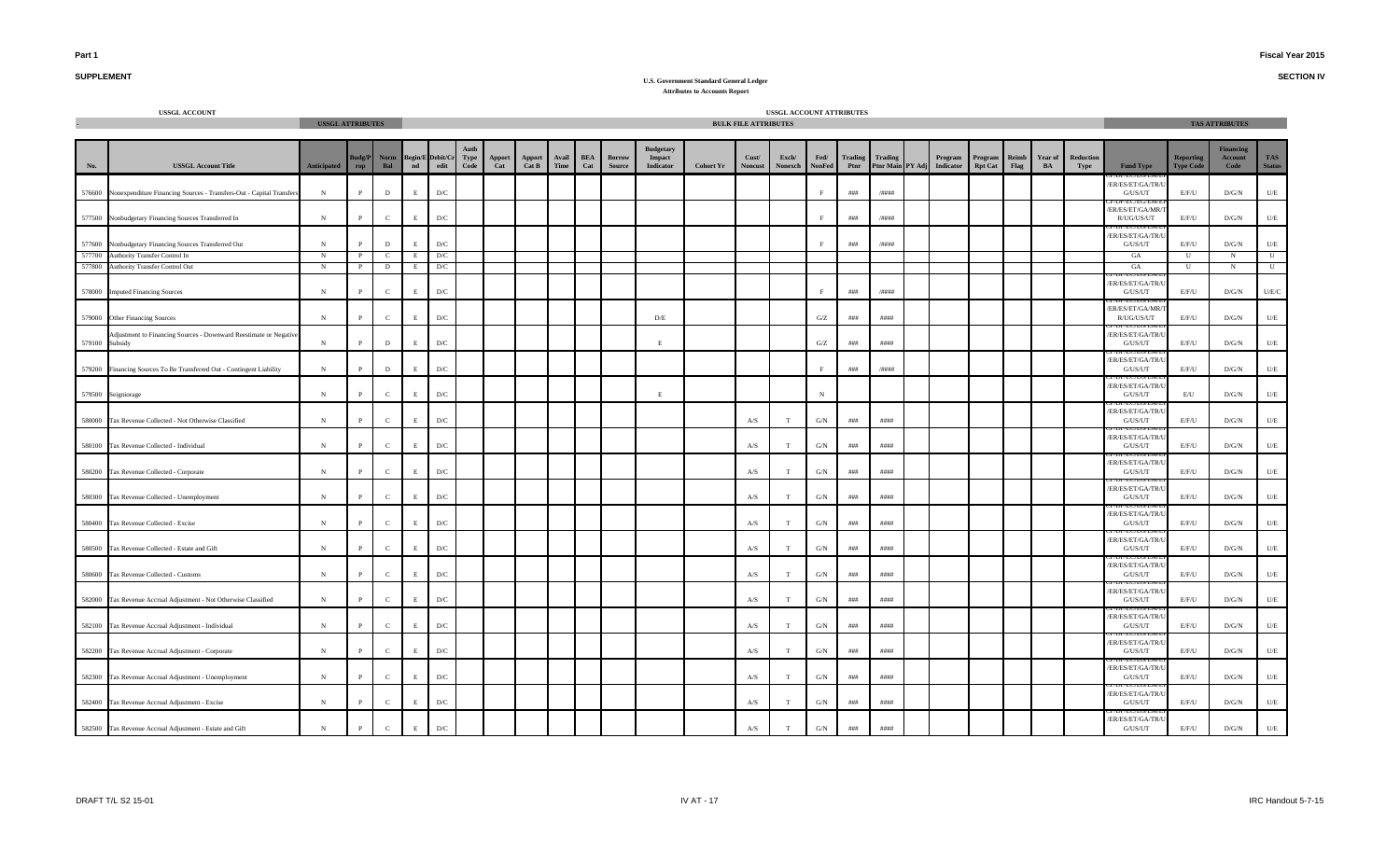**SECTION IV**

# **SUPPLEMENT**

|                | <b>USSGL ACCOUNT</b>                                                       | <b>USSGL ATTRIBUTES</b> |                            |              |             |                                                                                                                                                                                           |                     |               |                 |               |                   |                         |                                                |                  | <b>BULK FILE ATTRIBUTES</b> | USSGL ACCOUNT ATTRIBUTES |                       |                 |                             |                      |                           |               |                          |                   |                                                      |                                      | <b>TAS ATTRIBUTES</b>               |                             |
|----------------|----------------------------------------------------------------------------|-------------------------|----------------------------|--------------|-------------|-------------------------------------------------------------------------------------------------------------------------------------------------------------------------------------------|---------------------|---------------|-----------------|---------------|-------------------|-------------------------|------------------------------------------------|------------------|-----------------------------|--------------------------|-----------------------|-----------------|-----------------------------|----------------------|---------------------------|---------------|--------------------------|-------------------|------------------------------------------------------|--------------------------------------|-------------------------------------|-----------------------------|
| No.            | <b>USSGL Account Title</b>                                                 | Anticipated             | <b>Budg/P</b><br>$\bf rep$ | Norm<br>Bal  |             | $\begin{tabular}{c} Begin/E \end{tabular} \begin{tabular}{l} \multicolumn{2}{c}{\textbf{Begin/E} } \end{tabular} \begin{tabular}{l} \multicolumn{2}{c}{\textbf{Debit/Cr} } \end{tabular}$ | <b>Type</b><br>Code | Apport<br>Cat | Apport<br>Cat B | Avail<br>Time | <b>BEA</b><br>Cat | <b>Borrow</b><br>Source | <b>Budgetary</b><br>Impact<br><b>Indicator</b> | <b>Cohort Yr</b> | Cust/<br><b>Noncust</b>     | Exch/<br>Nonexch         | Fed/<br><b>NonFed</b> | Trading<br>Ptnr | Trading<br>Ptnr Main PY Adj | Program<br>Indicator | Program<br><b>Rpt Cat</b> | Reimb<br>Flag | Year of<br>$\mathbf{BA}$ | Reduction<br>Type | <b>Fund Type</b>                                     | <b>Reporting</b><br><b>Type Code</b> | <b>Financing</b><br>Account<br>Code | <b>TAS</b><br><b>Status</b> |
|                | 576600 Nonexpenditure Financing Sources - Transfers-Out - Capital Transfer | $_{\rm N}$              | $\mathbf{p}$               | $\mathbf D$  | $\mathbf E$ | $\mathbf{D}/\mathbf{C}$                                                                                                                                                                   |                     |               |                 |               |                   |                         |                                                |                  |                             |                          |                       | ###             | $/$ ####                    |                      |                           |               |                          |                   | DI / EU/EU/EW/<br>ER/ES/ET/GA/TR/<br>${\rm G/US/UT}$ | E/F/U                                | D/G/N                               | $\mathbf{U}/\mathbf{E}$     |
|                | 577500 Nonbudgetary Financing Sources Transferred In                       | $_{\rm N}$              | P                          | $\mathbf{C}$ | E           | $\mathbf{D}/\mathbf{C}$                                                                                                                                                                   |                     |               |                 |               |                   |                         |                                                |                  |                             |                          |                       | ###             | /####                       |                      |                           |               |                          |                   | <b>EC/EU/EN</b><br>ER/ES/ET/GA/MR/<br>R/UG/US/UT     | E/F/U                                | D/G/N                               | U/E                         |
|                | 577600 Nonbudgetary Financing Sources Transferred Out                      | $_{\rm N}$              |                            | D            | E           | D/C                                                                                                                                                                                       |                     |               |                 |               |                   |                         |                                                |                  |                             |                          |                       | ###             | /####                       |                      |                           |               |                          |                   | ER/ES/ET/GA/TR/L<br>G/US/UT                          | E/F/U                                | $\rm{D/G/N}$                        | U/E                         |
| 577700         | Authority Transfer Control In                                              | N                       | -Р                         | $\mathbf{C}$ | E           | D/C                                                                                                                                                                                       |                     |               |                 |               |                   |                         |                                                |                  |                             |                          |                       |                 |                             |                      |                           |               |                          |                   | GA                                                   | U                                    | N                                   | $\mathbf{U}$                |
| 577800         | Authority Transfer Control Out                                             | N                       | $\mathbf{P}$               | D            | E           | D/C                                                                                                                                                                                       |                     |               |                 |               |                   |                         |                                                |                  |                             |                          |                       |                 |                             |                      |                           |               |                          |                   | GA                                                   | U                                    | $_{\rm N}$                          | U                           |
| 578000         | <b>Imputed Financing Sources</b>                                           | $_{\rm N}$              |                            | $\mathbf{C}$ | E           | $\mathbf{D}/\mathbf{C}$                                                                                                                                                                   |                     |               |                 |               |                   |                         |                                                |                  |                             |                          |                       | ###             | /####                       |                      |                           |               |                          |                   | ER/ES/ET/GA/TR/<br>G/US/UT                           | E/F/U                                | D/G/N                               | U/E/C                       |
|                | 579000 Other Financing Sources                                             | N                       |                            | $\mathbf{C}$ | E           | D/C                                                                                                                                                                                       |                     |               |                 |               |                   |                         | D/E                                            |                  |                             |                          | G/Z                   | ###             | ####                        |                      |                           |               |                          |                   | ER/ES/ET/GA/MR<br>R/UG/US/UT                         | E/F/U                                | D/G/N                               | U/E                         |
| 579100 Subsidy | Adjustment to Financing Sources - Downward Reestimate or Negative          | N                       | $\mathbf{P}$               | $\mathbf D$  | E           | $\mathbf{D}/\mathbf{C}$                                                                                                                                                                   |                     |               |                 |               |                   |                         | E                                              |                  |                             |                          | G/Z                   | ###             | ####                        |                      |                           |               |                          |                   | ER/ES/ET/GA/TR/L<br>G/US/UT                          | E/F/U                                | D/G/N                               | U/E                         |
|                | 579200 Financing Sources To Be Transferred Out - Contingent Liability      | $\,$ N                  | $\mathbf{p}$               | $\mathbf{D}$ | E           | $\mathbf{D}/\mathbf{C}$                                                                                                                                                                   |                     |               |                 |               |                   |                         |                                                |                  |                             |                          | F                     | ###             | /####                       |                      |                           |               |                          |                   | ER/ES/ET/GA/TR/U<br>G/US/UT                          | E/F/U                                | D/G/N                               | U/E                         |
|                | 579500 Seigniorage                                                         | ${\bf N}$               | $\mathbf{P}$               | $\mathbf{C}$ | E           | $\mathbf{D}/\mathbf{C}$                                                                                                                                                                   |                     |               |                 |               |                   |                         | E                                              |                  |                             |                          | N                     |                 |                             |                      |                           |               |                          |                   | ER/ES/ET/GA/TR/<br>G/US/UT                           | $\mathrm{E}/\mathrm{U}$              | $\rm{D/G/N}$                        | $U/E$                       |
|                | 580000 Tax Revenue Collected - Not Otherwise Classified                    | $\,$ N                  | <sup>p</sup>               | $\mathbf{C}$ | E           | $\mathbf{D}/\mathbf{C}$                                                                                                                                                                   |                     |               |                 |               |                   |                         |                                                |                  | A/S                         | T                        | G/N                   | ###             | ####                        |                      |                           |               |                          |                   | ER/ES/ET/GA/TR/U<br>G/US/UT                          | E/F/U                                | D/G/N                               | $U/E$                       |
|                | 580100 Tax Revenue Collected - Individual                                  | $\,$ N                  | $\mathbf{p}$               | $\mathbf{C}$ | E           | $\mathbf{D}/\mathbf{C}$                                                                                                                                                                   |                     |               |                 |               |                   |                         |                                                |                  | A/S                         | T                        | G/N                   | ###             | ####                        |                      |                           |               |                          |                   | ER/ES/ET/GA/TR/U<br>G/US/UT                          | E/F/U                                | $\rm{D/G/N}$                        | $U\!/\!E$                   |
|                | 580200 Tax Revenue Collected - Corporate                                   | ${\bf N}$               |                            | $\mathbf{C}$ | E.          | $\mathbf{D}/\mathbf{C}$                                                                                                                                                                   |                     |               |                 |               |                   |                         |                                                |                  | A/S                         | T                        | G/N                   | ###             | ####                        |                      |                           |               |                          |                   | ER/ES/ET/GA/TR/U<br>G/US/UT                          | E/F/U                                | D/G/N                               | U/E                         |
|                | 580300 Tax Revenue Collected - Unemployment                                | $_{\rm N}$              |                            | $\mathbf{C}$ | E.          | $\mathbf{D}/\mathbf{C}$                                                                                                                                                                   |                     |               |                 |               |                   |                         |                                                |                  | A/S                         |                          | G/N                   | ###             | ####                        |                      |                           |               |                          |                   | ER/ES/ET/GA/TR/U<br>G/US/UT                          | E/F/U                                | D/G/N                               | U/E                         |
|                | 580400 Tax Revenue Collected - Excise                                      | $_{\rm N}$              |                            | $\epsilon$   | $_{\rm E}$  | D/C                                                                                                                                                                                       |                     |               |                 |               |                   |                         |                                                |                  | A/S                         | T                        | G/N                   | ###             | ####                        |                      |                           |               |                          |                   | JI / EU/EU/EI<br>ER/ES/ET/GA/TR/L<br>G/US/UT         | E/F/U                                | D/G/N                               | U/E                         |
|                | 580500 Tax Revenue Collected - Estate and Gift                             | $\,$ N                  | D                          | $\mathbf{C}$ | $\;$ E      | $\mathbf{D}/\mathbf{C}$                                                                                                                                                                   |                     |               |                 |               |                   |                         |                                                |                  | A/S                         |                          | G/N                   | ###             | ####                        |                      |                           |               |                          |                   | ER/ES/ET/GA/TR/<br>G/US/UT                           | E/F/U                                | D/G/N                               | U/E                         |
|                | 580600 Tax Revenue Collected - Customs                                     | N                       |                            | $\mathbf{C}$ | E.          | $\mathbf{D}/\mathbf{C}$                                                                                                                                                                   |                     |               |                 |               |                   |                         |                                                |                  | A/S                         |                          | G/N                   | ###             | ####                        |                      |                           |               |                          |                   | ER/ES/ET/GA/TR/I<br>G/US/UT                          | E/F/U                                | D/G/N                               | $U/E$                       |
|                | 582000 Tax Revenue Accrual Adjustment - Not Otherwise Classified           | $\,$ N                  |                            | $\mathbf{C}$ | E           | $\mathbf{D}/\mathbf{C}$                                                                                                                                                                   |                     |               |                 |               |                   |                         |                                                |                  | $\mathbf{A} / \mathbf{S}$   | T                        | G/N                   | ###             | ####                        |                      |                           |               |                          |                   | ER/ES/ET/GA/TR/<br>G/US/UT                           | E/F/U                                | D/G/N                               | $\mathbf{U}/\mathbf{E}$     |
|                | 582100 Tax Revenue Accrual Adjustment - Individual                         | $_{\rm N}$              |                            | $\mathbf{C}$ | E           | $\mathbf{D}/\mathbf{C}$                                                                                                                                                                   |                     |               |                 |               |                   |                         |                                                |                  | A/S                         |                          | G/N                   | ###             | ####                        |                      |                           |               |                          |                   | <b>L'ECTEULER</b><br>ER/ES/ET/GA/TR/U<br>G/US/UT     | E/F/U                                | D/G/N                               | $U/E$                       |
|                | 582200 Tax Revenue Accrual Adjustment - Corporate                          | $_{\rm N}$              |                            | $\mathbf{C}$ | E.          | $\mathbf{D}/\mathbf{C}$                                                                                                                                                                   |                     |               |                 |               |                   |                         |                                                |                  | $\mathbf{A} / \mathbf{S}$   | т                        | G/N                   | ###             | ####                        |                      |                           |               |                          |                   | ER/ES/ET/GA/TR/<br>G/US/UT                           | E/F/U                                | D/G/N                               | U/E                         |
|                | 582300 Tax Revenue Accrual Adjustment - Unemployment                       | ${\bf N}$               | P                          | $\mathbf{C}$ | E           | $\mathbf{D}/\mathbf{C}$                                                                                                                                                                   |                     |               |                 |               |                   |                         |                                                |                  | $\mathbf{A} / \mathbf{S}$   | T                        | G/N                   | $\# \# \#$      | ####                        |                      |                           |               |                          |                   | ER/ES/ET/GA/TR/<br>G/US/UT                           | E/F/U                                | D/G/N                               | U/E                         |
|                | 582400 Tax Revenue Accrual Adjustment - Excise                             | $_{\rm N}$              |                            | $\mathbf{C}$ | E           | $\mathbf{D}/\mathbf{C}$                                                                                                                                                                   |                     |               |                 |               |                   |                         |                                                |                  | A/S                         | T                        | G/N                   | ###             | ####                        |                      |                           |               |                          |                   | ER/ES/ET/GA/TR/<br>G/US/UT                           | E/F/U                                | D/G/N                               | $U/E$                       |
|                | 582500 Tax Revenue Accrual Adjustment - Estate and Gift                    | $_{\rm N}$              | P                          | $\mathbf{C}$ | $\mathbf E$ | $\mathbf{D}/\mathbf{C}$                                                                                                                                                                   |                     |               |                 |               |                   |                         |                                                |                  | A/S                         | T                        | G/N                   | ###             | ####                        |                      |                           |               |                          |                   | ER/ES/ET/GA/TR/U<br>G/US/UT                          | E/F/U                                | $\rm{D/G/N}$                        | U/E                         |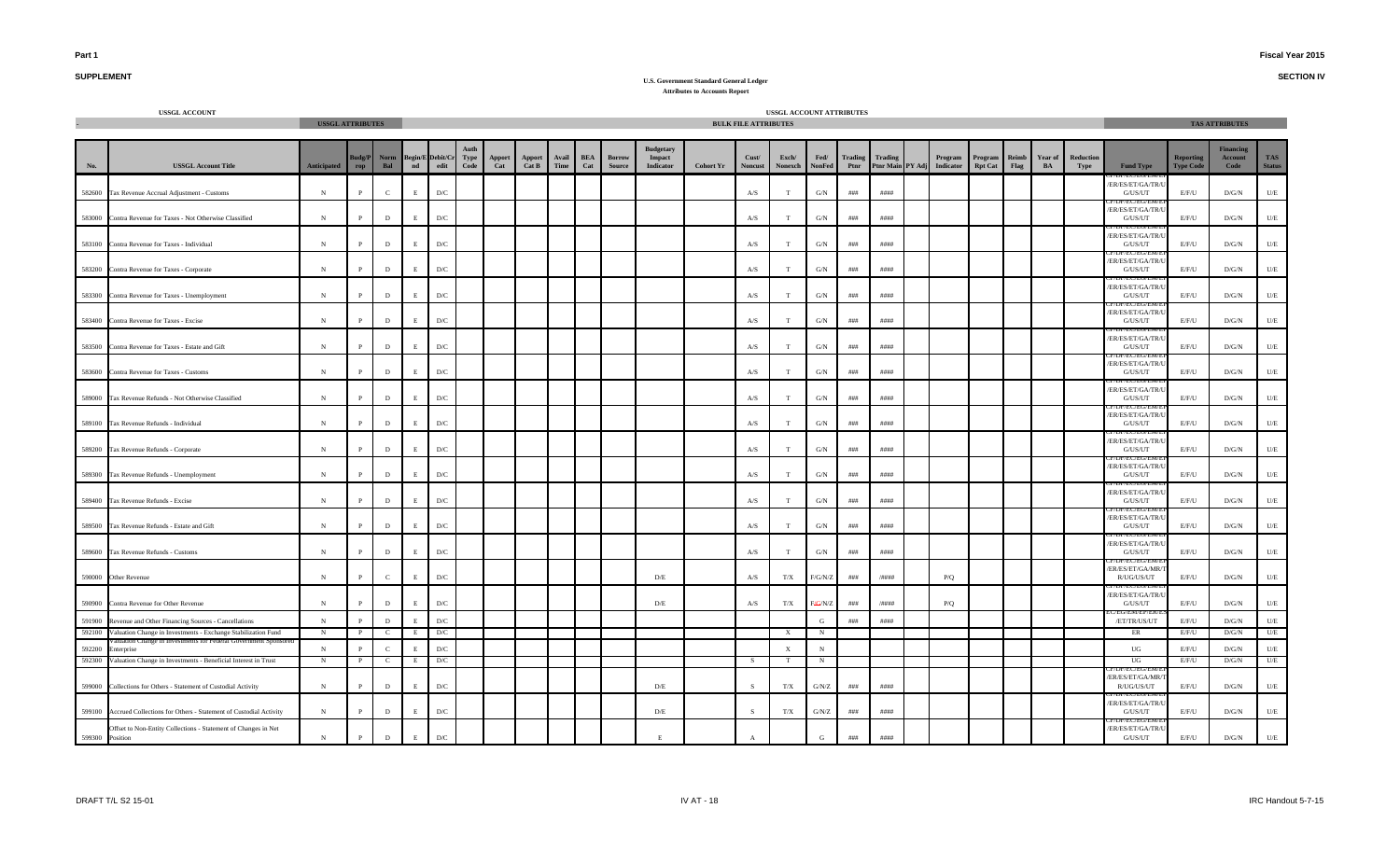**SECTION IV**

# **SUPPLEMENT**

|                 | <b>USSGL ACCOUNT</b>                                                    | <b>USSGL ATTRIBUTES</b> |              |                |                          |                                  |              |               |                 |               |                   |                         |                                         |                  | <b>BULK FILE ATTRIBUTES</b> | USSGL ACCOUNT ATTRIBUTES  |                      |                 |         |                                       |                           |      |               |                   |                                                          |                                      | <b>TAS ATTRIBUTES</b>               |                             |
|-----------------|-------------------------------------------------------------------------|-------------------------|--------------|----------------|--------------------------|----------------------------------|--------------|---------------|-----------------|---------------|-------------------|-------------------------|-----------------------------------------|------------------|-----------------------------|---------------------------|----------------------|-----------------|---------|---------------------------------------|---------------------------|------|---------------|-------------------|----------------------------------------------------------|--------------------------------------|-------------------------------------|-----------------------------|
| No.             | <b>USSGL Account Title</b>                                              | <b>Anticipated</b>      | udg/F<br>rop | Norm<br>Bal    | $\overline{\mathbf{nd}}$ | Begin/E Debit/C<br>$_{\rm edit}$ | Type<br>Code | Apport<br>Cat | Apport<br>Cat B | Avail<br>Time | <b>BEA</b><br>Cat | <b>Borrow</b><br>Source | <b>Budgetary</b><br>Impact<br>Indicator | <b>Cohort Yr</b> | Cust/<br><b>Noncust</b>     | Exch/<br>Nonexch          | Fed/<br>NonFed       | Trading<br>Ptnr | Trading | Program<br>Ptnr Main PY Adj Indicator | Program<br><b>Rpt Cat</b> | Flag | Year of<br>BA | Reduction<br>Type | <b>Fund Type</b>                                         | <b>Reporting</b><br><b>Type Code</b> | <b>Financing</b><br>Account<br>Code | <b>TAS</b><br><b>Status</b> |
|                 | 582600 Tax Revenue Accrual Adjustment - Customs                         | ${\bf N}$               | P            | $\mathbf{C}$   | E                        | $\mathbf{D}/\mathbf{C}$          |              |               |                 |               |                   |                         |                                         |                  | A/S                         | T                         | G/N                  | $\# \# \#$      | ####    |                                       |                           |      |               |                   | ER/ES/ET/GA/TR/U<br>G/US/UT                              | E/F/U                                | D/G/N                               | $U\!/\!E$                   |
|                 | 583000 Contra Revenue for Taxes - Not Otherwise Classified              | $\,$ N                  | D            | $\,$ D         | $\mathbf E$              | $\mathbf{D}/\mathbf{C}$          |              |               |                 |               |                   |                         |                                         |                  | A/S                         |                           | G/N                  | $\# \# \#$      | ####    |                                       |                           |      |               |                   | ER/ES/ET/GA/TR/<br>G/US/UT                               | E/F/U                                | $\rm{D/G/N}$                        | $U\!/\!E$                   |
|                 | 583100 Contra Revenue for Taxes - Individual                            | N                       |              | $\,$ D         | E                        | $\mathbf{D}/\mathbf{C}$          |              |               |                 |               |                   |                         |                                         |                  | A/S                         |                           | G/N                  | ###             | ####    |                                       |                           |      |               |                   | ER/ES/ET/GA/TR/<br>G/US/UT                               | E/F/U                                | D/G/N                               | $U/E$                       |
|                 | 583200 Contra Revenue for Taxes - Corporate                             | N                       | P            | $\,$ D         | E                        | D/C                              |              |               |                 |               |                   |                         |                                         |                  | A/S                         |                           | G/N                  | ###             | ####    |                                       |                           |      |               |                   | /ER/ES/ET/GA/TR<br>G/US/UT                               | E/F/U                                | $\rm{D/G/N}$                        | $U/E$                       |
|                 | 583300 Contra Revenue for Taxes - Unemployment                          | $_{\rm N}$              |              | $\,$ D         | $\mathbf E$              | $\mathbf{D}/\mathbf{C}$          |              |               |                 |               |                   |                         |                                         |                  | $\mathbf{A} / \mathbf{S}$   |                           | G/N                  | # # #           | ####    |                                       |                           |      |               |                   | /EU/EU/E<br>ER/ES/ET/GA/TR/<br>G/US/UT                   | E/F/U                                | $\rm{D/G/N}$                        | $U/E$                       |
|                 | 583400 Contra Revenue for Taxes - Excise                                | N                       |              | D              | E                        | D/C                              |              |               |                 |               |                   |                         |                                         |                  | A/S                         | T                         | $\mathrm{G/N}$       | ###             | ####    |                                       |                           |      |               |                   | ER/ES/ET/GA/TR/I<br>G/US/UT                              | E/F/U                                | D/G/N                               | $U/E$                       |
| 583500          | Contra Revenue for Taxes - Estate and Gift                              | N                       |              | D              | E                        | D/C                              |              |               |                 |               |                   |                         |                                         |                  | A/S                         | T.                        | G/N                  | ###             | ####    |                                       |                           |      |               |                   | ER/ES/ET/GA/TR/<br>G/US/UT                               | E/F/U                                | D/G/N                               | $U\!/\!E$                   |
|                 | 583600 Contra Revenue for Taxes - Customs                               | N                       |              | $\,$ D         | E                        | $\mathbf{D}/\mathbf{C}$          |              |               |                 |               |                   |                         |                                         |                  | $\mathbf{A} / \mathbf{S}$   | T                         | $\mathrm{G/N}$       | # # #           | ####    |                                       |                           |      |               |                   | /ER/ES/ET/GA/TR/<br>$\mathrm{G}/\mathrm{US}/\mathrm{UT}$ | E/F/U                                | D/G/N                               | $U\!/\!E$                   |
|                 |                                                                         |                         |              |                |                          |                                  |              |               |                 |               |                   |                         |                                         |                  |                             |                           |                      |                 |         |                                       |                           |      |               |                   | EC/EU/EI<br>/ER/ES/ET/GA/TR/U                            |                                      |                                     |                             |
|                 | 589000 Tax Revenue Refunds - Not Otherwise Classified                   | $_{\rm N}$              | P            | $\,$ D         | E                        | D/C                              |              |               |                 |               |                   |                         |                                         |                  | A/S                         | T                         | G/N                  | ###             | ####    |                                       |                           |      |               |                   | G/US/UT<br>/ER/ES/ET/GA/TR/U                             | E/F/U                                | D/G/N                               | U/E                         |
|                 | 589100 Tax Revenue Refunds - Individual                                 | $_{\rm N}$              | P            | D              | E                        | $\mathbf{D}/\mathbf{C}$          |              |               |                 |               |                   |                         |                                         |                  | A/S                         | T                         | G/N                  | ###             | ####    |                                       |                           |      |               |                   | G/US/UT<br>/ER/ES/ET/GA/TR/U                             | E/F/U                                | D/G/N                               | U/E                         |
|                 | 589200 Tax Revenue Refunds - Corporate                                  | $_{\rm N}$              |              | D              | E                        | D/C                              |              |               |                 |               |                   |                         |                                         |                  | A/S                         | т                         | G/N                  | ###             | ####    |                                       |                           |      |               |                   | G/US/UT                                                  | E/F/U                                | D/G/N                               | U/E                         |
|                 | 589300 Tax Revenue Refunds - Unemployment                               | N                       |              | D              | E                        | $\mathbf{D}/\mathbf{C}$          |              |               |                 |               |                   |                         |                                         |                  | A/S                         | T                         | G/N                  | # # #           | ####    |                                       |                           |      |               |                   | /ER/ES/ET/GA/TR/U<br>G/US/UT<br>TECTEUTE                 | E/F/U                                | $\rm{D/G/N}$                        | U/E                         |
|                 | 589400 Tax Revenue Refunds - Excise                                     | N                       | P            | $\,$ D         | E                        | $\mathbf{D}/\mathbf{C}$          |              |               |                 |               |                   |                         |                                         |                  | $\mathbf{A} / \mathbf{S}$   | T                         | G/N                  | $\# \# \#$      | ####    |                                       |                           |      |               |                   | ER/ES/ET/GA/TR/<br>G/US/UT                               | E/F/U                                | D/G/N                               | $U\!/\!E$                   |
|                 | 589500 Tax Revenue Refunds - Estate and Gift                            | $\,$ N                  | P            | $\mathbf D$    | E                        | $\mathbf{D}/\mathbf{C}$          |              |               |                 |               |                   |                         |                                         |                  | A/S                         | T                         | G/N                  | $\# \# \#$      | ####    |                                       |                           |      |               |                   | ER/ES/ET/GA/TR/<br>G/US/UT                               | E/F/U                                | $\rm{D/G/N}$                        | U/E                         |
|                 | 589600 Tax Revenue Refunds - Customs                                    | $\,$ N                  | P            | $\,$ D         | E                        | D/C                              |              |               |                 |               |                   |                         |                                         |                  | A/S                         | T                         | G/N                  | $\# \# \#$      | ####    |                                       |                           |      |               |                   | ER/ES/ET/GA/TR/<br>G/US/UT                               | E/F/U                                | D/G/N                               | U/E                         |
|                 | 590000 Other Revenue                                                    | N                       | D            | $\mathbf{C}$   | E                        | D/C                              |              |               |                 |               |                   |                         | D/E                                     |                  | A/S                         | T/X                       | $F/G/N/Z$            | ###             | /####   | P/Q                                   |                           |      |               |                   | ER/ES/ET/GA/MR/<br>R/UG/US/UT                            | E/F/U                                | D/G/N                               | U/E                         |
|                 | 590900 Contra Revenue for Other Revenue                                 | $_{\rm N}$              | P            | $\mathbf D$    | E                        | $\mathbf{D}/\mathbf{C}$          |              |               |                 |               |                   |                         | D/E                                     |                  | A/S                         | T/X                       | F <del>/G</del> /N/Z | ###             | /####   | P/Q                                   |                           |      |               |                   | ER/ES/ET/GA/TR/<br>G/US/UT                               | E/F/U                                | D/G/N                               | U/E                         |
| 591900          | Revenue and Other Financing Sources - Cancellations                     | N                       | $\mathbf{p}$ | D              | E.                       | D/C                              |              |               |                 |               |                   |                         |                                         |                  |                             |                           | G                    | ###             | ####    |                                       |                           |      |               |                   | /ET/TR/US/UT                                             | E/F/U                                | D/G/N                               | $U/E$                       |
| 592100          | Valuation Change in Investments - Exchange Stabilization Fund           | N                       |              | C              | E                        | D/C                              |              |               |                 |               |                   |                         |                                         |                  |                             | $\mathbf{x}$              | N                    |                 |         |                                       |                           |      |               |                   | ER                                                       | E/F/U                                | D/G/N                               | U/E                         |
| 592200          | nterprise                                                               | $\,$ N                  |              | $\mathcal{C}$  | E                        | ${\rm D/C}$                      |              |               |                 |               |                   |                         |                                         |                  |                             | $\boldsymbol{\mathrm{X}}$ | N                    |                 |         |                                       |                           |      |               |                   | $_{\rm UG}$                                              | E/F/U                                | D/G/N                               | U/E                         |
|                 | 592300 Valuation Change in Investments - Beneficial Interest in Trust   | $\mathbf{N}$            | $\mathbf{P}$ | <sup>-</sup> C | E                        | D/C                              |              |               |                 |               |                   |                         |                                         |                  | - S                         |                           | N                    |                 |         |                                       |                           |      |               |                   | UG                                                       | E/F/U                                | D/G/N                               | U/E                         |
|                 | 599000 Collections for Others - Statement of Custodial Activity         | N                       | P            | $\,$ D         | E                        | D/C                              |              |               |                 |               |                   |                         | D/E                                     |                  |                             | T/X                       | G/N/Z                | ###             | ####    |                                       |                           |      |               |                   | ER/ES/ET/GA/MR<br>R/UG/US/UT                             | E/F/U                                | $\rm{D/G/N}$                        | $U/E$                       |
|                 | 599100 Accrued Collections for Others - Statement of Custodial Activity | $\mathbf N$             | P            | D              | E                        | $\mathbf{D}/\mathbf{C}$          |              |               |                 |               |                   |                         | D/E                                     |                  | -S                          | T/X                       | G/N/Z                | ###             | ####    |                                       |                           |      |               |                   | ER/ES/ET/GA/TR/<br>G/US/UT                               | E/F/U                                | D/G/N                               | U/E                         |
| 599300 Position | Offset to Non-Entity Collections - Statement of Changes in Net          | N                       | $\mathbf{P}$ | $\mathbf D$    | $\mathbf E$              | $\mathbf{D}/\mathbf{C}$          |              |               |                 |               |                   |                         | E                                       |                  | $\mathbf{A}$                |                           | G                    | ###             | ####    |                                       |                           |      |               |                   | ER/ES/ET/GA/TR/<br>G/US/UT                               | E/F/U                                | $\rm{D/G/N}$                        | $U\!/\!E$                   |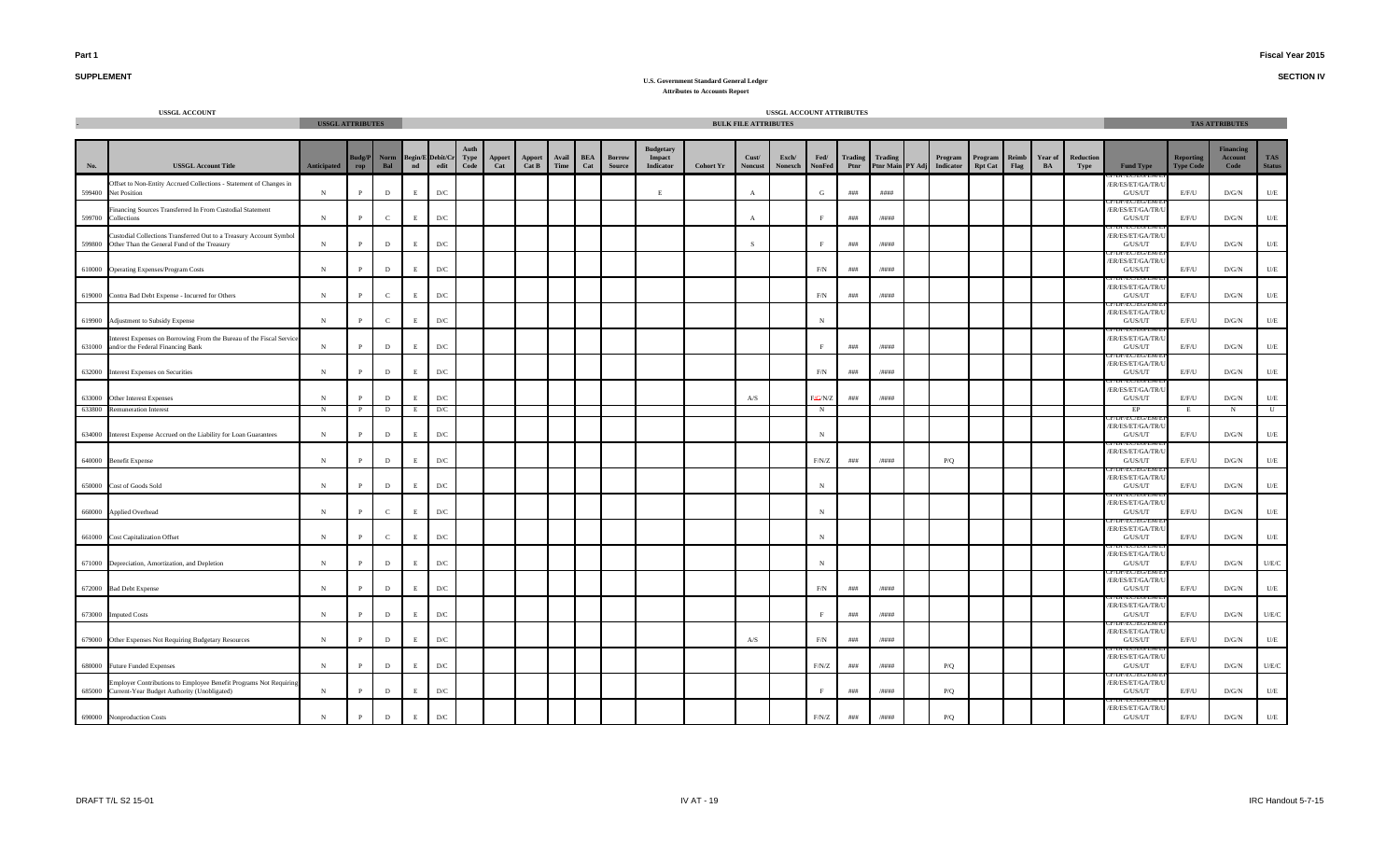**SECTION IV**

# **SUPPLEMENT**

|        | <b>USSGL ACCOUNT</b>                                                                                                     | <b>USSGL ATTRIBUTES</b> |                            |               |             |                                                                                            |               |                 |               |                         |                                |                                                |                  | <b>BULK FILE ATTRIBUTES</b> | USSGL ACCOUNT ATTRIBUTES |                    |            |                 |                                       |                           |               |               |                   |                                        |                                      | <b>TAS ATTRIBUTES</b>               |                      |
|--------|--------------------------------------------------------------------------------------------------------------------------|-------------------------|----------------------------|---------------|-------------|--------------------------------------------------------------------------------------------|---------------|-----------------|---------------|-------------------------|--------------------------------|------------------------------------------------|------------------|-----------------------------|--------------------------|--------------------|------------|-----------------|---------------------------------------|---------------------------|---------------|---------------|-------------------|----------------------------------------|--------------------------------------|-------------------------------------|----------------------|
| No.    | <b>USSGL Account Title</b>                                                                                               | Anticipated             | <b>Budg/P</b><br>$\bf rep$ | Norm<br>Bal   |             | $\begin{tabular}{lcl} \bf Begin/E\; Debit/Cr & Type \\ \bf nd & edit & Code \end{tabular}$ | Apport<br>Cat | Apport<br>Cat B | Avail<br>Time | <b>BEA</b><br>$\bf Cat$ | <b>Borrow</b><br><b>Source</b> | <b>Budgetary</b><br>Impact<br><b>Indicator</b> | <b>Cohort Yr</b> | Cust/<br><b>Noncust</b>     | Exch/<br>Nonexch         | Fed/<br>NonFed     | Ptnr       | Trading Trading | Program<br>Ptnr Main PY Adj Indicator | Program<br><b>Rpt Cat</b> | Reimb<br>Flag | Year of<br>BA | Reduction<br>Type | <b>Fund Type</b>                       | <b>Reporting</b><br><b>Type Code</b> | <b>Financing</b><br>Account<br>Code | TAS<br><b>Status</b> |
|        | Offset to Non-Entity Accrued Collections - Statement of Changes in<br>599400 Net Position                                | N                       |                            | $\mathbf D$   | $\mathbf E$ | $\mathbf{D}/\mathbf{C}$                                                                    |               |                 |               |                         |                                | E                                              |                  | $\mathbf{A}$                |                          | G                  | $\# \# \#$ | ####            |                                       |                           |               |               |                   | ER/ES/ET/GA/TR/<br>G/US/UT             | E/F/U                                | $\rm{D/G/N}$                        | $U\!/\!E$            |
|        | Financing Sources Transferred In From Custodial Statement<br>599700 Collections                                          | N                       |                            | $\mathbf{C}$  | E.          | D/C                                                                                        |               |                 |               |                         |                                |                                                |                  | $\mathbf{A}$                |                          |                    | # # #      | /####           |                                       |                           |               |               |                   | ER/ES/ET/GA/TR/<br>G/US/UT             | E/F/U                                | D/G/N                               | $U/E$                |
|        | Custodial Collections Transferred Out to a Treasury Account Symbol<br>599800 Other Than the General Fund of the Treasury | $_{\rm N}$              | P                          | $\mathbf D$   | E           | D/C                                                                                        |               |                 |               |                         |                                |                                                |                  | <sub>S</sub>                |                          |                    | # # #      | /####           |                                       |                           |               |               |                   | ER/ES/ET/GA/TR/<br>G/US/UT             | E/F/U                                | D/G/N                               | U/E                  |
|        | 610000 Operating Expenses/Program Costs                                                                                  | ${\bf N}$               | P                          | $\mathbf D$   | E           | $\mathbf{D}/\mathbf{C}$                                                                    |               |                 |               |                         |                                |                                                |                  |                             |                          | F/N                | ###        | /####           |                                       |                           |               |               |                   | ER/ES/ET/GA/TR/<br>G/US/UT             | E/F/U                                | D/G/N                               | $U/E$                |
|        | 619000 Contra Bad Debt Expense - Incurred for Others                                                                     | ${\bf N}$               |                            | $\mathbf{C}$  | E           | $\mathbf{D}/\mathbf{C}$                                                                    |               |                 |               |                         |                                |                                                |                  |                             |                          | F/N                | ###        | $/$ ####        |                                       |                           |               |               |                   | ER/ES/ET/GA/TR/U<br>G/US/UT            | E/F/U                                | $\rm{D/G/N}$                        | $U/E$                |
|        | 619900 Adjustment to Subsidy Expense                                                                                     | $_{\rm N}$              |                            | $\mathcal{C}$ | E.          | D/C                                                                                        |               |                 |               |                         |                                |                                                |                  |                             |                          | $_{\rm N}$         |            |                 |                                       |                           |               |               |                   | ER/ES/ET/GA/TR/U<br>G/US/UT            | E/F/U                                | D/G/N                               | $U\hspace{-0.1cm}/E$ |
|        | Interest Expenses on Borrowing From the Bureau of the Fiscal Service<br>631000 and/or the Federal Financing Bank         | ${\bf N}$               |                            | D             | E           | D/C                                                                                        |               |                 |               |                         |                                |                                                |                  |                             |                          |                    | ###        | /####           |                                       |                           |               |               |                   | ER/ES/ET/GA/TR/<br>G/US/UT             | E/F/U                                | D/G/N                               | U/E                  |
|        | 632000 Interest Expenses on Securities                                                                                   | $_{\rm N}$              | D                          | $\mathbf{D}$  | E           | $\mathbf{D}/\mathbf{C}$                                                                    |               |                 |               |                         |                                |                                                |                  |                             |                          | F/N                | ###        | /####           |                                       |                           |               |               |                   | ER/ES/ET/GA/TR/<br>G/US/UT             | E/F/U                                | D/G/N                               | $U/E$                |
|        | 633000 Other Interest Expenses                                                                                           | $_{\rm N}$              |                            | $\mathbf D$   | E           | $\mathbf{D}/\mathbf{C}$                                                                    |               |                 |               |                         |                                |                                                |                  | A/S                         |                          | H <sub>G/N/Z</sub> | # # #      | /####           |                                       |                           |               |               |                   | ER/ES/ET/GA/TR/<br>G/US/UT             | E/F/U                                | $\rm{D/G/N}$                        | $U\!/\!E$            |
| 633800 | <b>Remuneration Interest</b>                                                                                             | N                       |                            | D             | E           | D/C                                                                                        |               |                 |               |                         |                                |                                                |                  |                             |                          | N                  |            |                 |                                       |                           |               |               |                   | EP                                     |                                      | N                                   | $\mathbb U$          |
| 634000 | Interest Expense Accrued on the Liability for Loan Guarantees                                                            | ${\bf N}$               |                            | $\mathbf D$   | E           | $\mathbf{D}/\mathbf{C}$                                                                    |               |                 |               |                         |                                |                                                |                  |                             |                          | $_{\rm N}$         |            |                 |                                       |                           |               |               |                   | ER/ES/ET/GA/TR/I<br>G/US/UT            | E/F/U                                | $\rm{D/G/N}$                        | $U\hspace{-0.1cm}/E$ |
|        | 640000 Benefit Expense                                                                                                   | $_{\rm N}$              |                            | D             | E.          | D/C                                                                                        |               |                 |               |                         |                                |                                                |                  |                             |                          | F/N/Z              | ###        | /####           | P/Q                                   |                           |               |               |                   | ER/ES/ET/GA/TR/U<br>G/US/UT            | E/F/U                                | $\rm{D/G/N}$                        | $U\hspace{-0.1cm}/E$ |
|        | 650000 Cost of Goods Sold                                                                                                | $_{\rm N}$              |                            | D             | E           | D/C                                                                                        |               |                 |               |                         |                                |                                                |                  |                             |                          | $_{\rm N}$         |            |                 |                                       |                           |               |               |                   | ER/ES/ET/GA/TR/<br>G/US/UT             | E/F/U                                | D/G/N                               | U/E                  |
|        | 660000 Applied Overhead                                                                                                  | $_{\rm N}$              |                            | $\mathbf{C}$  | E           | $\mathbf{D}/\mathbf{C}$                                                                    |               |                 |               |                         |                                |                                                |                  |                             |                          | $_{\rm N}$         |            |                 |                                       |                           |               |               |                   | ER/ES/ET/GA/TR/<br>G/US/UT             | E/F/U                                | D/G/N                               | $U/E$                |
|        | 661000 Cost Capitalization Offset                                                                                        | N                       |                            | $\mathbf{C}$  | E           | $\mathbf{D}/\mathbf{C}$                                                                    |               |                 |               |                         |                                |                                                |                  |                             |                          |                    |            |                 |                                       |                           |               |               |                   | EL ELVEI<br>ER/ES/ET/GA/TR/<br>G/US/UT | E/F/U                                | $\rm{D/G/N}$                        | $U\!/\!E$            |
|        | 671000 Depreciation, Amortization, and Depletion                                                                         | $_{\rm N}$              |                            | $\mathbf D$   | E.          | D/C                                                                                        |               |                 |               |                         |                                |                                                |                  |                             |                          | $_{\rm N}$         |            |                 |                                       |                           |               |               |                   | ER/ES/ET/GA/TR/I<br>G/US/UT            | E/F/U                                | D/G/N                               | $U/E/C$              |
|        | 672000 Bad Debt Expense                                                                                                  | $_{\rm N}$              | D                          | $\mathbf D$   | E           | D/C                                                                                        |               |                 |               |                         |                                |                                                |                  |                             |                          | F/N                | # # #      | /####           |                                       |                           |               |               |                   | ER/ES/ET/GA/TR/<br>G/US/UT             | E/F/U                                | D/G/N                               | U/E                  |
| 673000 | <b>Imputed Costs</b>                                                                                                     | ${\bf N}$               | D                          | $\mathbf D$   | E           | $\mathbf{D}/\mathbf{C}$                                                                    |               |                 |               |                         |                                |                                                |                  |                             |                          |                    | ###        | /####           |                                       |                           |               |               |                   | ER/ES/ET/GA/TR/<br>G/US/UT             | E/F/U                                | D/G/N                               | $U/E/C$              |
|        | 679000 Other Expenses Not Requiring Budgetary Resources                                                                  | ${\bf N}$               |                            | $\mathbf D$   | E.          | $\mathbf{D}/\mathbf{C}$                                                                    |               |                 |               |                         |                                |                                                |                  | A/S                         |                          | F/N                | $\# \# \#$ | /####           |                                       |                           |               |               |                   | ER/ES/ET/GA/TR/<br>G/US/UT             | E/F/U                                | $\rm{D/G/N}$                        | $U/E$                |
|        | 680000 Future Funded Expenses                                                                                            | $_{\rm N}$              |                            | D             | E.          | D/C                                                                                        |               |                 |               |                         |                                |                                                |                  |                             |                          | F/N/Z              | ###        | /####           | P/Q                                   |                           |               |               |                   | ER/ES/ET/GA/TR/U<br>G/US/UT            | E/F/U                                | D/G/N                               | U/E/C                |
|        | Employer Contributions to Employee Benefit Programs Not Requiring<br>685000 Current-Year Budget Authority (Unobligated)  | ${\bf N}$               |                            | D             | E           | D/C                                                                                        |               |                 |               |                         |                                |                                                |                  |                             |                          |                    | ###        | /####           | P/Q                                   |                           |               |               |                   | ER/ES/ET/GA/TR/<br>G/US/UT             | E/F/U                                | D/G/N                               | U/E                  |
|        | 690000 Nonproduction Costs                                                                                               | ${\bf N}$               | P                          | $\mathbf D$   | E           | $\mathbf{D}/\mathbf{C}$                                                                    |               |                 |               |                         |                                |                                                |                  |                             |                          | F/N/Z              | # # #      | /####           | P/Q                                   |                           |               |               |                   | ER/ES/ET/GA/TR/I<br>G/US/UT            | E/F/U                                | D/G/N                               | $U/E$                |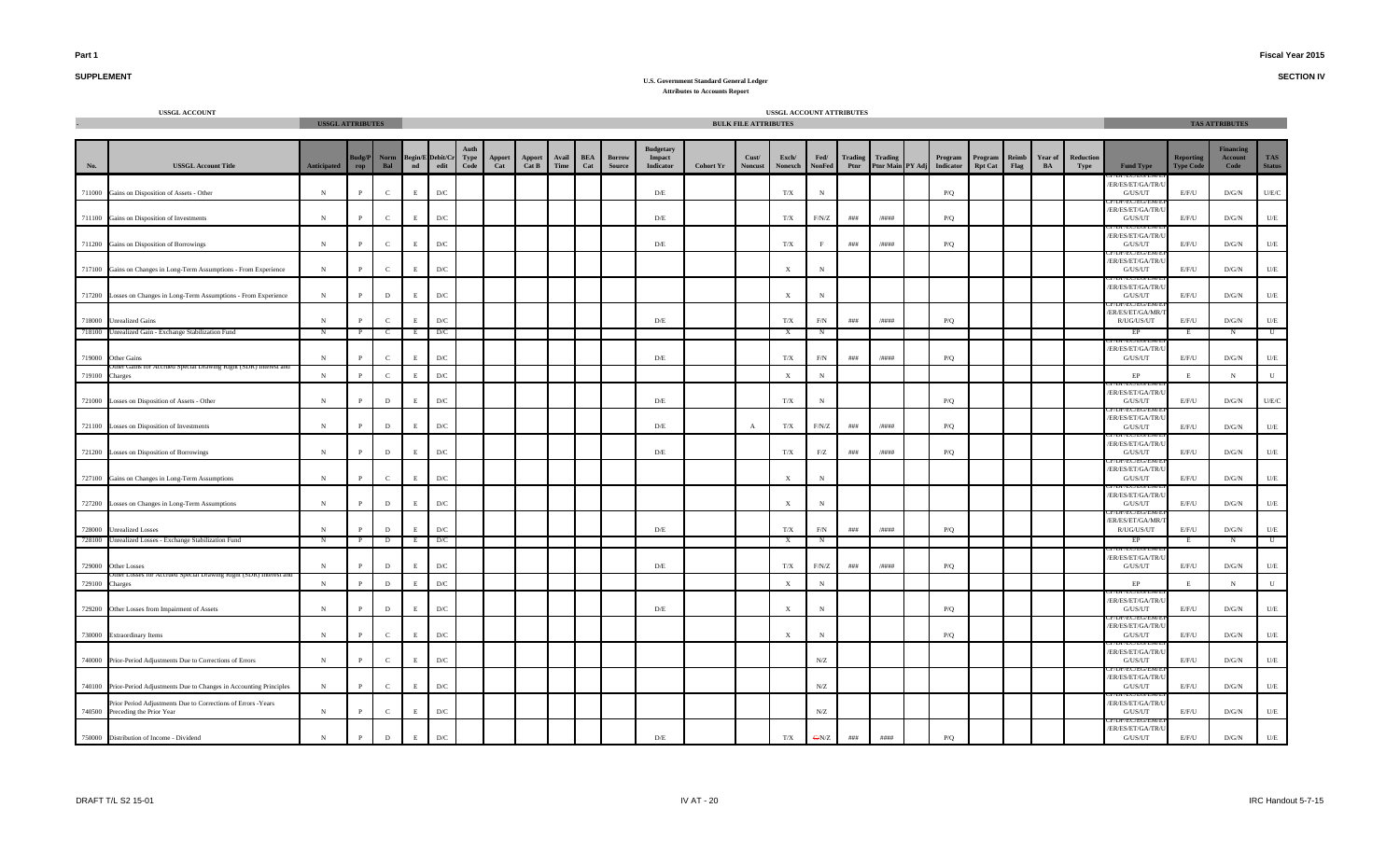**SECTION IV**

## **SUPPLEMENT**

|        | <b>USSGL ACCOUNT</b>                                                                            | <b>USSGL ATTRIBUTES</b> |               |               |                    |                         |                      |               |                        |               |                   |                                |                                         |                  | <b>BULK FILE ATTRIBUTES</b> | USSGL ACCOUNT ATTRIBUTES  |                       |                 |                                    |                             |                           |               |               |                   |                                           |                               | <b>TAS ATTRIBUTES</b>               |                         |
|--------|-------------------------------------------------------------------------------------------------|-------------------------|---------------|---------------|--------------------|-------------------------|----------------------|---------------|------------------------|---------------|-------------------|--------------------------------|-----------------------------------------|------------------|-----------------------------|---------------------------|-----------------------|-----------------|------------------------------------|-----------------------------|---------------------------|---------------|---------------|-------------------|-------------------------------------------|-------------------------------|-------------------------------------|-------------------------|
| No.    | <b>USSGL Account Title</b>                                                                      | <b>Anticipated</b>      | 3udg/P<br>rop | Norm<br>Bal   | Begin/I<br>$^{nd}$ | Debit/C<br>edit         | Antl<br>Type<br>Code | Apport<br>Cat | <b>Apport</b><br>Cat B | Avail<br>Time | <b>BEA</b><br>Cat | <b>Borrow</b><br><b>Source</b> | Budgetary<br>Impact<br><b>Indicator</b> | <b>Cohort Yr</b> | Cust/<br><b>Noncust</b>     | Exch/<br>Nonexch          | Fed/<br><b>NonFed</b> | Trading<br>Ptnr | <b>Trading</b><br>Ptnr Main PY Adj | Program<br><b>Indicator</b> | Program<br><b>Rpt Cat</b> | Reimb<br>Flag | Year of<br>BA | Reduction<br>Type | <b>Fund Type</b>                          | Reporting<br><b>Type Code</b> | <b>Financing</b><br>Account<br>Code | TAS<br><b>Status</b>    |
|        | 711000 Gains on Disposition of Assets - Other                                                   | N                       |               | $\mathbf{C}$  | E                  | D/C                     |                      |               |                        |               |                   |                                | D/E                                     |                  |                             | T/X                       | N                     |                 |                                    | P/Q                         |                           |               |               |                   | ER/ES/ET/GA/TR/U<br>G/US/UT               | E/F/U                         | D/G/N                               | U/E/C                   |
|        | 711100 Gains on Disposition of Investments                                                      | $\,$ N                  |               | $\mathbf{C}$  | E                  | $\mathbf{D}/\mathbf{C}$ |                      |               |                        |               |                   |                                | D/E                                     |                  |                             | T/X                       | F/N/Z                 | # # #           | /####                              | P/Q                         |                           |               |               |                   | ER/ES/ET/GA/TR/I<br>G/US/UT               | E/F/U                         | D/G/N                               | $U/E$                   |
|        | 711200 Gains on Disposition of Borrowings                                                       | N                       |               | $\mathcal{C}$ | E                  | $\mathbf{D}/\mathbf{C}$ |                      |               |                        |               |                   |                                | D/E                                     |                  |                             | $\rm T/X$                 |                       | ###             | /####                              | P/Q                         |                           |               |               |                   | ER/ES/ET/GA/TR/U<br>G/US/UT               | E/F/U                         | D/G/N                               | $U/E$                   |
|        | 717100 Gains on Changes in Long-Term Assumptions - From Experience                              | $\,$ N                  | $\mathbf{P}$  | $\mathbf{C}$  | $\mathbf E$        | D/C                     |                      |               |                        |               |                   |                                |                                         |                  |                             | $\mathbf X$               | $_{\rm N}$            |                 |                                    |                             |                           |               |               |                   | ER/ES/ET/GA/TR/U<br>${\rm G/US/UT}$       | E/F/U                         | $\rm{D/G/N}$                        | $\mathbf{U}/\mathbf{E}$ |
|        | 717200 Losses on Changes in Long-Term Assumptions - From Experience                             | N                       | $\mathbf{p}$  | D             | $\mathbf{F}$       | D/C                     |                      |               |                        |               |                   |                                |                                         |                  |                             | X                         | $_{\rm N}$            |                 |                                    |                             |                           |               |               |                   | ER/ES/ET/GA/TR/U<br>G/US/UT               | E/F/U                         | $\rm{D/G/N}$                        | $U/E$                   |
|        | 718000 Unrealized Gains                                                                         | N                       |               | $\epsilon$    | $\mathbf{F}$       | D/C                     |                      |               |                        |               |                   |                                | D/E                                     |                  |                             | $\rm T/X$                 | F/N                   | ###             | /####                              | P/Q                         |                           |               |               |                   | ER/ES/ET/GA/MR/<br>R/UG/US/UT             | E/F/U                         | D/G/N                               | $U/E$                   |
| 718100 | Unrealized Gain - Exchange Stabilization Fund                                                   | N                       |               | - C           | E                  | D/C                     |                      |               |                        |               |                   |                                |                                         |                  |                             | X                         | $_{\rm N}$            |                 |                                    |                             |                           |               |               |                   | EP                                        | E                             | N                                   | $\mathbb{U}$            |
|        | 719000 Other Gains                                                                              | $_{\rm N}$              |               | $\mathbf{C}$  | E                  | D/C                     |                      |               |                        |               |                   |                                | D/E                                     |                  |                             | T/X                       | $\rm F/N$             | # # #           | /####                              | P/Q                         |                           |               |               |                   | EC/EU/I<br>ER/ES/ET/GA/TR/<br>G/US/UT     | E/F/U                         | D/G/N                               | U/E                     |
| 719100 | r Accrued Special Drawing Kight (SDK) Interest a<br>Charges                                     | $_{\rm N}$              |               | $\mathbf{C}$  | E                  | D/C                     |                      |               |                        |               |                   |                                |                                         |                  |                             | $\mathbf x$               | $_{\rm N}$            |                 |                                    |                             |                           |               |               |                   | $\rm EP$                                  | E                             | ${\bf N}$                           | U                       |
|        | 721000 Losses on Disposition of Assets - Other                                                  | $\,$ N                  |               | $\mathbf{D}$  | E                  | D/C                     |                      |               |                        |               |                   |                                | $\mathbf{D}/\mathbf{E}$                 |                  |                             | $\rm T/X$                 | N                     |                 |                                    | P/Q                         |                           |               |               |                   | ER/ES/ET/GA/TR/<br>G/US/UT                | E/F/U                         | D/G/N                               | U/E/C                   |
|        | 721100 Losses on Disposition of Investments                                                     | ${\bf N}$               |               | $\,$ D        | $\mathbf E$        | $\mathbf{D}/\mathbf{C}$ |                      |               |                        |               |                   |                                | $\rm D/E$                               |                  | $\mathbf{A}$                | $\rm T/X$                 | F/N/Z                 | $\# \# \#$      | $/ \# \# \# \#$                    | $\mathbf{P}/\mathbf{Q}$     |                           |               |               |                   | ER/ES/ET/GA/TR/U<br>${\rm G/US/UT}$       | E/F/U                         | $\rm{D/G/N}$                        | $U\!/\!E$               |
|        | 721200 Losses on Disposition of Borrowings                                                      | ${\bf N}$               | $\mathbf{P}$  | $\mathbf{D}$  | E                  | D/C                     |                      |               |                        |               |                   |                                | D/E                                     |                  |                             | $\rm T/X$                 | F/Z                   | ###             | /####                              | P/Q                         |                           |               |               |                   | ER/ES/ET/GA/TR/<br>G/US/UT                | E/F/U                         | D/G/N                               | $U/E$                   |
|        | 727100 Gains on Changes in Long-Term Assumptions                                                | ${\bf N}$               |               | $\mathbf{C}$  | E                  | D/C                     |                      |               |                        |               |                   |                                |                                         |                  |                             | $\mathbf X$               | $_{\rm N}$            |                 |                                    |                             |                           |               |               |                   | ER/ES/ET/GA/TR/I<br>G/US/UT               | E/F/U                         | D/G/N                               | $U/E$                   |
|        | 727200 Losses on Changes in Long-Term Assumptions                                               | N                       | $\mathbf{P}$  | D             | E                  | D/C                     |                      |               |                        |               |                   |                                |                                         |                  |                             | X                         | $_{\rm N}$            |                 |                                    |                             |                           |               |               |                   | ER/ES/ET/GA/TR/<br>G/US/UT                | E/F/U                         | D/G/N                               | U/E                     |
|        | 728000 Unrealized Losses                                                                        | N                       |               | D             | E                  | D/C                     |                      |               |                        |               |                   |                                | D/E                                     |                  |                             | T/X                       | F/N                   | ###             | /####                              | P/Q                         |                           |               |               |                   | YEU EU/E<br>ER/ES/ET/GA/MR/<br>R/UG/US/UT | E/F/U                         | D/G/N                               | U/E                     |
| 728100 | Unrealized Losses - Exchange Stabilization Fund                                                 | N                       | $\mathbf{P}$  | $\mathbf{D}$  | E                  | D/C                     |                      |               |                        |               |                   |                                |                                         |                  |                             | $\mathbf{x}$              | N                     |                 |                                    |                             |                           |               |               |                   | EP                                        | E                             | $\mathbf N$                         | $\mathbf U$             |
|        | 729000 Other Losses                                                                             | $_{\rm N}$              |               | D             |                    | D/C                     |                      |               |                        |               |                   |                                | D/E                                     |                  |                             | T/X                       | F/N/Z                 | # # #           | /####                              | P/Q                         |                           |               |               |                   | ER/ES/ET/GA/TR/<br>G/US/UT                | E/F/U                         | D/G/N                               | $U/E$                   |
| 729100 | Charges                                                                                         | N                       | $\mathbf{P}$  | D             | $\mathbf F$        | $_{\mathrm{D/C}}$       |                      |               |                        |               |                   |                                |                                         |                  |                             | $\boldsymbol{\mathrm{X}}$ | N                     |                 |                                    |                             |                           |               |               |                   | $\rm EP$                                  | E                             | $\,$ N                              | ${\bf U}$               |
|        | 729200 Other Losses from Impairment of Assets                                                   | ${\bf N}$               |               | D             | E                  | D/C                     |                      |               |                        |               |                   |                                | D/E                                     |                  |                             | X                         | $_{\rm N}$            |                 |                                    | P/Q                         |                           |               |               |                   | ER/ES/ET/GA/TR/<br>G/US/UT                | E/F/U                         | D/G/N                               | $U/E$                   |
|        | 730000 Extraordinary Items                                                                      | N                       |               | $\mathbf{C}$  | E                  | D/C                     |                      |               |                        |               |                   |                                |                                         |                  |                             | X                         | $_{\rm N}$            |                 |                                    | P/Q                         |                           |               |               |                   | ER/ES/ET/GA/TR/<br>G/US/UT                | E/F/U                         | D/G/N                               | $U/E$                   |
|        | 740000 Prior-Period Adjustments Due to Corrections of Errors                                    | N                       |               | $\mathbf{C}$  | E                  | $\mathbf{D}/\mathbf{C}$ |                      |               |                        |               |                   |                                |                                         |                  |                             |                           | $N\!/\!Z$             |                 |                                    |                             |                           |               |               |                   | ER/ES/ET/GA/TR/<br>G/US/UT                | E/F/U                         | D/G/N                               | U/E                     |
|        | 740100 Prior-Period Adjustments Due to Changes in Accounting Principles                         | N                       |               | $\mathcal{C}$ | E                  | D/C                     |                      |               |                        |               |                   |                                |                                         |                  |                             |                           | N/Z                   |                 |                                    |                             |                           |               |               |                   | /EU/EU/E<br>ER/ES/ET/GA/TR/<br>G/US/UT    | E/F/U                         | D/G/N                               | U/E                     |
|        | Prior Period Adjustments Due to Corrections of Errors -Years<br>740500 Preceding the Prior Year | N                       |               | $\mathcal{C}$ | E                  | D/C                     |                      |               |                        |               |                   |                                |                                         |                  |                             |                           | ${\rm N/Z}$           |                 |                                    |                             |                           |               |               |                   | ER/ES/ET/GA/TR/<br>G/US/UT                | E/F/U                         | $\rm{D/G/N}$                        | $U/E$                   |
|        | 750000 Distribution of Income - Dividend                                                        | N                       |               | D             | E                  | $\mathbf{D}/\mathbf{C}$ |                      |               |                        |               |                   |                                | $\mathrm{D}/\mathrm{E}$                 |                  |                             | $\rm T/X$                 | GN/Z                  | ###             | $\# \# \# \#$                      | P/Q                         |                           |               |               |                   | ER/ES/ET/GA/TR/U<br>G/US/UT               | E/F/U                         | $\rm{D/G/N}$                        | $U\!/\!E$               |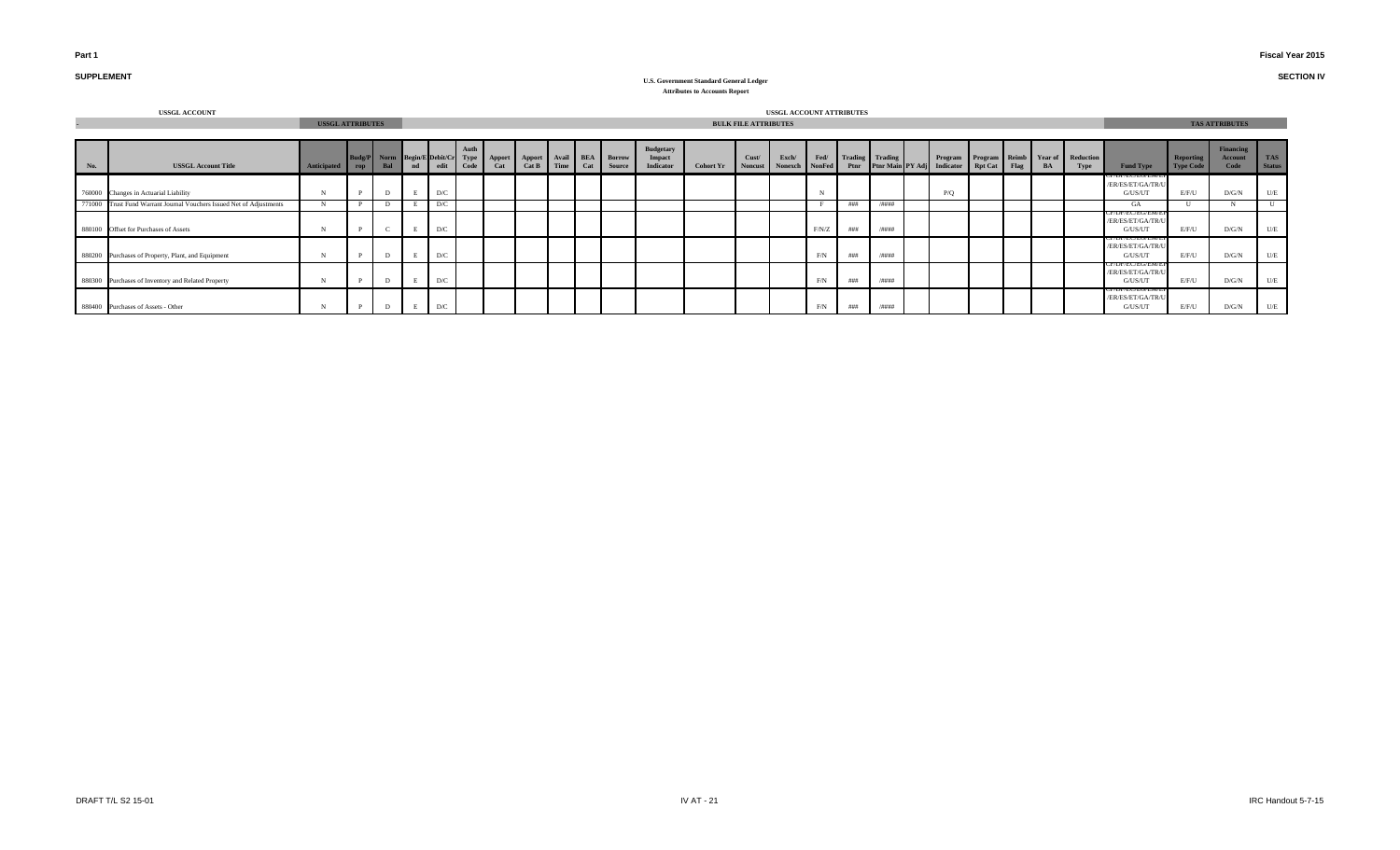#### **Fiscal Year 2015**

**SECTION IV**

# **SUPPLEMENT**

|     | <b>USSGL ACCOUNT</b>                                                 |                         |     |                                   |    |      |      |               |       |            |                                   |                                         |                  |                             | USSGL ACCOUNT ATTRIBUTES        |            |                      |       |                                         |      |    |                                                 |                                                            |                        |                             |                             |
|-----|----------------------------------------------------------------------|-------------------------|-----|-----------------------------------|----|------|------|---------------|-------|------------|-----------------------------------|-----------------------------------------|------------------|-----------------------------|---------------------------------|------------|----------------------|-------|-----------------------------------------|------|----|-------------------------------------------------|------------------------------------------------------------|------------------------|-----------------------------|-----------------------------|
|     |                                                                      | <b>USSGL ATTRIBUTES</b> |     |                                   |    |      |      |               |       |            |                                   |                                         |                  | <b>BULK FILE ATTRIBUTES</b> |                                 |            |                      |       |                                         |      |    |                                                 |                                                            |                        | <b>TAS ATTRIBUTES</b>       |                             |
| No. | <b>USSGL Account Title</b>                                           | Anticipated             | rop | Budg/P Norm Begin/E Debit/Cr Type | nd | edit | Code | Apport<br>Cat | Cat B | Time   Cat | Apport Avail BEA Borrow<br>Source | <b>Budgetary</b><br>Impact<br>Indicator | <b>Cohort Yr</b> | Cust/                       | Exch/<br>Noncust Nonexch NonFed |            | Fed/ Trading Trading |       | Ptnr Ptnr Main PY Adj Indicator Rpt Cat | Flag | BA | Program Program Reimb Year of Reduction<br>Type | <b>Fund Type</b>                                           | Reporting<br>Type Code | Financing<br>Accoun<br>Code | <b>TAS</b><br><b>Status</b> |
|     | 760000 Changes in Actuarial Liability                                | $_{\rm N}$              |     |                                   | E  | D/C  |      |               |       |            |                                   |                                         |                  |                             |                                 | $_{\rm N}$ |                      |       | P/Q                                     |      |    |                                                 | /ER/ES/ET/GA/TR/U<br>G/US/UT                               | E/F/U                  | D/G/N                       | U/E                         |
|     | 771000 Trust Fund Warrant Journal Vouchers Issued Net of Adjustments | - N                     |     |                                   |    | D/C  |      |               |       |            |                                   |                                         |                  |                             |                                 |            | ###                  | /#### |                                         |      |    |                                                 | GA                                                         |                        |                             | $\mathbf{U}$                |
|     | 880100 Offset for Purchases of Assets                                | N                       | P   |                                   |    | D/C  |      |               |       |            |                                   |                                         |                  |                             |                                 | F/N/Z      | ###                  | /#### |                                         |      |    |                                                 | <b>TADI TECTEUR EMPLI</b><br>/ER/ES/ET/GA/TR/U<br>G/US/UT  | E/F/U                  | D/G/N                       | U/E                         |
|     | 880200 Purchases of Property, Plant, and Equipment                   | N                       |     |                                   |    | D/C  |      |               |       |            |                                   |                                         |                  |                             |                                 | F/N        | ###                  | /#### |                                         |      |    |                                                 | CI7DI7EU/EU/EW/E<br>/ER/ES/ET/GA/TR/U<br>G/US/UT           | E/F/U                  | D/G/N                       | U/E                         |
|     | 880300 Purchases of Inventory and Related Property                   | N                       |     |                                   | E. | D/C  |      |               |       |            |                                   |                                         |                  |                             |                                 | F/N        | ###                  | /#### |                                         |      |    |                                                 | CP/DP/EC/EU/EWPER<br>/ER/ES/ET/GA/TR/L<br>G/US/UT          | E/F/U                  | D/G/N                       | U/E                         |
|     | 880400 Purchases of Assets - Other                                   |                         |     |                                   |    | D/C  |      |               |       |            |                                   |                                         |                  |                             |                                 | F/N        | ###                  | /#### |                                         |      |    |                                                 | <b>CITION TOUR CHANNEL</b><br>/ER/ES/ET/GA/TR/U<br>G/US/UT | E/F/U                  | D/G/N                       | U/E                         |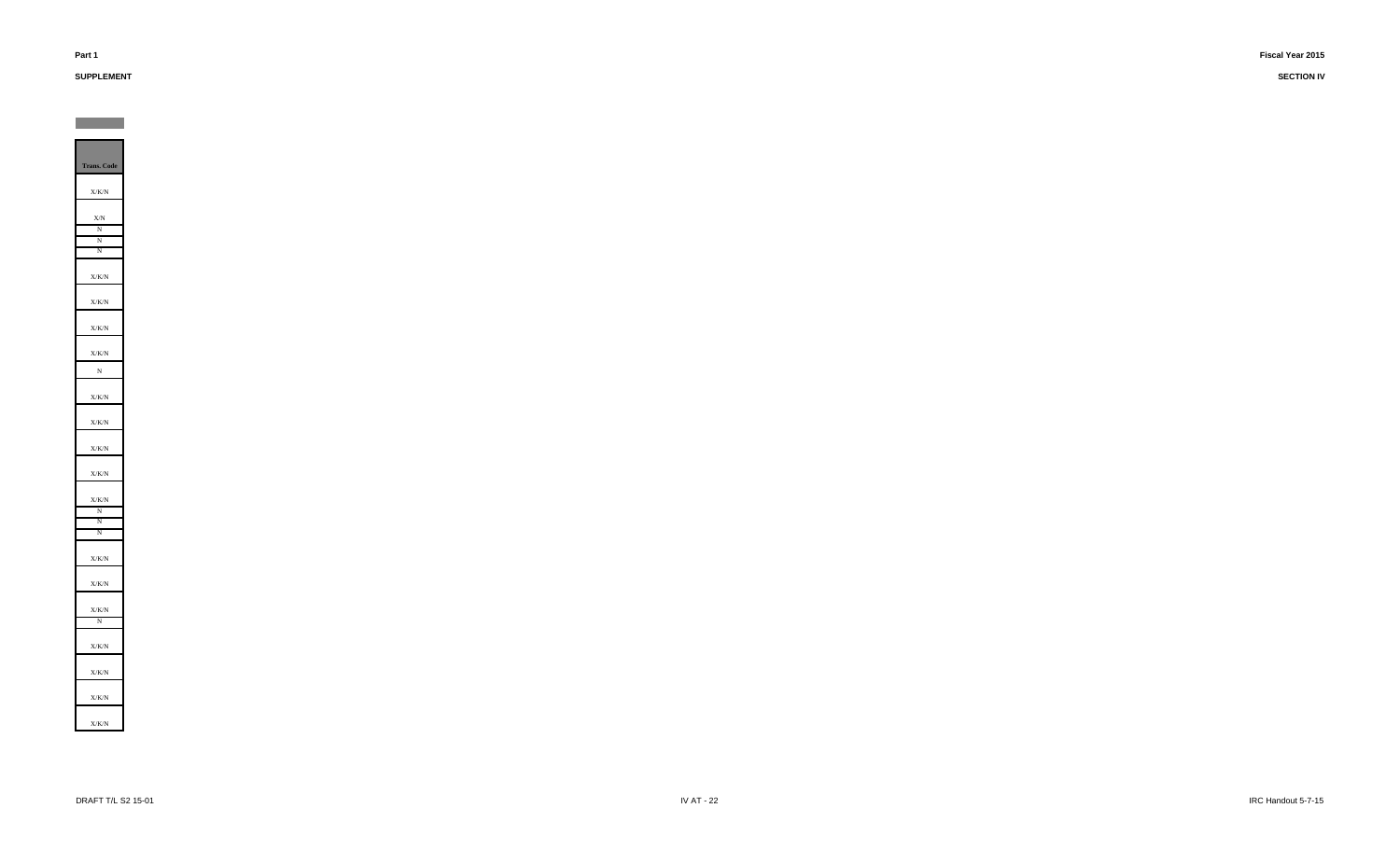# **SUPPLEMENT**

**Contract Contract**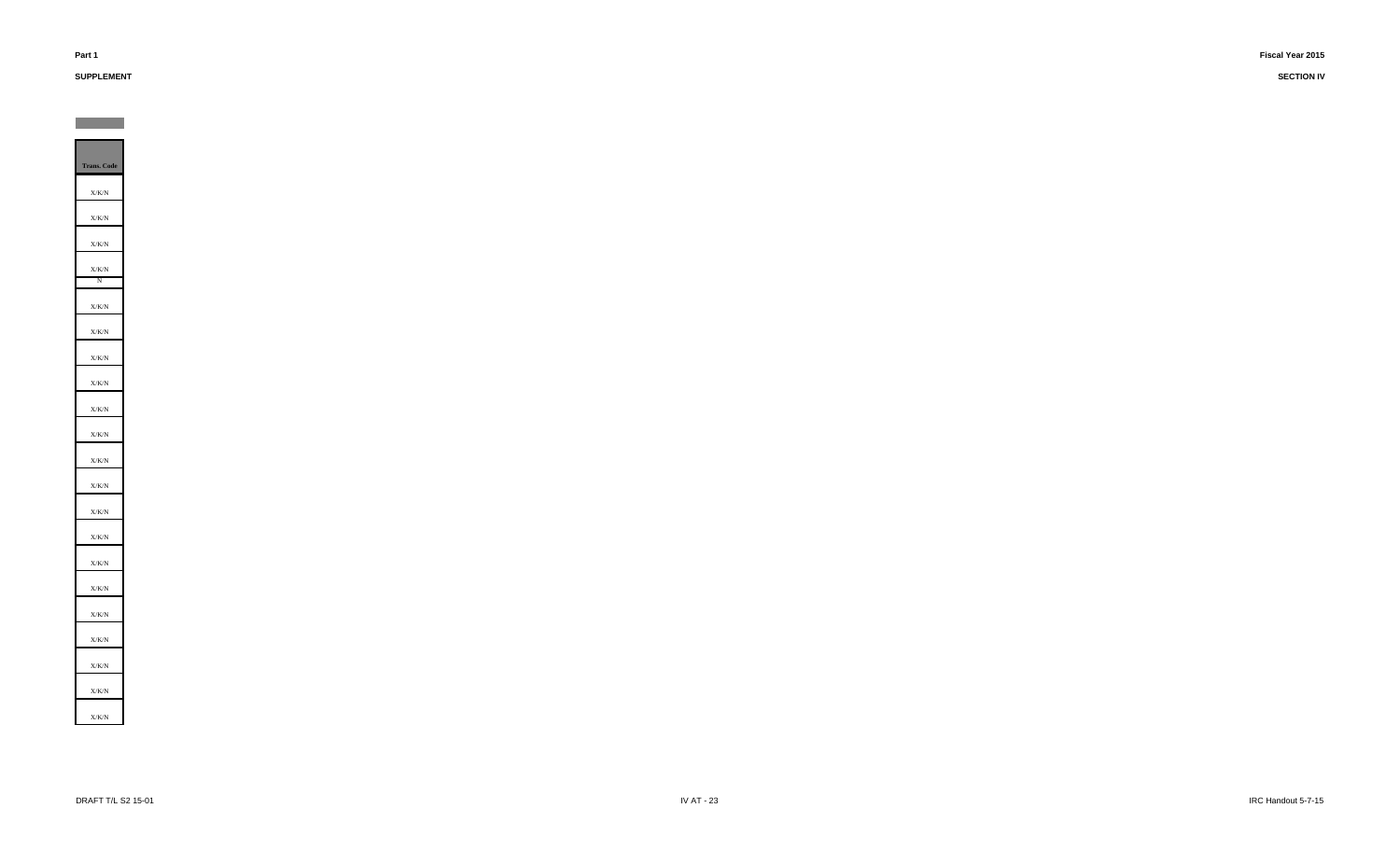# **SUPPLEMENT**

**SECTION IV**

**Trans. Code** X/K/N X/K/N X/K/NX/K/N N X/K/NX/K/N X/K/NX/K/N X/K/N X/K/NX/K/N X/K/NX/K/N X/K/N X/K/N X/K/N X/K/N X/K/NX/K/NX/K/N X/K/N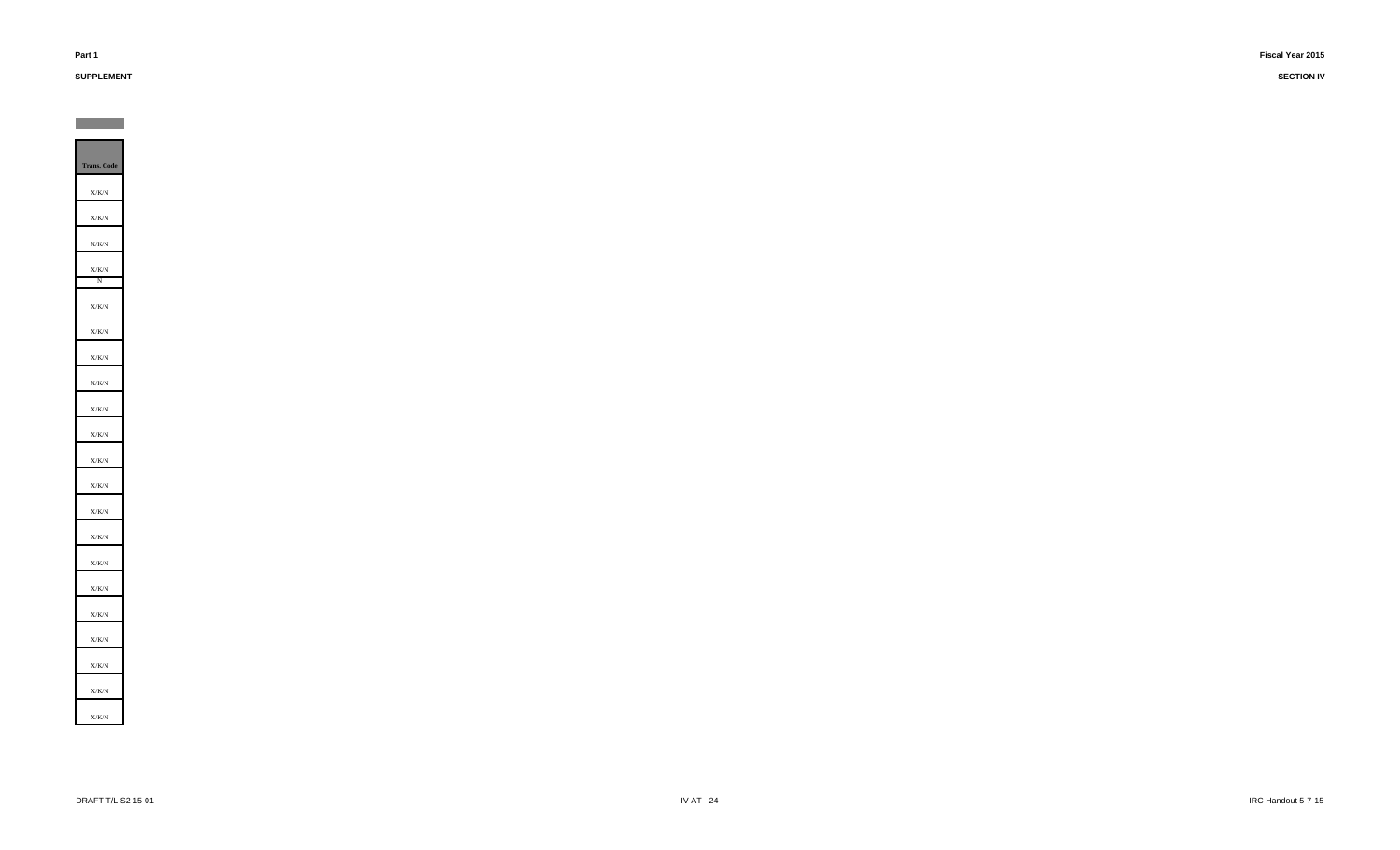# **SUPPLEMENT**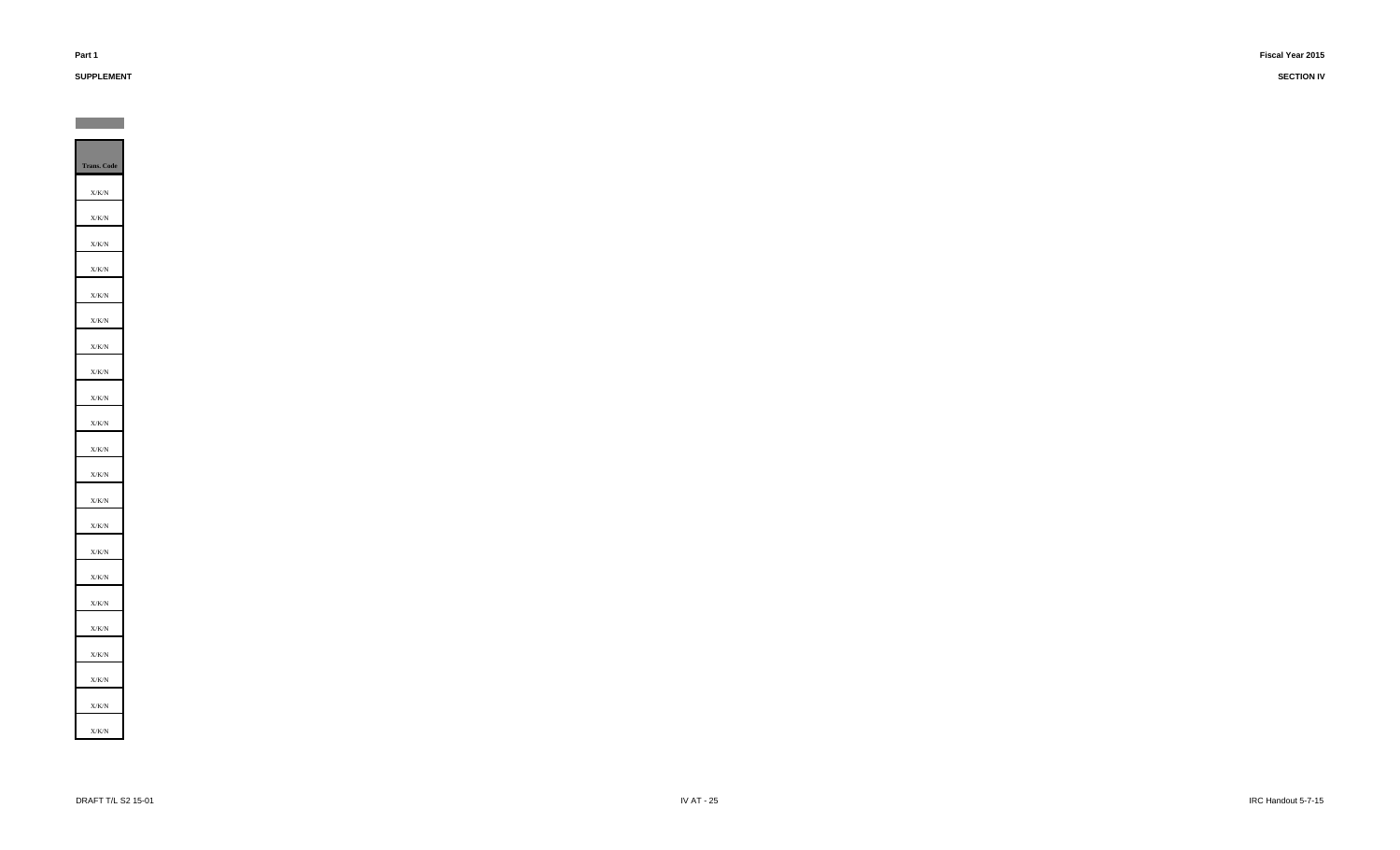# **SUPPLEMENT**

**Contract Contract** 

**SECTION IV**

**Trans. Code** X/K/N X/K/N X/K/NX/K/N X/K/NX/K/N X/K/N X/K/NX/K/N X/K/NX/K/N X/K/N X/K/N X/K/N X/K/N X/K/NX/K/N X/K/N X/K/N X/K/N X/K/N X/K/N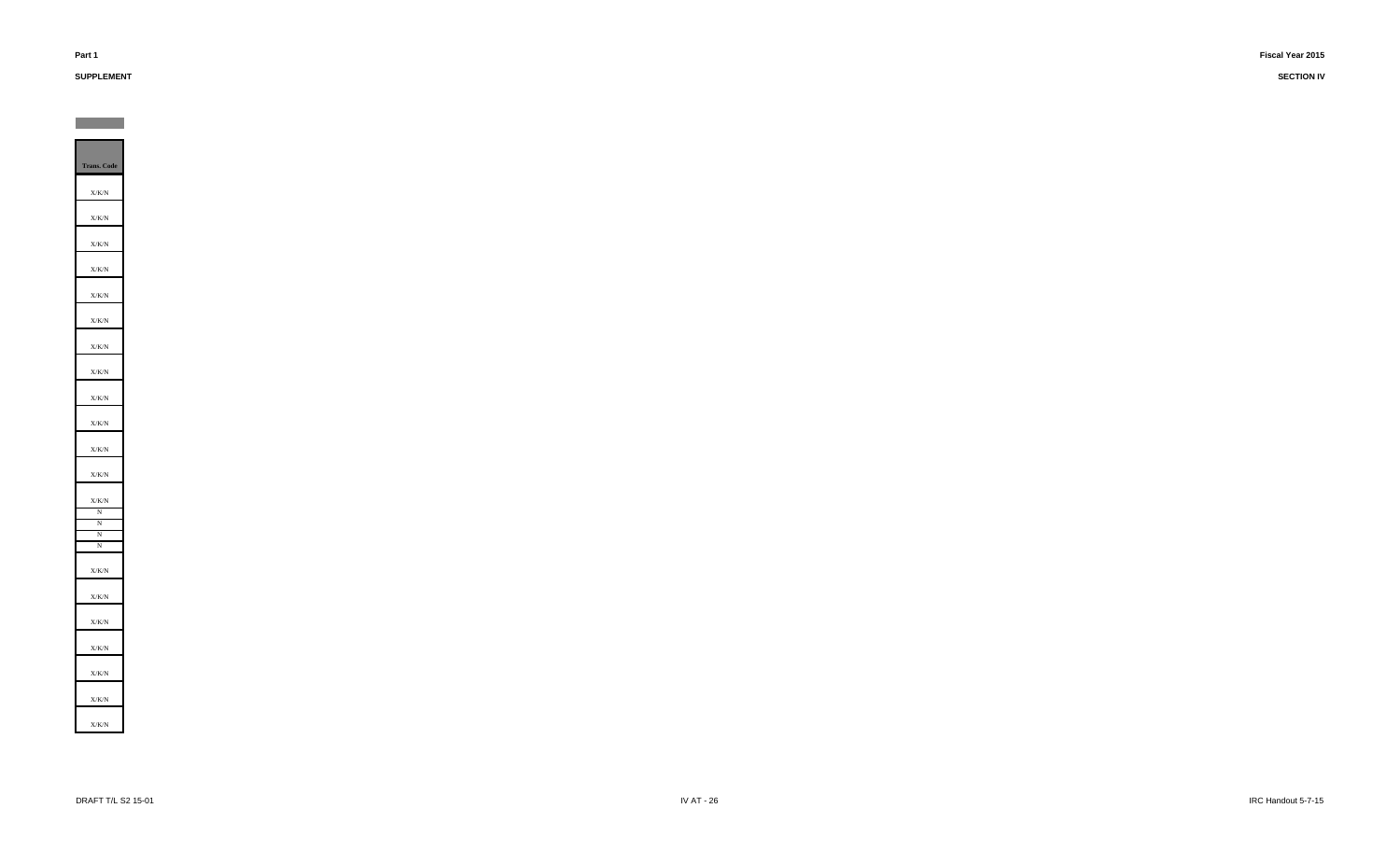# **SUPPLEMENT**

**Contract Contract**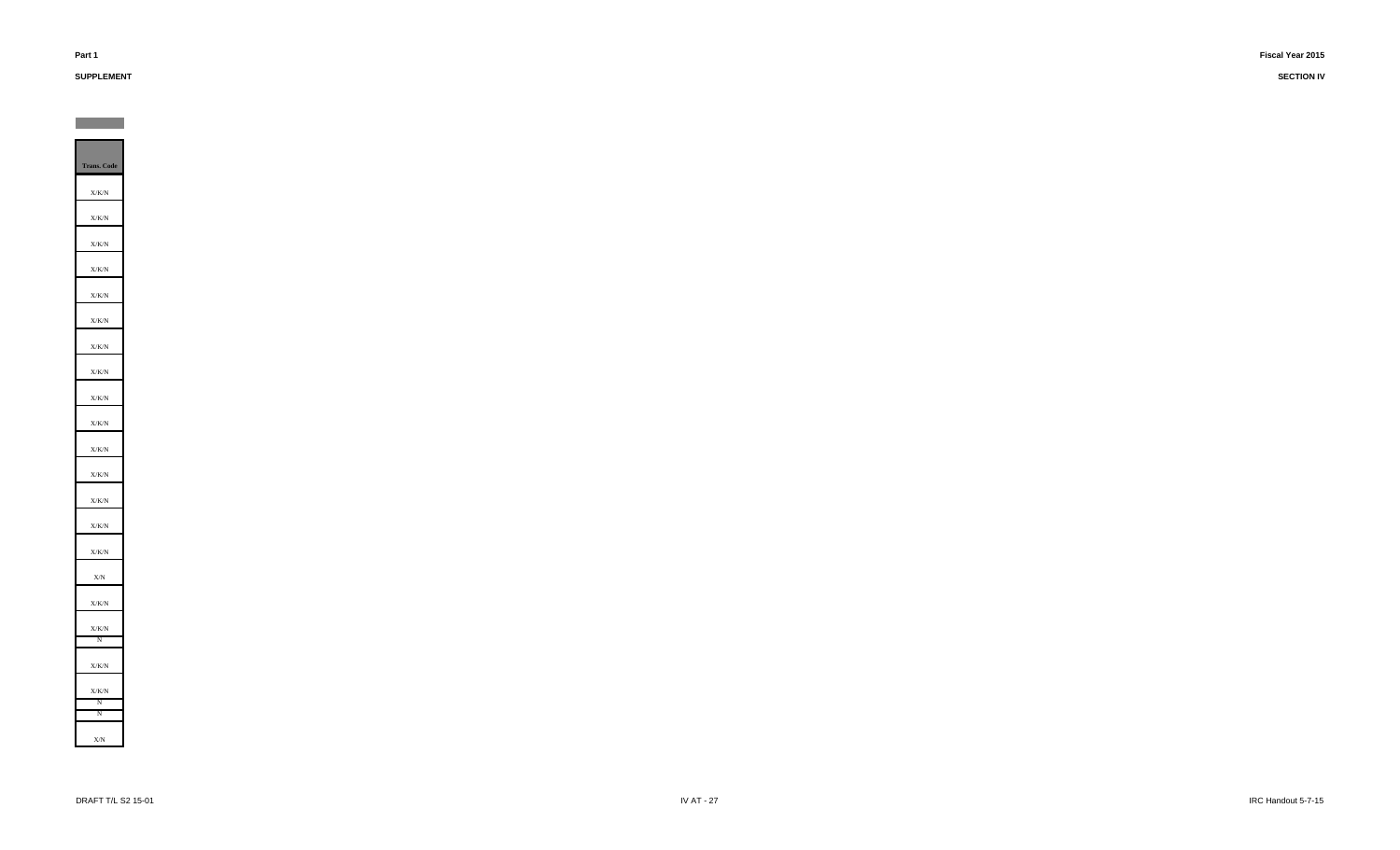# **SUPPLEMENT**

**Contract Contract**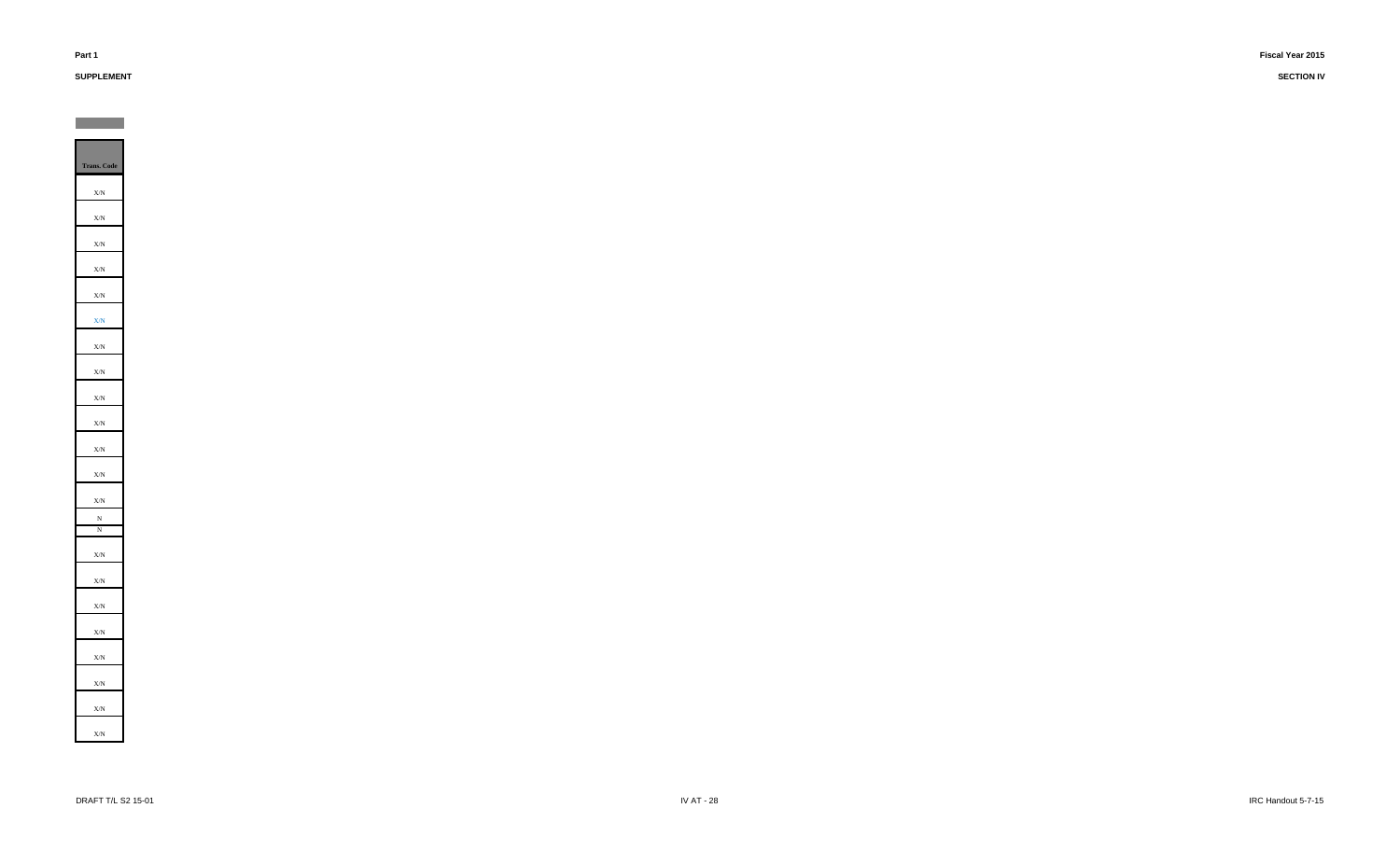# **SUPPLEMENT**

**Contract** 

| Trans. Code                  |
|------------------------------|
| $\mathbf{X}/\mathbf{N}$      |
| X/N                          |
| $\mathbf{X}/\mathbf{N}$      |
| X/N                          |
| $\mathbf{X}/\mathbf{N}$<br>L |
| $\mathbf{X}/\mathbf{N}$      |
| $\mathbf{X}/\mathbf{N}$      |
| ÷,<br>X/N                    |
| $\mathbf{X}/\mathbf{N}$      |
| X/N                          |
|                              |
| X/N                          |
| $\mathbf{X}/\mathbf{N}$      |
| X/N<br>N                     |
| N                            |
| X/N                          |
| X/N                          |
| X/N                          |
| $\mathbf{X}/\mathbf{N}$      |
| X/N                          |
| $\mathbf{X}/\mathbf{N}$      |
| X/N                          |
| X/N                          |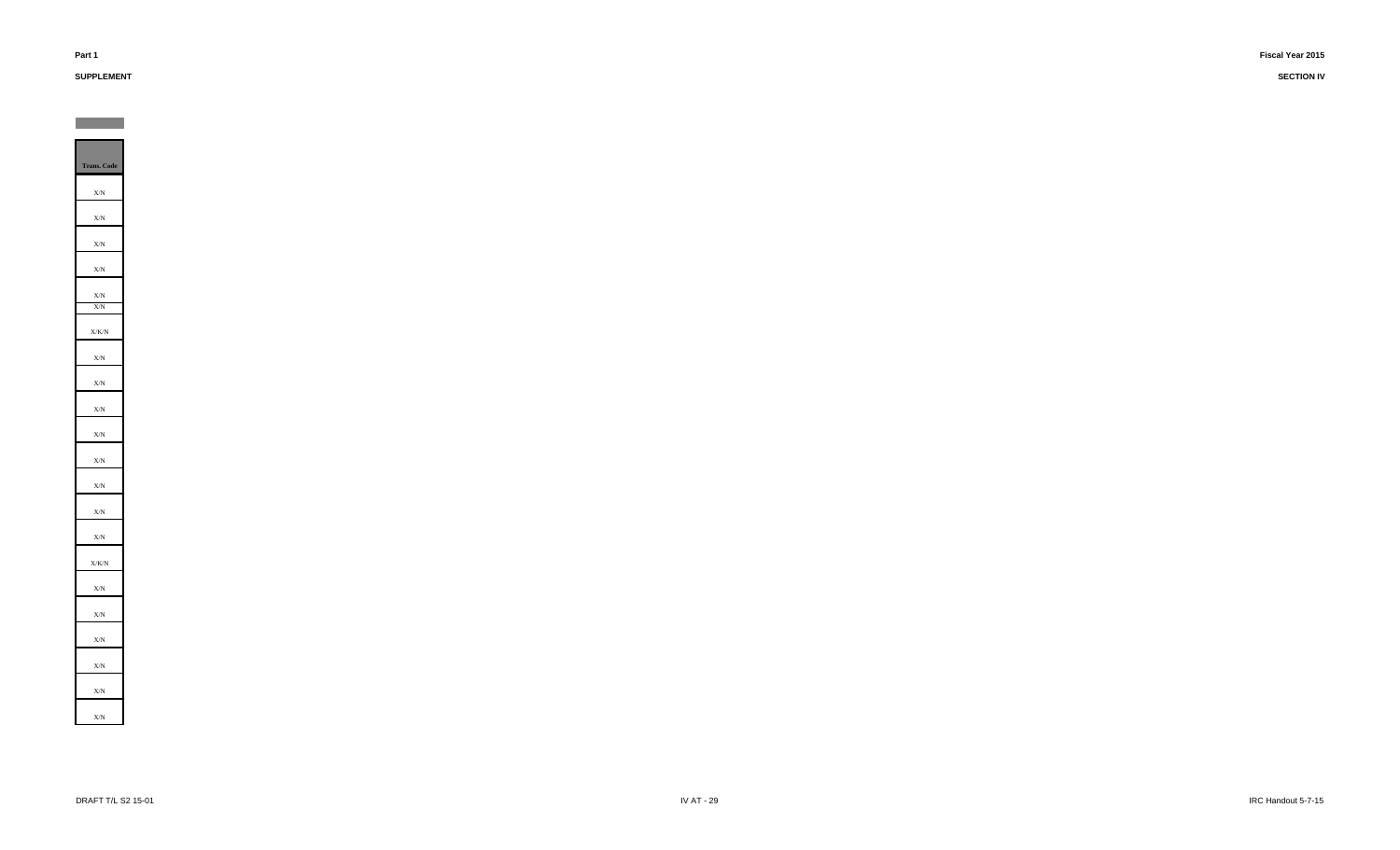# **SUPPLEMENT**

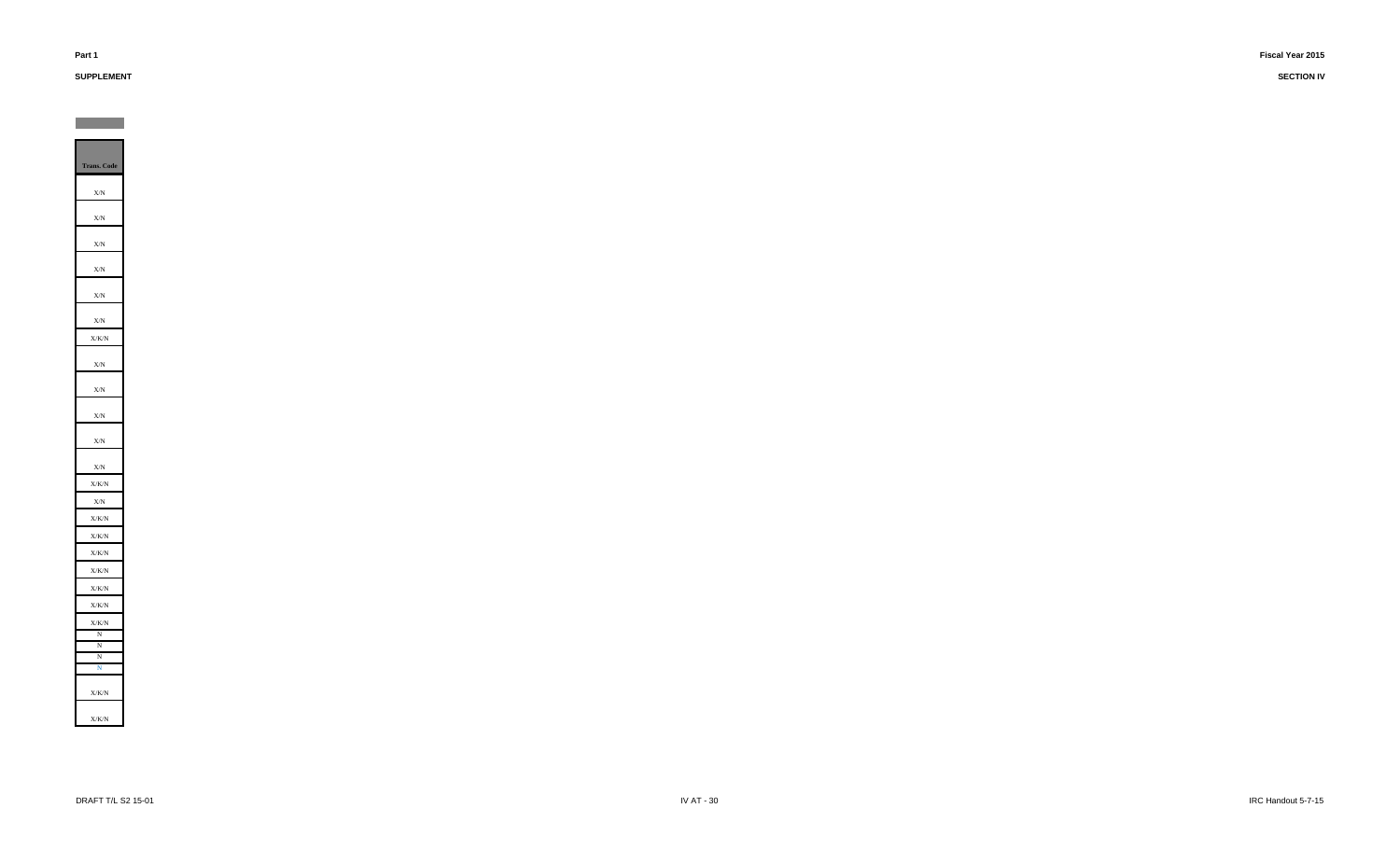# **SUPPLEMENT**

**Contract Contract**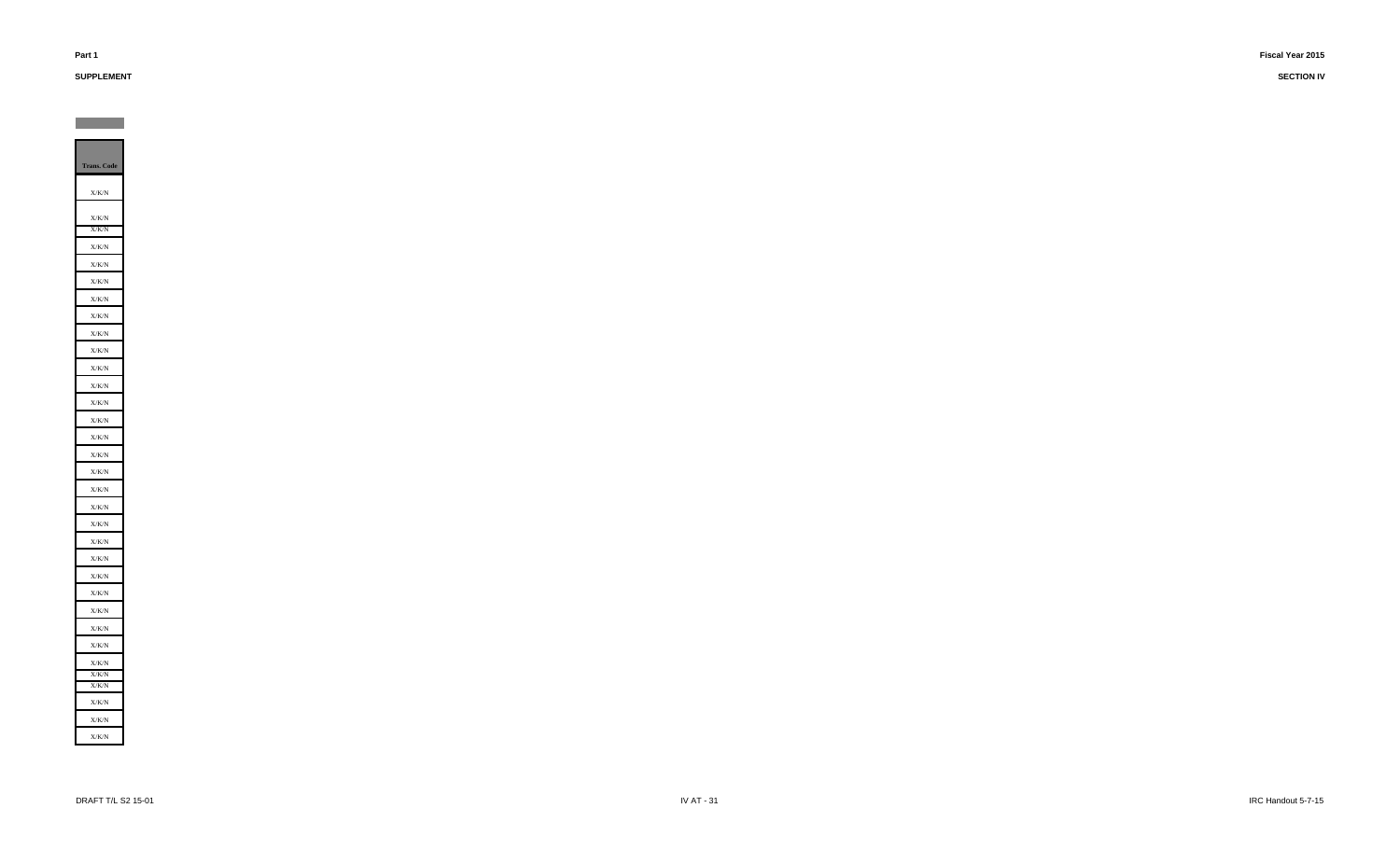# **SUPPLEMENT**

**Contract**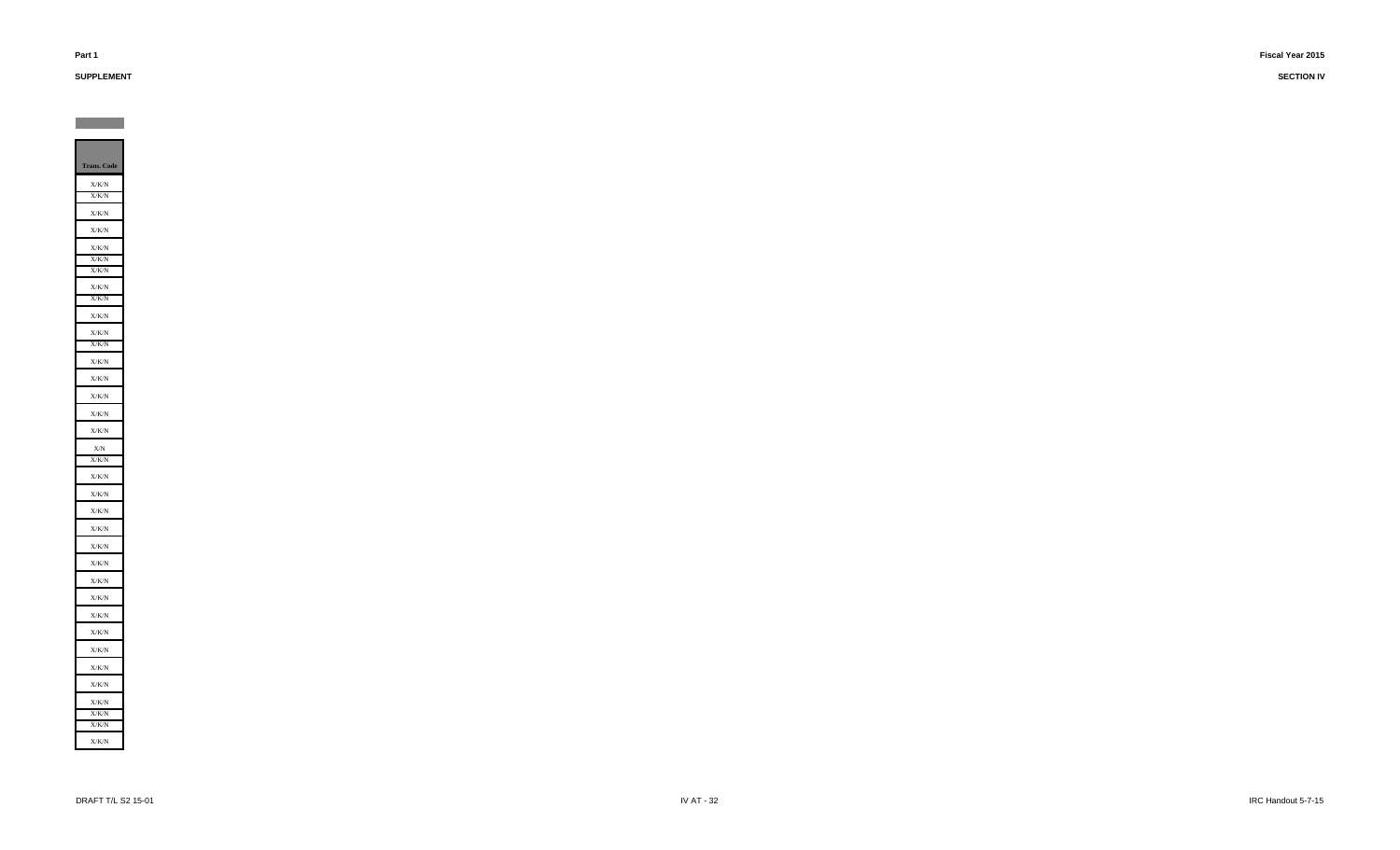**SUPPLEMENT**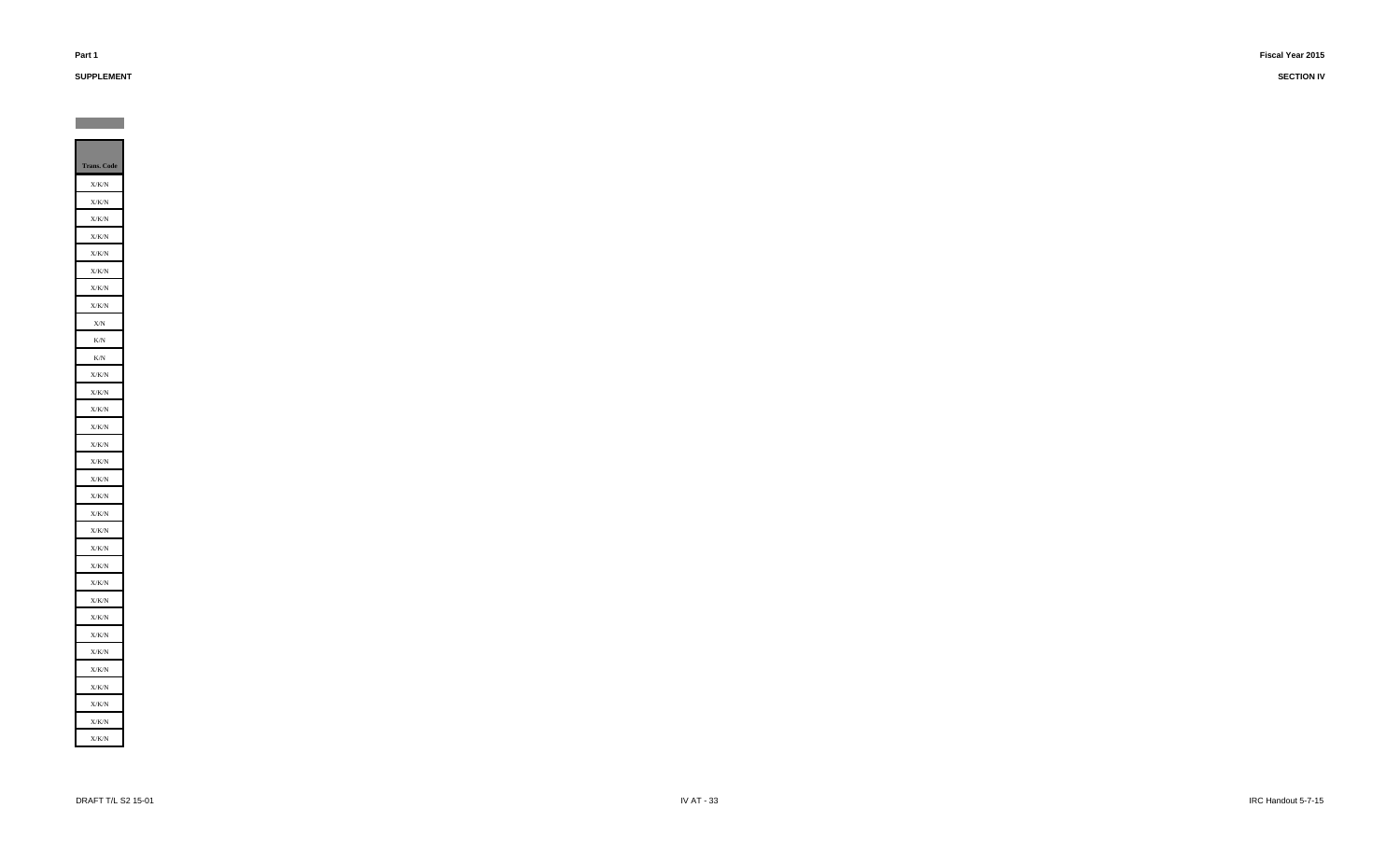**SUPPLEMENT**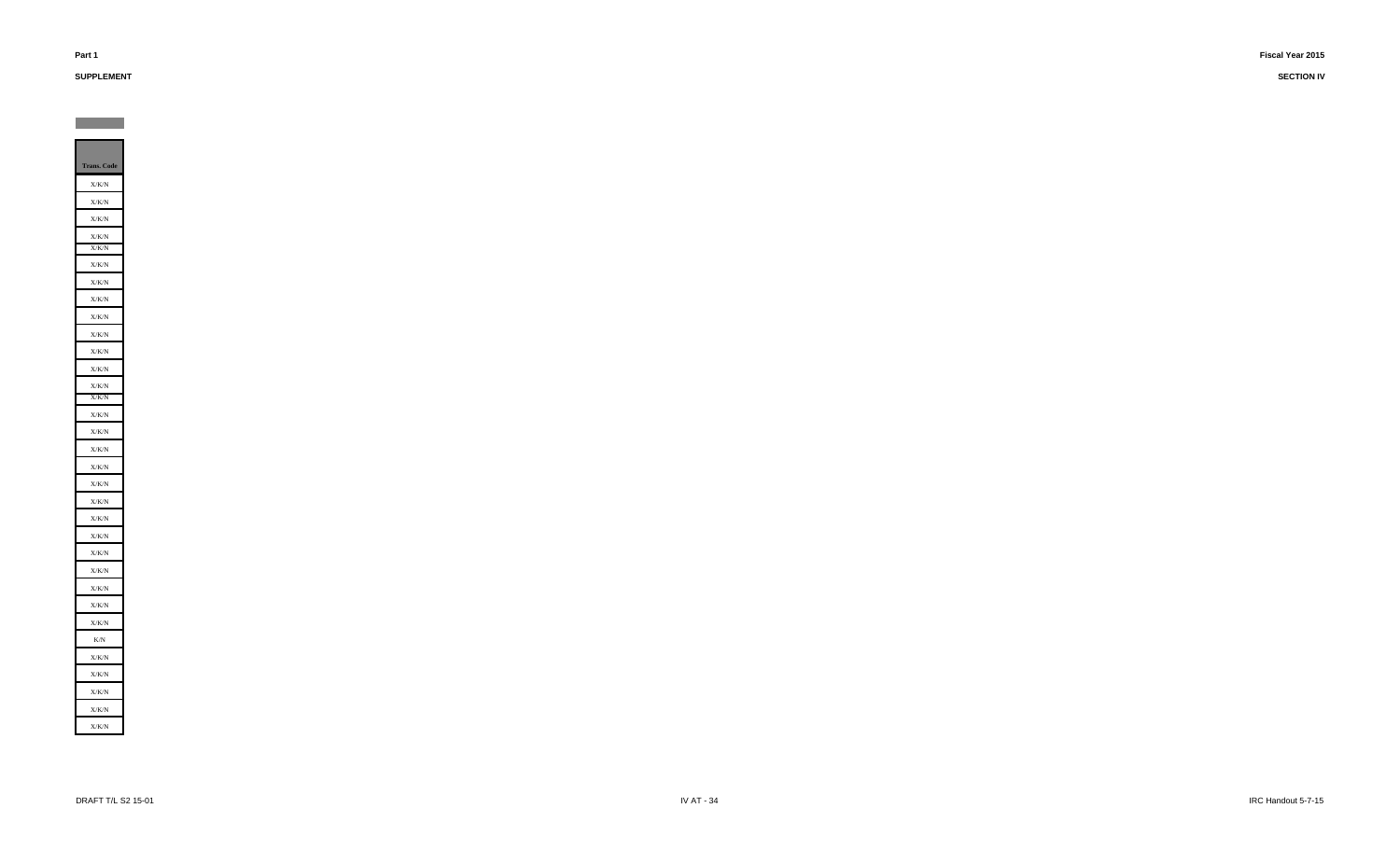**SUPPLEMENT**

**Contract**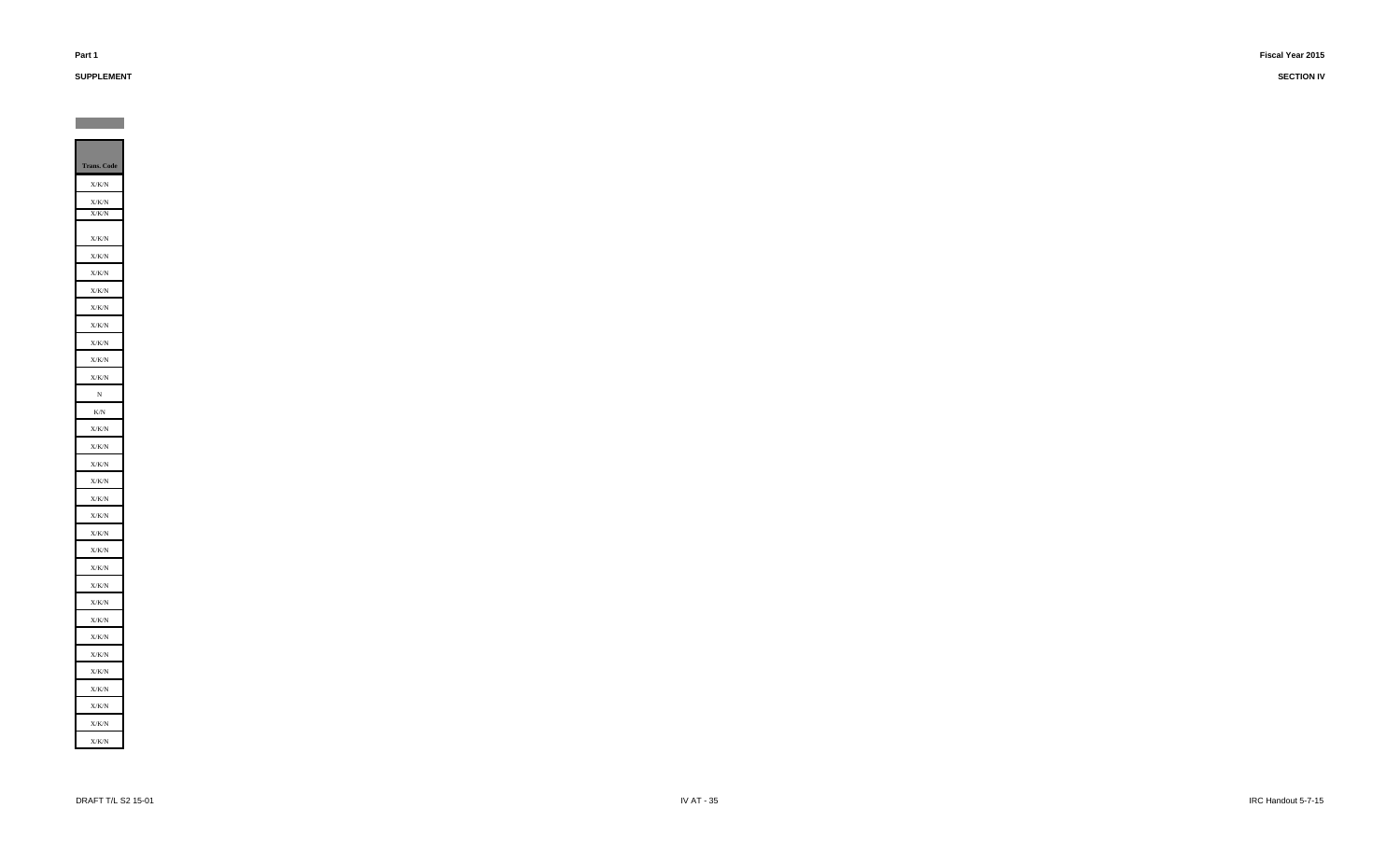# **SUPPLEMENT**

**Contract**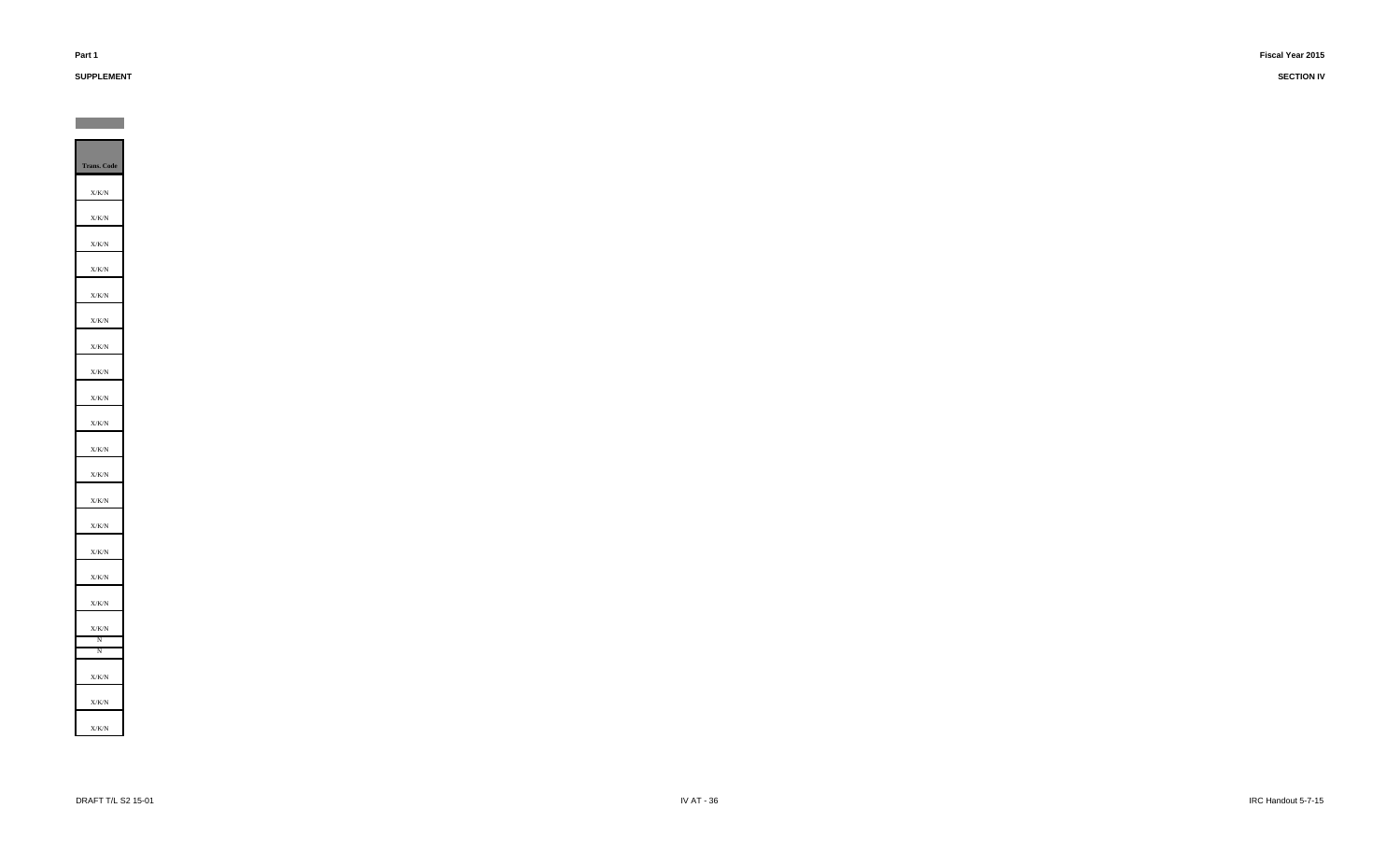# **SUPPLEMENT**

**Contract**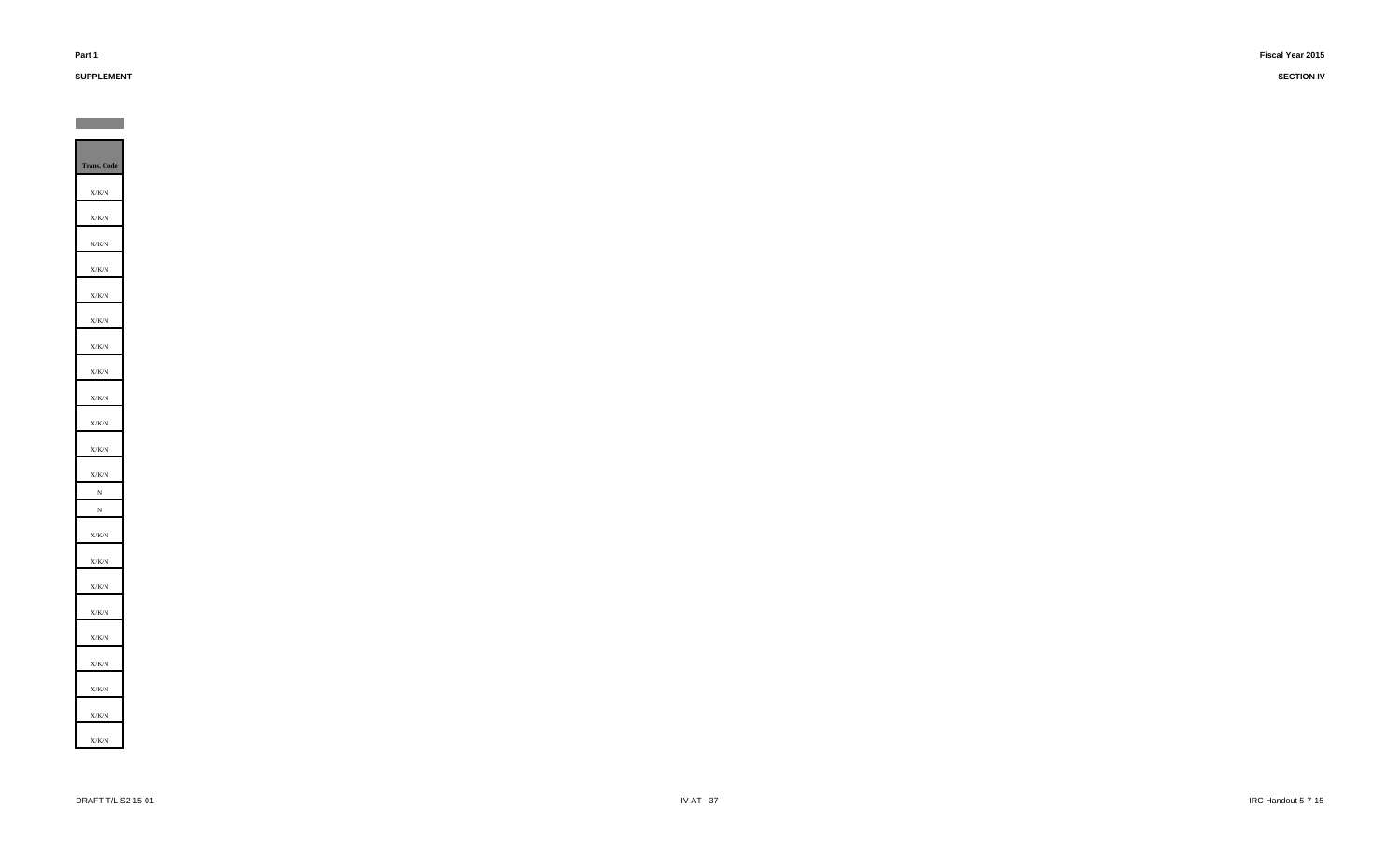# **SUPPLEMENT**

**Contract**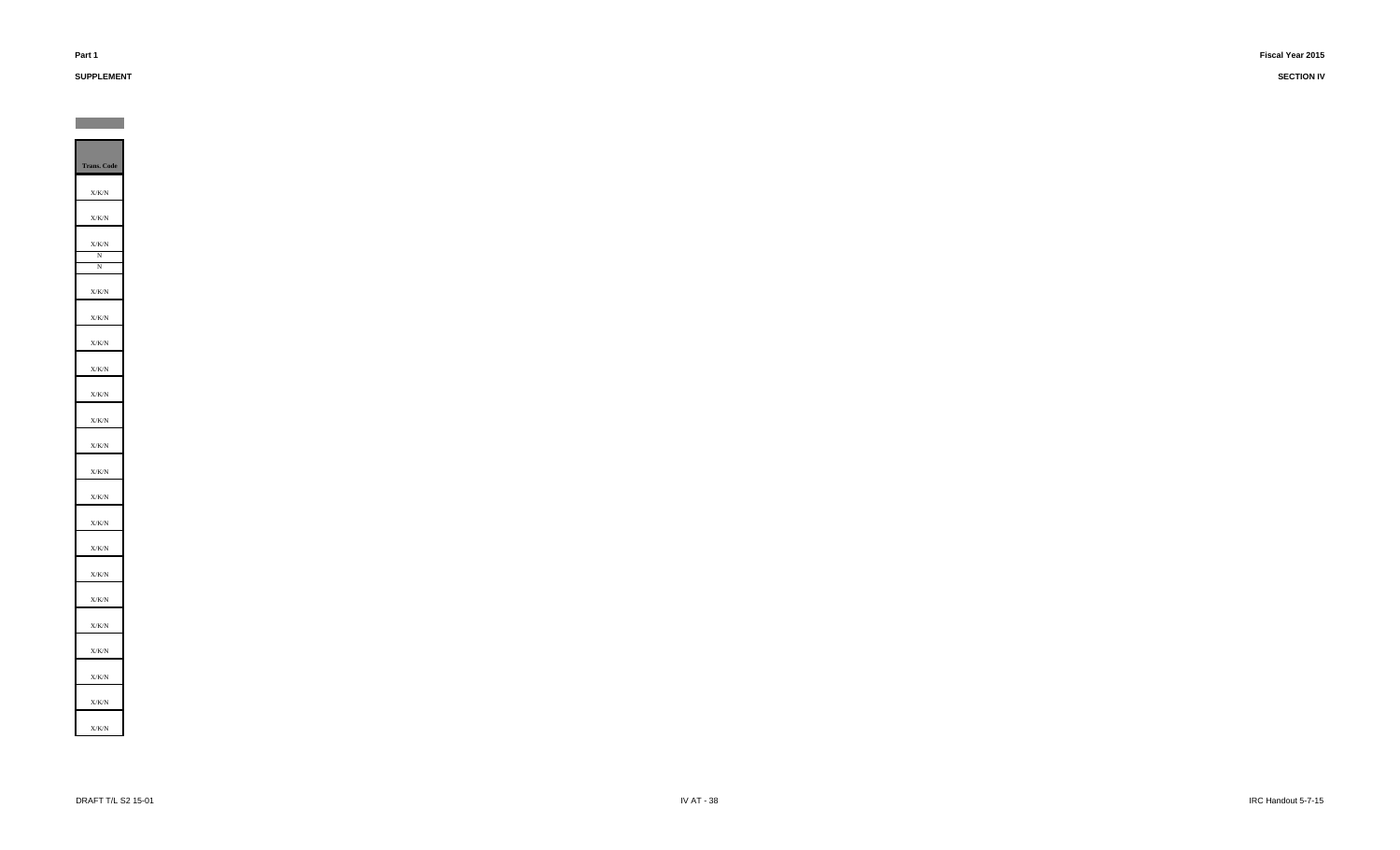# **SUPPLEMENT**

**Contract** 

**SECTION IV**

**Trans. Code** X/K/N X/K/N X/K/N N N X/K/NX/K/N X/K/NX/K/NX/K/N X/K/NX/K/N X/K/N X/K/N X/K/N X/K/N X/K/N X/K/N X/K/N X/K/N X/K/N X/K/N X/K/N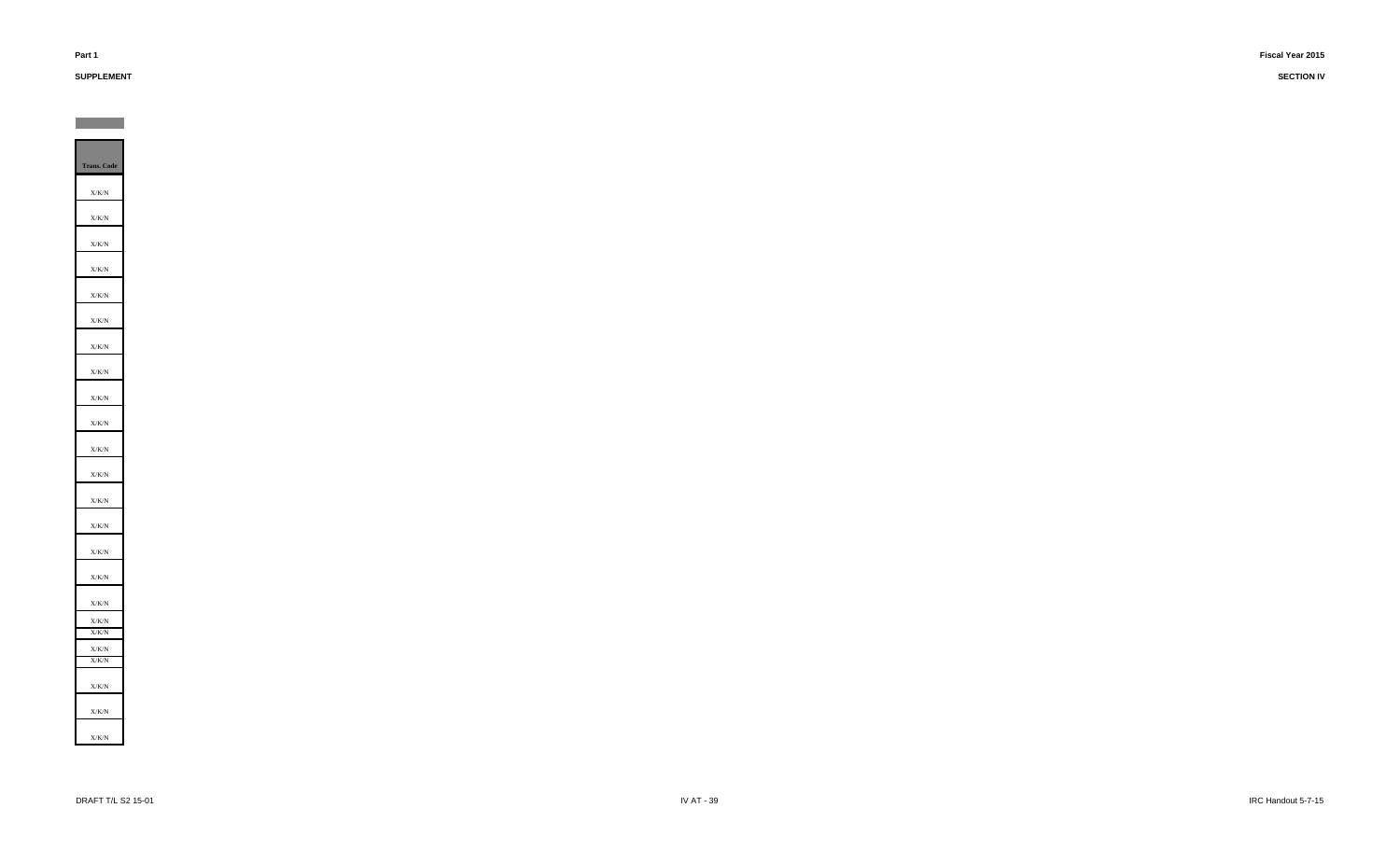# **SUPPLEMENT**

**Contract**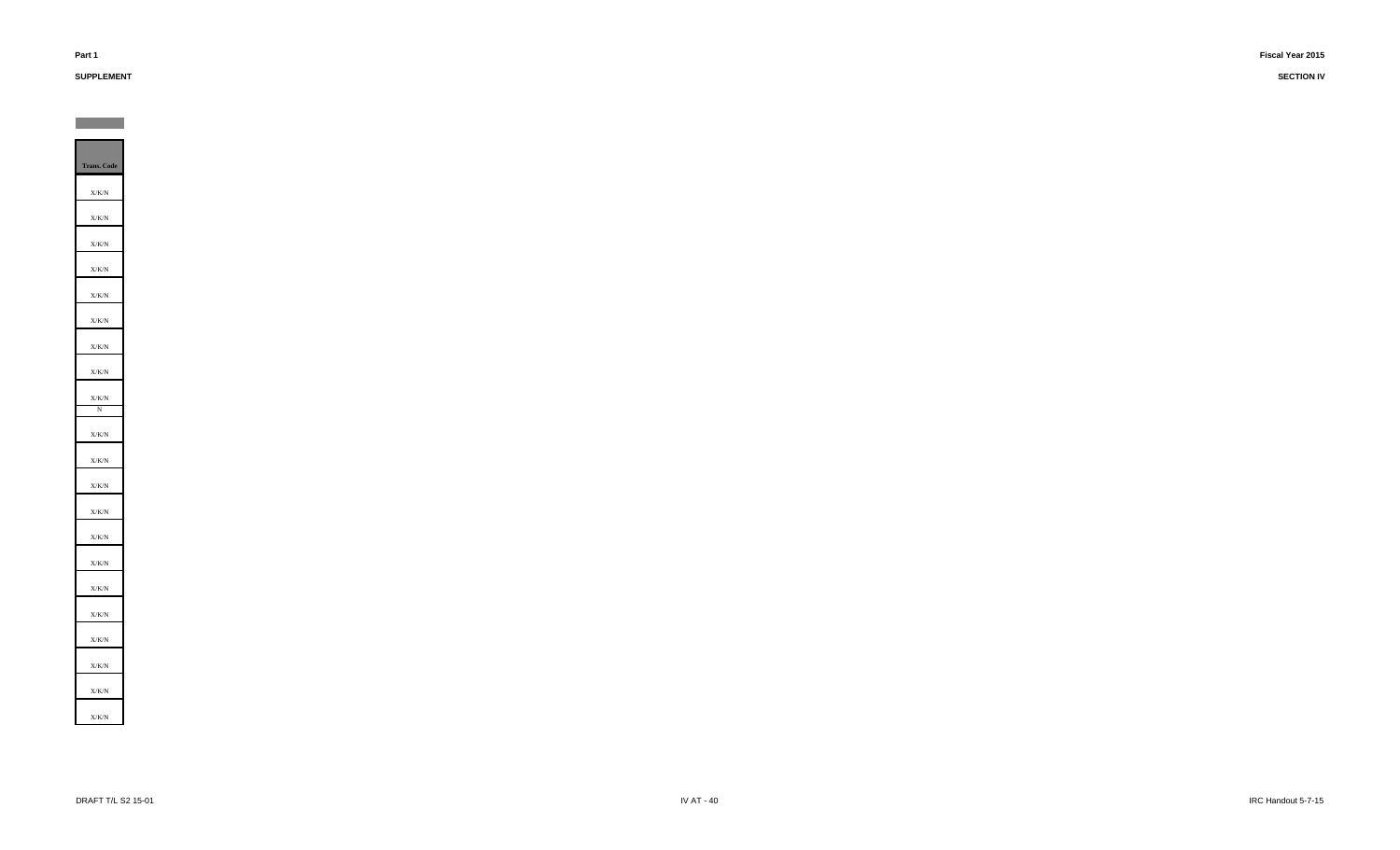# **SUPPLEMENT**

**Contract**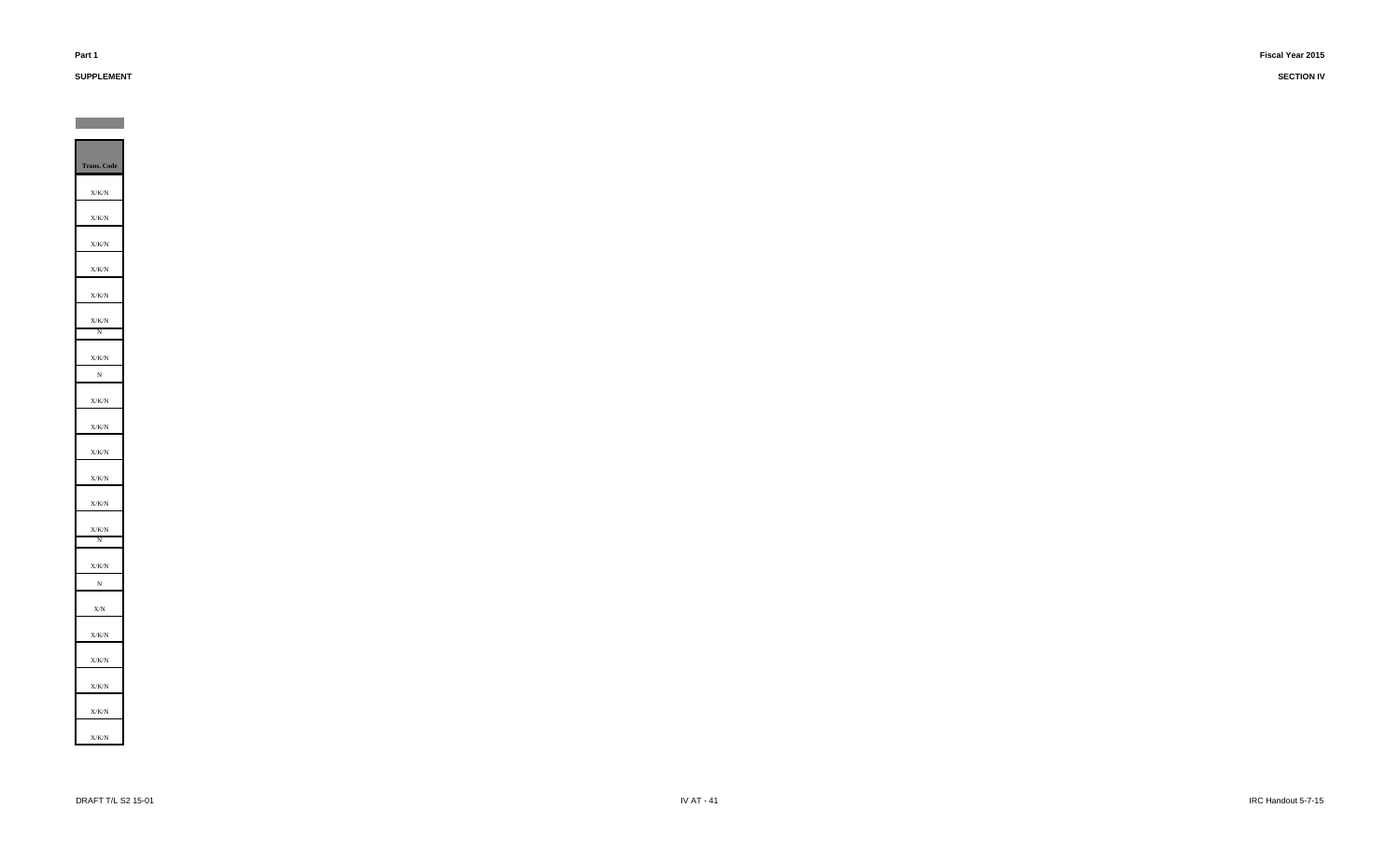# **SUPPLEMENT**

**Contract** 

**SECTION IV**

**Trans. Code** X/K/N X/K/N X/K/NX/K/N X/K/NX/K/N N X/K/NN X/K/N X/K/NX/K/N X/K/N X/K/N X/K/N N X/K/N N X/NX/K/N X/K/N X/K/N X/K/NX/K/N